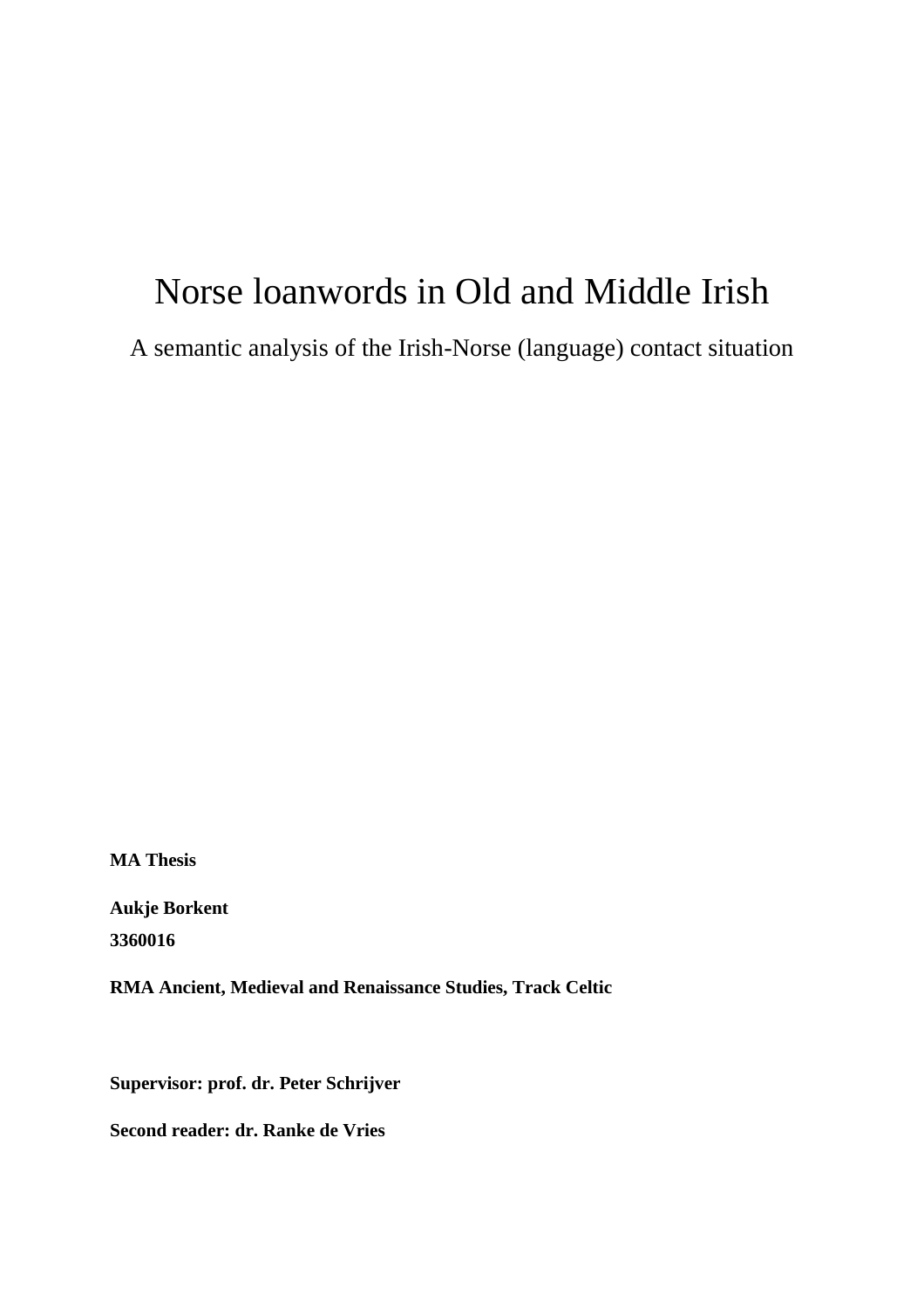# Norse loanwords in Old and Middle Irish

A semantic analysis of the Irish-Norse (language) contact situation

**MA Thesis**

**Aukje Borkent 3360016**

**RMA Ancient, Medieval and Renaissance Studies, Track Celtic**

**Supervisor: prof. dr. Peter Schrijver**

**Second reader: dr. Ranke de Vries**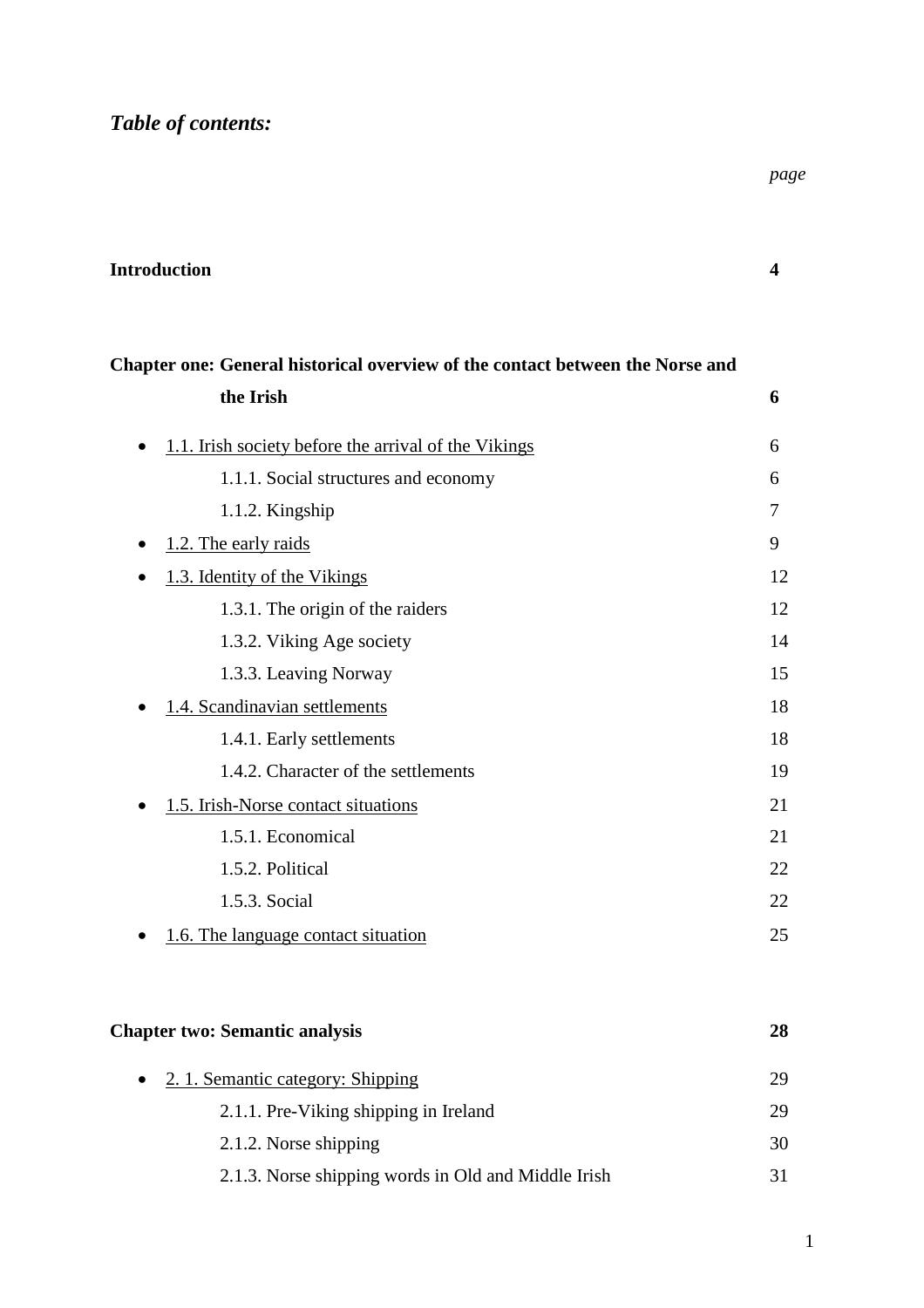*Table of contents:*

*page*

| Chapter one: General historical overview of the contact between the Norse and |    |
|-------------------------------------------------------------------------------|----|
| the Irish                                                                     | 6  |
| 1.1. Irish society before the arrival of the Vikings<br>$\bullet$             | 6  |
| 1.1.1. Social structures and economy                                          | 6  |
| 1.1.2. Kingship                                                               | 7  |
| 1.2. The early raids<br>$\bullet$                                             | 9  |
| 1.3. Identity of the Vikings                                                  | 12 |
| 1.3.1. The origin of the raiders                                              | 12 |
| 1.3.2. Viking Age society                                                     | 14 |
| 1.3.3. Leaving Norway                                                         | 15 |
| 1.4. Scandinavian settlements                                                 | 18 |
| 1.4.1. Early settlements                                                      | 18 |
| 1.4.2. Character of the settlements                                           | 19 |
| 1.5. Irish-Norse contact situations                                           | 21 |
| 1.5.1. Economical                                                             | 21 |
| 1.5.2. Political                                                              | 22 |
| 1.5.3. Social                                                                 | 22 |
| 1.6. The language contact situation                                           | 25 |

# **Chapter two: Semantic analysis 28**

| $\bullet$ | 2. 1. Semantic category: Shipping                   | 29. |
|-----------|-----------------------------------------------------|-----|
|           | 2.1.1. Pre-Viking shipping in Ireland               | 29. |
|           | 2.1.2. Norse shipping                               | 30  |
|           | 2.1.3. Norse shipping words in Old and Middle Irish | 31. |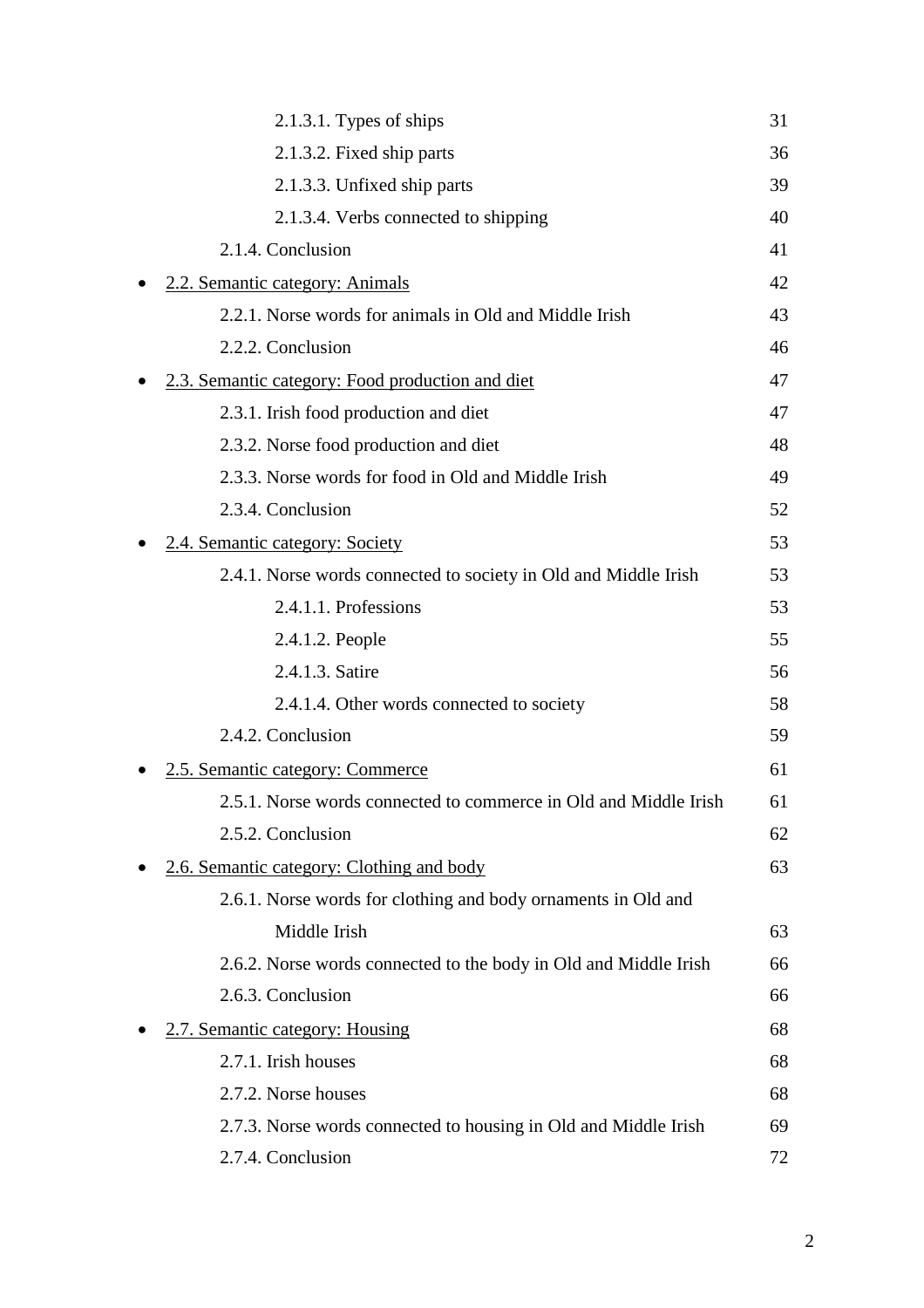| $2.1.3.1$ . Types of ships                                       | 31 |
|------------------------------------------------------------------|----|
| 2.1.3.2. Fixed ship parts                                        | 36 |
| 2.1.3.3. Unfixed ship parts                                      | 39 |
| 2.1.3.4. Verbs connected to shipping                             | 40 |
| 2.1.4. Conclusion                                                | 41 |
| 2.2. Semantic category: Animals                                  | 42 |
| 2.2.1. Norse words for animals in Old and Middle Irish           | 43 |
| 2.2.2. Conclusion                                                | 46 |
| 2.3. Semantic category: Food production and diet                 | 47 |
| 2.3.1. Irish food production and diet                            | 47 |
| 2.3.2. Norse food production and diet                            | 48 |
| 2.3.3. Norse words for food in Old and Middle Irish              | 49 |
| 2.3.4. Conclusion                                                | 52 |
| 2.4. Semantic category: Society                                  | 53 |
| 2.4.1. Norse words connected to society in Old and Middle Irish  | 53 |
| 2.4.1.1. Professions                                             | 53 |
| 2.4.1.2. People                                                  | 55 |
| 2.4.1.3. Satire                                                  | 56 |
| 2.4.1.4. Other words connected to society                        | 58 |
| 2.4.2. Conclusion                                                | 59 |
| 2.5. Semantic category: Commerce                                 | 61 |
| 2.5.1. Norse words connected to commerce in Old and Middle Irish | 61 |
| 2.5.2. Conclusion                                                | 62 |
| 2.6. Semantic category: Clothing and body                        | 63 |
| 2.6.1. Norse words for clothing and body ornaments in Old and    |    |
| Middle Irish                                                     | 63 |
| 2.6.2. Norse words connected to the body in Old and Middle Irish | 66 |
| 2.6.3. Conclusion                                                | 66 |
| 2.7. Semantic category: Housing                                  | 68 |
| 2.7.1. Irish houses                                              | 68 |
| 2.7.2. Norse houses                                              | 68 |
| 2.7.3. Norse words connected to housing in Old and Middle Irish  | 69 |
| 2.7.4. Conclusion                                                | 72 |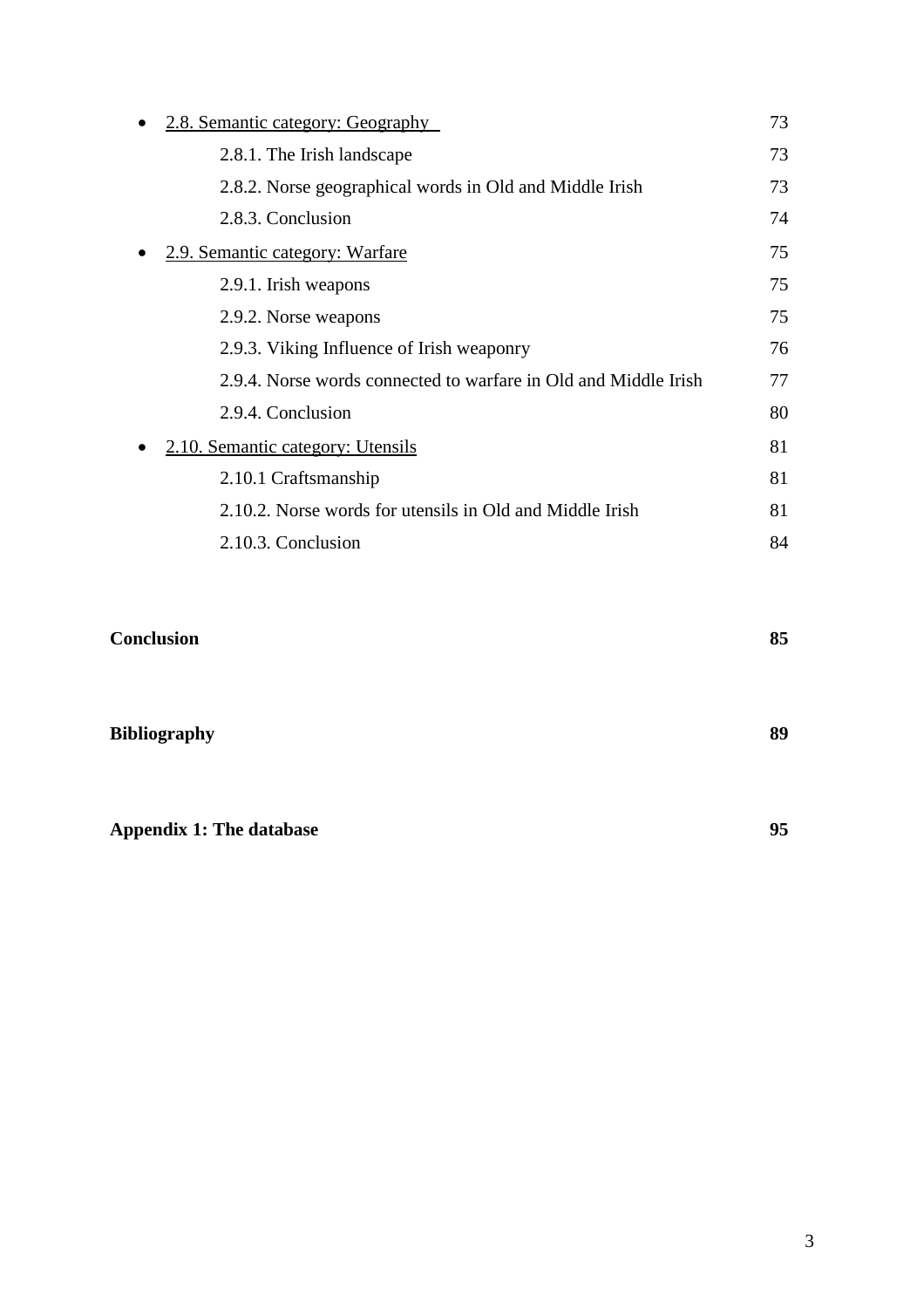| 2.8. Semantic category: Geography |                                                                 | 73 |
|-----------------------------------|-----------------------------------------------------------------|----|
|                                   | 2.8.1. The Irish landscape                                      | 73 |
|                                   | 2.8.2. Norse geographical words in Old and Middle Irish         | 73 |
|                                   | 2.8.3. Conclusion                                               | 74 |
|                                   | 2.9. Semantic category: Warfare                                 | 75 |
|                                   | 2.9.1. Irish weapons                                            | 75 |
|                                   | 2.9.2. Norse weapons                                            | 75 |
|                                   | 2.9.3. Viking Influence of Irish weaponry                       | 76 |
|                                   | 2.9.4. Norse words connected to warfare in Old and Middle Irish | 77 |
|                                   | 2.9.4. Conclusion                                               | 80 |
|                                   | 2.10. Semantic category: Utensils                               | 81 |
|                                   | 2.10.1 Craftsmanship                                            | 81 |
|                                   | 2.10.2. Norse words for utensils in Old and Middle Irish        | 81 |
|                                   | 2.10.3. Conclusion                                              | 84 |

| <b>Conclusion</b>               | 85 |
|---------------------------------|----|
| <b>Bibliography</b>             | 89 |
| <b>Appendix 1: The database</b> | 95 |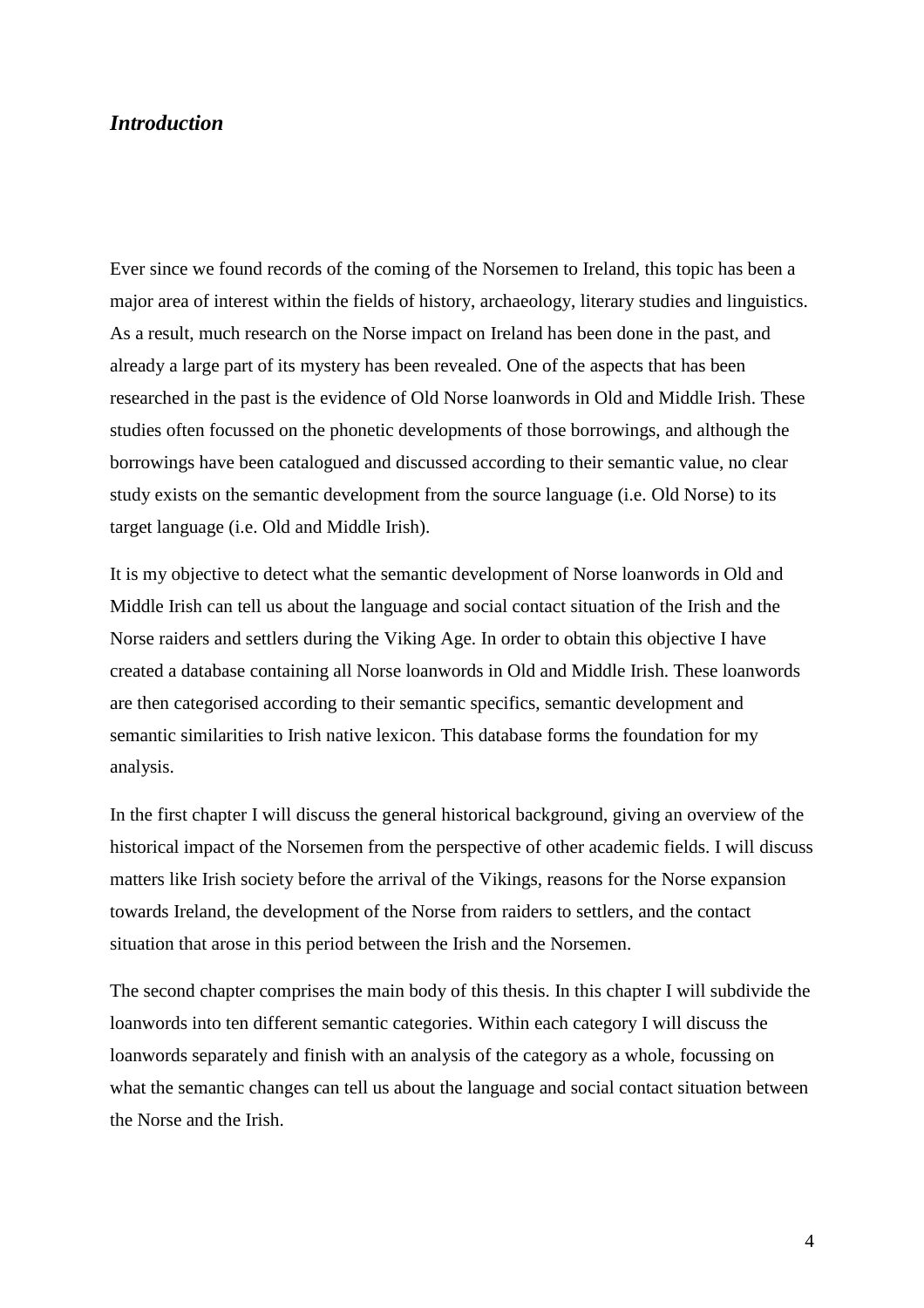## *Introduction*

Ever since we found records of the coming of the Norsemen to Ireland, this topic has been a major area of interest within the fields of history, archaeology, literary studies and linguistics. As a result, much research on the Norse impact on Ireland has been done in the past, and already a large part of its mystery has been revealed. One of the aspects that has been researched in the past is the evidence of Old Norse loanwords in Old and Middle Irish. These studies often focussed on the phonetic developments of those borrowings, and although the borrowings have been catalogued and discussed according to their semantic value, no clear study exists on the semantic development from the source language (i.e. Old Norse) to its target language (i.e. Old and Middle Irish).

It is my objective to detect what the semantic development of Norse loanwords in Old and Middle Irish can tell us about the language and social contact situation of the Irish and the Norse raiders and settlers during the Viking Age. In order to obtain this objective I have created a database containing all Norse loanwords in Old and Middle Irish. These loanwords are then categorised according to their semantic specifics, semantic development and semantic similarities to Irish native lexicon. This database forms the foundation for my analysis.

In the first chapter I will discuss the general historical background, giving an overview of the historical impact of the Norsemen from the perspective of other academic fields. I will discuss matters like Irish society before the arrival of the Vikings, reasons for the Norse expansion towards Ireland, the development of the Norse from raiders to settlers, and the contact situation that arose in this period between the Irish and the Norsemen.

The second chapter comprises the main body of this thesis. In this chapter I will subdivide the loanwords into ten different semantic categories. Within each category I will discuss the loanwords separately and finish with an analysis of the category as a whole, focussing on what the semantic changes can tell us about the language and social contact situation between the Norse and the Irish.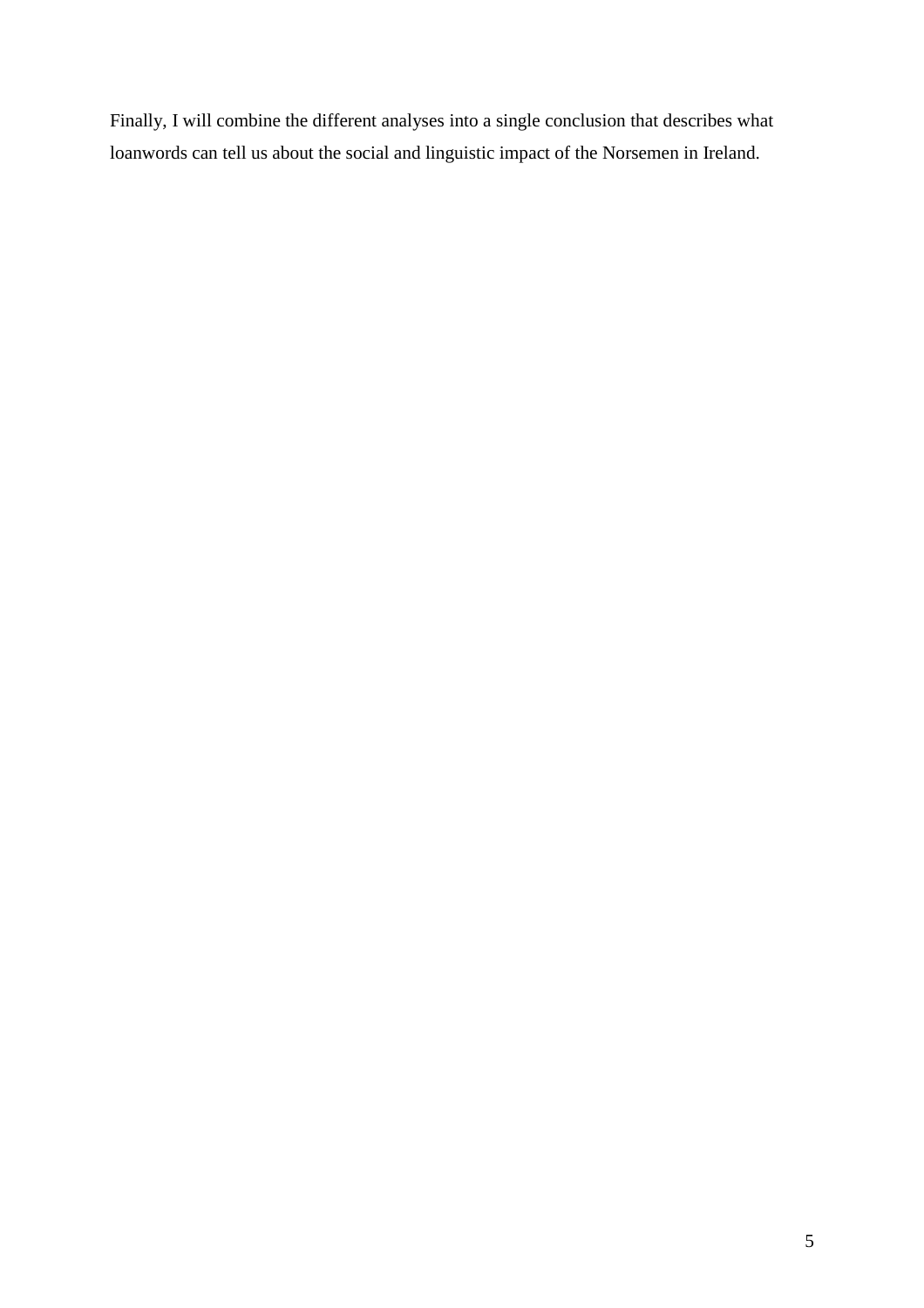Finally, I will combine the different analyses into a single conclusion that describes what loanwords can tell us about the social and linguistic impact of the Norsemen in Ireland.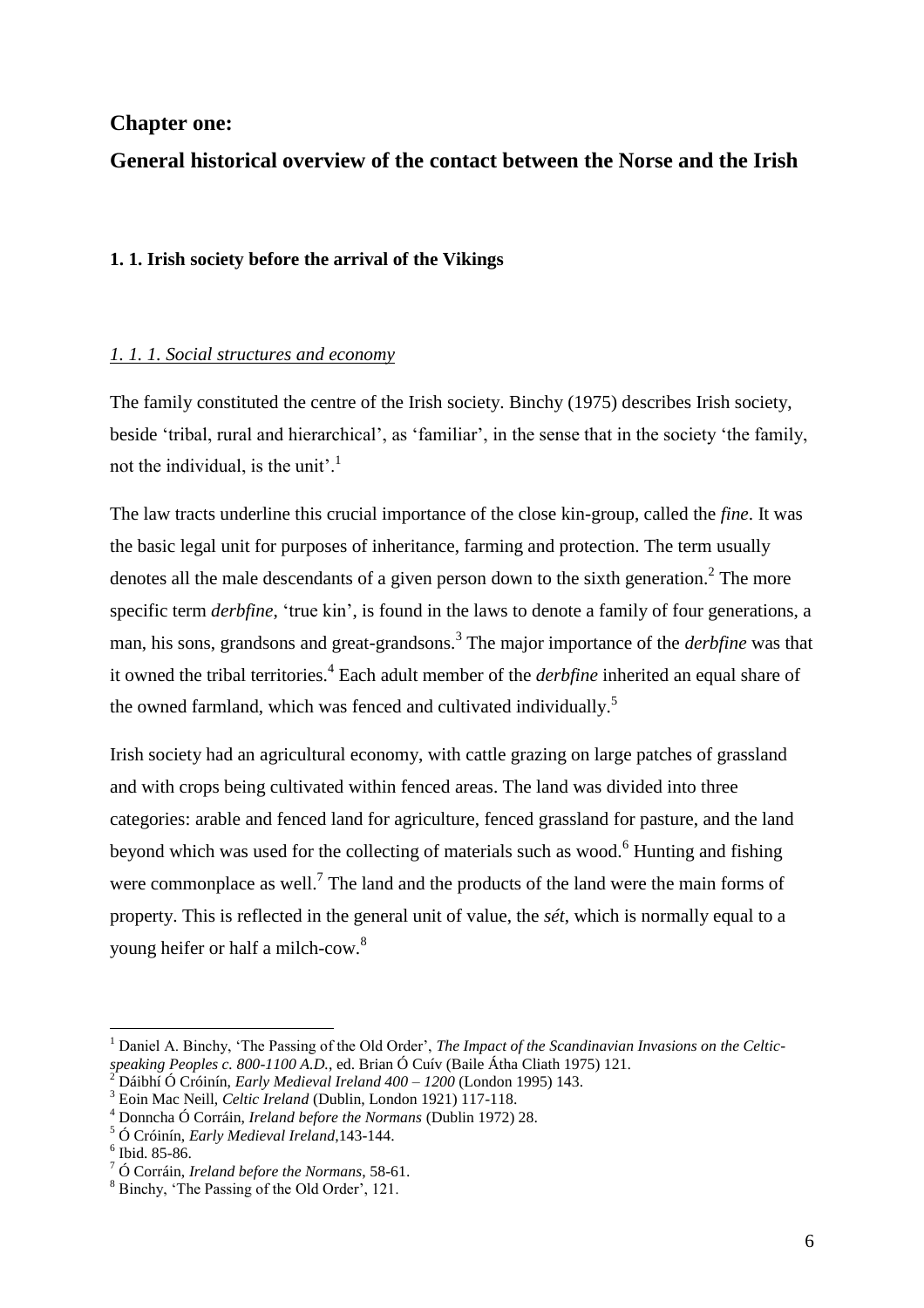## **Chapter one:**

# **General historical overview of the contact between the Norse and the Irish**

#### **1. 1. Irish society before the arrival of the Vikings**

#### *1. 1. 1. Social structures and economy*

The family constituted the centre of the Irish society. Binchy (1975) describes Irish society, beside 'tribal, rural and hierarchical', as 'familiar', in the sense that in the society 'the family, not the individual, is the unit'.<sup>1</sup>

The law tracts underline this crucial importance of the close kin-group, called the *fine*. It was the basic legal unit for purposes of inheritance, farming and protection. The term usually denotes all the male descendants of a given person down to the sixth generation.<sup>2</sup> The more specific term *derbfine*, 'true kin', is found in the laws to denote a family of four generations, a man, his sons, grandsons and great-grandsons.<sup>3</sup> The major importance of the *derbfine* was that it owned the tribal territories.<sup>4</sup> Each adult member of the *derbfine* inherited an equal share of the owned farmland, which was fenced and cultivated individually.<sup>5</sup>

Irish society had an agricultural economy, with cattle grazing on large patches of grassland and with crops being cultivated within fenced areas. The land was divided into three categories: arable and fenced land for agriculture, fenced grassland for pasture, and the land beyond which was used for the collecting of materials such as wood.<sup>6</sup> Hunting and fishing were commonplace as well.<sup>7</sup> The land and the products of the land were the main forms of property. This is reflected in the general unit of value, the *sét*, which is normally equal to a young heifer or half a milch-cow.<sup>8</sup>

<sup>&</sup>lt;sup>1</sup> Daniel A. Binchy, 'The Passing of the Old Order', *The Impact of the Scandinavian Invasions on the Celticspeaking Peoples c. 800-1100 A.D.*, ed. Brian Ó Cuív (Baile Átha Cliath 1975) 121.

<sup>2</sup> Dáibhí Ó Cróinín, *Early Medieval Ireland 400 – 1200* (London 1995) 143.

<sup>3</sup> Eoin Mac Neill, *Celtic Ireland* (Dublin, London 1921) 117-118.

<sup>4</sup> Donncha Ó Corráin, *Ireland before the Normans* (Dublin 1972) 28.

<sup>5</sup> Ó Cróinín, *Early Medieval Ireland*,143-144.

<sup>6</sup> Ibid. 85-86.

<sup>7</sup> Ó Corráin, *Ireland before the Normans*, 58-61.

<sup>8</sup> Binchy, 'The Passing of the Old Order', 121.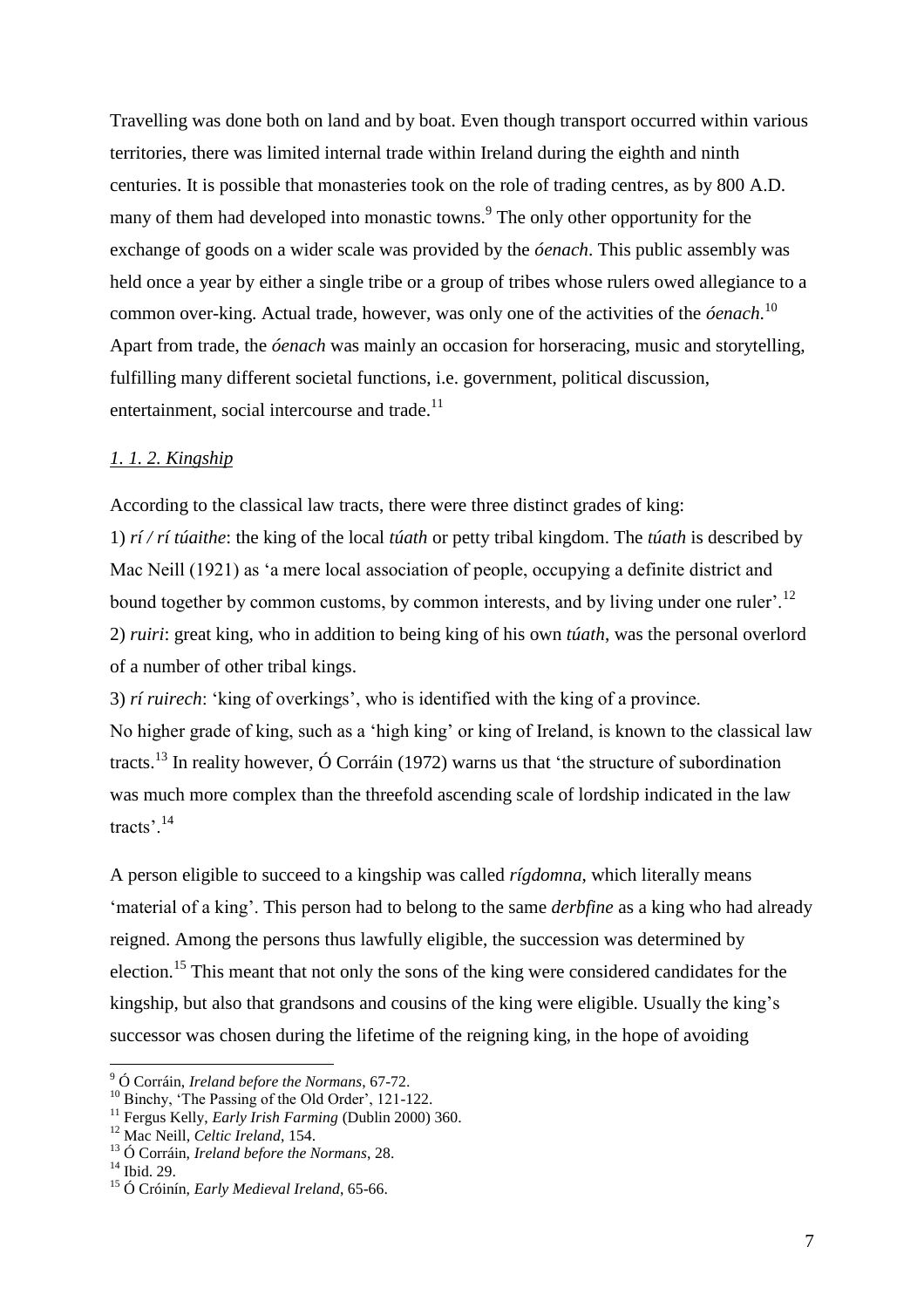Travelling was done both on land and by boat. Even though transport occurred within various territories, there was limited internal trade within Ireland during the eighth and ninth centuries. It is possible that monasteries took on the role of trading centres, as by 800 A.D. many of them had developed into monastic towns.<sup>9</sup> The only other opportunity for the exchange of goods on a wider scale was provided by the *óenach*. This public assembly was held once a year by either a single tribe or a group of tribes whose rulers owed allegiance to a common over-king. Actual trade, however, was only one of the activities of the *óenach*. 10 Apart from trade, the *óenach* was mainly an occasion for horseracing, music and storytelling, fulfilling many different societal functions, i.e. government, political discussion, entertainment, social intercourse and trade.<sup>11</sup>

#### *1. 1. 2. Kingship*

According to the classical law tracts, there were three distinct grades of king: 1) *rí / rí túaithe*: the king of the local *túath* or petty tribal kingdom. The *túath* is described by Mac Neill (1921) as 'a mere local association of people, occupying a definite district and bound together by common customs, by common interests, and by living under one ruler'.<sup>12</sup> 2) *ruiri*: great king, who in addition to being king of his own *túath*, was the personal overlord of a number of other tribal kings.

3) *rí ruirech*: 'king of overkings', who is identified with the king of a province. No higher grade of king, such as a 'high king' or king of Ireland, is known to the classical law tracts.<sup>13</sup> In reality however,  $\acute{O}$  Corráin (1972) warns us that 'the structure of subordination was much more complex than the threefold ascending scale of lordship indicated in the law tracts'.<sup>14</sup>

A person eligible to succeed to a kingship was called *rígdomna*, which literally means 'material of a king'. This person had to belong to the same *derbfine* as a king who had already reigned. Among the persons thus lawfully eligible, the succession was determined by election.<sup>15</sup> This meant that not only the sons of the king were considered candidates for the kingship, but also that grandsons and cousins of the king were eligible. Usually the king's successor was chosen during the lifetime of the reigning king, in the hope of avoiding

<sup>9</sup> Ó Corráin, *Ireland before the Normans*, 67-72.

<sup>&</sup>lt;sup>10</sup> Binchy, 'The Passing of the Old Order', 121-122.

<sup>11</sup> Fergus Kelly, *Early Irish Farming* (Dublin 2000) 360.

<sup>12</sup> Mac Neill, *Celtic Ireland*, 154.

<sup>13</sup> Ó Corráin, *Ireland before the Normans*, 28.

<sup>&</sup>lt;sup>14</sup> Ibid. 29.

<sup>15</sup> Ó Cróinín, *Early Medieval Ireland*, 65-66.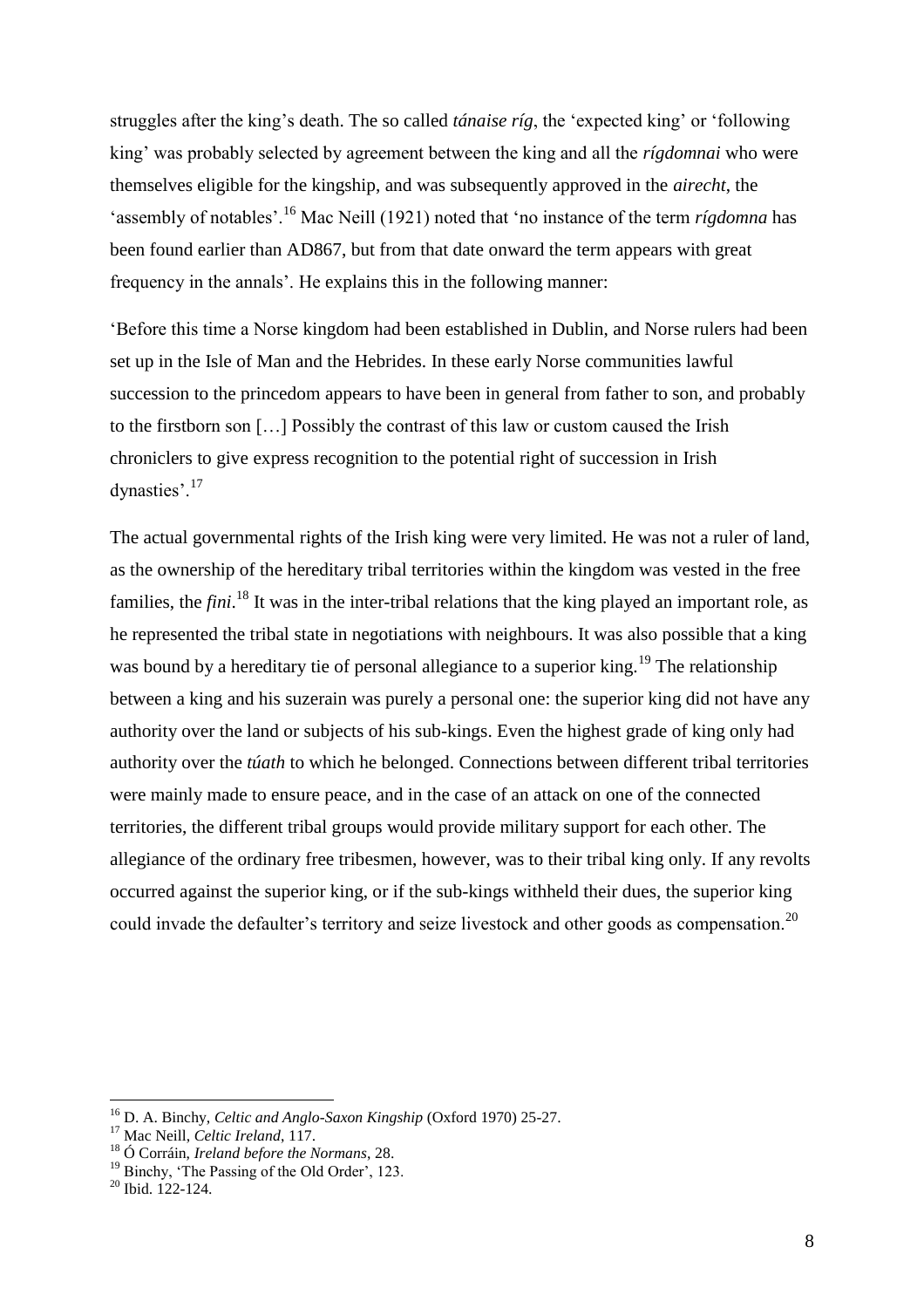struggles after the king's death. The so called *tánaise ríg*, the 'expected king' or 'following king' was probably selected by agreement between the king and all the *rígdomnai* who were themselves eligible for the kingship, and was subsequently approved in the *airecht*, the 'assembly of notables'.<sup>16</sup> Mac Neill (1921) noted that 'no instance of the term *rígdomna* has been found earlier than AD867, but from that date onward the term appears with great frequency in the annals'. He explains this in the following manner:

'Before this time a Norse kingdom had been established in Dublin, and Norse rulers had been set up in the Isle of Man and the Hebrides. In these early Norse communities lawful succession to the princedom appears to have been in general from father to son, and probably to the firstborn son […] Possibly the contrast of this law or custom caused the Irish chroniclers to give express recognition to the potential right of succession in Irish dynasties'.<sup>17</sup>

The actual governmental rights of the Irish king were very limited. He was not a ruler of land, as the ownership of the hereditary tribal territories within the kingdom was vested in the free families, the *fini*.<sup>18</sup> It was in the inter-tribal relations that the king played an important role, as he represented the tribal state in negotiations with neighbours. It was also possible that a king was bound by a hereditary tie of personal allegiance to a superior king.<sup>19</sup> The relationship between a king and his suzerain was purely a personal one: the superior king did not have any authority over the land or subjects of his sub-kings. Even the highest grade of king only had authority over the *túath* to which he belonged. Connections between different tribal territories were mainly made to ensure peace, and in the case of an attack on one of the connected territories, the different tribal groups would provide military support for each other. The allegiance of the ordinary free tribesmen, however, was to their tribal king only. If any revolts occurred against the superior king, or if the sub-kings withheld their dues, the superior king could invade the defaulter's territory and seize livestock and other goods as compensation.<sup>20</sup>

<sup>16</sup> D. A. Binchy, *Celtic and Anglo-Saxon Kingship* (Oxford 1970) 25-27.

<sup>&</sup>lt;sup>17</sup> Mac Neill, *Celtic Ireland*, 117.

<sup>18</sup> Ó Corráin, *Ireland before the Normans*, 28.

<sup>&</sup>lt;sup>19</sup> Binchy, 'The Passing of the Old Order', 123.

 $20$  Ibid. 122-124.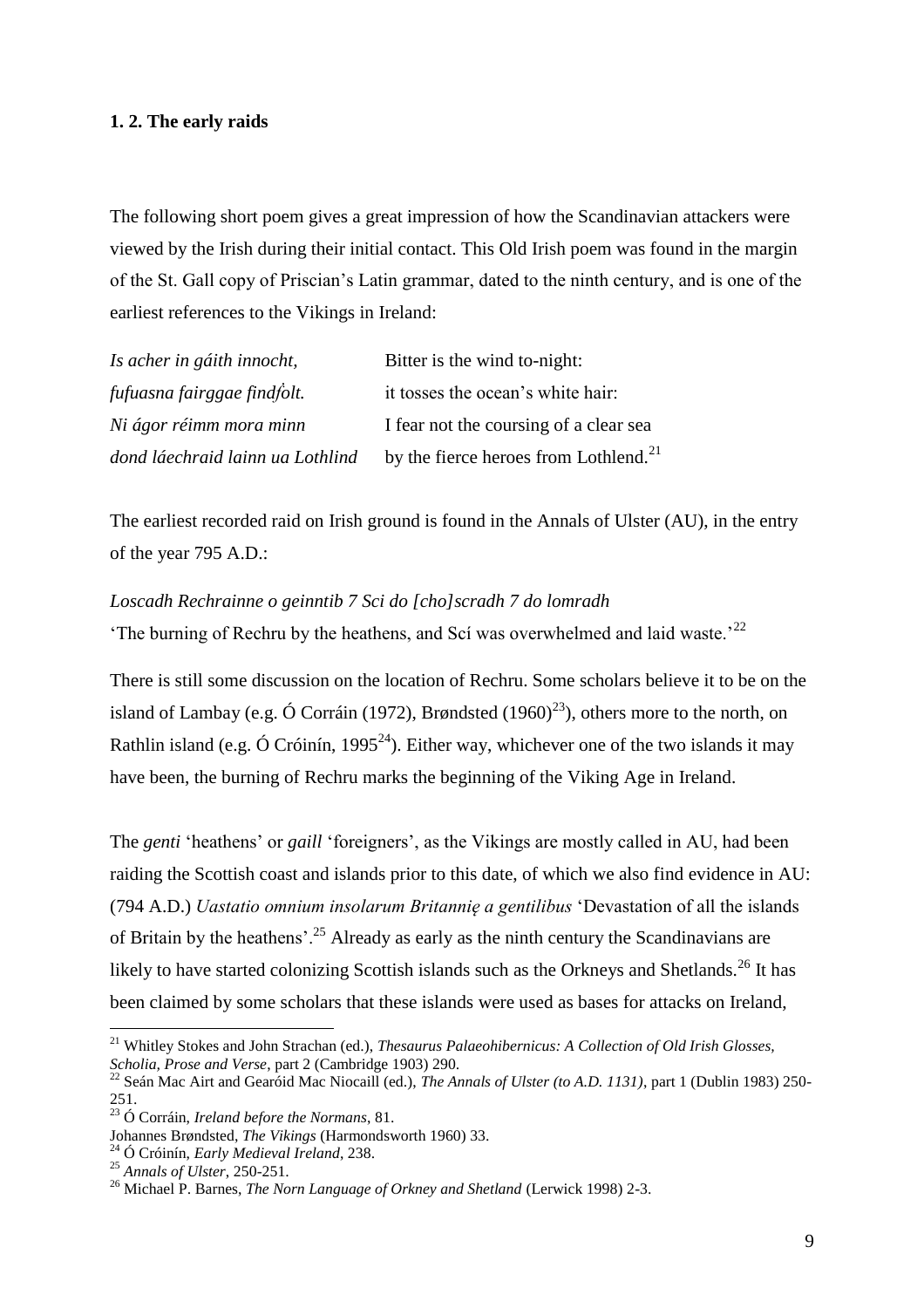#### **1. 2. The early raids**

The following short poem gives a great impression of how the Scandinavian attackers were viewed by the Irish during their initial contact. This Old Irish poem was found in the margin of the St. Gall copy of Priscian's Latin grammar, dated to the ninth century, and is one of the earliest references to the Vikings in Ireland:

| Is acher in gáith innocht,       | Bitter is the wind to-night:                      |
|----------------------------------|---------------------------------------------------|
| fufuasna fairggae findfolt.      | it tosses the ocean's white hair:                 |
| Ni ágor réimm mora minn          | I fear not the coursing of a clear sea            |
| dond láechraid lainn ua Lothlind | by the fierce heroes from Lothlend. <sup>21</sup> |

The earliest recorded raid on Irish ground is found in the Annals of Ulster (AU), in the entry of the year 795 A.D.:

#### *Loscadh Rechrainne o geinntib 7 Sci do [cho]scradh 7 do lomradh*

'The burning of Rechru by the heathens, and Scí was overwhelmed and laid waste.'<sup>22</sup>

There is still some discussion on the location of Rechru. Some scholars believe it to be on the island of Lambay (e.g. Ó Corráin (1972), Brøndsted (1960)<sup>23</sup>), others more to the north, on Rathlin island (e.g. Ó Cróinín, 1995<sup>24</sup>). Either way, whichever one of the two islands it may have been, the burning of Rechru marks the beginning of the Viking Age in Ireland.

The *genti* 'heathens' or *gaill* 'foreigners', as the Vikings are mostly called in AU, had been raiding the Scottish coast and islands prior to this date, of which we also find evidence in AU: (794 A.D.) *Uastatio omnium insolarum Britannię a gentilibus* 'Devastation of all the islands of Britain by the heathens'.<sup>25</sup> Already as early as the ninth century the Scandinavians are likely to have started colonizing Scottish islands such as the Orkneys and Shetlands.<sup>26</sup> It has been claimed by some scholars that these islands were used as bases for attacks on Ireland,

<sup>21</sup> Whitley Stokes and John Strachan (ed.), *Thesaurus Palaeohibernicus: A Collection of Old Irish Glosses, Scholia, Prose and Verse*, part 2 (Cambridge 1903) 290.

<sup>22</sup> Seán Mac Airt and Gearóid Mac Niocaill (ed.), *The Annals of Ulster (to A.D. 1131)*, part 1 (Dublin 1983) 250- 251.

<sup>23</sup> Ó Corráin, *Ireland before the Normans*, 81.

Johannes Brøndsted, *The Vikings* (Harmondsworth 1960) 33.

<sup>24</sup> Ó Cróinín, *Early Medieval Ireland*, 238.

<sup>25</sup> *Annals of Ulster*, 250-251.

<sup>26</sup> Michael P. Barnes, *The Norn Language of Orkney and Shetland* (Lerwick 1998) 2-3.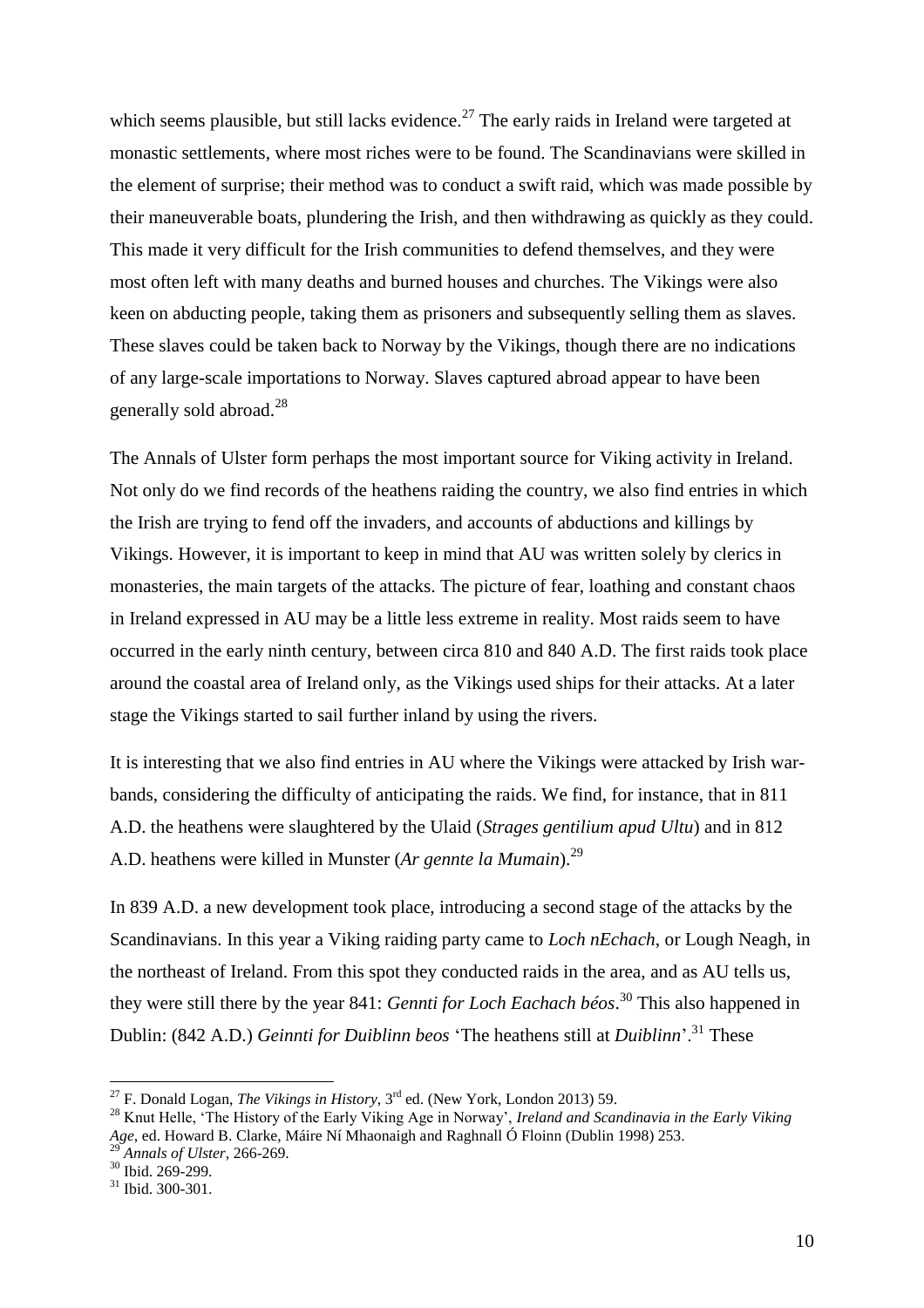which seems plausible, but still lacks evidence.<sup>27</sup> The early raids in Ireland were targeted at monastic settlements, where most riches were to be found. The Scandinavians were skilled in the element of surprise; their method was to conduct a swift raid, which was made possible by their maneuverable boats, plundering the Irish, and then withdrawing as quickly as they could. This made it very difficult for the Irish communities to defend themselves, and they were most often left with many deaths and burned houses and churches. The Vikings were also keen on abducting people, taking them as prisoners and subsequently selling them as slaves. These slaves could be taken back to Norway by the Vikings, though there are no indications of any large-scale importations to Norway. Slaves captured abroad appear to have been generally sold abroad.<sup>28</sup>

The Annals of Ulster form perhaps the most important source for Viking activity in Ireland. Not only do we find records of the heathens raiding the country, we also find entries in which the Irish are trying to fend off the invaders, and accounts of abductions and killings by Vikings. However, it is important to keep in mind that AU was written solely by clerics in monasteries, the main targets of the attacks. The picture of fear, loathing and constant chaos in Ireland expressed in AU may be a little less extreme in reality. Most raids seem to have occurred in the early ninth century, between circa 810 and 840 A.D. The first raids took place around the coastal area of Ireland only, as the Vikings used ships for their attacks. At a later stage the Vikings started to sail further inland by using the rivers.

It is interesting that we also find entries in AU where the Vikings were attacked by Irish warbands, considering the difficulty of anticipating the raids. We find, for instance, that in 811 A.D. the heathens were slaughtered by the Ulaid (*Strages gentilium apud Ultu*) and in 812 A.D. heathens were killed in Munster (*Ar gennte la Mumain*).<sup>29</sup>

In 839 A.D. a new development took place, introducing a second stage of the attacks by the Scandinavians. In this year a Viking raiding party came to *Loch nEchach*, or Lough Neagh, in the northeast of Ireland. From this spot they conducted raids in the area, and as AU tells us, they were still there by the year 841: *Gennti for Loch Eachach béos*. <sup>30</sup> This also happened in Dublin: (842 A.D.) *Geinnti for Duiblinn beos* 'The heathens still at *Duiblinn*'.<sup>31</sup> These

<sup>27</sup> F. Donald Logan, *The Vikings in History*, 3rd ed. (New York, London 2013) 59.

<sup>28</sup> Knut Helle, 'The History of the Early Viking Age in Norway', *Ireland and Scandinavia in the Early Viking Age*, ed. Howard B. Clarke, Máire Ní Mhaonaigh and Raghnall Ó Floinn (Dublin 1998) 253.

<sup>29</sup> *Annals of Ulster*, 266-269.

<sup>&</sup>lt;sup>30</sup> Ibid. 269-299.

<sup>31</sup> Ibid. 300-301.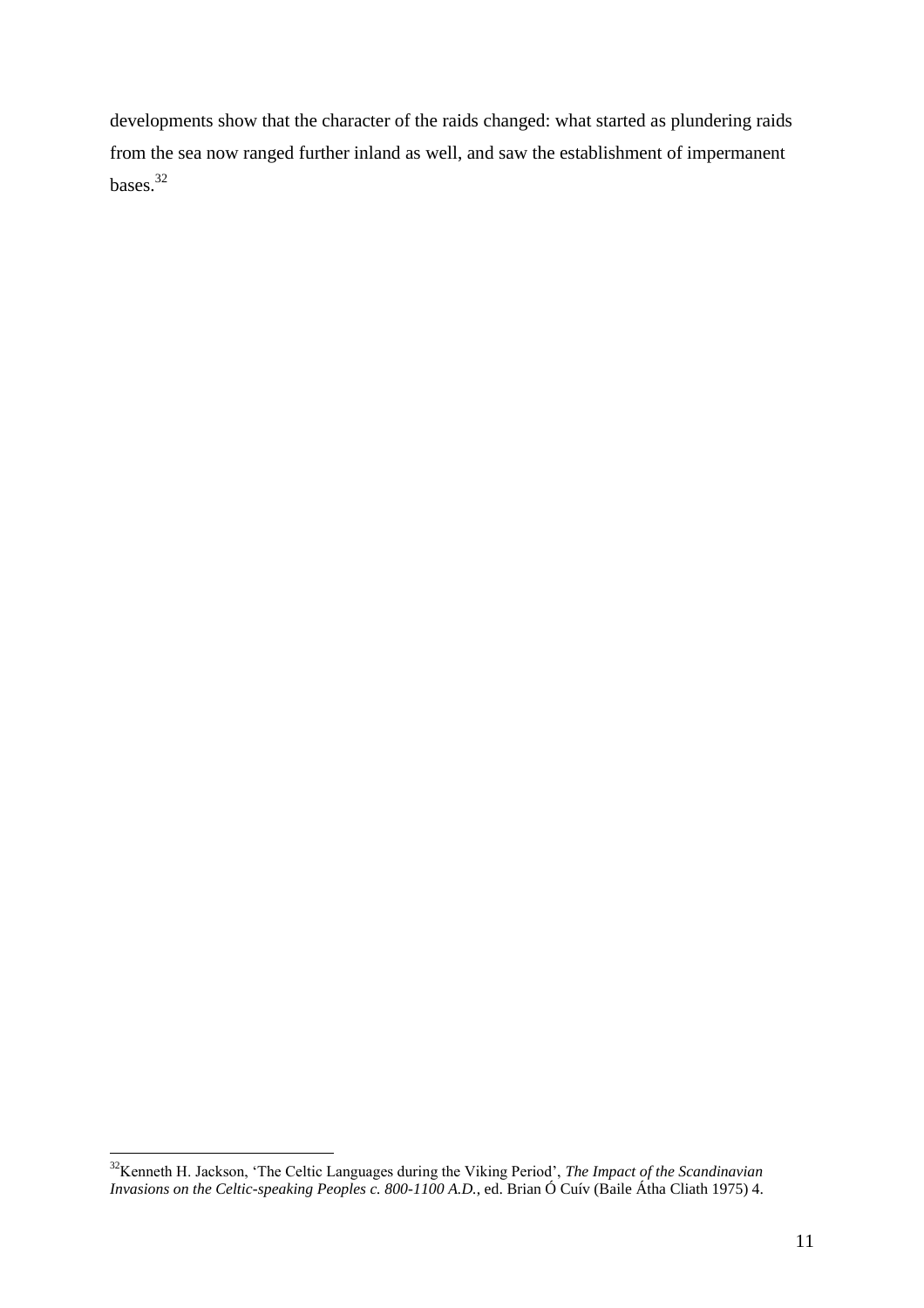developments show that the character of the raids changed: what started as plundering raids from the sea now ranged further inland as well, and saw the establishment of impermanent bases.<sup>32</sup>

 $\overline{a}$ <sup>32</sup>Kenneth H. Jackson, 'The Celtic Languages during the Viking Period', *The Impact of the Scandinavian Invasions on the Celtic-speaking Peoples c. 800-1100 A.D.*, ed. Brian Ó Cuív (Baile Átha Cliath 1975) 4.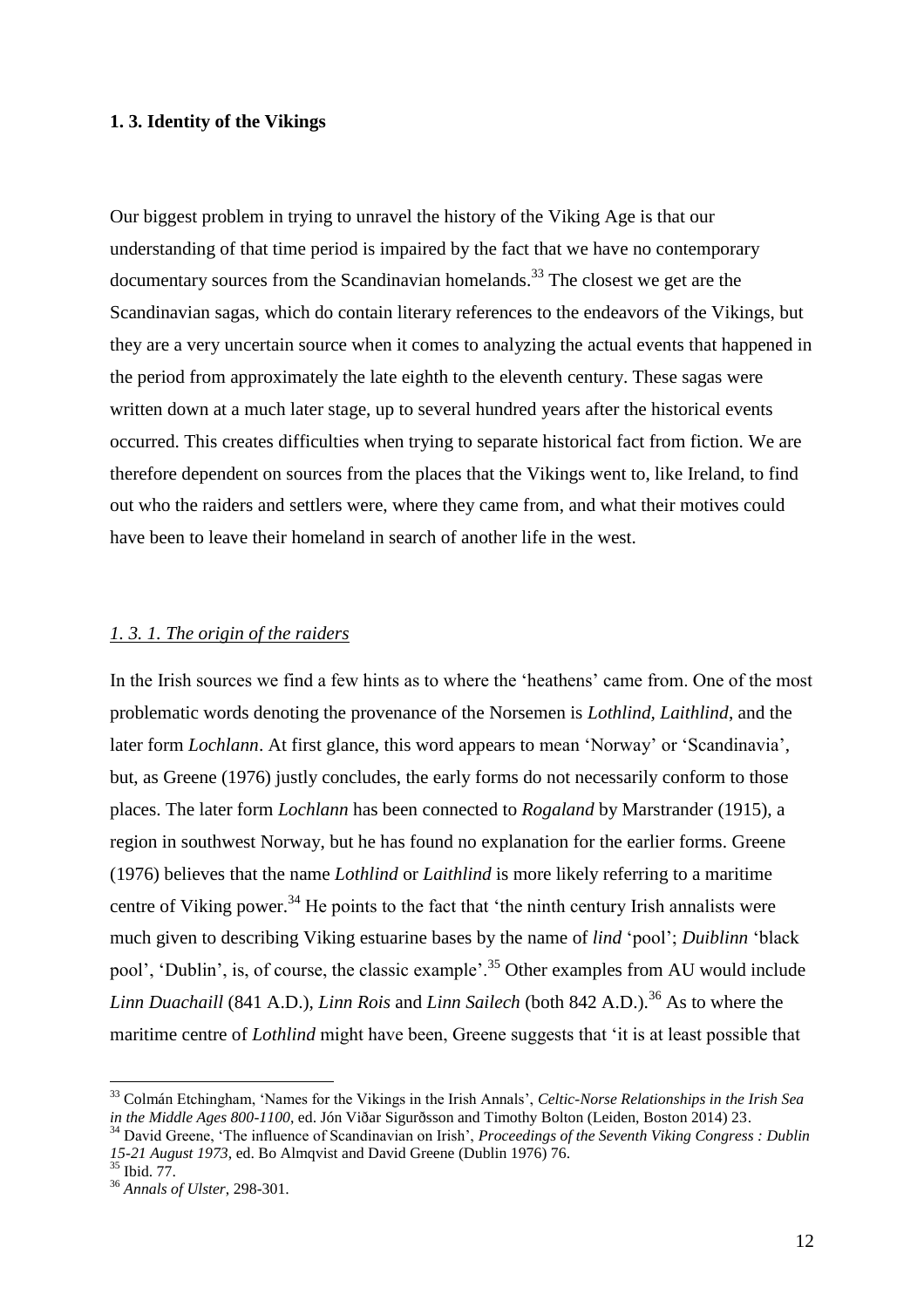#### **1. 3. Identity of the Vikings**

Our biggest problem in trying to unravel the history of the Viking Age is that our understanding of that time period is impaired by the fact that we have no contemporary documentary sources from the Scandinavian homelands.<sup>33</sup> The closest we get are the Scandinavian sagas, which do contain literary references to the endeavors of the Vikings, but they are a very uncertain source when it comes to analyzing the actual events that happened in the period from approximately the late eighth to the eleventh century. These sagas were written down at a much later stage, up to several hundred years after the historical events occurred. This creates difficulties when trying to separate historical fact from fiction. We are therefore dependent on sources from the places that the Vikings went to, like Ireland, to find out who the raiders and settlers were, where they came from, and what their motives could have been to leave their homeland in search of another life in the west.

#### *1. 3. 1. The origin of the raiders*

In the Irish sources we find a few hints as to where the 'heathens' came from. One of the most problematic words denoting the provenance of the Norsemen is *Lothlind, Laithlind*, and the later form *Lochlann*. At first glance, this word appears to mean 'Norway' or 'Scandinavia', but, as Greene (1976) justly concludes, the early forms do not necessarily conform to those places. The later form *Lochlann* has been connected to *Rogaland* by Marstrander (1915), a region in southwest Norway, but he has found no explanation for the earlier forms. Greene (1976) believes that the name *Lothlind* or *Laithlind* is more likely referring to a maritime centre of Viking power.<sup>34</sup> He points to the fact that 'the ninth century Irish annalists were much given to describing Viking estuarine bases by the name of *lind* 'pool'; *Duiblinn* 'black pool', 'Dublin', is, of course, the classic example'.<sup>35</sup> Other examples from AU would include *Linn Duachaill* (841 A.D.), *Linn Rois* and *Linn Sailech* (both 842 A.D.).<sup>36</sup> As to where the maritime centre of *Lothlind* might have been, Greene suggests that 'it is at least possible that

<sup>33</sup> Colmán Etchingham, 'Names for the Vikings in the Irish Annals', *Celtic-Norse Relationships in the Irish Sea in the Middle Ages 800-1100*, ed. Jón Viðar Sigurðsson and Timothy Bolton (Leiden, Boston 2014) 23.

<sup>34</sup> David Greene, 'The influence of Scandinavian on Irish', *Proceedings of the Seventh Viking Congress : Dublin 15-21 August 1973*, ed. Bo Almqvist and David Greene (Dublin 1976) 76.

<sup>35</sup> Ibid. 77.

<sup>36</sup> *Annals of Ulster*, 298-301.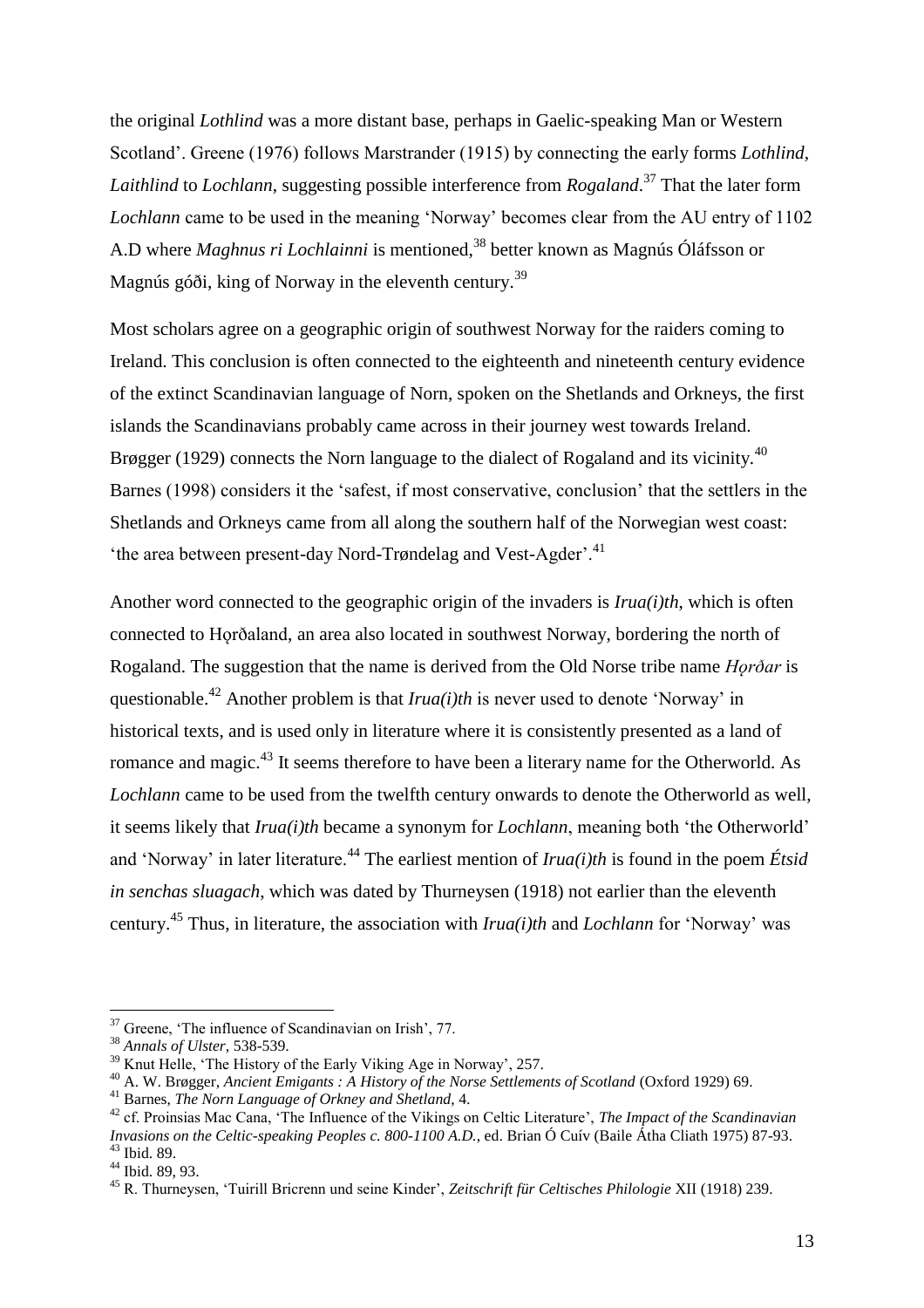the original *Lothlind* was a more distant base, perhaps in Gaelic-speaking Man or Western Scotland'. Greene (1976) follows Marstrander (1915) by connecting the early forms *Lothlind, Laithlind* to *Lochlann*, suggesting possible interference from *Rogaland*. <sup>37</sup> That the later form *Lochlann* came to be used in the meaning 'Norway' becomes clear from the AU entry of 1102 A.D where *Maghnus ri Lochlainni* is mentioned,<sup>38</sup> better known as Magnús Óláfsson or Magnús góði, king of Norway in the eleventh century.<sup>39</sup>

Most scholars agree on a geographic origin of southwest Norway for the raiders coming to Ireland. This conclusion is often connected to the eighteenth and nineteenth century evidence of the extinct Scandinavian language of Norn, spoken on the Shetlands and Orkneys, the first islands the Scandinavians probably came across in their journey west towards Ireland. Brøgger (1929) connects the Norn language to the dialect of Rogaland and its vicinity.<sup>40</sup> Barnes (1998) considers it the 'safest, if most conservative, conclusion' that the settlers in the Shetlands and Orkneys came from all along the southern half of the Norwegian west coast: 'the area between present-day Nord-Trøndelag and Vest-Agder'.<sup>41</sup>

Another word connected to the geographic origin of the invaders is *Irua(i)th*, which is often connected to Hǫrðaland, an area also located in southwest Norway, bordering the north of Rogaland. The suggestion that the name is derived from the Old Norse tribe name *Hǫrðar* is questionable.<sup>42</sup> Another problem is that  $Irua(i)th$  is never used to denote 'Norway' in historical texts, and is used only in literature where it is consistently presented as a land of romance and magic.<sup>43</sup> It seems therefore to have been a literary name for the Otherworld. As *Lochlann* came to be used from the twelfth century onwards to denote the Otherworld as well, it seems likely that *Irua(i)th* became a synonym for *Lochlann*, meaning both 'the Otherworld' and 'Norway' in later literature.<sup>44</sup> The earliest mention of *Irua(i)th* is found in the poem *Étsid in senchas sluagach*, which was dated by Thurneysen (1918) not earlier than the eleventh century.<sup>45</sup> Thus, in literature, the association with *Irua(i)th* and *Lochlann* for 'Norway' was

<sup>&</sup>lt;sup>37</sup> Greene, 'The influence of Scandinavian on Irish', 77.

<sup>38</sup> *Annals of Ulster*, 538-539.

<sup>&</sup>lt;sup>39</sup> Knut Helle, 'The History of the Early Viking Age in Norway', 257.

<sup>&</sup>lt;sup>40</sup> A. W. Brøgger, *Ancient Emigants : A History of the Norse Settlements of Scotland (Oxford 1929) 69.* 

<sup>41</sup> Barnes, *The Norn Language of Orkney and Shetland*, 4.

<sup>42</sup> cf. Proinsias Mac Cana, 'The Influence of the Vikings on Celtic Literature', *The Impact of the Scandinavian Invasions on the Celtic-speaking Peoples c. 800-1100 A.D.*, ed. Brian Ó Cuív (Baile Átha Cliath 1975) 87-93. <sup>43</sup> Ibid. 89.

<sup>44</sup> Ibid. 89, 93.

<sup>45</sup> R. Thurneysen, 'Tuirill Bricrenn und seine Kinder', *Zeitschrift für Celtisches Philologie* XII (1918) 239.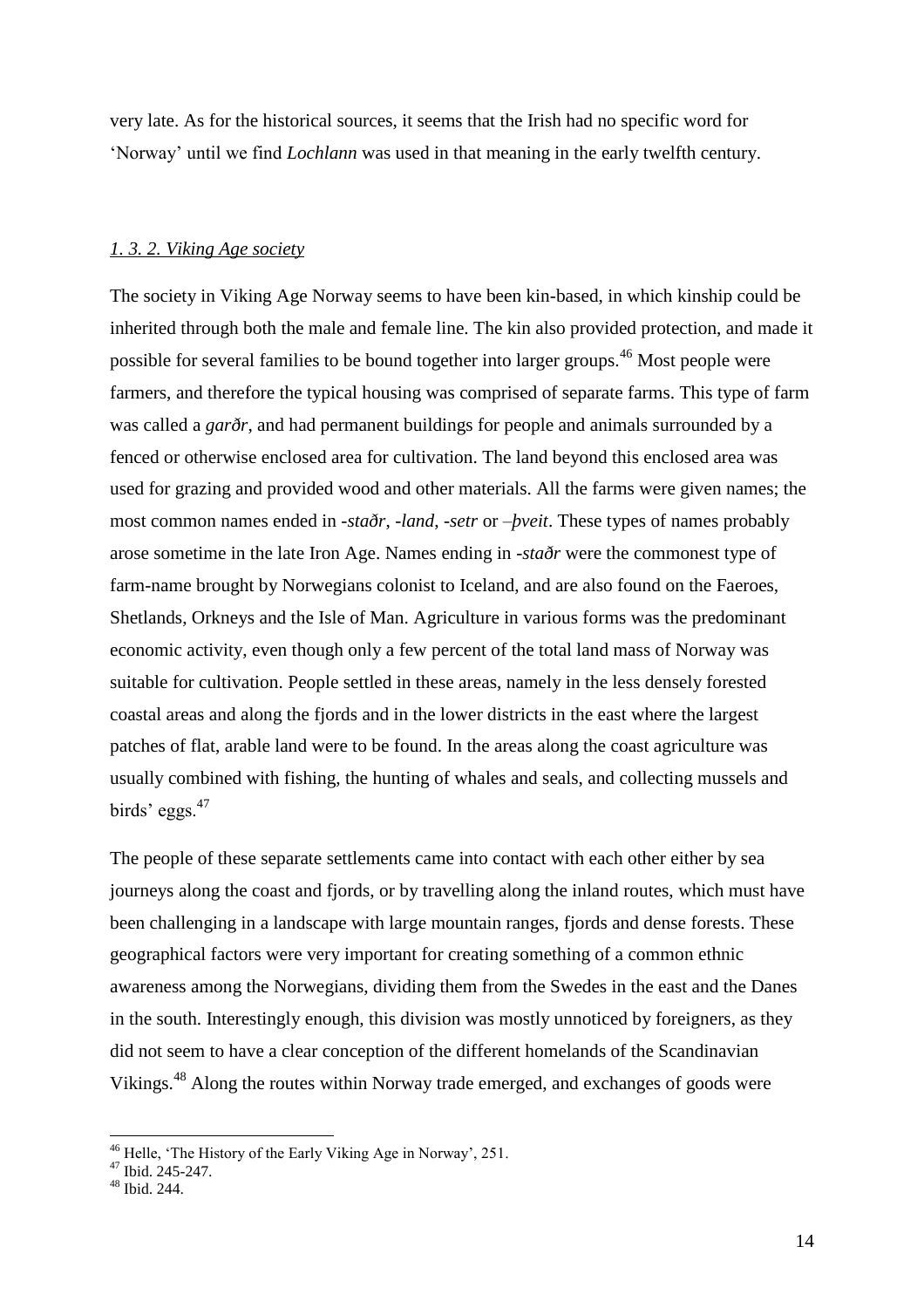very late. As for the historical sources, it seems that the Irish had no specific word for 'Norway' until we find *Lochlann* was used in that meaning in the early twelfth century.

#### *1. 3. 2. Viking Age society*

The society in Viking Age Norway seems to have been kin-based, in which kinship could be inherited through both the male and female line. The kin also provided protection, and made it possible for several families to be bound together into larger groups.<sup>46</sup> Most people were farmers, and therefore the typical housing was comprised of separate farms. This type of farm was called a *garðr*, and had permanent buildings for people and animals surrounded by a fenced or otherwise enclosed area for cultivation. The land beyond this enclosed area was used for grazing and provided wood and other materials. All the farms were given names; the most common names ended in *-staðr*, *-land*, -*setr* or –*þveit*. These types of names probably arose sometime in the late Iron Age. Names ending in -*staðr* were the commonest type of farm-name brought by Norwegians colonist to Iceland, and are also found on the Faeroes, Shetlands, Orkneys and the Isle of Man. Agriculture in various forms was the predominant economic activity, even though only a few percent of the total land mass of Norway was suitable for cultivation. People settled in these areas, namely in the less densely forested coastal areas and along the fjords and in the lower districts in the east where the largest patches of flat, arable land were to be found. In the areas along the coast agriculture was usually combined with fishing, the hunting of whales and seals, and collecting mussels and birds' eggs. $47$ 

The people of these separate settlements came into contact with each other either by sea journeys along the coast and fjords, or by travelling along the inland routes, which must have been challenging in a landscape with large mountain ranges, fjords and dense forests. These geographical factors were very important for creating something of a common ethnic awareness among the Norwegians, dividing them from the Swedes in the east and the Danes in the south. Interestingly enough, this division was mostly unnoticed by foreigners, as they did not seem to have a clear conception of the different homelands of the Scandinavian Vikings.<sup>48</sup> Along the routes within Norway trade emerged, and exchanges of goods were

<sup>&</sup>lt;sup>46</sup> Helle, 'The History of the Early Viking Age in Norway', 251.

 $47$  Ibid. 245-247.

<sup>48</sup> Ibid. 244.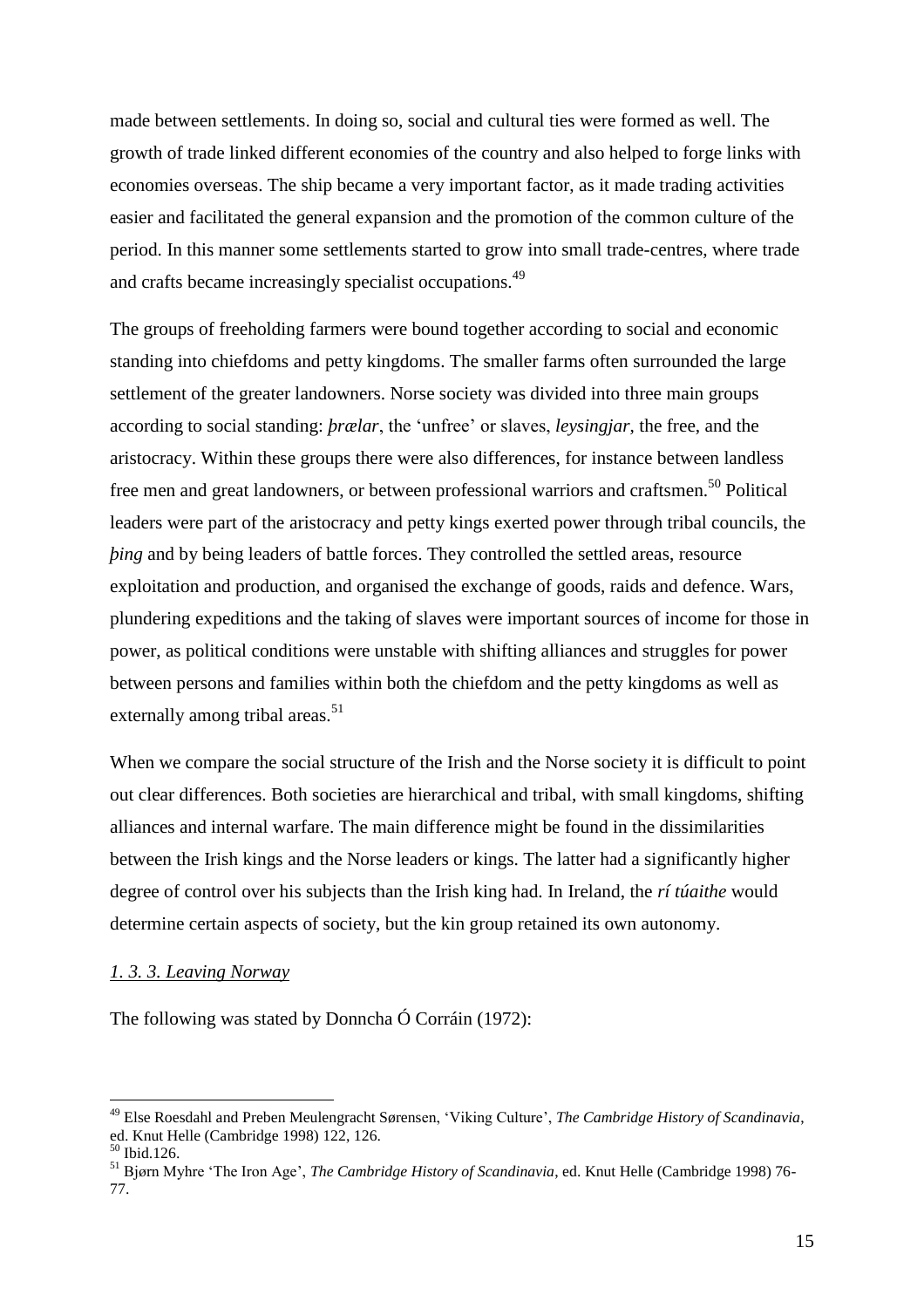made between settlements. In doing so, social and cultural ties were formed as well. The growth of trade linked different economies of the country and also helped to forge links with economies overseas. The ship became a very important factor, as it made trading activities easier and facilitated the general expansion and the promotion of the common culture of the period. In this manner some settlements started to grow into small trade-centres, where trade and crafts became increasingly specialist occupations.<sup>49</sup>

The groups of freeholding farmers were bound together according to social and economic standing into chiefdoms and petty kingdoms. The smaller farms often surrounded the large settlement of the greater landowners. Norse society was divided into three main groups according to social standing: *þrælar*, the 'unfree' or slaves, *leysingjar*, the free, and the aristocracy. Within these groups there were also differences, for instance between landless free men and great landowners, or between professional warriors and craftsmen.<sup>50</sup> Political leaders were part of the aristocracy and petty kings exerted power through tribal councils, the *bing* and by being leaders of battle forces. They controlled the settled areas, resource exploitation and production, and organised the exchange of goods, raids and defence. Wars, plundering expeditions and the taking of slaves were important sources of income for those in power, as political conditions were unstable with shifting alliances and struggles for power between persons and families within both the chiefdom and the petty kingdoms as well as externally among tribal areas. $51$ 

When we compare the social structure of the Irish and the Norse society it is difficult to point out clear differences. Both societies are hierarchical and tribal, with small kingdoms, shifting alliances and internal warfare. The main difference might be found in the dissimilarities between the Irish kings and the Norse leaders or kings. The latter had a significantly higher degree of control over his subjects than the Irish king had. In Ireland, the *rí túaithe* would determine certain aspects of society, but the kin group retained its own autonomy.

#### *1. 3. 3. Leaving Norway*

The following was stated by Donncha Ó Corráin (1972):

<sup>49</sup> Else Roesdahl and Preben Meulengracht Sørensen, 'Viking Culture', *The Cambridge History of Scandinavia*, ed. Knut Helle (Cambridge 1998) 122, 126.

<sup>50</sup> Ibid.126.

<sup>51</sup> Bjørn Myhre 'The Iron Age', *The Cambridge History of Scandinavia*, ed. Knut Helle (Cambridge 1998) 76- 77.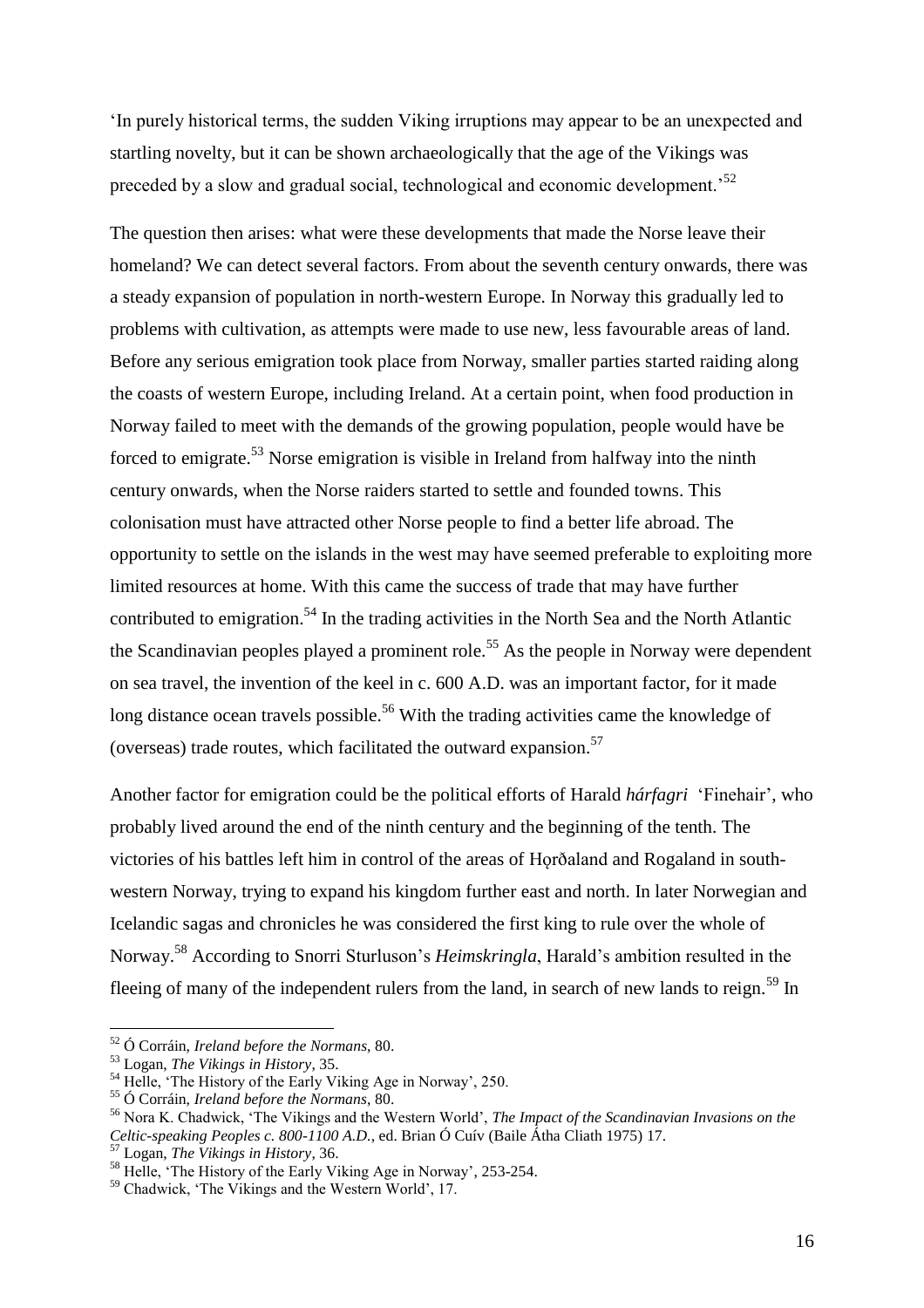'In purely historical terms, the sudden Viking irruptions may appear to be an unexpected and startling novelty, but it can be shown archaeologically that the age of the Vikings was preceded by a slow and gradual social, technological and economic development.<sup>52</sup>

The question then arises: what were these developments that made the Norse leave their homeland? We can detect several factors. From about the seventh century onwards, there was a steady expansion of population in north-western Europe. In Norway this gradually led to problems with cultivation, as attempts were made to use new, less favourable areas of land. Before any serious emigration took place from Norway, smaller parties started raiding along the coasts of western Europe, including Ireland. At a certain point, when food production in Norway failed to meet with the demands of the growing population, people would have be forced to emigrate.<sup>53</sup> Norse emigration is visible in Ireland from halfway into the ninth century onwards, when the Norse raiders started to settle and founded towns. This colonisation must have attracted other Norse people to find a better life abroad. The opportunity to settle on the islands in the west may have seemed preferable to exploiting more limited resources at home. With this came the success of trade that may have further contributed to emigration.<sup>54</sup> In the trading activities in the North Sea and the North Atlantic the Scandinavian peoples played a prominent role.<sup>55</sup> As the people in Norway were dependent on sea travel, the invention of the keel in c. 600 A.D. was an important factor, for it made long distance ocean travels possible.<sup>56</sup> With the trading activities came the knowledge of (overseas) trade routes, which facilitated the outward expansion.<sup>57</sup>

Another factor for emigration could be the political efforts of Harald *hárfagri* 'Finehair', who probably lived around the end of the ninth century and the beginning of the tenth. The victories of his battles left him in control of the areas of Horðaland and Rogaland in southwestern Norway, trying to expand his kingdom further east and north. In later Norwegian and Icelandic sagas and chronicles he was considered the first king to rule over the whole of Norway.<sup>58</sup> According to Snorri Sturluson's *Heimskringla*, Harald's ambition resulted in the fleeing of many of the independent rulers from the land, in search of new lands to reign.<sup>59</sup> In

<sup>52</sup> Ó Corráin, *Ireland before the Normans*, 80.

<sup>53</sup> Logan, *The Vikings in History*, 35.

<sup>54</sup> Helle, 'The History of the Early Viking Age in Norway', 250.

<sup>55</sup> Ó Corráin, *Ireland before the Normans*, 80.

<sup>56</sup> Nora K. Chadwick, 'The Vikings and the Western World', *The Impact of the Scandinavian Invasions on the Celtic-speaking Peoples c. 800-1100 A.D.*, ed. Brian Ó Cuív (Baile Átha Cliath 1975) 17.

<sup>57</sup> Logan, *The Vikings in History*, 36.

<sup>&</sup>lt;sup>58</sup> Helle, 'The History of the Early Viking Age in Norway', 253-254.

<sup>59</sup> Chadwick, 'The Vikings and the Western World', 17.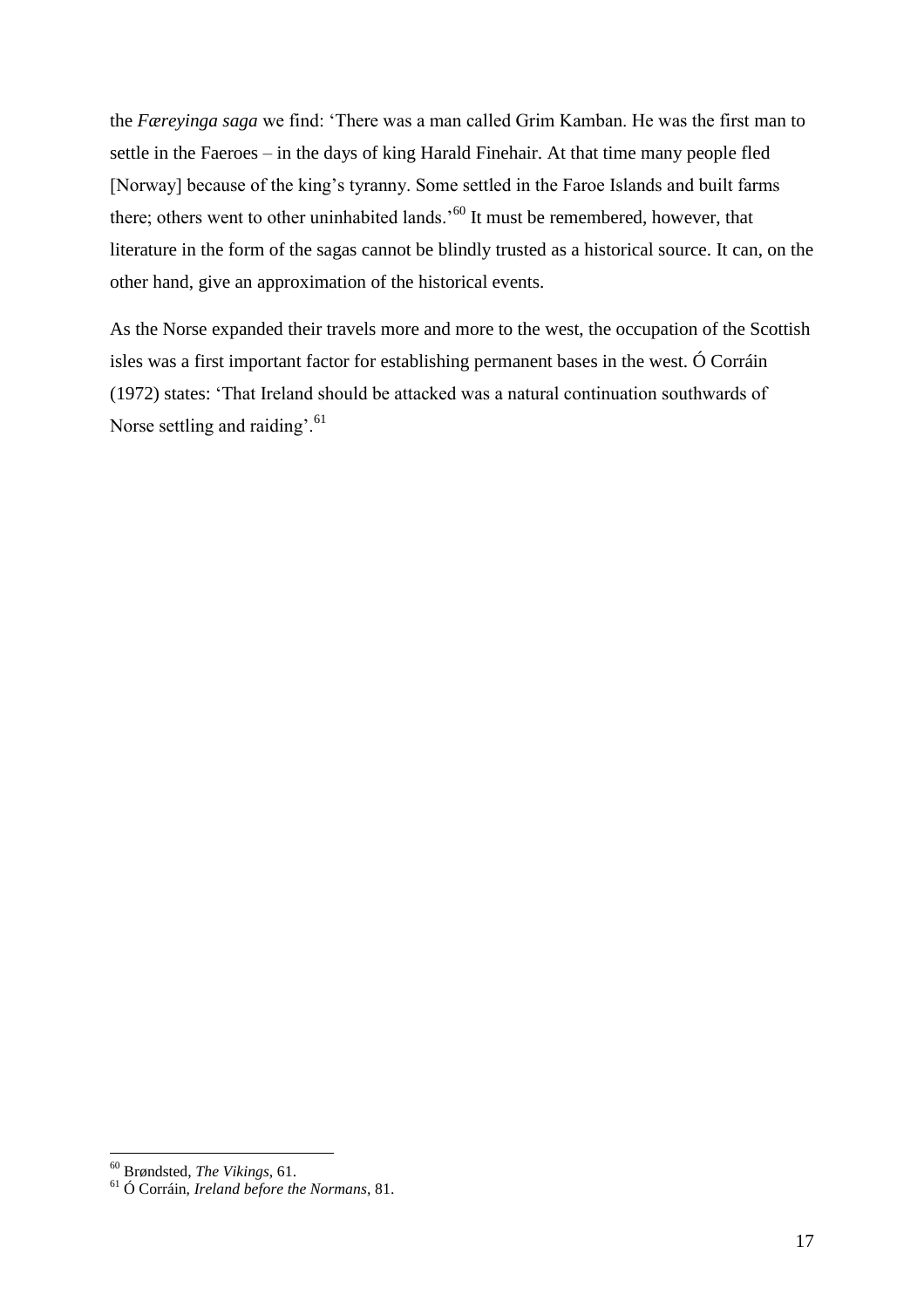the *Færeyinga saga* we find: 'There was a man called Grim Kamban. He was the first man to settle in the Faeroes – in the days of king Harald Finehair. At that time many people fled [Norway] because of the king's tyranny. Some settled in the Faroe Islands and built farms there; others went to other uninhabited lands.<sup>560</sup> It must be remembered, however, that literature in the form of the sagas cannot be blindly trusted as a historical source. It can, on the other hand, give an approximation of the historical events.

As the Norse expanded their travels more and more to the west, the occupation of the Scottish isles was a first important factor for establishing permanent bases in the west. Ó Corráin (1972) states: 'That Ireland should be attacked was a natural continuation southwards of Norse settling and raiding'.<sup>61</sup>

<sup>60</sup> Brøndsted, *The Vikings*, 61.

<sup>61</sup> Ó Corráin, *Ireland before the Normans*, 81.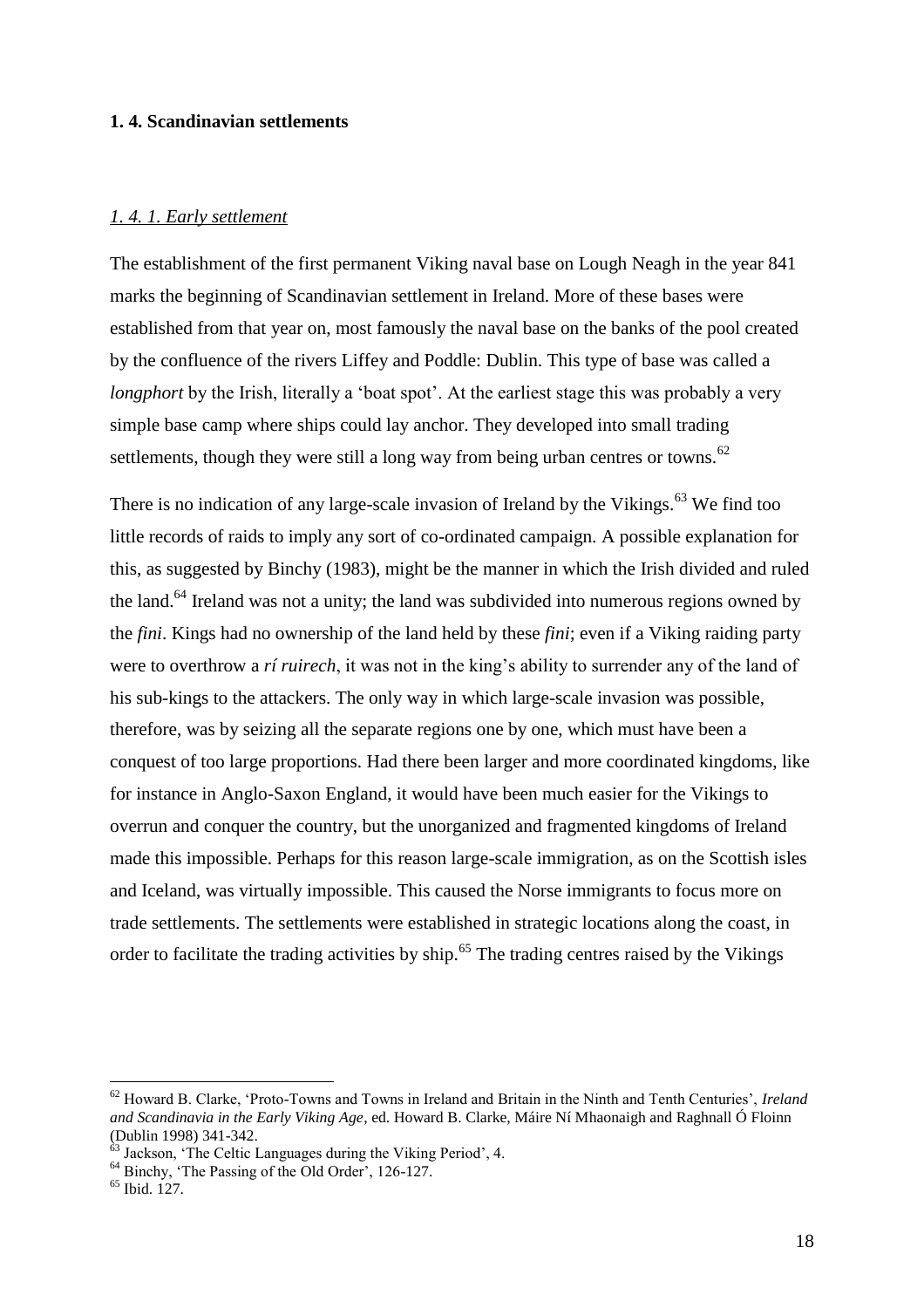#### **1. 4. Scandinavian settlements**

#### *1. 4. 1. Early settlement*

The establishment of the first permanent Viking naval base on Lough Neagh in the year 841 marks the beginning of Scandinavian settlement in Ireland. More of these bases were established from that year on, most famously the naval base on the banks of the pool created by the confluence of the rivers Liffey and Poddle: Dublin. This type of base was called a *longphort* by the Irish, literally a 'boat spot'. At the earliest stage this was probably a very simple base camp where ships could lay anchor. They developed into small trading settlements, though they were still a long way from being urban centres or towns.<sup>62</sup>

There is no indication of any large-scale invasion of Ireland by the Vikings.<sup>63</sup> We find too little records of raids to imply any sort of co-ordinated campaign. A possible explanation for this, as suggested by Binchy (1983), might be the manner in which the Irish divided and ruled the land.<sup>64</sup> Ireland was not a unity; the land was subdivided into numerous regions owned by the *fini*. Kings had no ownership of the land held by these *fini*; even if a Viking raiding party were to overthrow a *rí ruirech*, it was not in the king's ability to surrender any of the land of his sub-kings to the attackers. The only way in which large-scale invasion was possible, therefore, was by seizing all the separate regions one by one, which must have been a conquest of too large proportions. Had there been larger and more coordinated kingdoms, like for instance in Anglo-Saxon England, it would have been much easier for the Vikings to overrun and conquer the country, but the unorganized and fragmented kingdoms of Ireland made this impossible. Perhaps for this reason large-scale immigration, as on the Scottish isles and Iceland, was virtually impossible. This caused the Norse immigrants to focus more on trade settlements. The settlements were established in strategic locations along the coast, in order to facilitate the trading activities by ship.<sup>65</sup> The trading centres raised by the Vikings

<sup>62</sup> Howard B. Clarke, 'Proto-Towns and Towns in Ireland and Britain in the Ninth and Tenth Centuries', *Ireland and Scandinavia in the Early Viking Age*, ed. Howard B. Clarke, Máire Ní Mhaonaigh and Raghnall Ó Floinn (Dublin 1998) 341-342.

<sup>&</sup>lt;sup>63</sup> Jackson, 'The Celtic Languages during the Viking Period', 4.

<sup>64</sup> Binchy, 'The Passing of the Old Order', 126-127.

<sup>65</sup> Ibid. 127.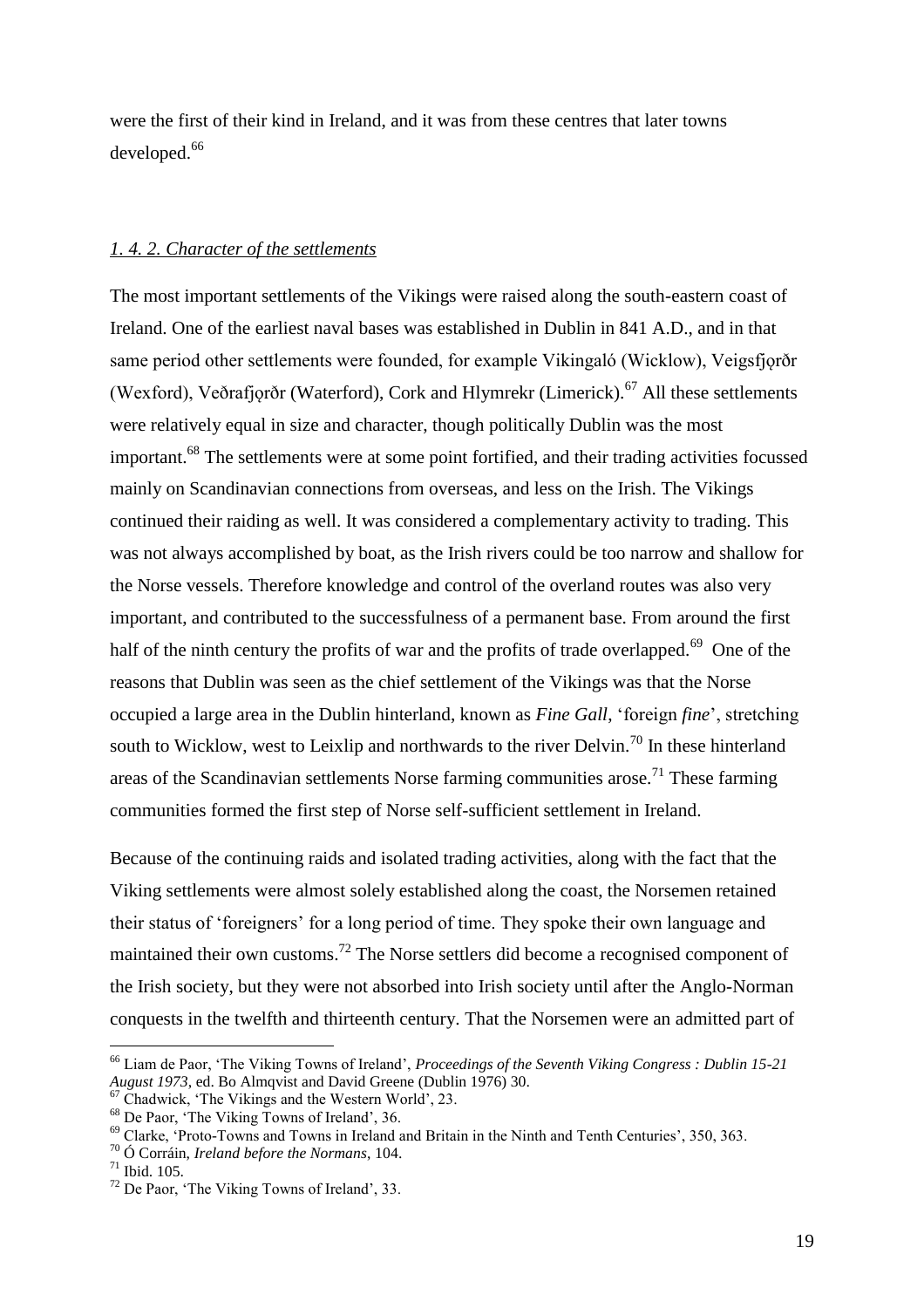were the first of their kind in Ireland, and it was from these centres that later towns developed.<sup>66</sup>

#### *1. 4. 2. Character of the settlements*

The most important settlements of the Vikings were raised along the south-eastern coast of Ireland. One of the earliest naval bases was established in Dublin in 841 A.D., and in that same period other settlements were founded, for example Vikingaló (Wicklow), Veigsfjorðr (Wexford), Veðrafjorðr (Waterford), Cork and Hlymrekr (Limerick).<sup>67</sup> All these settlements were relatively equal in size and character, though politically Dublin was the most important.<sup>68</sup> The settlements were at some point fortified, and their trading activities focussed mainly on Scandinavian connections from overseas, and less on the Irish. The Vikings continued their raiding as well. It was considered a complementary activity to trading. This was not always accomplished by boat, as the Irish rivers could be too narrow and shallow for the Norse vessels. Therefore knowledge and control of the overland routes was also very important, and contributed to the successfulness of a permanent base. From around the first half of the ninth century the profits of war and the profits of trade overlapped.<sup>69</sup> One of the reasons that Dublin was seen as the chief settlement of the Vikings was that the Norse occupied a large area in the Dublin hinterland, known as *Fine Gall*, 'foreign *fine*', stretching south to Wicklow, west to Leixlip and northwards to the river Delvin.<sup>70</sup> In these hinterland areas of the Scandinavian settlements Norse farming communities arose.<sup>71</sup> These farming communities formed the first step of Norse self-sufficient settlement in Ireland.

Because of the continuing raids and isolated trading activities, along with the fact that the Viking settlements were almost solely established along the coast, the Norsemen retained their status of 'foreigners' for a long period of time. They spoke their own language and maintained their own customs.<sup>72</sup> The Norse settlers did become a recognised component of the Irish society, but they were not absorbed into Irish society until after the Anglo-Norman conquests in the twelfth and thirteenth century. That the Norsemen were an admitted part of

<sup>66</sup> Liam de Paor, 'The Viking Towns of Ireland', *Proceedings of the Seventh Viking Congress : Dublin 15-21 August 1973*, ed. Bo Almqvist and David Greene (Dublin 1976) 30.

<sup>67</sup> Chadwick, 'The Vikings and the Western World', 23.

<sup>68</sup> De Paor, 'The Viking Towns of Ireland', 36.

<sup>69</sup> Clarke, 'Proto-Towns and Towns in Ireland and Britain in the Ninth and Tenth Centuries', 350, 363.

<sup>70</sup> Ó Corráin, *Ireland before the Normans*, 104.

<sup>71</sup> Ibid. 105.

<sup>72</sup> De Paor, 'The Viking Towns of Ireland', 33.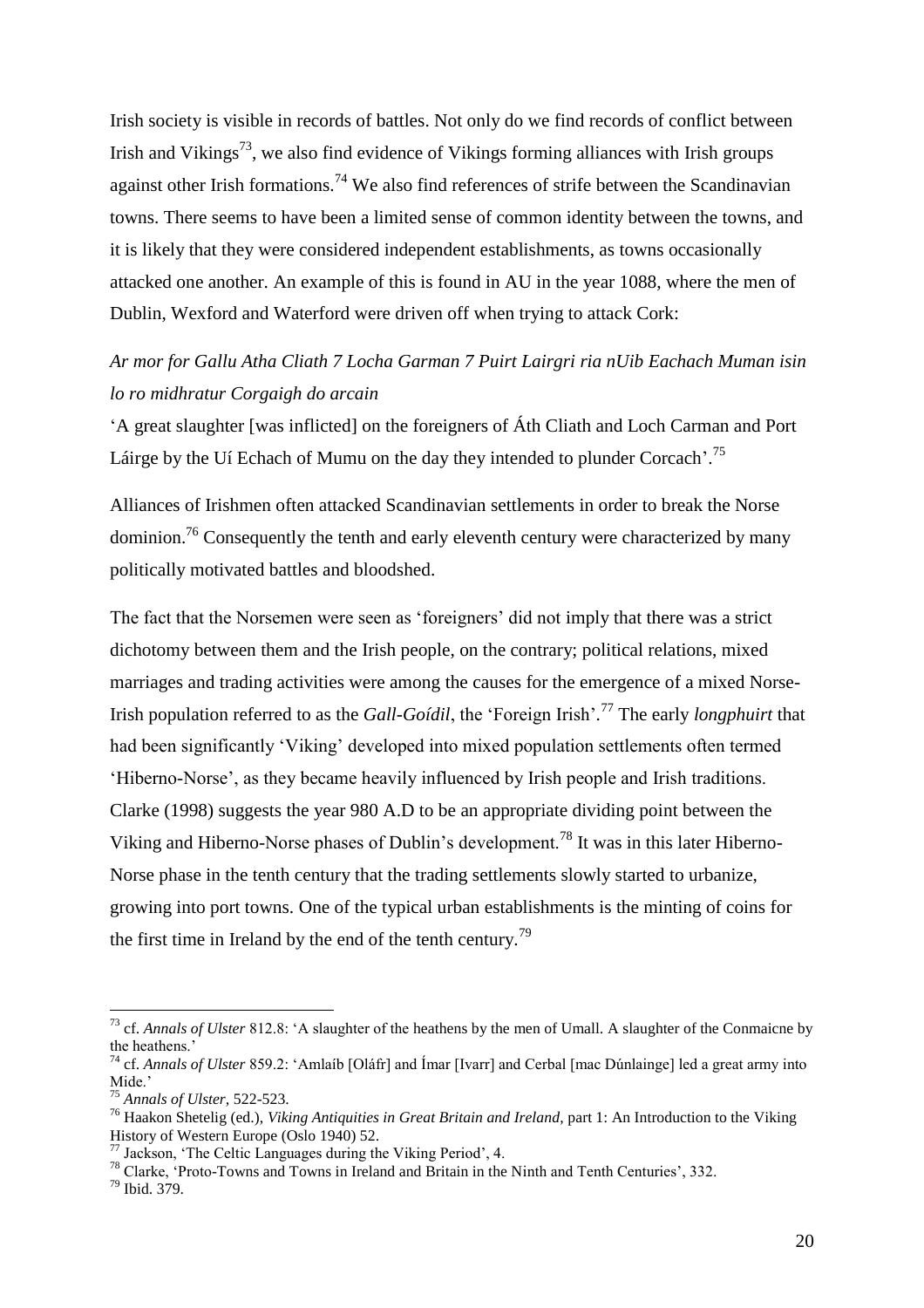Irish society is visible in records of battles. Not only do we find records of conflict between Irish and Vikings<sup>73</sup>, we also find evidence of Vikings forming alliances with Irish groups against other Irish formations.<sup>74</sup> We also find references of strife between the Scandinavian towns. There seems to have been a limited sense of common identity between the towns, and it is likely that they were considered independent establishments, as towns occasionally attacked one another. An example of this is found in AU in the year 1088, where the men of Dublin, Wexford and Waterford were driven off when trying to attack Cork:

# *Ar mor for Gallu Atha Cliath 7 Locha Garman 7 Puirt Lairgri ria nUib Eachach Muman isin lo ro midhratur Corgaigh do arcain*

'A great slaughter [was inflicted] on the foreigners of Áth Cliath and Loch Carman and Port Láirge by the Uí Echach of Mumu on the day they intended to plunder Corcach'.<sup>75</sup>

Alliances of Irishmen often attacked Scandinavian settlements in order to break the Norse dominion.<sup>76</sup> Consequently the tenth and early eleventh century were characterized by many politically motivated battles and bloodshed.

The fact that the Norsemen were seen as 'foreigners' did not imply that there was a strict dichotomy between them and the Irish people, on the contrary; political relations, mixed marriages and trading activities were among the causes for the emergence of a mixed Norse-Irish population referred to as the *Gall-Goídil*, the 'Foreign Irish'*.* <sup>77</sup> The early *longphuirt* that had been significantly 'Viking' developed into mixed population settlements often termed 'Hiberno-Norse', as they became heavily influenced by Irish people and Irish traditions. Clarke (1998) suggests the year 980 A.D to be an appropriate dividing point between the Viking and Hiberno-Norse phases of Dublin's development.<sup>78</sup> It was in this later Hiberno-Norse phase in the tenth century that the trading settlements slowly started to urbanize, growing into port towns. One of the typical urban establishments is the minting of coins for the first time in Ireland by the end of the tenth century.<sup>79</sup>

<sup>79</sup> Ibid. 379.

<sup>73</sup> cf. *Annals of Ulster* 812.8: 'A slaughter of the heathens by the men of Umall. A slaughter of the Conmaicne by the heathens.'

<sup>74</sup> cf. *Annals of Ulster* 859.2: 'Amlaíb [Oláfr] and Ímar [Ivarr] and Cerbal [mac Dúnlainge] led a great army into Mide.'

<sup>75</sup> *Annals of Ulster*, 522-523.

<sup>76</sup> Haakon Shetelig (ed.), *Viking Antiquities in Great Britain and Ireland*, part 1: An Introduction to the Viking History of Western Europe (Oslo 1940) 52.

 $77$  Jackson, 'The Celtic Languages during the Viking Period', 4.

<sup>78</sup> Clarke, 'Proto-Towns and Towns in Ireland and Britain in the Ninth and Tenth Centuries', 332.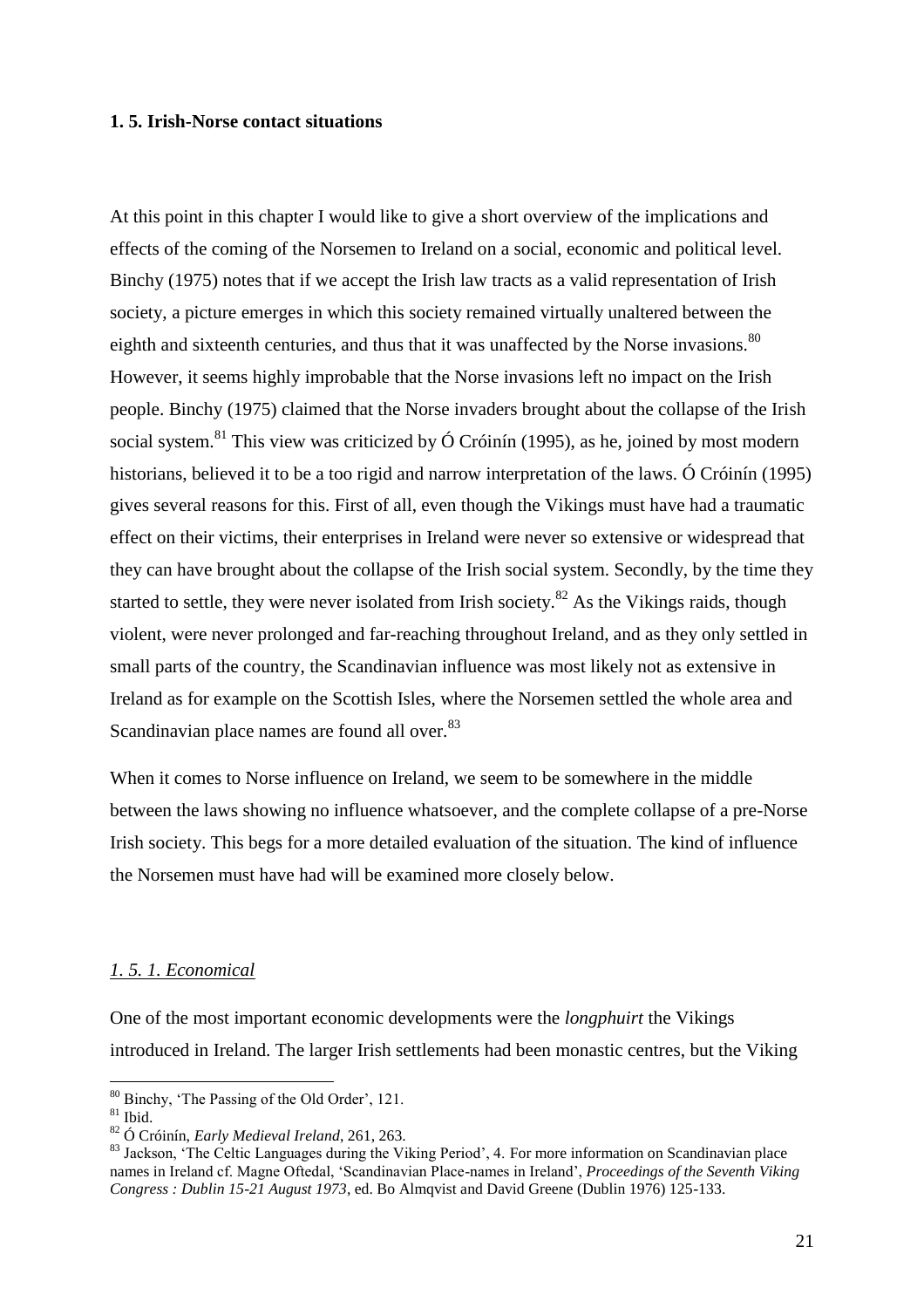#### **1. 5. Irish-Norse contact situations**

At this point in this chapter I would like to give a short overview of the implications and effects of the coming of the Norsemen to Ireland on a social, economic and political level. Binchy (1975) notes that if we accept the Irish law tracts as a valid representation of Irish society, a picture emerges in which this society remained virtually unaltered between the eighth and sixteenth centuries, and thus that it was unaffected by the Norse invasions.<sup>80</sup> However, it seems highly improbable that the Norse invasions left no impact on the Irish people. Binchy (1975) claimed that the Norse invaders brought about the collapse of the Irish social system.<sup>81</sup> This view was criticized by  $\acute{O}$  Cróinín (1995), as he, joined by most modern historians, believed it to be a too rigid and narrow interpretation of the laws. Ó Cróinín (1995) gives several reasons for this. First of all, even though the Vikings must have had a traumatic effect on their victims, their enterprises in Ireland were never so extensive or widespread that they can have brought about the collapse of the Irish social system. Secondly, by the time they started to settle, they were never isolated from Irish society.<sup>82</sup> As the Vikings raids, though violent, were never prolonged and far-reaching throughout Ireland, and as they only settled in small parts of the country, the Scandinavian influence was most likely not as extensive in Ireland as for example on the Scottish Isles, where the Norsemen settled the whole area and Scandinavian place names are found all over.<sup>83</sup>

When it comes to Norse influence on Ireland, we seem to be somewhere in the middle between the laws showing no influence whatsoever, and the complete collapse of a pre-Norse Irish society. This begs for a more detailed evaluation of the situation. The kind of influence the Norsemen must have had will be examined more closely below.

#### *1. 5. 1. Economical*

One of the most important economic developments were the *longphuirt* the Vikings introduced in Ireland. The larger Irish settlements had been monastic centres, but the Viking

<sup>&</sup>lt;sup>80</sup> Binchy, 'The Passing of the Old Order', 121.

 $81$  Ibid.

<sup>82</sup> Ó Cróinín, *Early Medieval Ireland*, 261, 263.

<sup>&</sup>lt;sup>83</sup> Jackson, 'The Celtic Languages during the Viking Period', 4. For more information on Scandinavian place names in Ireland cf. Magne Oftedal, 'Scandinavian Place-names in Ireland', *Proceedings of the Seventh Viking Congress : Dublin 15-21 August 1973*, ed. Bo Almqvist and David Greene (Dublin 1976) 125-133.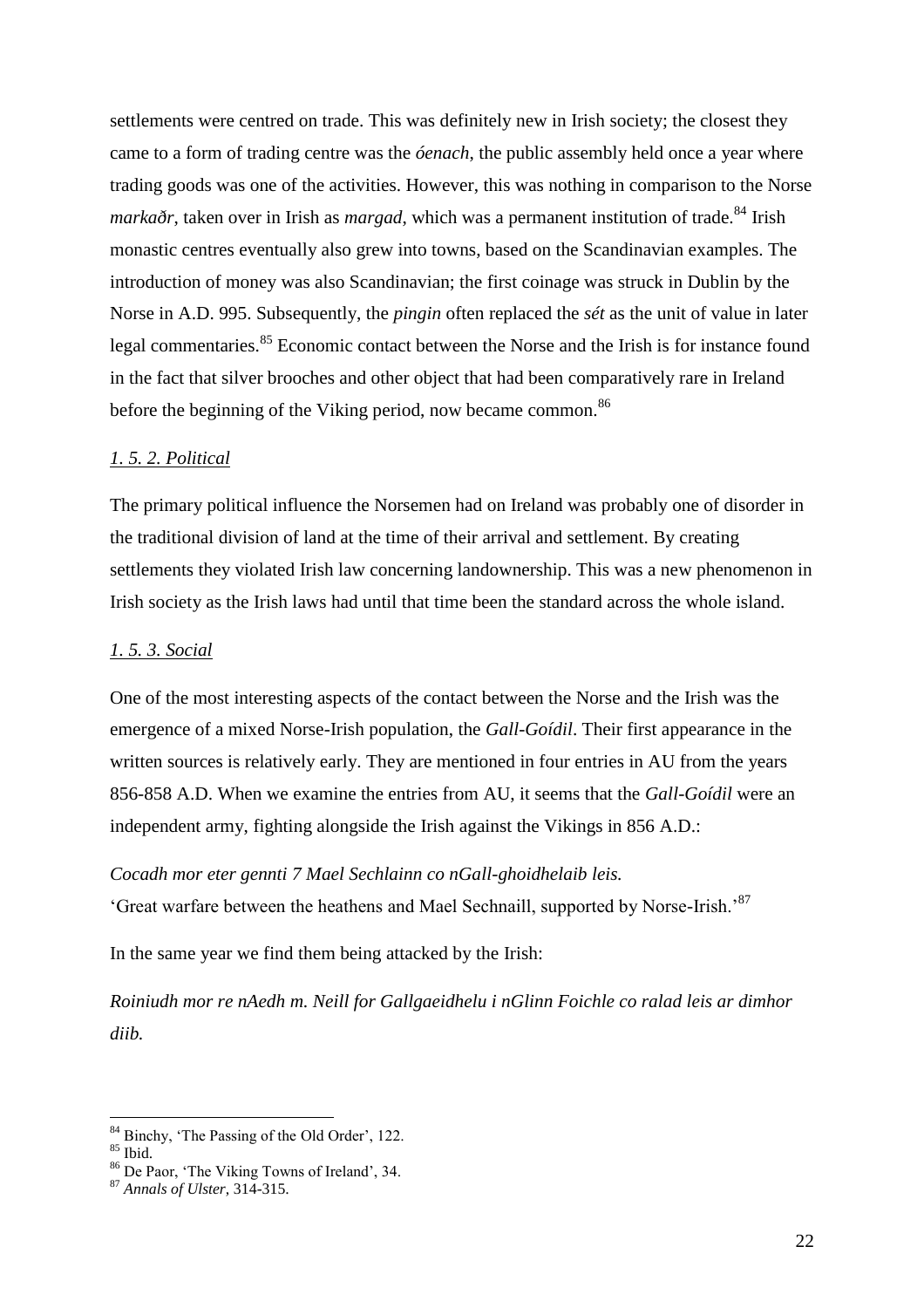settlements were centred on trade. This was definitely new in Irish society; the closest they came to a form of trading centre was the *óenach*, the public assembly held once a year where trading goods was one of the activities. However, this was nothing in comparison to the Norse *markaðr*, taken over in Irish as *margad*, which was a permanent institution of trade.<sup>84</sup> Irish monastic centres eventually also grew into towns, based on the Scandinavian examples. The introduction of money was also Scandinavian; the first coinage was struck in Dublin by the Norse in A.D. 995. Subsequently, the *pingin* often replaced the *sét* as the unit of value in later legal commentaries.<sup>85</sup> Economic contact between the Norse and the Irish is for instance found in the fact that silver brooches and other object that had been comparatively rare in Ireland before the beginning of the Viking period, now became common.<sup>86</sup>

#### *1. 5. 2. Political*

The primary political influence the Norsemen had on Ireland was probably one of disorder in the traditional division of land at the time of their arrival and settlement. By creating settlements they violated Irish law concerning landownership. This was a new phenomenon in Irish society as the Irish laws had until that time been the standard across the whole island.

#### *1. 5. 3. Social*

One of the most interesting aspects of the contact between the Norse and the Irish was the emergence of a mixed Norse-Irish population, the *Gall-Goídil*. Their first appearance in the written sources is relatively early. They are mentioned in four entries in AU from the years 856-858 A.D. When we examine the entries from AU, it seems that the *Gall-Goídil* were an independent army, fighting alongside the Irish against the Vikings in 856 A.D.:

#### *Cocadh mor eter gennti 7 Mael Sechlainn co nGall-ghoidhelaib leis.*

'Great warfare between the heathens and Mael Sechnaill, supported by Norse-Irish.'<sup>87</sup>

In the same year we find them being attacked by the Irish:

*Roiniudh mor re nAedh m. Neill for Gallgaeidhelu i nGlinn Foichle co ralad leis ar dimhor diib.*

<sup>&</sup>lt;sup>84</sup> Binchy, 'The Passing of the Old Order', 122.

 $^{85}$  Ibid.

<sup>86</sup> De Paor, 'The Viking Towns of Ireland', 34.

<sup>87</sup> *Annals of Ulster*, 314-315.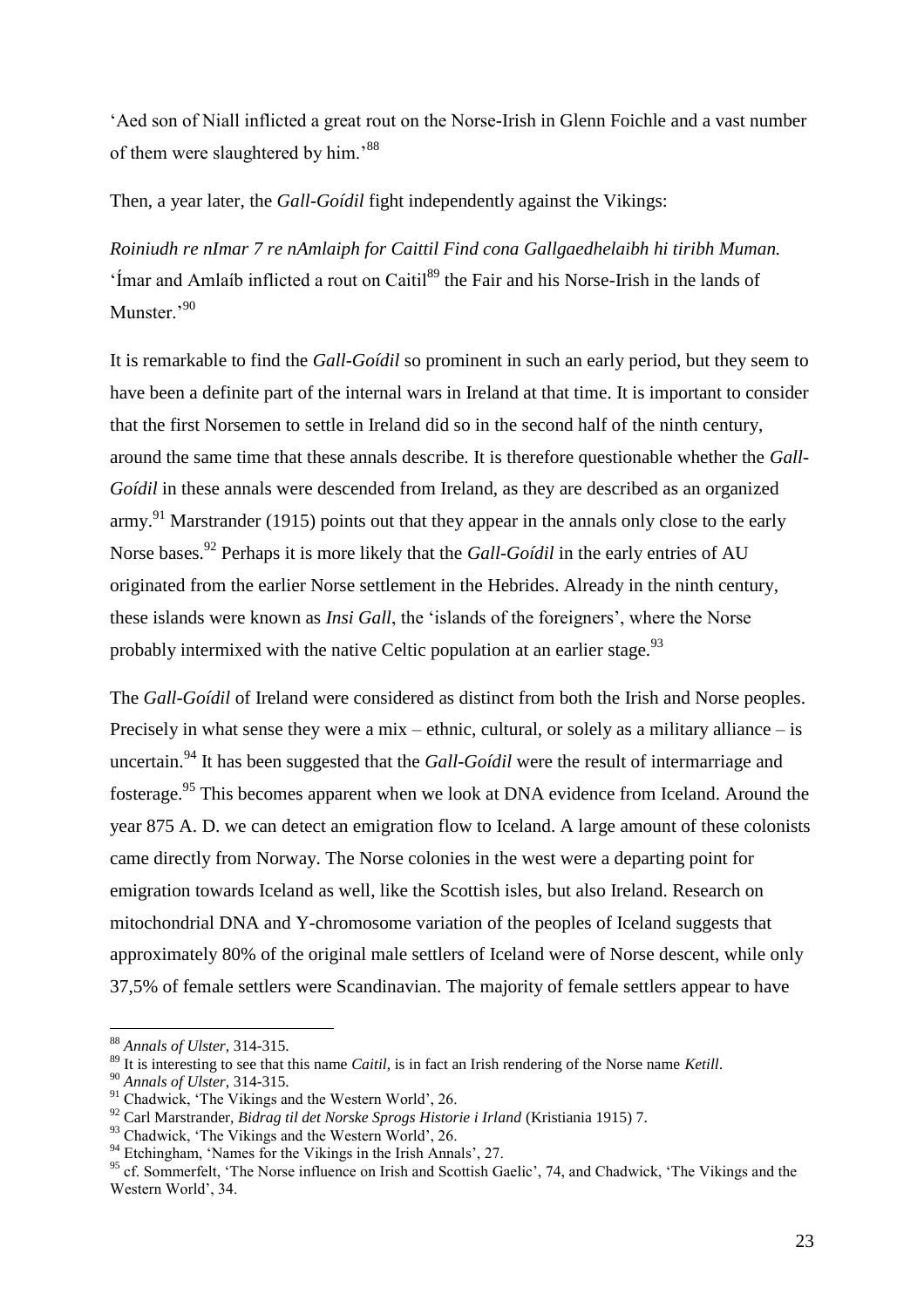'Aed son of Niall inflicted a great rout on the Norse-Irish in Glenn Foichle and a vast number of them were slaughtered by him.'<sup>88</sup>

Then, a year later, the *Gall-Goídil* fight independently against the Vikings:

*Roiniudh re nImar 7 re nAmlaiph for Caittil Find cona Gallgaedhelaibh hi tiribh Muman.*  $\cdot$  Imar and Amlaíb inflicted a rout on Caitil<sup>89</sup> the Fair and his Norse-Irish in the lands of Munster.'90

It is remarkable to find the *Gall-Goídil* so prominent in such an early period, but they seem to have been a definite part of the internal wars in Ireland at that time. It is important to consider that the first Norsemen to settle in Ireland did so in the second half of the ninth century, around the same time that these annals describe. It is therefore questionable whether the *Gall-Goídil* in these annals were descended from Ireland, as they are described as an organized army.<sup>91</sup> Marstrander (1915) points out that they appear in the annals only close to the early Norse bases.<sup>92</sup> Perhaps it is more likely that the *Gall-Goídil* in the early entries of AU originated from the earlier Norse settlement in the Hebrides. Already in the ninth century, these islands were known as *Insi Gall*, the 'islands of the foreigners', where the Norse probably intermixed with the native Celtic population at an earlier stage.<sup>93</sup>

The *Gall-Goídil* of Ireland were considered as distinct from both the Irish and Norse peoples. Precisely in what sense they were a mix – ethnic, cultural, or solely as a military alliance – is uncertain.<sup>94</sup> It has been suggested that the *Gall-Goídil* were the result of intermarriage and fosterage.<sup>95</sup> This becomes apparent when we look at DNA evidence from Iceland. Around the year 875 A. D. we can detect an emigration flow to Iceland. A large amount of these colonists came directly from Norway. The Norse colonies in the west were a departing point for emigration towards Iceland as well, like the Scottish isles, but also Ireland. Research on mitochondrial DNA and Y-chromosome variation of the peoples of Iceland suggests that approximately 80% of the original male settlers of Iceland were of Norse descent, while only 37,5% of female settlers were Scandinavian. The majority of female settlers appear to have

<sup>88</sup> *Annals of Ulster*, 314-315.

<sup>89</sup> It is interesting to see that this name *Caitil*, is in fact an Irish rendering of the Norse name *Ketill*.

<sup>90</sup> *Annals of Ulster*, 314-315.

<sup>91</sup> Chadwick, 'The Vikings and the Western World', 26.

<sup>92</sup> Carl Marstrander, *Bidrag til det Norske Sprogs Historie i Irland* (Kristiania 1915) 7.

<sup>&</sup>lt;sup>93</sup> Chadwick, 'The Vikings and the Western World', 26.

<sup>&</sup>lt;sup>94</sup> Etchingham, 'Names for the Vikings in the Irish Annals', 27.

<sup>&</sup>lt;sup>95</sup> cf. Sommerfelt, 'The Norse influence on Irish and Scottish Gaelic', 74, and Chadwick, 'The Vikings and the Western World', 34.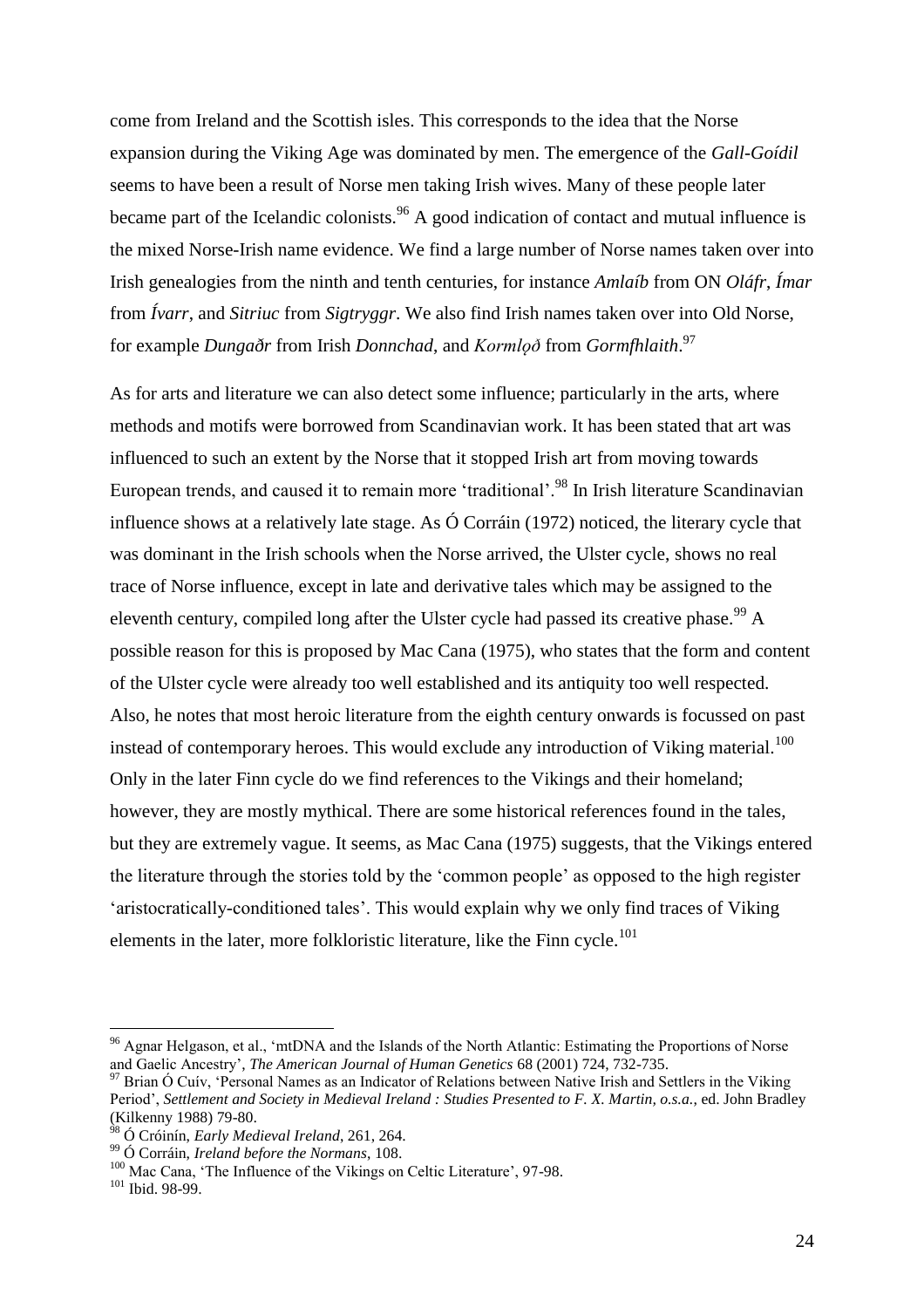come from Ireland and the Scottish isles. This corresponds to the idea that the Norse expansion during the Viking Age was dominated by men. The emergence of the *Gall-Goídil* seems to have been a result of Norse men taking Irish wives. Many of these people later became part of the Icelandic colonists.<sup>96</sup> A good indication of contact and mutual influence is the mixed Norse-Irish name evidence. We find a large number of Norse names taken over into Irish genealogies from the ninth and tenth centuries, for instance *Amlaíb* from ON *Oláfr*, *Ímar*  from *Ívarr*, and *Sitriuc* from *Sigtryggr*. We also find Irish names taken over into Old Norse, for example *Dungaðr* from Irish *Donnchad*, and *Kormlǫð* from *Gormfhlaith*. 97

As for arts and literature we can also detect some influence; particularly in the arts, where methods and motifs were borrowed from Scandinavian work. It has been stated that art was influenced to such an extent by the Norse that it stopped Irish art from moving towards European trends, and caused it to remain more 'traditional'.<sup>98</sup> In Irish literature Scandinavian influence shows at a relatively late stage. As Ó Corráin (1972) noticed, the literary cycle that was dominant in the Irish schools when the Norse arrived, the Ulster cycle, shows no real trace of Norse influence, except in late and derivative tales which may be assigned to the eleventh century, compiled long after the Ulster cycle had passed its creative phase.<sup>99</sup> A possible reason for this is proposed by Mac Cana (1975), who states that the form and content of the Ulster cycle were already too well established and its antiquity too well respected. Also, he notes that most heroic literature from the eighth century onwards is focussed on past instead of contemporary heroes. This would exclude any introduction of Viking material.<sup>100</sup> Only in the later Finn cycle do we find references to the Vikings and their homeland; however, they are mostly mythical. There are some historical references found in the tales, but they are extremely vague. It seems, as Mac Cana (1975) suggests, that the Vikings entered the literature through the stories told by the 'common people' as opposed to the high register 'aristocratically-conditioned tales'. This would explain why we only find traces of Viking elements in the later, more folkloristic literature, like the Finn cycle.<sup>101</sup>

<sup>96</sup> Agnar Helgason, et al., 'mtDNA and the Islands of the North Atlantic: Estimating the Proportions of Norse and Gaelic Ancestry', *The American Journal of Human Genetics* 68 (2001) 724, 732-735.

<sup>&</sup>lt;sup>97</sup> Brian Ó Cuív, 'Personal Names as an Indicator of Relations between Native Irish and Settlers in the Viking Period', *Settlement and Society in Medieval Ireland : Studies Presented to F. X. Martin, o.s.a.*, ed. John Bradley (Kilkenny 1988) 79-80.

<sup>98</sup> Ó Cróinín, *Early Medieval Ireland*, 261, 264.

<sup>99</sup> Ó Corráin, *Ireland before the Normans*, 108.

<sup>&</sup>lt;sup>100</sup> Mac Cana, 'The Influence of the Vikings on Celtic Literature', 97-98.

 $101$  Ibid. 98-99.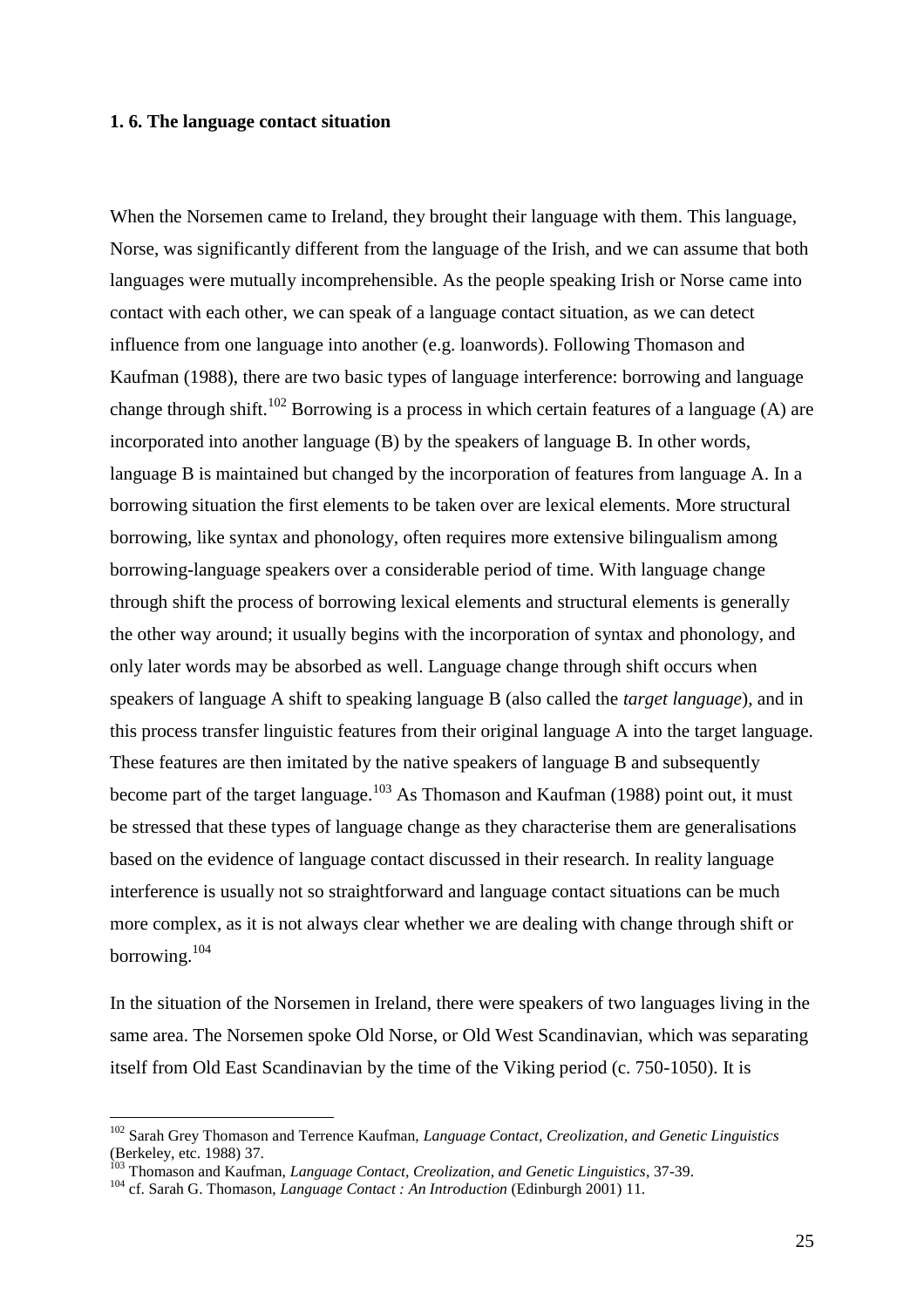#### **1. 6. The language contact situation**

When the Norsemen came to Ireland, they brought their language with them. This language, Norse, was significantly different from the language of the Irish, and we can assume that both languages were mutually incomprehensible. As the people speaking Irish or Norse came into contact with each other, we can speak of a language contact situation, as we can detect influence from one language into another (e.g. loanwords). Following Thomason and Kaufman (1988), there are two basic types of language interference: borrowing and language change through shift.<sup>102</sup> Borrowing is a process in which certain features of a language (A) are incorporated into another language (B) by the speakers of language B. In other words, language B is maintained but changed by the incorporation of features from language A. In a borrowing situation the first elements to be taken over are lexical elements. More structural borrowing, like syntax and phonology, often requires more extensive bilingualism among borrowing-language speakers over a considerable period of time. With language change through shift the process of borrowing lexical elements and structural elements is generally the other way around; it usually begins with the incorporation of syntax and phonology, and only later words may be absorbed as well. Language change through shift occurs when speakers of language A shift to speaking language B (also called the *target language*), and in this process transfer linguistic features from their original language A into the target language. These features are then imitated by the native speakers of language B and subsequently become part of the target language.<sup>103</sup> As Thomason and Kaufman (1988) point out, it must be stressed that these types of language change as they characterise them are generalisations based on the evidence of language contact discussed in their research. In reality language interference is usually not so straightforward and language contact situations can be much more complex, as it is not always clear whether we are dealing with change through shift or borrowing.<sup>104</sup>

In the situation of the Norsemen in Ireland, there were speakers of two languages living in the same area. The Norsemen spoke Old Norse, or Old West Scandinavian, which was separating itself from Old East Scandinavian by the time of the Viking period (c. 750-1050). It is

<sup>102</sup> Sarah Grey Thomason and Terrence Kaufman, *Language Contact, Creolization, and Genetic Linguistics*  (Berkeley, etc. 1988) 37.

<sup>103</sup> Thomason and Kaufman, *Language Contact, Creolization, and Genetic Linguistics*, 37-39.

<sup>104</sup> cf. Sarah G. Thomason, *Language Contact : An Introduction* (Edinburgh 2001) 11.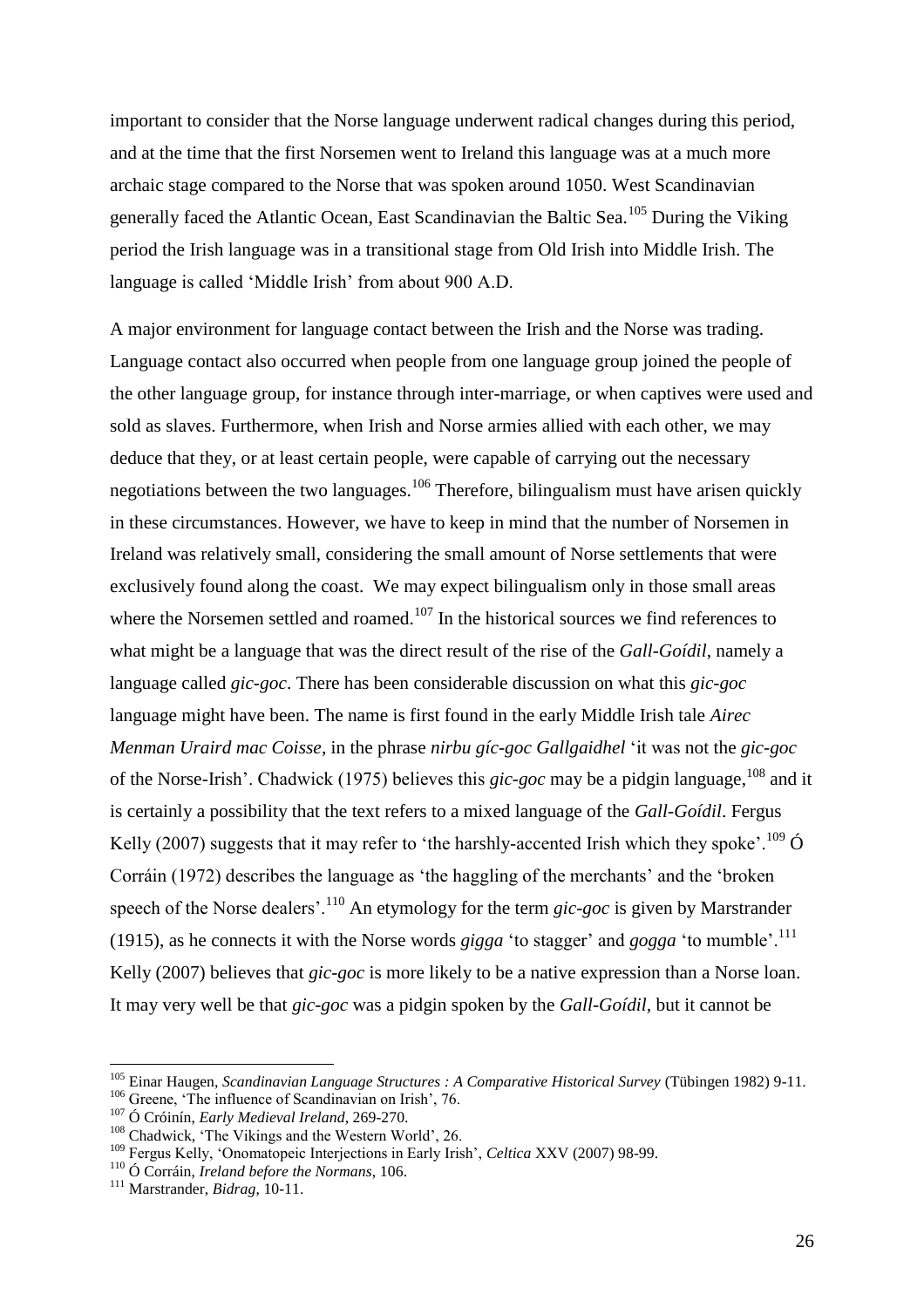important to consider that the Norse language underwent radical changes during this period, and at the time that the first Norsemen went to Ireland this language was at a much more archaic stage compared to the Norse that was spoken around 1050. West Scandinavian generally faced the Atlantic Ocean, East Scandinavian the Baltic Sea.<sup>105</sup> During the Viking period the Irish language was in a transitional stage from Old Irish into Middle Irish. The language is called 'Middle Irish' from about 900 A.D.

A major environment for language contact between the Irish and the Norse was trading. Language contact also occurred when people from one language group joined the people of the other language group, for instance through inter-marriage, or when captives were used and sold as slaves. Furthermore, when Irish and Norse armies allied with each other, we may deduce that they, or at least certain people, were capable of carrying out the necessary negotiations between the two languages.<sup>106</sup> Therefore, bilingualism must have arisen quickly in these circumstances. However, we have to keep in mind that the number of Norsemen in Ireland was relatively small, considering the small amount of Norse settlements that were exclusively found along the coast. We may expect bilingualism only in those small areas where the Norsemen settled and roamed.<sup>107</sup> In the historical sources we find references to what might be a language that was the direct result of the rise of the *Gall-Goídil*, namely a language called *gic-goc*. There has been considerable discussion on what this *gic-goc* language might have been. The name is first found in the early Middle Irish tale *Airec Menman Uraird mac Coisse*, in the phrase *nirbu gíc-goc Gallgaidhel* 'it was not the *gic-goc*  of the Norse-Irish'. Chadwick (1975) believes this *gic-goc* may be a pidgin language, <sup>108</sup> and it is certainly a possibility that the text refers to a mixed language of the *Gall-Goídil*. Fergus Kelly (2007) suggests that it may refer to 'the harshly-accented Irish which they spoke'.<sup>109</sup>  $\acute{\text{O}}$ Corráin (1972) describes the language as 'the haggling of the merchants' and the 'broken speech of the Norse dealers'.<sup>110</sup> An etymology for the term *gic-goc* is given by Marstrander (1915), as he connects it with the Norse words *gigga* 'to stagger' and *gogga* 'to mumble'.<sup>111</sup> Kelly (2007) believes that *gic-goc* is more likely to be a native expression than a Norse loan. It may very well be that *gic-goc* was a pidgin spoken by the *Gall-Goídil*, but it cannot be

<sup>105</sup> Einar Haugen, *Scandinavian Language Structures : A Comparative Historical Survey* (Tübingen 1982) 9-11.

<sup>106</sup> Greene, 'The influence of Scandinavian on Irish', 76.

<sup>107</sup> Ó Cróinín, *Early Medieval Ireland*, 269-270.

<sup>108</sup> Chadwick, 'The Vikings and the Western World', 26.

<sup>109</sup> Fergus Kelly, 'Onomatopeic Interjections in Early Irish', *Celtica* XXV (2007) 98-99.

<sup>110</sup> Ó Corráin, *Ireland before the Normans*, 106.

<sup>111</sup> Marstrander, *Bidrag*, 10-11.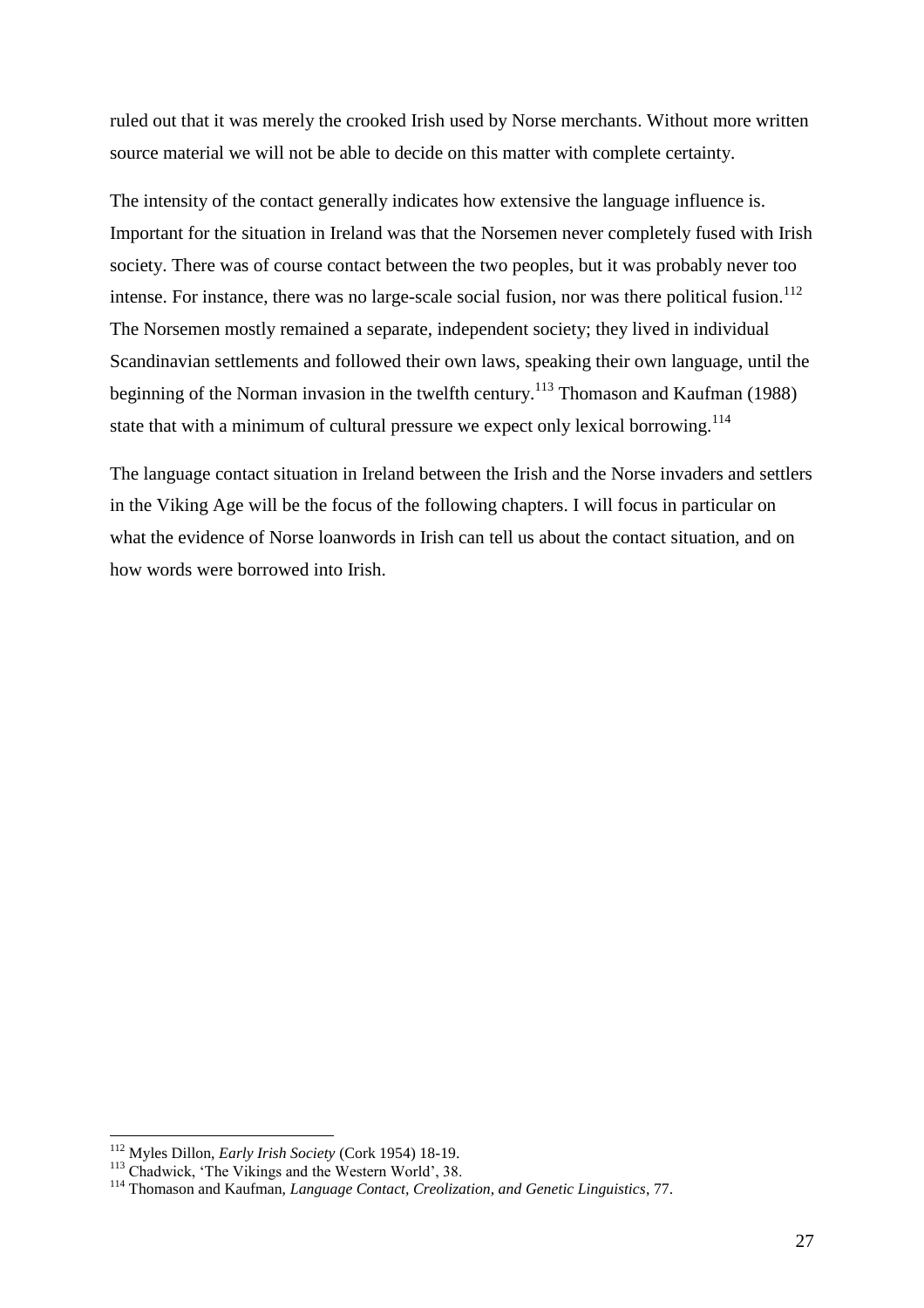ruled out that it was merely the crooked Irish used by Norse merchants. Without more written source material we will not be able to decide on this matter with complete certainty.

The intensity of the contact generally indicates how extensive the language influence is. Important for the situation in Ireland was that the Norsemen never completely fused with Irish society. There was of course contact between the two peoples, but it was probably never too intense. For instance, there was no large-scale social fusion, nor was there political fusion.<sup>112</sup> The Norsemen mostly remained a separate, independent society; they lived in individual Scandinavian settlements and followed their own laws, speaking their own language, until the beginning of the Norman invasion in the twelfth century.<sup>113</sup> Thomason and Kaufman (1988) state that with a minimum of cultural pressure we expect only lexical borrowing.<sup>114</sup>

The language contact situation in Ireland between the Irish and the Norse invaders and settlers in the Viking Age will be the focus of the following chapters. I will focus in particular on what the evidence of Norse loanwords in Irish can tell us about the contact situation, and on how words were borrowed into Irish.

<sup>112</sup> Myles Dillon, *Early Irish Society* (Cork 1954) 18-19.

<sup>&</sup>lt;sup>113</sup> Chadwick, 'The Vikings and the Western World', 38.

<sup>114</sup> Thomason and Kaufman, *Language Contact, Creolization, and Genetic Linguistics*, 77.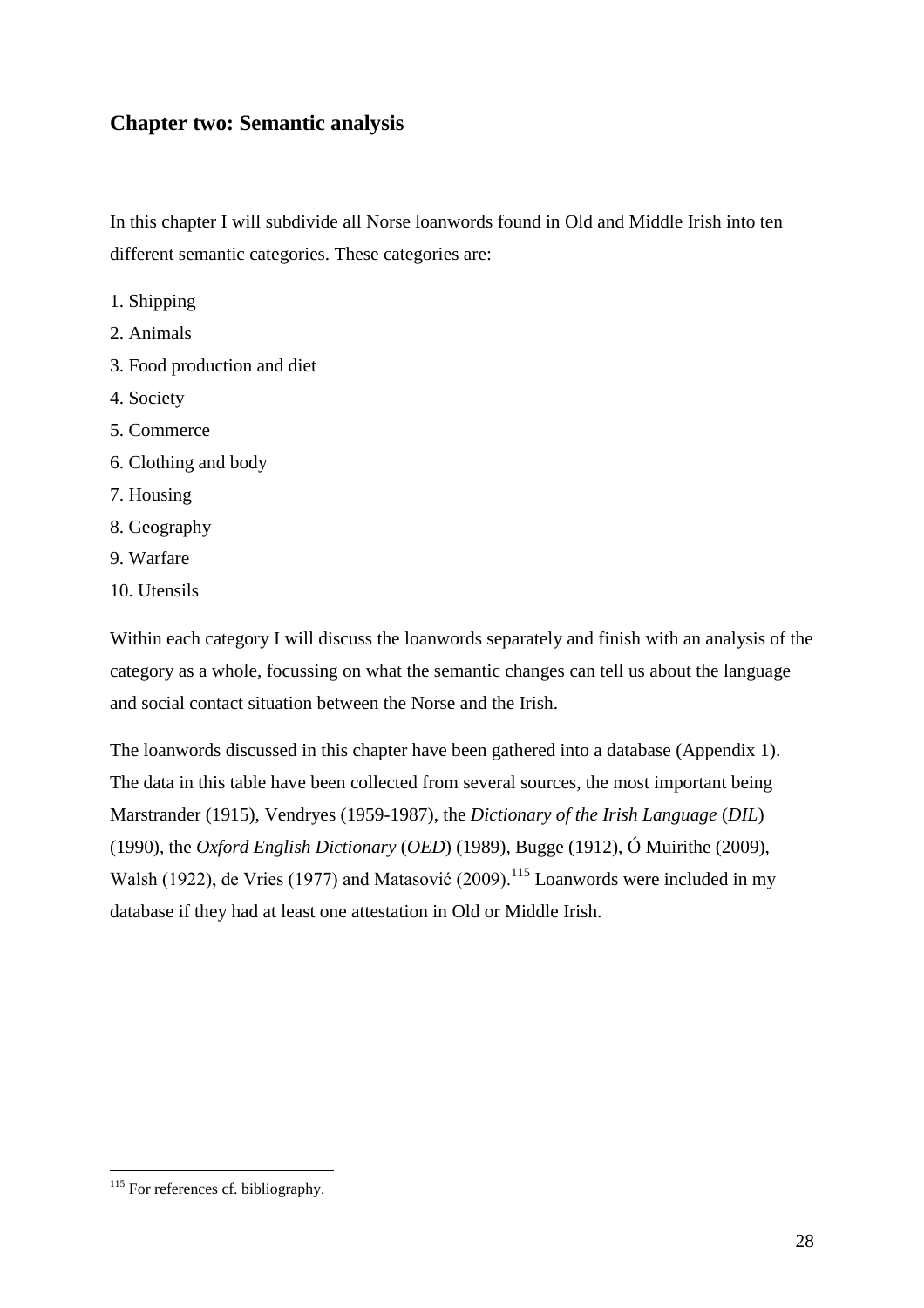# **Chapter two: Semantic analysis**

In this chapter I will subdivide all Norse loanwords found in Old and Middle Irish into ten different semantic categories. These categories are:

- 1. Shipping
- 2. Animals
- 3. Food production and diet
- 4. Society
- 5. Commerce
- 6. Clothing and body
- 7. Housing
- 8. Geography
- 9. Warfare
- 10. Utensils

Within each category I will discuss the loanwords separately and finish with an analysis of the category as a whole, focussing on what the semantic changes can tell us about the language and social contact situation between the Norse and the Irish.

The loanwords discussed in this chapter have been gathered into a database (Appendix 1). The data in this table have been collected from several sources, the most important being Marstrander (1915), Vendryes (1959-1987), the *Dictionary of the Irish Language* (*DIL*) (1990), the *Oxford English Dictionary* (*OED*) (1989), Bugge (1912), Ó Muirithe (2009), Walsh (1922), de Vries (1977) and Matasović (2009).<sup>115</sup> Loanwords were included in my database if they had at least one attestation in Old or Middle Irish.

 $\overline{a}$ <sup>115</sup> For references cf. bibliography.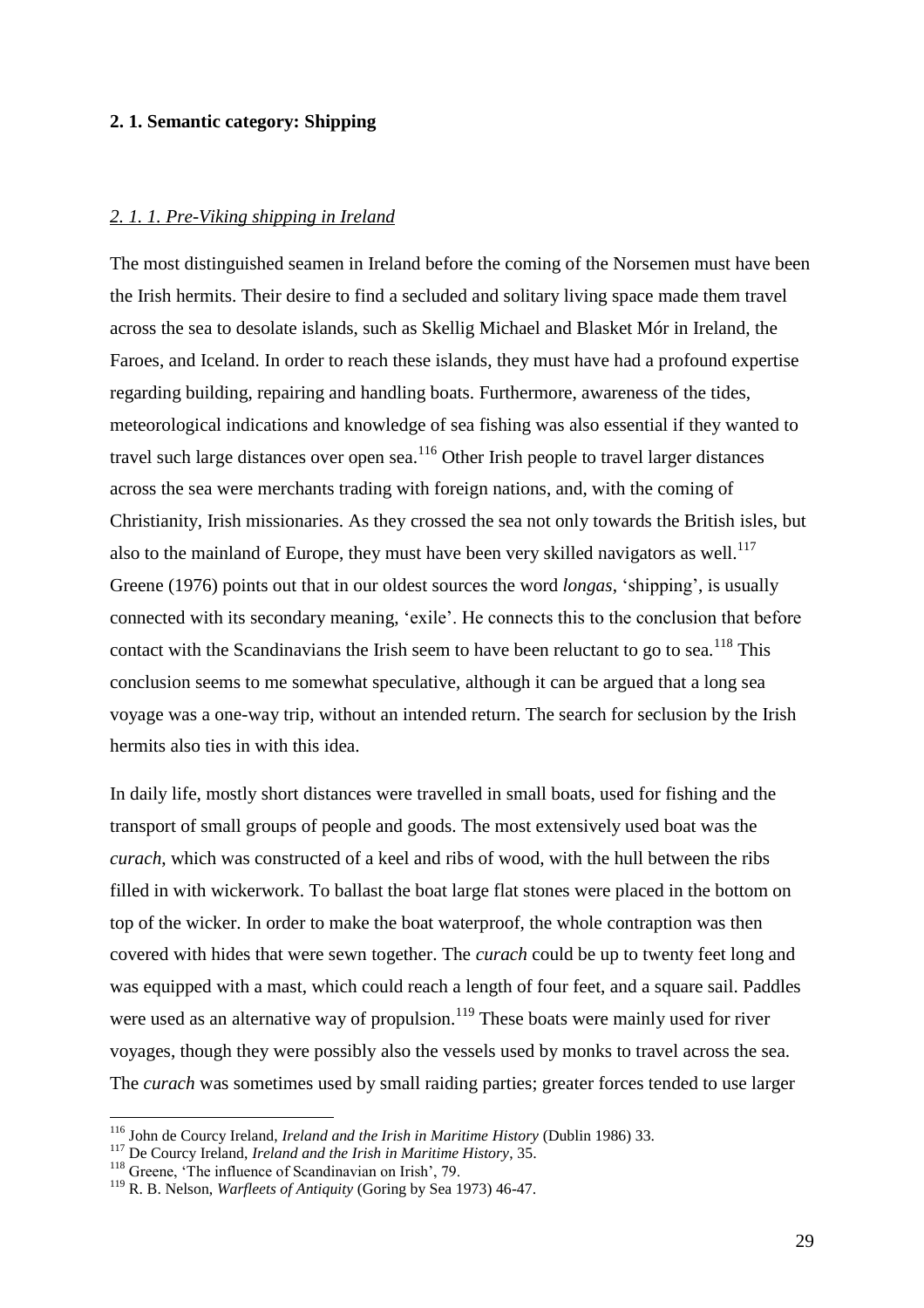#### **2. 1. Semantic category: Shipping**

#### *2. 1. 1. Pre-Viking shipping in Ireland*

The most distinguished seamen in Ireland before the coming of the Norsemen must have been the Irish hermits. Their desire to find a secluded and solitary living space made them travel across the sea to desolate islands, such as Skellig Michael and Blasket Mór in Ireland, the Faroes, and Iceland. In order to reach these islands, they must have had a profound expertise regarding building, repairing and handling boats. Furthermore, awareness of the tides, meteorological indications and knowledge of sea fishing was also essential if they wanted to travel such large distances over open sea.<sup>116</sup> Other Irish people to travel larger distances across the sea were merchants trading with foreign nations, and, with the coming of Christianity, Irish missionaries. As they crossed the sea not only towards the British isles, but also to the mainland of Europe, they must have been very skilled navigators as well.<sup>117</sup> Greene (1976) points out that in our oldest sources the word *longas*, 'shipping', is usually connected with its secondary meaning, 'exile'. He connects this to the conclusion that before contact with the Scandinavians the Irish seem to have been reluctant to go to sea.<sup>118</sup> This conclusion seems to me somewhat speculative, although it can be argued that a long sea voyage was a one-way trip, without an intended return. The search for seclusion by the Irish hermits also ties in with this idea.

In daily life, mostly short distances were travelled in small boats, used for fishing and the transport of small groups of people and goods. The most extensively used boat was the *curach*, which was constructed of a keel and ribs of wood, with the hull between the ribs filled in with wickerwork. To ballast the boat large flat stones were placed in the bottom on top of the wicker. In order to make the boat waterproof, the whole contraption was then covered with hides that were sewn together. The *curach* could be up to twenty feet long and was equipped with a mast, which could reach a length of four feet, and a square sail. Paddles were used as an alternative way of propulsion.<sup>119</sup> These boats were mainly used for river voyages, though they were possibly also the vessels used by monks to travel across the sea. The *curach* was sometimes used by small raiding parties; greater forces tended to use larger

<sup>116</sup> John de Courcy Ireland, *Ireland and the Irish in Maritime History* (Dublin 1986) 33.

<sup>117</sup> De Courcy Ireland, *Ireland and the Irish in Maritime History*, 35.

<sup>118</sup> Greene, 'The influence of Scandinavian on Irish', 79.

<sup>119</sup> R. B. Nelson, *Warfleets of Antiquity* (Goring by Sea 1973) 46-47.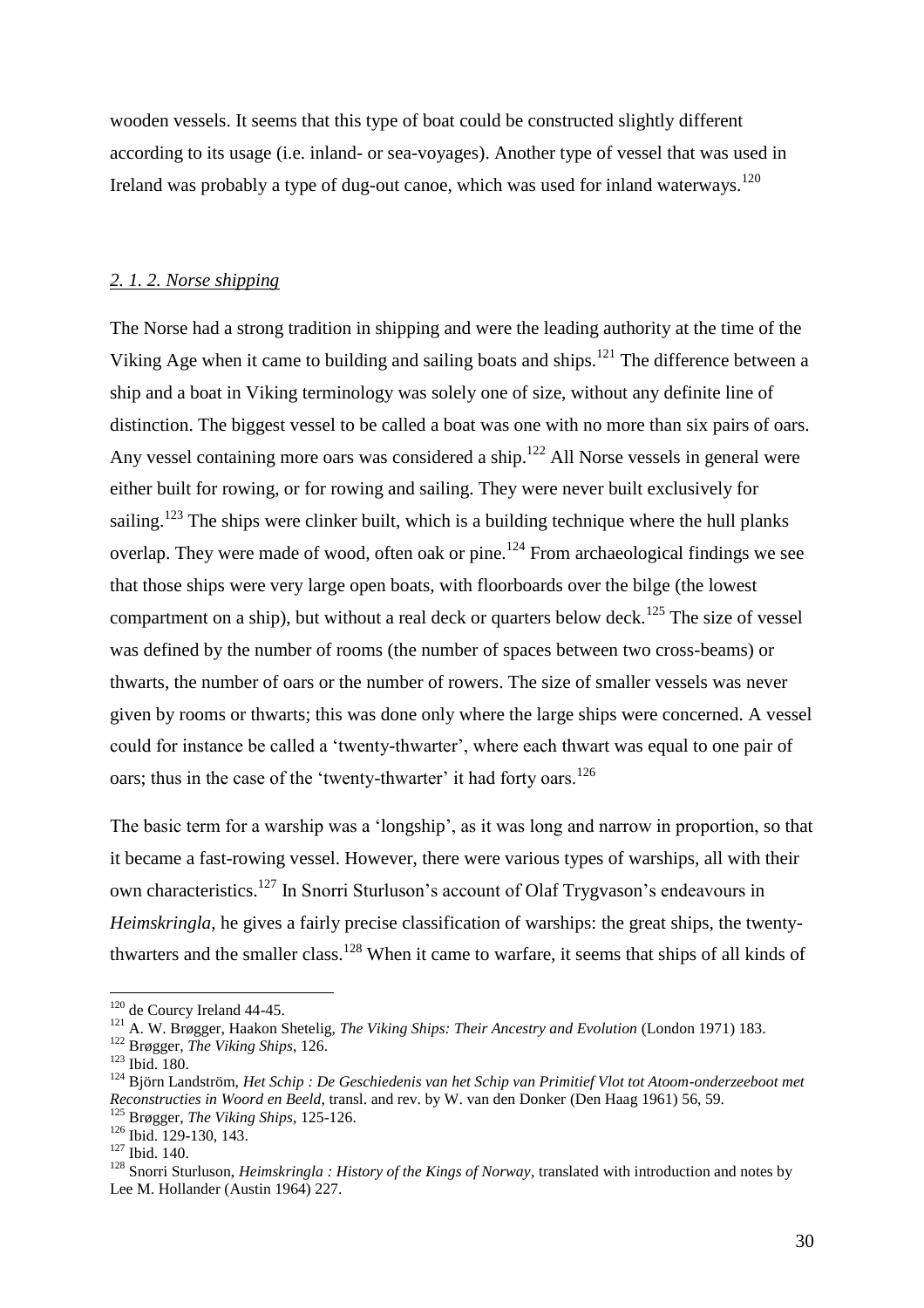wooden vessels. It seems that this type of boat could be constructed slightly different according to its usage (i.e. inland- or sea-voyages). Another type of vessel that was used in Ireland was probably a type of dug-out canoe, which was used for inland waterways.<sup>120</sup>

#### *2. 1. 2. Norse shipping*

The Norse had a strong tradition in shipping and were the leading authority at the time of the Viking Age when it came to building and sailing boats and ships.<sup>121</sup> The difference between a ship and a boat in Viking terminology was solely one of size, without any definite line of distinction. The biggest vessel to be called a boat was one with no more than six pairs of oars. Any vessel containing more oars was considered a ship.<sup>122</sup> All Norse vessels in general were either built for rowing, or for rowing and sailing. They were never built exclusively for sailing.<sup>123</sup> The ships were clinker built, which is a building technique where the hull planks overlap. They were made of wood, often oak or pine.<sup>124</sup> From archaeological findings we see that those ships were very large open boats, with floorboards over the bilge (the lowest compartment on a ship), but without a real deck or quarters below deck.<sup>125</sup> The size of vessel was defined by the number of rooms (the number of spaces between two cross-beams) or thwarts, the number of oars or the number of rowers. The size of smaller vessels was never given by rooms or thwarts; this was done only where the large ships were concerned. A vessel could for instance be called a 'twenty-thwarter', where each thwart was equal to one pair of oars; thus in the case of the 'twenty-thwarter' it had forty oars.<sup>126</sup>

The basic term for a warship was a 'longship', as it was long and narrow in proportion, so that it became a fast-rowing vessel. However, there were various types of warships, all with their own characteristics.<sup>127</sup> In Snorri Sturluson's account of Olaf Trygvason's endeavours in *Heimskringla*, he gives a fairly precise classification of warships: the great ships, the twentythwarters and the smaller class.<sup>128</sup> When it came to warfare, it seems that ships of all kinds of

<sup>&</sup>lt;sup>120</sup> de Courcy Ireland 44-45.

<sup>121</sup> A. W. Brøgger, Haakon Shetelig, *The Viking Ships: Their Ancestry and Evolution* (London 1971) 183.

<sup>122</sup> Brøgger, *The Viking Ships*, 126.

<sup>123</sup> Ibid. 180.

<sup>&</sup>lt;sup>124</sup> Björn Landström, *Het Schip : De Geschiedenis van het Schip van Primitief Vlot tot Atoom-onderzeeboot met Reconstructies in Woord en Beeld*, transl. and rev. by W. van den Donker (Den Haag 1961) 56, 59. <sup>125</sup> Brøgger, *The Viking Ships*, 125-126.

 $126$  Ibid. 129-130, 143.

<sup>127</sup> Ibid. 140.

<sup>128</sup> Snorri Sturluson, *Heimskringla : History of the Kings of Norway*, translated with introduction and notes by Lee M. Hollander (Austin 1964) 227.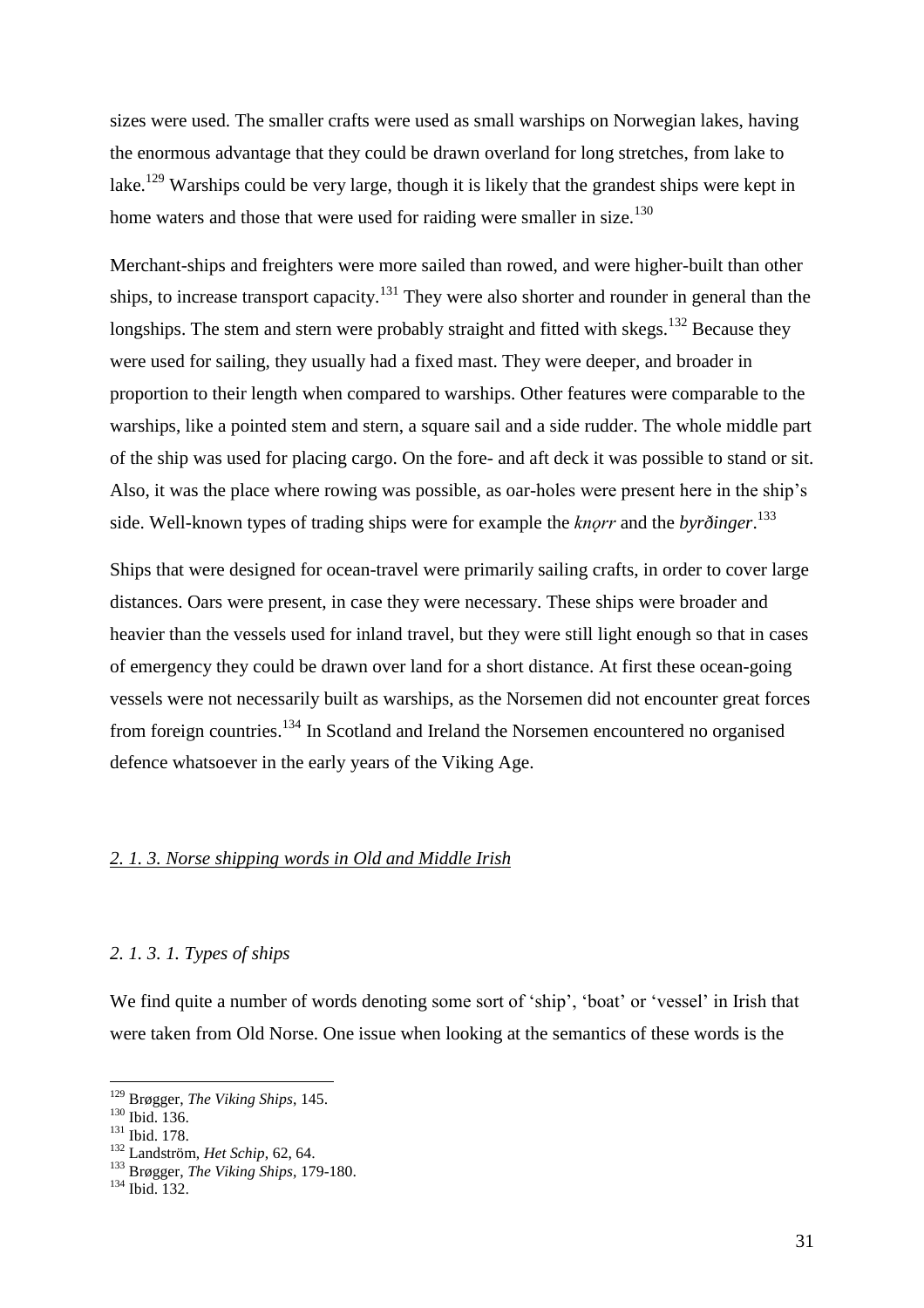sizes were used. The smaller crafts were used as small warships on Norwegian lakes, having the enormous advantage that they could be drawn overland for long stretches, from lake to lake.<sup>129</sup> Warships could be very large, though it is likely that the grandest ships were kept in home waters and those that were used for raiding were smaller in size.<sup>130</sup>

Merchant-ships and freighters were more sailed than rowed, and were higher-built than other ships, to increase transport capacity.<sup>131</sup> They were also shorter and rounder in general than the longships. The stem and stern were probably straight and fitted with skegs.<sup>132</sup> Because they were used for sailing, they usually had a fixed mast. They were deeper, and broader in proportion to their length when compared to warships. Other features were comparable to the warships, like a pointed stem and stern, a square sail and a side rudder. The whole middle part of the ship was used for placing cargo. On the fore- and aft deck it was possible to stand or sit. Also, it was the place where rowing was possible, as oar-holes were present here in the ship's side. Well-known types of trading ships were for example the *knǫrr* and the *byrðinger*. 133

Ships that were designed for ocean-travel were primarily sailing crafts, in order to cover large distances. Oars were present, in case they were necessary. These ships were broader and heavier than the vessels used for inland travel, but they were still light enough so that in cases of emergency they could be drawn over land for a short distance. At first these ocean-going vessels were not necessarily built as warships, as the Norsemen did not encounter great forces from foreign countries.<sup>134</sup> In Scotland and Ireland the Norsemen encountered no organised defence whatsoever in the early years of the Viking Age.

#### *2. 1. 3. Norse shipping words in Old and Middle Irish*

#### *2. 1. 3. 1. Types of ships*

We find quite a number of words denoting some sort of 'ship', 'boat' or 'vessel' in Irish that were taken from Old Norse. One issue when looking at the semantics of these words is the

<sup>129</sup> Brøgger, *The Viking Ships*, 145.

 $130 \text{ H} \cdot \text{Fe}$ <br>Ibid. 136.

<sup>&</sup>lt;sup>131</sup> Ibid. 178.

<sup>132</sup> Landström, *Het Schip*, 62, 64.

<sup>133</sup> Brøgger, *The Viking Ships*, 179-180.

<sup>134</sup> Ibid. 132.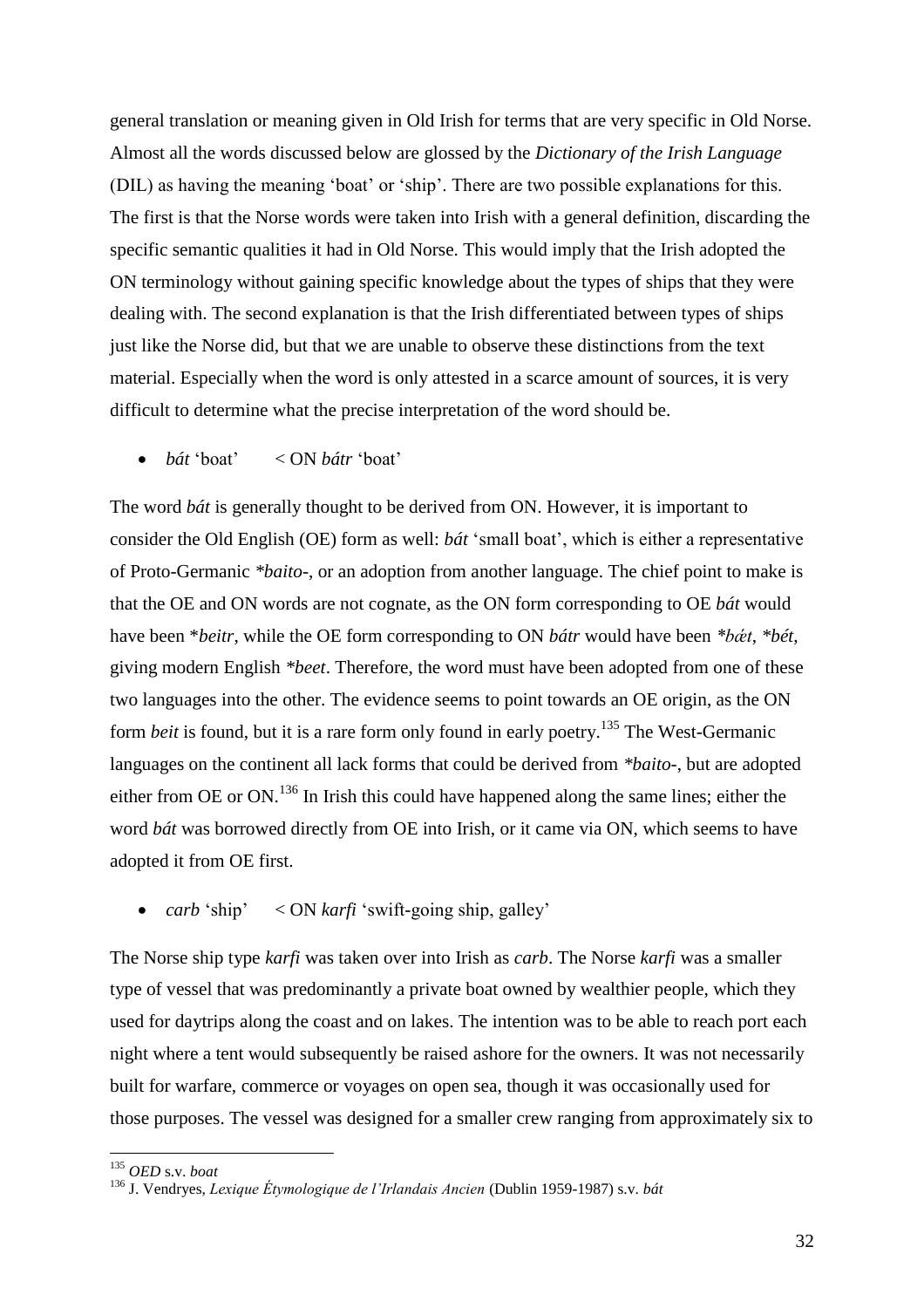general translation or meaning given in Old Irish for terms that are very specific in Old Norse. Almost all the words discussed below are glossed by the *Dictionary of the Irish Language*  (DIL) as having the meaning 'boat' or 'ship'. There are two possible explanations for this. The first is that the Norse words were taken into Irish with a general definition, discarding the specific semantic qualities it had in Old Norse. This would imply that the Irish adopted the ON terminology without gaining specific knowledge about the types of ships that they were dealing with. The second explanation is that the Irish differentiated between types of ships just like the Norse did, but that we are unable to observe these distinctions from the text material. Especially when the word is only attested in a scarce amount of sources, it is very difficult to determine what the precise interpretation of the word should be.

*bát* 'boat' < ON *bátr* 'boat'

The word *bát* is generally thought to be derived from ON. However, it is important to consider the Old English (OE) form as well: *bát* 'small boat', which is either a representative of Proto-Germanic *\*baito-*, or an adoption from another language. The chief point to make is that the OE and ON words are not cognate, as the ON form corresponding to OE *bát* would have been \**beitr*, while the OE form corresponding to ON *bátr* would have been *\*bǽt*, *\*bét*, giving modern English *\*beet*. Therefore, the word must have been adopted from one of these two languages into the other. The evidence seems to point towards an OE origin, as the ON form *beit* is found, but it is a rare form only found in early poetry.<sup>135</sup> The West-Germanic languages on the continent all lack forms that could be derived from *\*baito-*, but are adopted either from OE or ON.<sup>136</sup> In Irish this could have happened along the same lines; either the word *bát* was borrowed directly from OE into Irish, or it came via ON, which seems to have adopted it from OE first.

• *carb* 'ship' < ON *karfi* 'swift-going ship, galley'

The Norse ship type *karfi* was taken over into Irish as *carb*. The Norse *karfi* was a smaller type of vessel that was predominantly a private boat owned by wealthier people, which they used for daytrips along the coast and on lakes. The intention was to be able to reach port each night where a tent would subsequently be raised ashore for the owners. It was not necessarily built for warfare, commerce or voyages on open sea, though it was occasionally used for those purposes. The vessel was designed for a smaller crew ranging from approximately six to

<sup>135</sup> *OED* s.v. *boat*

<sup>136</sup> J. Vendryes, *Lexique Étymologique de l'Irlandais Ancien* (Dublin 1959-1987) s.v. *bát*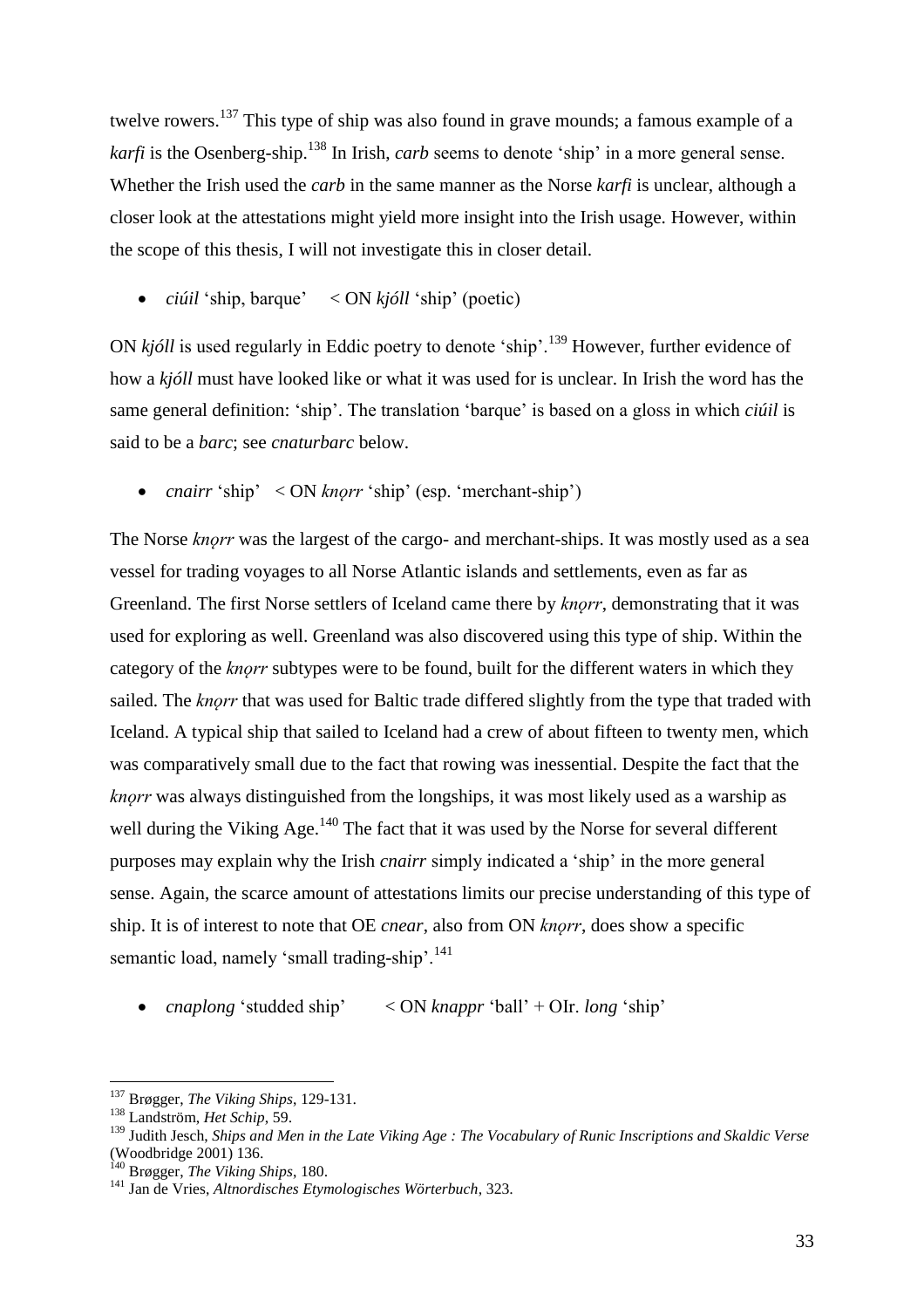twelve rowers.<sup>137</sup> This type of ship was also found in grave mounds; a famous example of a *karfi* is the Osenberg-ship.<sup>138</sup> In Irish, *carb* seems to denote 'ship' in a more general sense. Whether the Irish used the *carb* in the same manner as the Norse *karfi* is unclear, although a closer look at the attestations might yield more insight into the Irish usage. However, within the scope of this thesis, I will not investigate this in closer detail.

*ciúil* 'ship, barque' < ON *kjóll* 'ship' (poetic)

ON *kjóll* is used regularly in Eddic poetry to denote 'ship'.<sup>139</sup> However, further evidence of how a *kjóll* must have looked like or what it was used for is unclear. In Irish the word has the same general definition: 'ship'. The translation 'barque' is based on a gloss in which *ciúil* is said to be a *barc*; see *cnaturbarc* below.

• *cnairr* 'ship' < ON *knorr* 'ship' (esp. 'merchant-ship')

The Norse *knorr* was the largest of the cargo- and merchant-ships. It was mostly used as a sea vessel for trading voyages to all Norse Atlantic islands and settlements, even as far as Greenland. The first Norse settlers of Iceland came there by *knorr*, demonstrating that it was used for exploring as well. Greenland was also discovered using this type of ship. Within the category of the *knorr* subtypes were to be found, built for the different waters in which they sailed. The *knorr* that was used for Baltic trade differed slightly from the type that traded with Iceland. A typical ship that sailed to Iceland had a crew of about fifteen to twenty men, which was comparatively small due to the fact that rowing was inessential. Despite the fact that the *knǫrr* was always distinguished from the longships, it was most likely used as a warship as well during the Viking Age.<sup>140</sup> The fact that it was used by the Norse for several different purposes may explain why the Irish *cnairr* simply indicated a 'ship' in the more general sense. Again, the scarce amount of attestations limits our precise understanding of this type of ship. It is of interest to note that OE *cnear*, also from ON *knǫrr*, does show a specific semantic load, namely 'small trading-ship'.<sup>141</sup>

*cnaplong* 'studded ship' < ON *knappr* 'ball' + OIr. *long* 'ship'

<sup>137</sup> Brøgger, *The Viking Ships*, 129-131.

<sup>138</sup> Landström, *Het Schip*, 59.

<sup>139</sup> Judith Jesch, *Ships and Men in the Late Viking Age : The Vocabulary of Runic Inscriptions and Skaldic Verse*  (Woodbridge 2001) 136.

<sup>140</sup> Brøgger, *The Viking Ships*, 180.

<sup>141</sup> Jan de Vries, *Altnordisches Etymologisches Wörterbuch*, 323.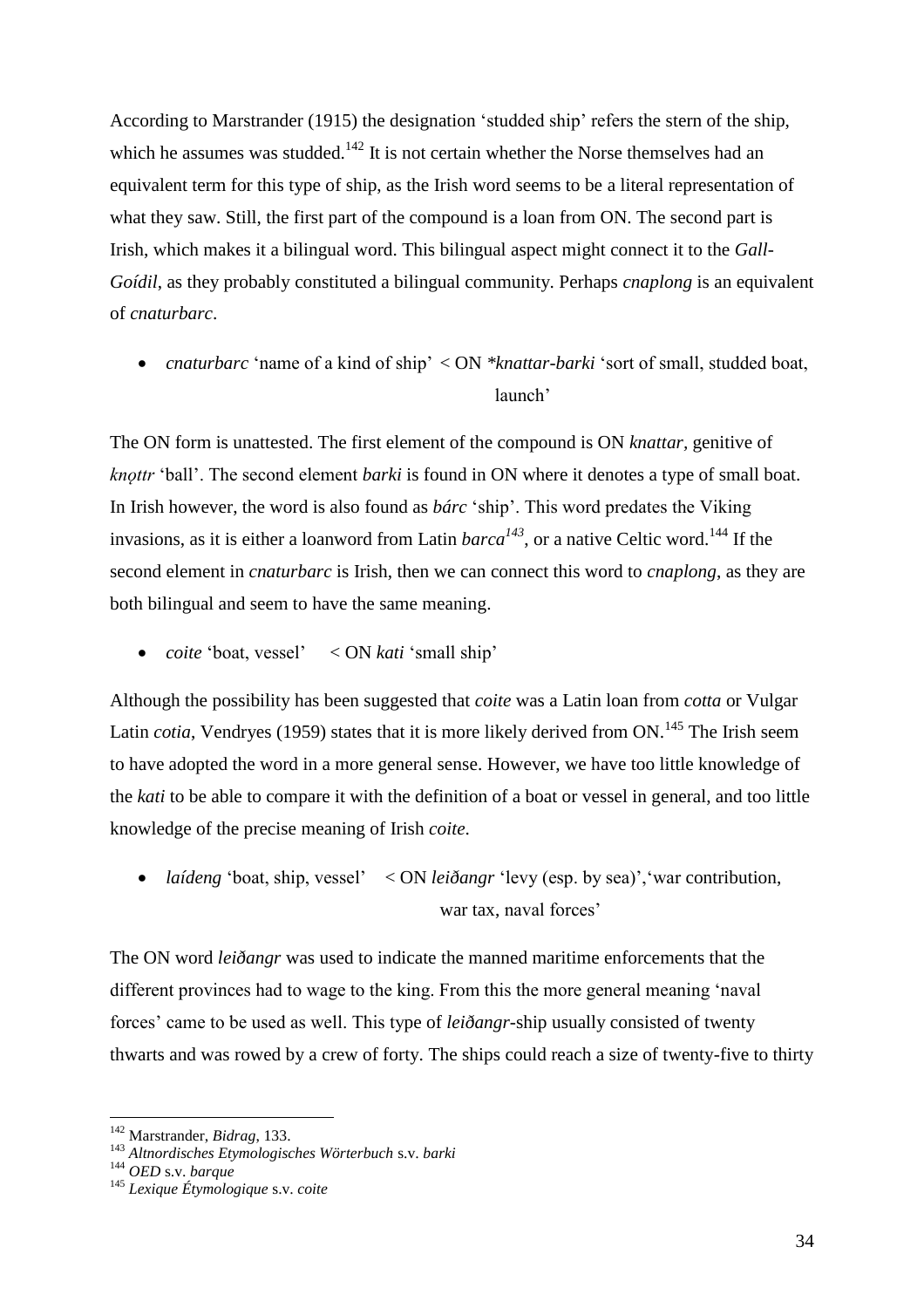According to Marstrander (1915) the designation 'studded ship' refers the stern of the ship, which he assumes was studded.<sup>142</sup> It is not certain whether the Norse themselves had an equivalent term for this type of ship, as the Irish word seems to be a literal representation of what they saw. Still, the first part of the compound is a loan from ON. The second part is Irish, which makes it a bilingual word. This bilingual aspect might connect it to the *Gall-Goídil*, as they probably constituted a bilingual community. Perhaps *cnaplong* is an equivalent of *cnaturbarc*.

• *cnaturbarc* 'name of a kind of ship' < ON \**knattar-barki* 'sort of small, studded boat, launch'

The ON form is unattested. The first element of the compound is ON *knattar,* genitive of *knǫttr* 'ball'. The second element *barki* is found in ON where it denotes a type of small boat. In Irish however, the word is also found as *bárc* 'ship'. This word predates the Viking invasions, as it is either a loanword from Latin  $barca^{143}$ , or a native Celtic word.<sup>144</sup> If the second element in *cnaturbarc* is Irish, then we can connect this word to *cnaplong*, as they are both bilingual and seem to have the same meaning.

*coite* 'boat, vessel' < ON *kati* 'small ship'

Although the possibility has been suggested that *coite* was a Latin loan from *cotta* or Vulgar Latin *cotia*, Vendryes (1959) states that it is more likely derived from ON.<sup>145</sup> The Irish seem to have adopted the word in a more general sense. However, we have too little knowledge of the *kati* to be able to compare it with the definition of a boat or vessel in general, and too little knowledge of the precise meaning of Irish *coite*.

• *laídeng* 'boat, ship, vessel' < ON *leiðangr* 'levy (esp. by sea)', 'war contribution, war tax, naval forces'

The ON word *leiðangr* was used to indicate the manned maritime enforcements that the different provinces had to wage to the king. From this the more general meaning 'naval forces' came to be used as well. This type of *leiðangr*-ship usually consisted of twenty thwarts and was rowed by a crew of forty. The ships could reach a size of twenty-five to thirty

<sup>142</sup> Marstrander, *Bidrag*, 133.

<sup>143</sup> *Altnordisches Etymologisches Wörterbuch* s.v. *barki*

<sup>144</sup> *OED* s.v. *barque*

<sup>145</sup> *Lexique Étymologique* s.v. *coite*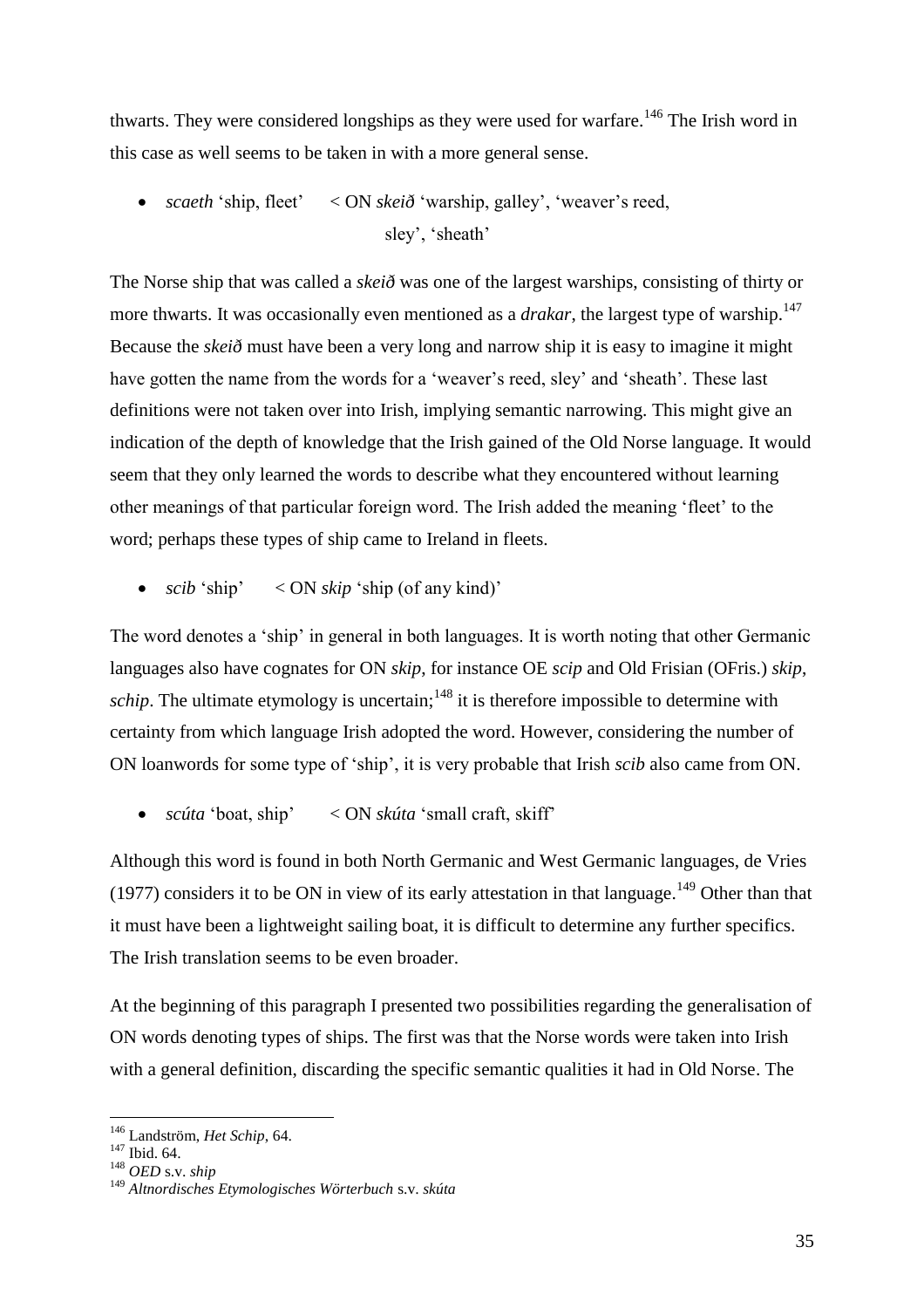thwarts. They were considered longships as they were used for warfare.<sup>146</sup> The Irish word in this case as well seems to be taken in with a more general sense.

 *scaeth* 'ship, fleet' < ON *skeið* 'warship, galley', 'weaver's reed, sley', 'sheath'

The Norse ship that was called a *skeið* was one of the largest warships, consisting of thirty or more thwarts. It was occasionally even mentioned as a *drakar*, the largest type of warship.<sup>147</sup> Because the *skeið* must have been a very long and narrow ship it is easy to imagine it might have gotten the name from the words for a 'weaver's reed, sley' and 'sheath'. These last definitions were not taken over into Irish, implying semantic narrowing. This might give an indication of the depth of knowledge that the Irish gained of the Old Norse language. It would seem that they only learned the words to describe what they encountered without learning other meanings of that particular foreign word. The Irish added the meaning 'fleet' to the word; perhaps these types of ship came to Ireland in fleets.

•  $scib$  'ship'  $\langle ON \, skip \rangle$  'ship (of any kind)'

The word denotes a 'ship' in general in both languages. It is worth noting that other Germanic languages also have cognates for ON *skip*, for instance OE *scip* and Old Frisian (OFris.) *skip*, *schip*. The ultimate etymology is uncertain;<sup>148</sup> it is therefore impossible to determine with certainty from which language Irish adopted the word. However, considering the number of ON loanwords for some type of 'ship', it is very probable that Irish *scib* also came from ON.

*scúta* 'boat, ship' < ON *skúta* 'small craft, skiff'

Although this word is found in both North Germanic and West Germanic languages, de Vries (1977) considers it to be ON in view of its early attestation in that language.<sup>149</sup> Other than that it must have been a lightweight sailing boat, it is difficult to determine any further specifics. The Irish translation seems to be even broader.

At the beginning of this paragraph I presented two possibilities regarding the generalisation of ON words denoting types of ships. The first was that the Norse words were taken into Irish with a general definition, discarding the specific semantic qualities it had in Old Norse. The

<sup>146</sup> Landström, *Het Schip*, 64.

<sup>147</sup> Ibid. 64.

<sup>148</sup> *OED* s.v. *ship*

<sup>149</sup> *Altnordisches Etymologisches Wörterbuch* s.v. *skúta*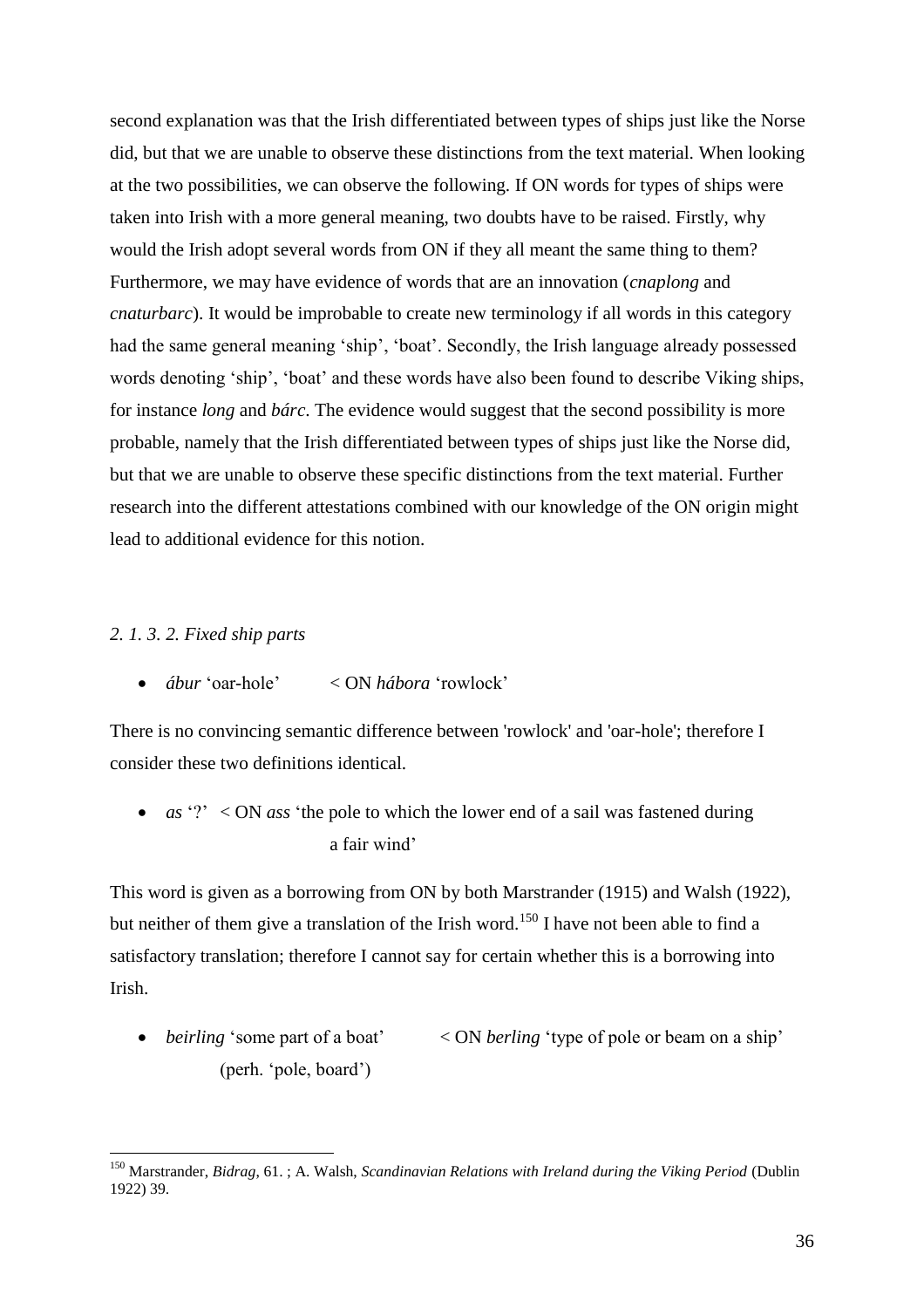second explanation was that the Irish differentiated between types of ships just like the Norse did, but that we are unable to observe these distinctions from the text material. When looking at the two possibilities, we can observe the following. If ON words for types of ships were taken into Irish with a more general meaning, two doubts have to be raised. Firstly, why would the Irish adopt several words from ON if they all meant the same thing to them? Furthermore, we may have evidence of words that are an innovation (*cnaplong* and *cnaturbarc*). It would be improbable to create new terminology if all words in this category had the same general meaning 'ship', 'boat'. Secondly, the Irish language already possessed words denoting 'ship', 'boat' and these words have also been found to describe Viking ships, for instance *long* and *bárc*. The evidence would suggest that the second possibility is more probable, namely that the Irish differentiated between types of ships just like the Norse did, but that we are unable to observe these specific distinctions from the text material. Further research into the different attestations combined with our knowledge of the ON origin might lead to additional evidence for this notion.

# *2. 1. 3. 2. Fixed ship parts*

 $\overline{a}$ 

*ábur* 'oar-hole' < ON *hábora* 'rowlock'

There is no convincing semantic difference between 'rowlock' and 'oar-hole'; therefore I consider these two definitions identical.

• *as* '?' < ON *ass* 'the pole to which the lower end of a sail was fastened during a fair wind'

This word is given as a borrowing from ON by both Marstrander (1915) and Walsh (1922), but neither of them give a translation of the Irish word.<sup>150</sup> I have not been able to find a satisfactory translation; therefore I cannot say for certain whether this is a borrowing into Irish.

• *beirling* 'some part of a boat'  $\langle$  ON *berling* 'type of pole or beam on a ship' (perh. 'pole, board')

<sup>150</sup> Marstrander, *Bidrag*, 61. ; A. Walsh, *Scandinavian Relations with Ireland during the Viking Period* (Dublin 1922) 39.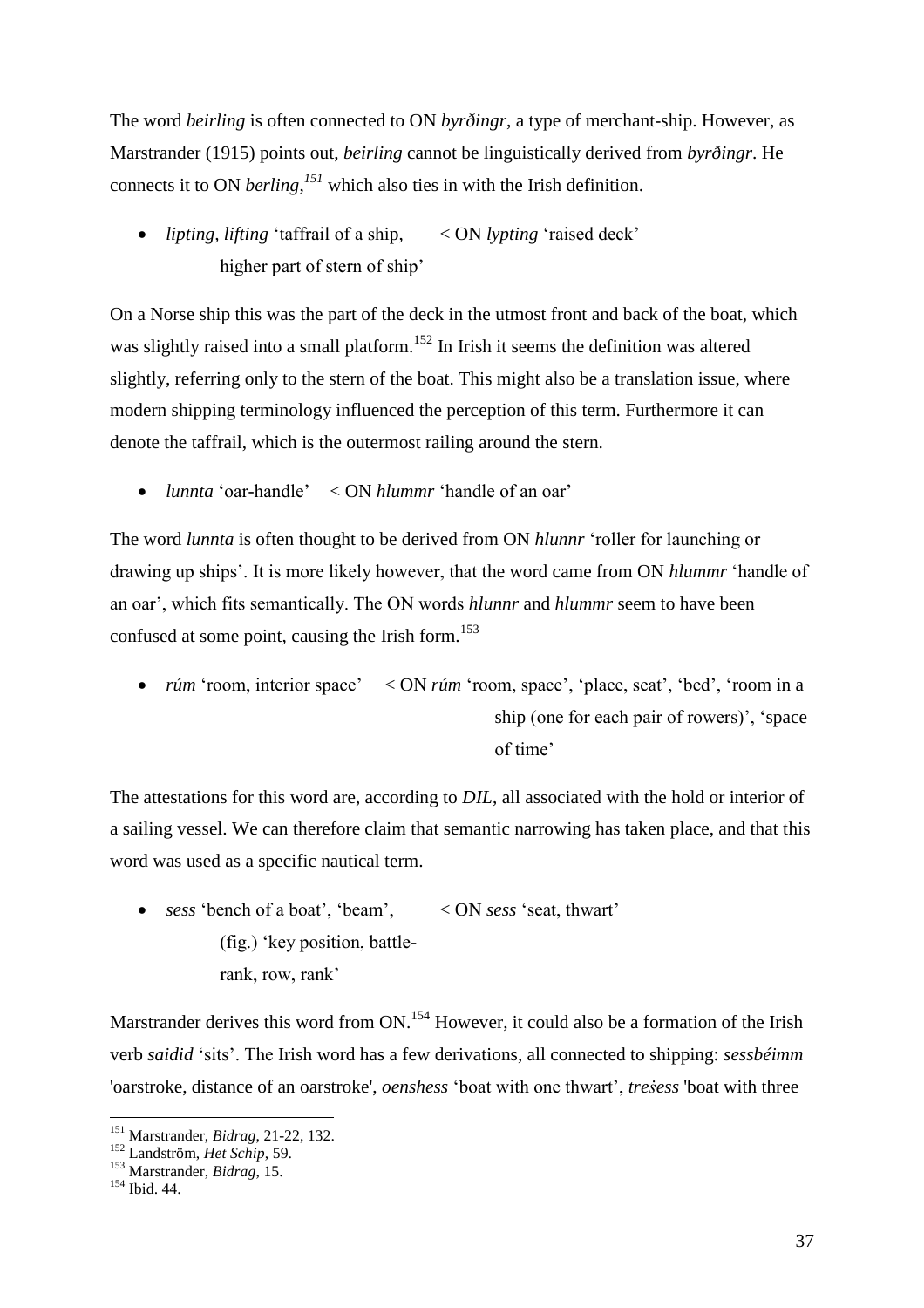The word *beirling* is often connected to ON *byrðingr*, a type of merchant-ship. However, as Marstrander (1915) points out, *beirling* cannot be linguistically derived from *byrðingr*. He connects it to ON *berling*, *<sup>151</sup>* which also ties in with the Irish definition.

 *lipting, lifting* 'taffrail of a ship, < ON *lypting* 'raised deck' higher part of stern of ship'

On a Norse ship this was the part of the deck in the utmost front and back of the boat, which was slightly raised into a small platform.<sup>152</sup> In Irish it seems the definition was altered slightly, referring only to the stern of the boat. This might also be a translation issue, where modern shipping terminology influenced the perception of this term. Furthermore it can denote the taffrail, which is the outermost railing around the stern.

*lunnta* 'oar-handle' < ON *hlummr* 'handle of an oar'

The word *lunnta* is often thought to be derived from ON *hlunnr* 'roller for launching or drawing up ships'. It is more likely however, that the word came from ON *hlummr* 'handle of an oar', which fits semantically. The ON words *hlunnr* and *hlummr* seem to have been confused at some point, causing the Irish form.<sup>153</sup>

• *rúm* 'room, interior space' < ON *rúm* 'room, space', 'place, seat', 'bed', 'room in a ship (one for each pair of rowers)', 'space of time'

The attestations for this word are, according to *DIL*, all associated with the hold or interior of a sailing vessel. We can therefore claim that semantic narrowing has taken place, and that this word was used as a specific nautical term.

 *sess* 'bench of a boat', 'beam', < ON *sess* 'seat, thwart' (fig.) 'key position, battlerank, row, rank'

Marstrander derives this word from ON.<sup>154</sup> However, it could also be a formation of the Irish verb *saidid* 'sits'. The Irish word has a few derivations, all connected to shipping: *sessbéimm* 'oarstroke, distance of an oarstroke', *oenshess* 'boat with one thwart', *treṡess* 'boat with three

 $\overline{a}$ <sup>151</sup> Marstrander, *Bidrag*, 21-22, 132.

<sup>152</sup> Landström, *Het Schip*, 59.

<sup>153</sup> Marstrander, *Bidrag*, 15.

<sup>154</sup> Ibid. 44.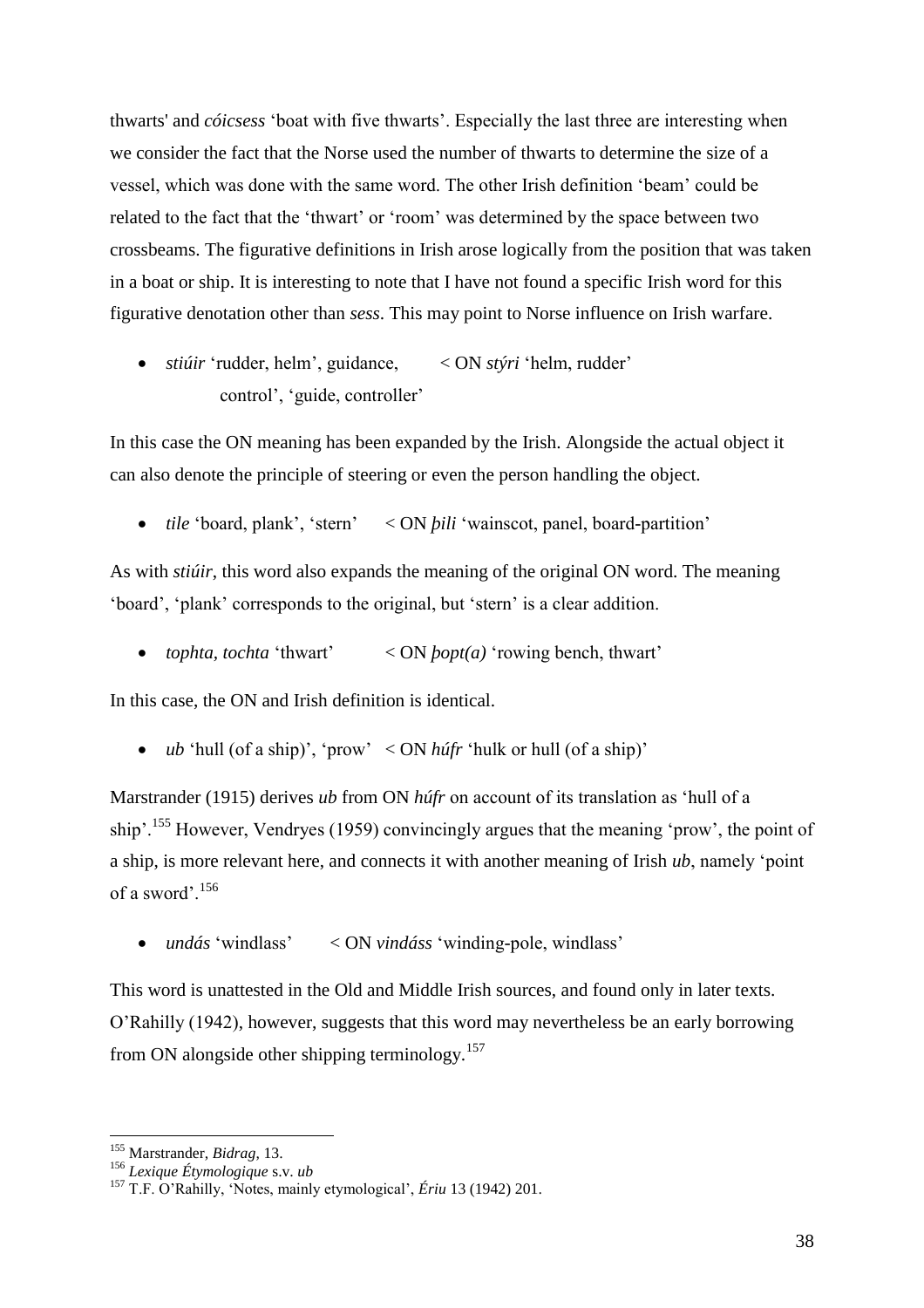thwarts' and *cóicsess* 'boat with five thwarts'. Especially the last three are interesting when we consider the fact that the Norse used the number of thwarts to determine the size of a vessel, which was done with the same word. The other Irish definition 'beam' could be related to the fact that the 'thwart' or 'room' was determined by the space between two crossbeams. The figurative definitions in Irish arose logically from the position that was taken in a boat or ship. It is interesting to note that I have not found a specific Irish word for this figurative denotation other than *sess*. This may point to Norse influence on Irish warfare.

 *stiúir* 'rudder, helm', guidance, < ON *stýri* 'helm, rudder' control', 'guide, controller'

In this case the ON meaning has been expanded by the Irish. Alongside the actual object it can also denote the principle of steering or even the person handling the object.

*tile* 'board, plank', 'stern' < ON *þili* 'wainscot, panel, board-partition'

As with *stiúir*, this word also expands the meaning of the original ON word. The meaning 'board', 'plank' corresponds to the original, but 'stern' is a clear addition.

*tophta, tochta* 'thwart' < ON *þopt(a)* 'rowing bench, thwart'

In this case, the ON and Irish definition is identical.

*ub* 'hull (of a ship)', 'prow' < ON *húfr* 'hulk or hull (of a ship)'

Marstrander (1915) derives *ub* from ON *húfr* on account of its translation as 'hull of a ship'.<sup>155</sup> However, Vendryes (1959) convincingly argues that the meaning 'prow', the point of a ship, is more relevant here, and connects it with another meaning of Irish *ub*, namely 'point of a sword'.<sup>156</sup>

*undás* 'windlass' < ON *vindáss* 'winding-pole, windlass'

This word is unattested in the Old and Middle Irish sources, and found only in later texts. O'Rahilly (1942), however, suggests that this word may nevertheless be an early borrowing from ON alongside other shipping terminology.<sup>157</sup>

<sup>155</sup> Marstrander, *Bidrag*, 13.

<sup>156</sup> *Lexique Étymologique* s.v. *ub*

<sup>157</sup> T.F. O'Rahilly, 'Notes, mainly etymological', *Ériu* 13 (1942) 201.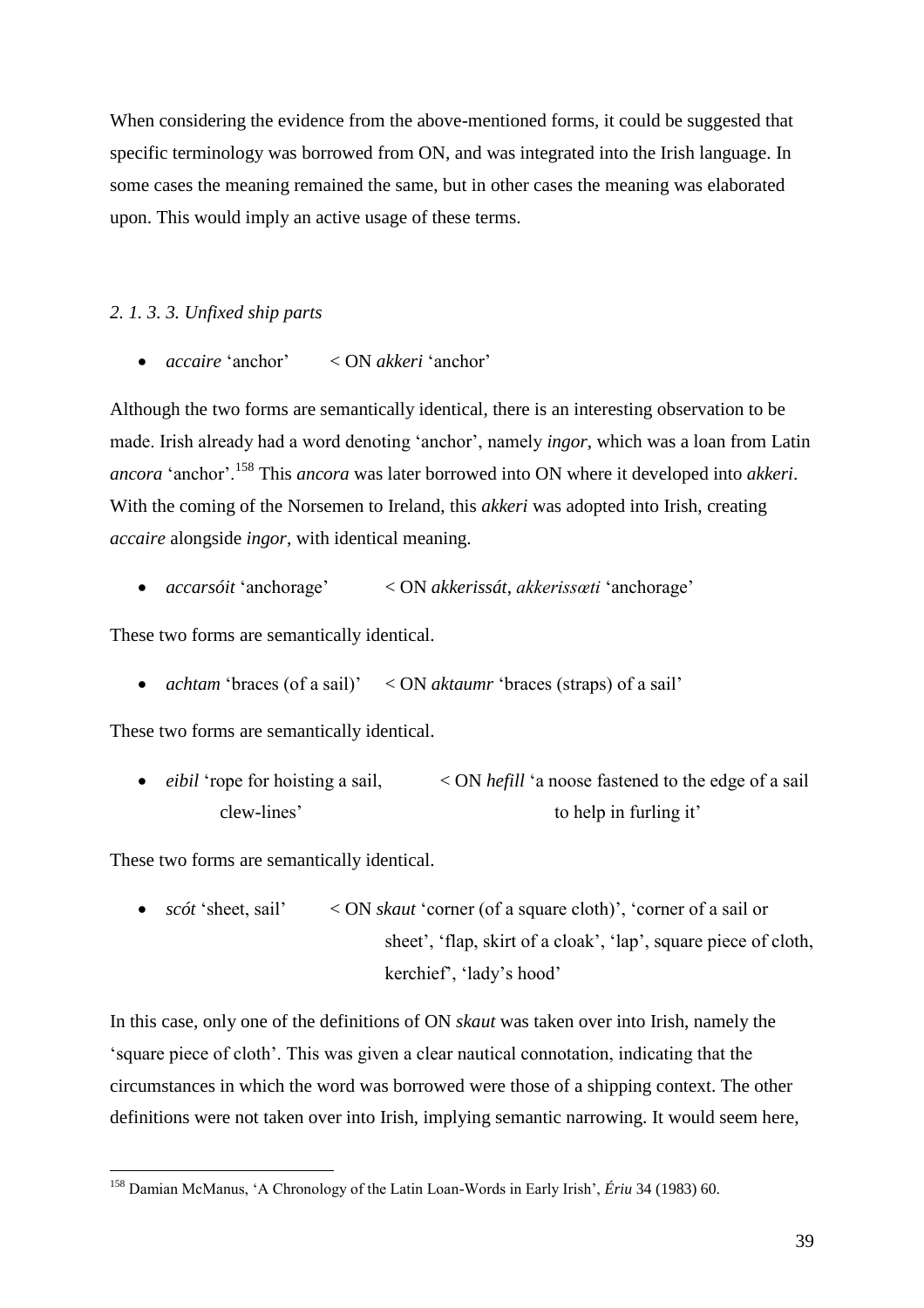When considering the evidence from the above-mentioned forms, it could be suggested that specific terminology was borrowed from ON, and was integrated into the Irish language. In some cases the meaning remained the same, but in other cases the meaning was elaborated upon. This would imply an active usage of these terms.

### *2. 1. 3. 3. Unfixed ship parts*

*accaire* 'anchor' < ON *akkeri* 'anchor'

Although the two forms are semantically identical, there is an interesting observation to be made. Irish already had a word denoting 'anchor', namely *ingor*, which was a loan from Latin *ancora* 'anchor'.<sup>158</sup> This *ancora* was later borrowed into ON where it developed into *akkeri*. With the coming of the Norsemen to Ireland, this *akkeri* was adopted into Irish, creating *accaire* alongside *ingor*, with identical meaning.

*accarsóit* 'anchorage' < ON *akkerissát*, *akkerissœti* 'anchorage'

These two forms are semantically identical.

• *achtam* 'braces (of a sail)' < ON *aktaumr* 'braces (straps) of a sail'

These two forms are semantically identical.

• *eibil* 'rope for hoisting a sail,  $\langle ON \text{ hefill} \rangle$  a noose fastened to the edge of a sail clew-lines' to help in furling it'

These two forms are semantically identical.

 $\overline{a}$ 

• *scót* 'sheet, sail' < ON *skaut* 'corner (of a square cloth)', 'corner of a sail or sheet', 'flap, skirt of a cloak', 'lap', square piece of cloth, kerchief', 'lady's hood'

In this case, only one of the definitions of ON *skaut* was taken over into Irish, namely the 'square piece of cloth'. This was given a clear nautical connotation, indicating that the circumstances in which the word was borrowed were those of a shipping context. The other definitions were not taken over into Irish, implying semantic narrowing. It would seem here,

<sup>158</sup> Damian McManus, 'A Chronology of the Latin Loan-Words in Early Irish', *Ériu* 34 (1983) 60.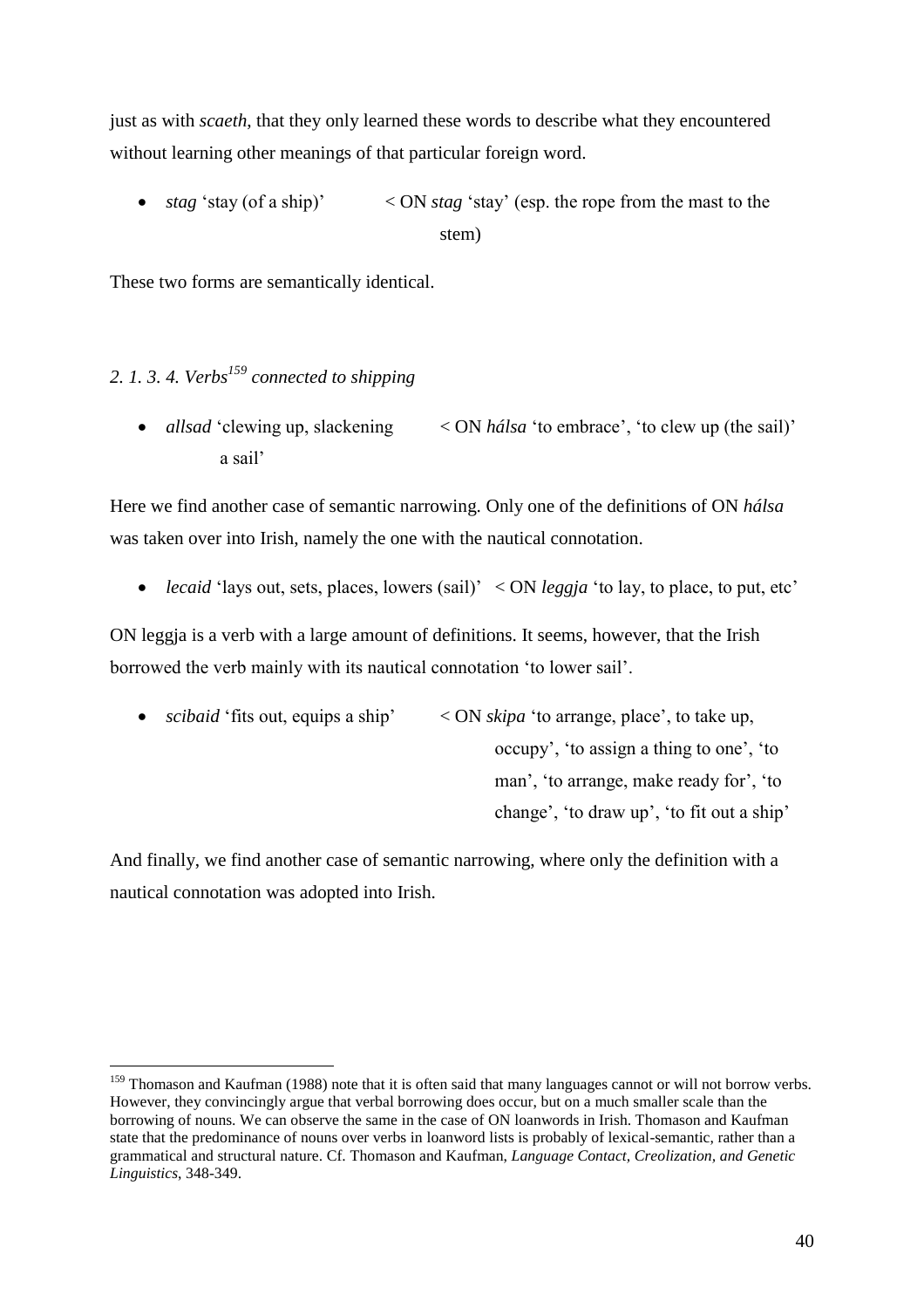just as with *scaeth*, that they only learned these words to describe what they encountered without learning other meanings of that particular foreign word.

• *stag* 'stay (of a ship)' < ON *stag* 'stay' (esp. the rope from the mast to the stem)

These two forms are semantically identical.

# *2. 1. 3. 4. Verbs<sup>159</sup> connected to shipping*

 $\overline{a}$ 

• *allsad* 'clewing up, slackening < ON *hálsa* 'to embrace', 'to clew up (the sail)' a sail'

Here we find another case of semantic narrowing. Only one of the definitions of ON *hálsa* was taken over into Irish, namely the one with the nautical connotation.

*lecaid* 'lays out, sets, places, lowers (sail)' < ON *leggja* 'to lay, to place, to put, etc'

ON leggja is a verb with a large amount of definitions. It seems, however, that the Irish borrowed the verb mainly with its nautical connotation 'to lower sail'.

 *scibaid* 'fits out, equips a ship' < ON *skipa* 'to arrange, place', to take up, occupy', 'to assign a thing to one', 'to man', 'to arrange, make ready for', 'to change', 'to draw up', 'to fit out a ship'

And finally, we find another case of semantic narrowing, where only the definition with a nautical connotation was adopted into Irish.

<sup>&</sup>lt;sup>159</sup> Thomason and Kaufman (1988) note that it is often said that many languages cannot or will not borrow verbs. However, they convincingly argue that verbal borrowing does occur, but on a much smaller scale than the borrowing of nouns. We can observe the same in the case of ON loanwords in Irish. Thomason and Kaufman state that the predominance of nouns over verbs in loanword lists is probably of lexical-semantic, rather than a grammatical and structural nature. Cf. Thomason and Kaufman, *Language Contact, Creolization, and Genetic Linguistics*, 348-349.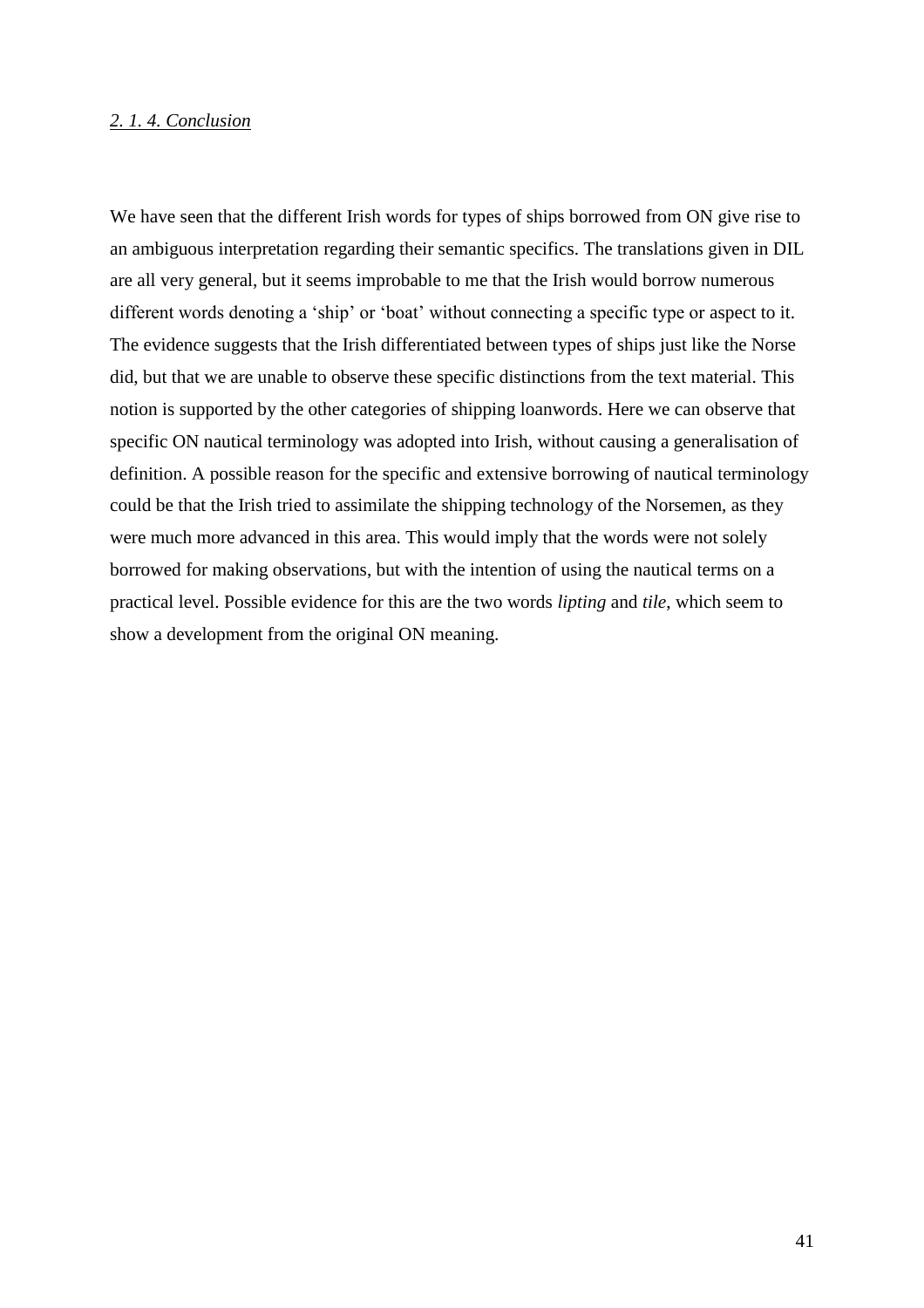### *2. 1. 4. Conclusion*

We have seen that the different Irish words for types of ships borrowed from ON give rise to an ambiguous interpretation regarding their semantic specifics. The translations given in DIL are all very general, but it seems improbable to me that the Irish would borrow numerous different words denoting a 'ship' or 'boat' without connecting a specific type or aspect to it. The evidence suggests that the Irish differentiated between types of ships just like the Norse did, but that we are unable to observe these specific distinctions from the text material. This notion is supported by the other categories of shipping loanwords. Here we can observe that specific ON nautical terminology was adopted into Irish, without causing a generalisation of definition. A possible reason for the specific and extensive borrowing of nautical terminology could be that the Irish tried to assimilate the shipping technology of the Norsemen, as they were much more advanced in this area. This would imply that the words were not solely borrowed for making observations, but with the intention of using the nautical terms on a practical level. Possible evidence for this are the two words *lipting* and *tile*, which seem to show a development from the original ON meaning.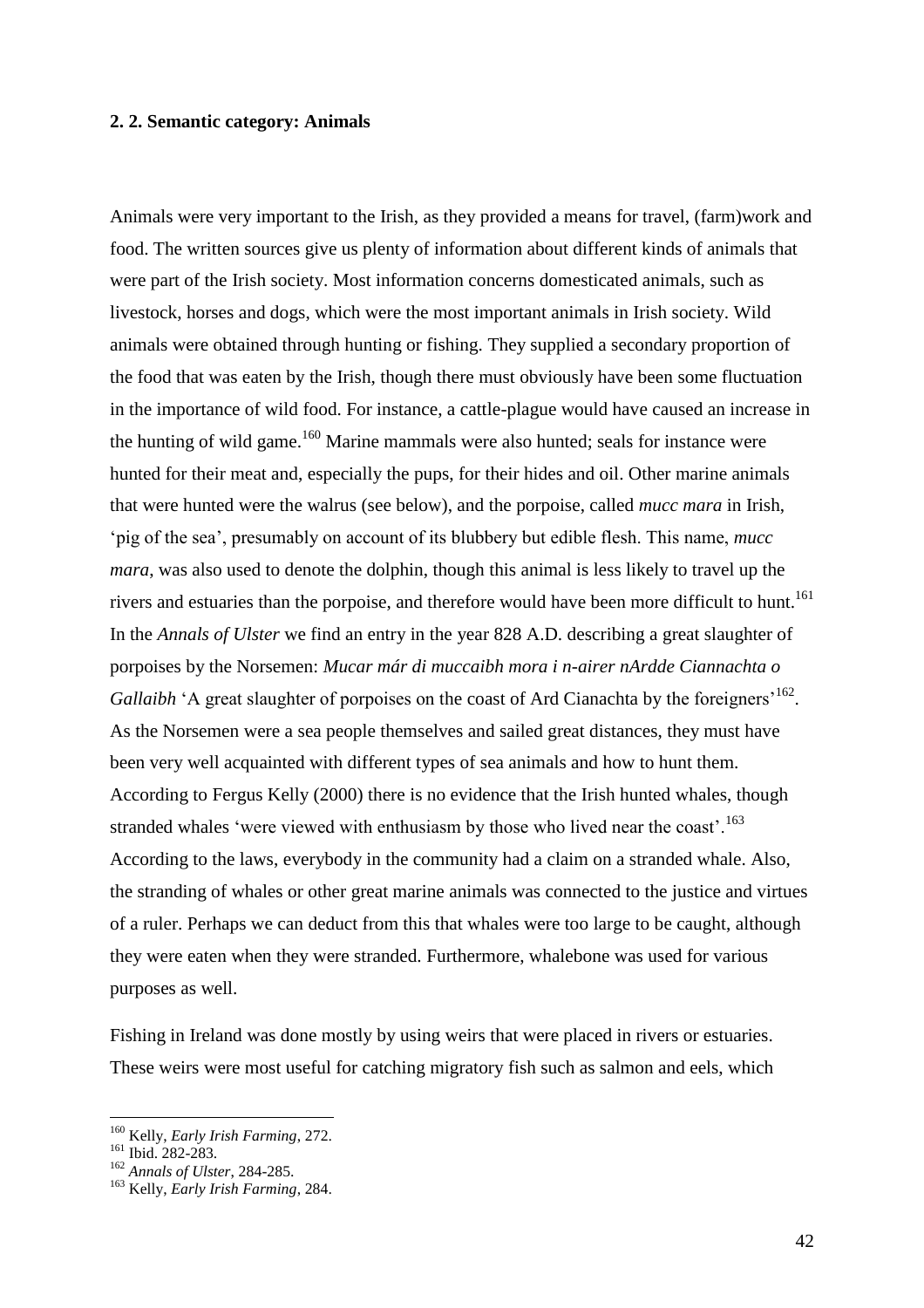#### **2. 2. Semantic category: Animals**

Animals were very important to the Irish, as they provided a means for travel, (farm)work and food. The written sources give us plenty of information about different kinds of animals that were part of the Irish society. Most information concerns domesticated animals, such as livestock, horses and dogs, which were the most important animals in Irish society. Wild animals were obtained through hunting or fishing. They supplied a secondary proportion of the food that was eaten by the Irish, though there must obviously have been some fluctuation in the importance of wild food. For instance, a cattle-plague would have caused an increase in the hunting of wild game.<sup>160</sup> Marine mammals were also hunted; seals for instance were hunted for their meat and, especially the pups, for their hides and oil. Other marine animals that were hunted were the walrus (see below), and the porpoise, called *mucc mara* in Irish, 'pig of the sea', presumably on account of its blubbery but edible flesh. This name, *mucc mara*, was also used to denote the dolphin, though this animal is less likely to travel up the rivers and estuaries than the porpoise, and therefore would have been more difficult to hunt.<sup>161</sup> In the *Annals of Ulster* we find an entry in the year 828 A.D. describing a great slaughter of porpoises by the Norsemen: *Mucar már di muccaibh mora i n-airer nArdde Ciannachta o*  Gallaibh 'A great slaughter of porpoises on the coast of Ard Cianachta by the foreigners<sup>, 162</sup>. As the Norsemen were a sea people themselves and sailed great distances, they must have been very well acquainted with different types of sea animals and how to hunt them. According to Fergus Kelly (2000) there is no evidence that the Irish hunted whales, though stranded whales 'were viewed with enthusiasm by those who lived near the coast'.<sup>163</sup> According to the laws, everybody in the community had a claim on a stranded whale. Also, the stranding of whales or other great marine animals was connected to the justice and virtues of a ruler. Perhaps we can deduct from this that whales were too large to be caught, although they were eaten when they were stranded. Furthermore, whalebone was used for various purposes as well.

Fishing in Ireland was done mostly by using weirs that were placed in rivers or estuaries. These weirs were most useful for catching migratory fish such as salmon and eels, which

<sup>160</sup> Kelly, *Early Irish Farming*, 272.

<sup>161</sup> Ibid. 282-283.

<sup>162</sup> *Annals of Ulster*, 284-285.

<sup>163</sup> Kelly, *Early Irish Farming*, 284.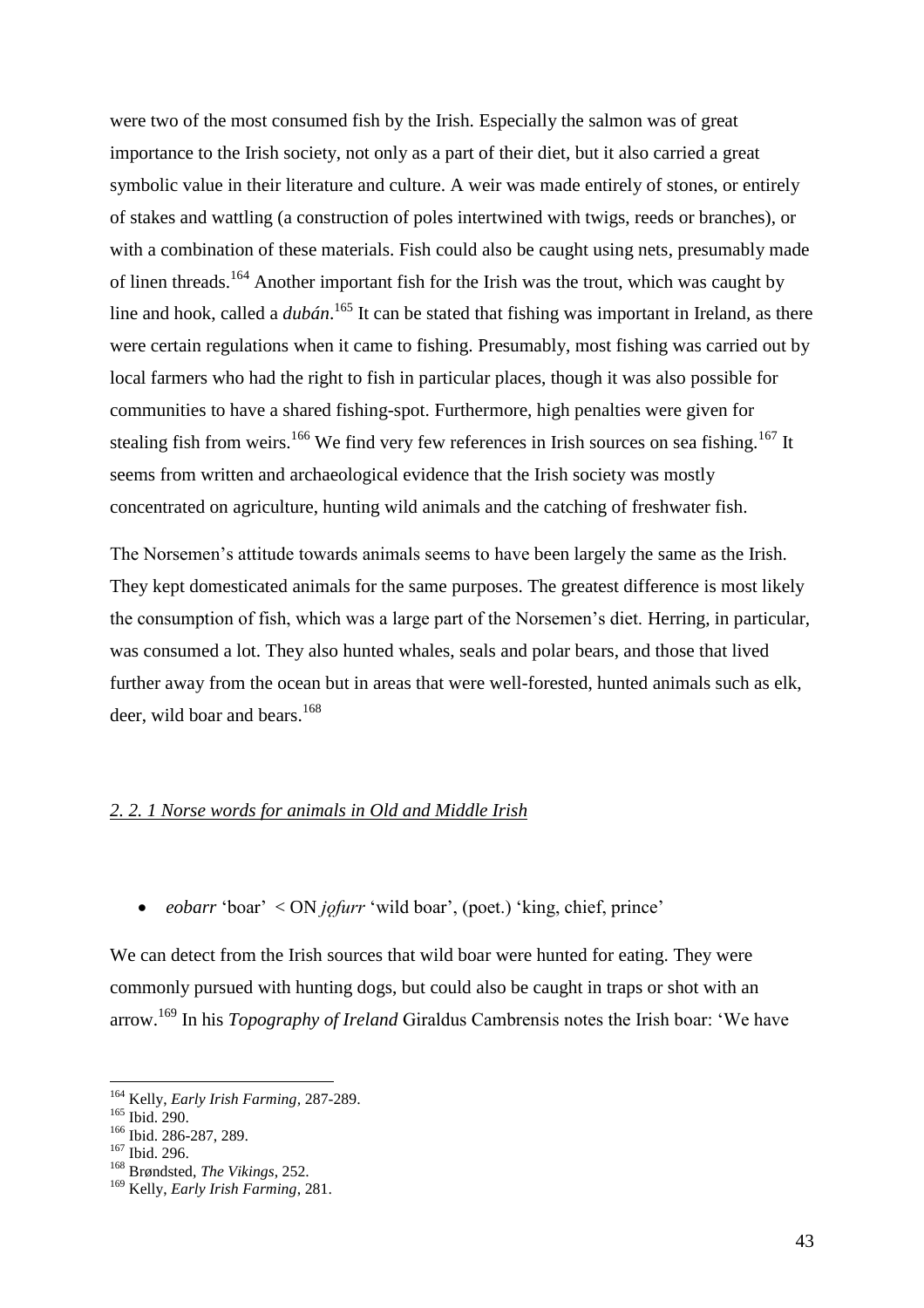were two of the most consumed fish by the Irish. Especially the salmon was of great importance to the Irish society, not only as a part of their diet, but it also carried a great symbolic value in their literature and culture. A weir was made entirely of stones, or entirely of stakes and wattling (a construction of poles intertwined with twigs, reeds or branches), or with a combination of these materials. Fish could also be caught using nets, presumably made of linen threads.<sup>164</sup> Another important fish for the Irish was the trout, which was caught by line and hook, called a *dubán*. <sup>165</sup> It can be stated that fishing was important in Ireland, as there were certain regulations when it came to fishing. Presumably, most fishing was carried out by local farmers who had the right to fish in particular places, though it was also possible for communities to have a shared fishing-spot. Furthermore, high penalties were given for stealing fish from weirs.<sup>166</sup> We find very few references in Irish sources on sea fishing.<sup>167</sup> It seems from written and archaeological evidence that the Irish society was mostly concentrated on agriculture, hunting wild animals and the catching of freshwater fish.

The Norsemen's attitude towards animals seems to have been largely the same as the Irish. They kept domesticated animals for the same purposes. The greatest difference is most likely the consumption of fish, which was a large part of the Norsemen's diet. Herring, in particular, was consumed a lot. They also hunted whales, seals and polar bears, and those that lived further away from the ocean but in areas that were well-forested, hunted animals such as elk, deer, wild boar and bears. $168$ 

### *2. 2. 1 Norse words for animals in Old and Middle Irish*

*eobarr* 'boar' < ON *jǫfurr* 'wild boar', (poet.) 'king, chief, prince'

We can detect from the Irish sources that wild boar were hunted for eating. They were commonly pursued with hunting dogs, but could also be caught in traps or shot with an arrow.<sup>169</sup> In his *Topography of Ireland* Giraldus Cambrensis notes the Irish boar: 'We have

<sup>164</sup> Kelly, *Early Irish Farming,* 287-289.

<sup>165</sup> Ibid. 290.

<sup>&</sup>lt;sup>166</sup> Ibid. 286-287, 289.

<sup>167</sup> Ibid. 296.

<sup>168</sup> Brøndsted, *The Vikings*, 252.

<sup>169</sup> Kelly, *Early Irish Farming*, 281.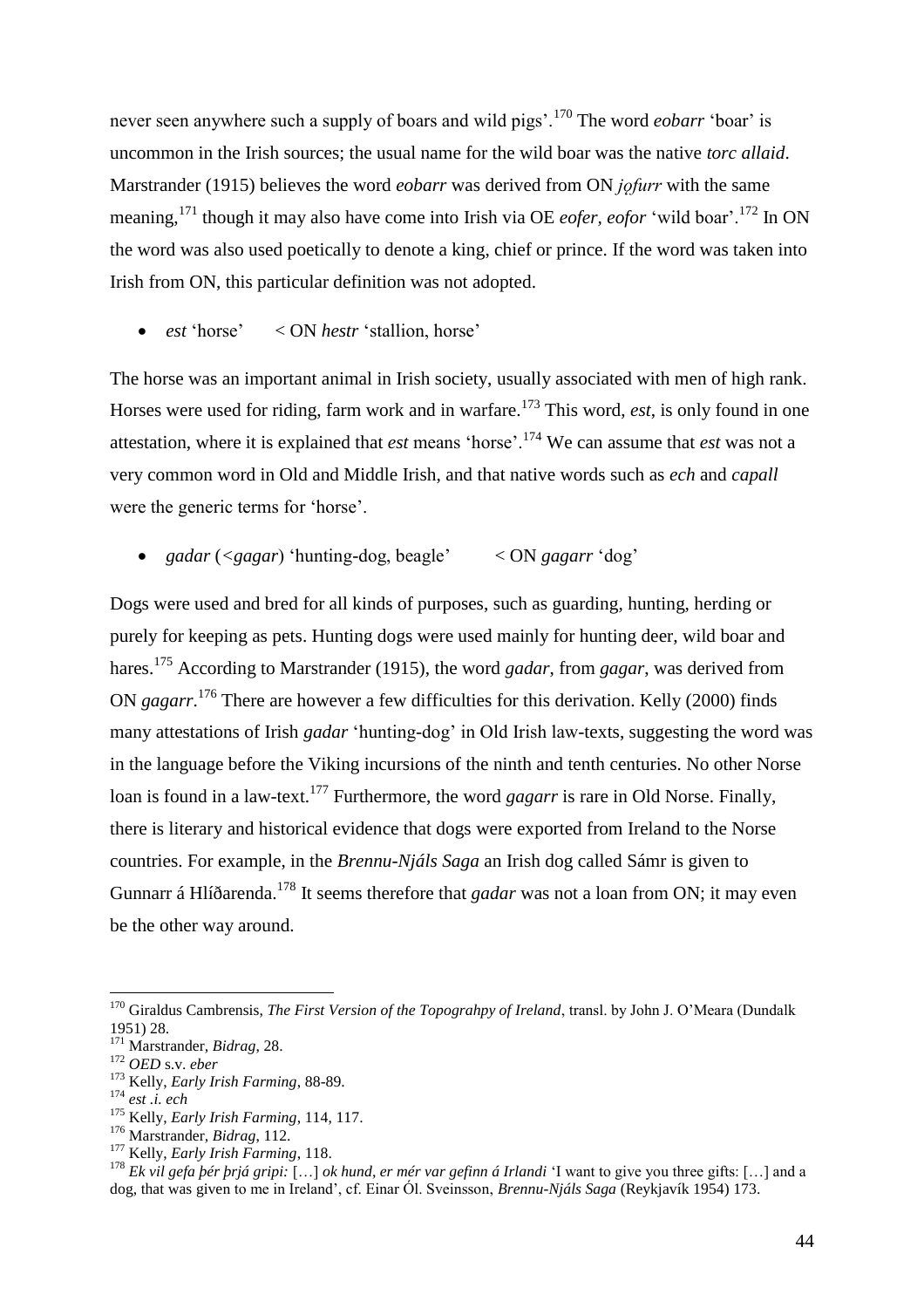never seen anywhere such a supply of boars and wild pigs'.<sup>170</sup> The word *eobarr* 'boar' is uncommon in the Irish sources; the usual name for the wild boar was the native *torc allaid*. Marstrander (1915) believes the word *eobarr* was derived from ON *jofurr* with the same meaning,<sup>171</sup> though it may also have come into Irish via OE *eofer, eofor* 'wild boar'.<sup>172</sup> In ON the word was also used poetically to denote a king, chief or prince. If the word was taken into Irish from ON, this particular definition was not adopted.

*est* 'horse' < ON *hestr* 'stallion, horse'

The horse was an important animal in Irish society, usually associated with men of high rank. Horses were used for riding, farm work and in warfare.<sup>173</sup> This word, *est*, is only found in one attestation, where it is explained that *est* means 'horse'.<sup>174</sup> We can assume that *est* was not a very common word in Old and Middle Irish, and that native words such as *ech* and *capall* were the generic terms for 'horse'.

*gadar* (*<gagar*) 'hunting-dog, beagle' < ON *gagarr* 'dog'

Dogs were used and bred for all kinds of purposes, such as guarding, hunting, herding or purely for keeping as pets. Hunting dogs were used mainly for hunting deer, wild boar and hares.<sup>175</sup> According to Marstrander (1915), the word *gadar*, from *gagar*, was derived from ON *gagarr*. <sup>176</sup> There are however a few difficulties for this derivation. Kelly (2000) finds many attestations of Irish *gadar* 'hunting-dog' in Old Irish law-texts, suggesting the word was in the language before the Viking incursions of the ninth and tenth centuries. No other Norse loan is found in a law-text.<sup>177</sup> Furthermore, the word *gagarr* is rare in Old Norse. Finally, there is literary and historical evidence that dogs were exported from Ireland to the Norse countries. For example, in the *Brennu-Njáls Saga* an Irish dog called Sámr is given to Gunnarr á Hlíðarenda. <sup>178</sup> It seems therefore that *gadar* was not a loan from ON; it may even be the other way around.

 $\overline{a}$ 

<sup>177</sup> Kelly, *Early Irish Farming*, 118.

<sup>178</sup> *Ek vil gefa þér þrjá gripi:* […] *ok hund, er mér var gefinn á Irlandi* 'I want to give you three gifts: […] and a dog, that was given to me in Ireland', cf. Einar Ól. Sveinsson, *Brennu-Njáls Saga* (Reykjavík 1954) 173.

<sup>&</sup>lt;sup>170</sup> Giraldus Cambrensis, *The First Version of the Topograhpy of Ireland*, transl. by John J. O'Meara (Dundalk 1951) 28.

<sup>171</sup> Marstrander, *Bidrag*, 28.

<sup>172</sup> *OED* s.v. *eber*

<sup>173</sup> Kelly, *Early Irish Farming*, 88-89.

<sup>174</sup> *est .i. ech*

<sup>175</sup> Kelly, *Early Irish Farming*, 114, 117.

<sup>176</sup> Marstrander, *Bidrag*, 112.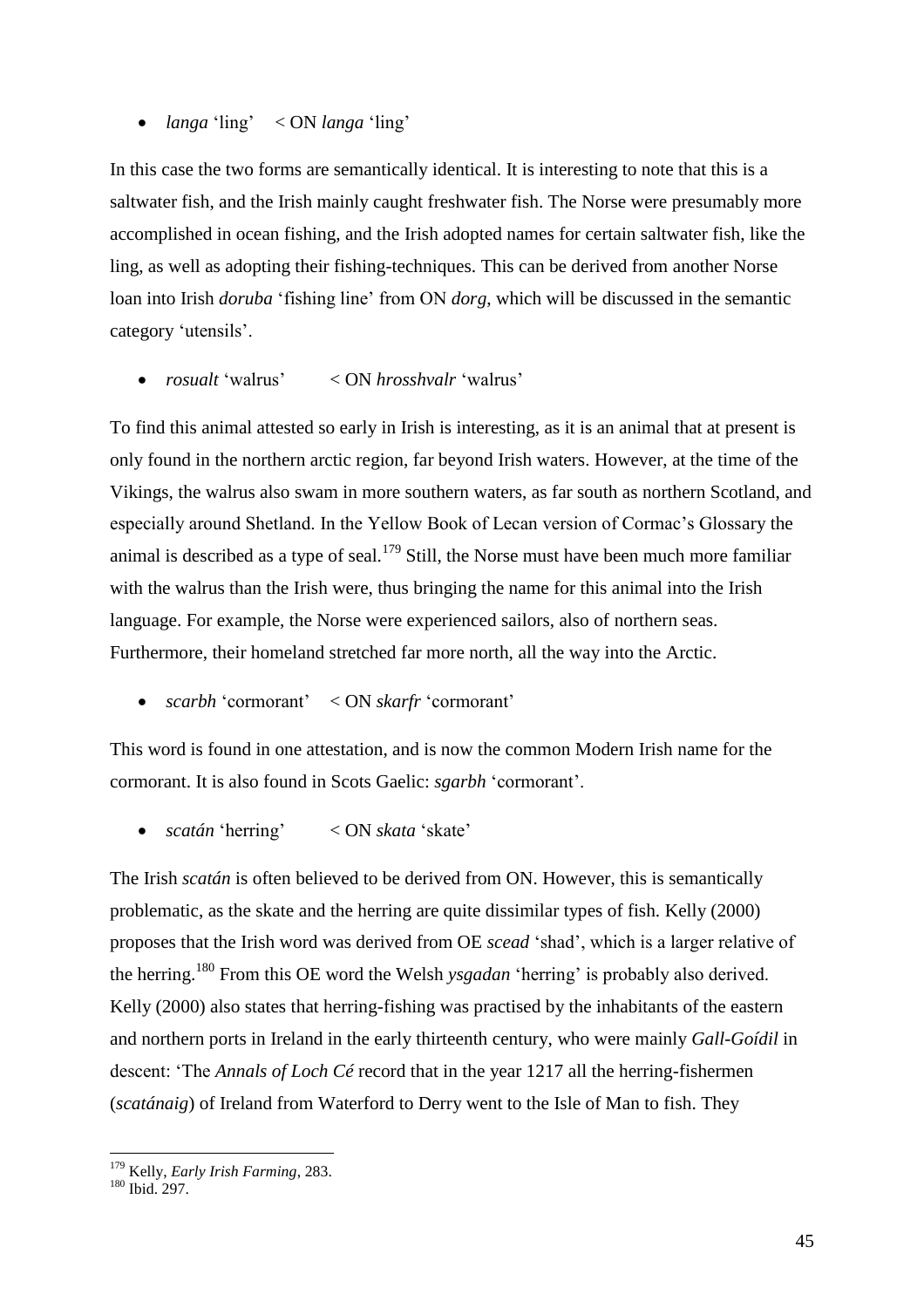### *langa* 'ling' < ON *langa* 'ling'

In this case the two forms are semantically identical. It is interesting to note that this is a saltwater fish, and the Irish mainly caught freshwater fish. The Norse were presumably more accomplished in ocean fishing, and the Irish adopted names for certain saltwater fish, like the ling, as well as adopting their fishing-techniques. This can be derived from another Norse loan into Irish *doruba* 'fishing line' from ON *dorg*, which will be discussed in the semantic category 'utensils'.

*rosualt* 'walrus' < ON *hrosshvalr* 'walrus'

To find this animal attested so early in Irish is interesting, as it is an animal that at present is only found in the northern arctic region, far beyond Irish waters. However, at the time of the Vikings, the walrus also swam in more southern waters, as far south as northern Scotland, and especially around Shetland. In the Yellow Book of Lecan version of Cormac's Glossary the animal is described as a type of seal.<sup>179</sup> Still, the Norse must have been much more familiar with the walrus than the Irish were, thus bringing the name for this animal into the Irish language. For example, the Norse were experienced sailors, also of northern seas. Furthermore, their homeland stretched far more north, all the way into the Arctic.

*scarbh* 'cormorant' < ON *skarfr* 'cormorant'

This word is found in one attestation, and is now the common Modern Irish name for the cormorant. It is also found in Scots Gaelic: *sgarbh* 'cormorant'.

*scatán* 'herring' < ON *skata* 'skate'

The Irish *scatán* is often believed to be derived from ON. However, this is semantically problematic, as the skate and the herring are quite dissimilar types of fish. Kelly (2000) proposes that the Irish word was derived from OE *scead* 'shad', which is a larger relative of the herring.<sup>180</sup> From this OE word the Welsh *ysgadan* 'herring' is probably also derived. Kelly (2000) also states that herring-fishing was practised by the inhabitants of the eastern and northern ports in Ireland in the early thirteenth century, who were mainly *Gall-Goídil* in descent: 'The *Annals of Loch Cé* record that in the year 1217 all the herring-fishermen (*scatánaig*) of Ireland from Waterford to Derry went to the Isle of Man to fish. They

<sup>179</sup> Kelly, *Early Irish Farming*, 283.

<sup>180</sup> Ibid. 297.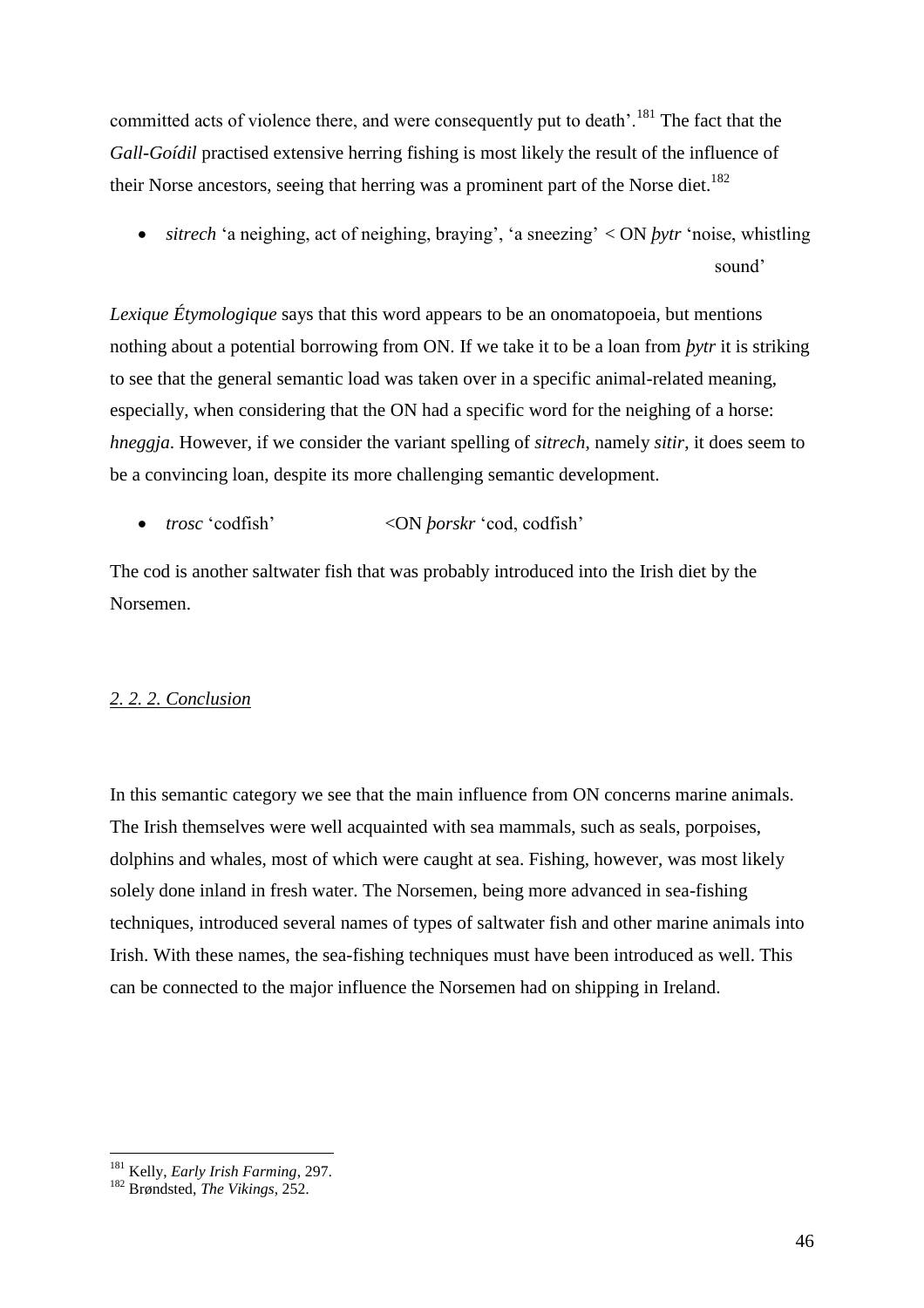committed acts of violence there, and were consequently put to death'.<sup>181</sup> The fact that the *Gall-Goidil* practised extensive herring fishing is most likely the result of the influence of their Norse ancestors, seeing that herring was a prominent part of the Norse diet.<sup>182</sup>

 *sitrech* 'a neighing, act of neighing, braying', 'a sneezing' < ON *þytr* 'noise, whistling sound'

*Lexique Étymologique* says that this word appears to be an onomatopoeia, but mentions nothing about a potential borrowing from ON. If we take it to be a loan from *þytr* it is striking to see that the general semantic load was taken over in a specific animal-related meaning, especially, when considering that the ON had a specific word for the neighing of a horse: *hneggja*. However, if we consider the variant spelling of *sitrech*, namely *sitir*, it does seem to be a convincing loan, despite its more challenging semantic development.

*trosc* 'codfish' <ON *þorskr* 'cod, codfish'

The cod is another saltwater fish that was probably introduced into the Irish diet by the Norsemen.

# *2. 2. 2. Conclusion*

In this semantic category we see that the main influence from ON concerns marine animals. The Irish themselves were well acquainted with sea mammals, such as seals, porpoises, dolphins and whales, most of which were caught at sea. Fishing, however, was most likely solely done inland in fresh water. The Norsemen, being more advanced in sea-fishing techniques, introduced several names of types of saltwater fish and other marine animals into Irish. With these names, the sea-fishing techniques must have been introduced as well. This can be connected to the major influence the Norsemen had on shipping in Ireland.

 $\overline{a}$ <sup>181</sup> Kelly, *Early Irish Farming*, 297.

<sup>182</sup> Brøndsted, *The Vikings*, 252.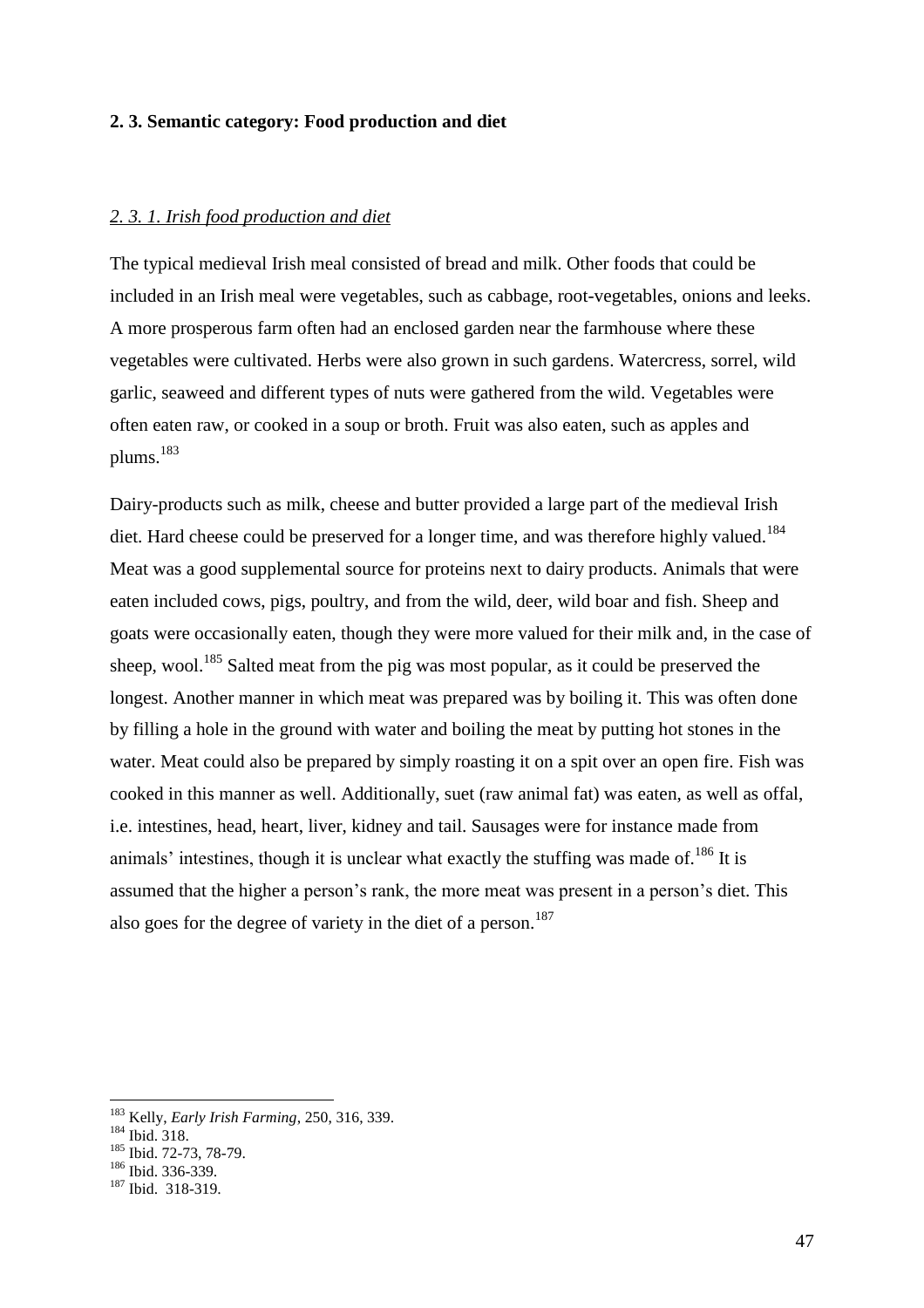### **2. 3. Semantic category: Food production and diet**

### *2. 3. 1. Irish food production and diet*

The typical medieval Irish meal consisted of bread and milk. Other foods that could be included in an Irish meal were vegetables, such as cabbage, root-vegetables, onions and leeks. A more prosperous farm often had an enclosed garden near the farmhouse where these vegetables were cultivated. Herbs were also grown in such gardens. Watercress, sorrel, wild garlic, seaweed and different types of nuts were gathered from the wild. Vegetables were often eaten raw, or cooked in a soup or broth. Fruit was also eaten, such as apples and plums.<sup>183</sup>

Dairy-products such as milk, cheese and butter provided a large part of the medieval Irish diet. Hard cheese could be preserved for a longer time, and was therefore highly valued.<sup>184</sup> Meat was a good supplemental source for proteins next to dairy products. Animals that were eaten included cows, pigs, poultry, and from the wild, deer, wild boar and fish. Sheep and goats were occasionally eaten, though they were more valued for their milk and, in the case of sheep, wool.<sup>185</sup> Salted meat from the pig was most popular, as it could be preserved the longest. Another manner in which meat was prepared was by boiling it. This was often done by filling a hole in the ground with water and boiling the meat by putting hot stones in the water. Meat could also be prepared by simply roasting it on a spit over an open fire. Fish was cooked in this manner as well. Additionally, suet (raw animal fat) was eaten, as well as offal, i.e. intestines, head, heart, liver, kidney and tail. Sausages were for instance made from animals' intestines, though it is unclear what exactly the stuffing was made of.<sup>186</sup> It is assumed that the higher a person's rank, the more meat was present in a person's diet. This also goes for the degree of variety in the diet of a person.<sup>187</sup>

<sup>183</sup> Kelly, *Early Irish Farming*, 250, 316, 339.

 $184$  Ibid. 318.

<sup>185</sup> Ibid. 72-73, 78-79.

<sup>186</sup> Ibid. 336-339.

<sup>187</sup> Ibid. 318-319.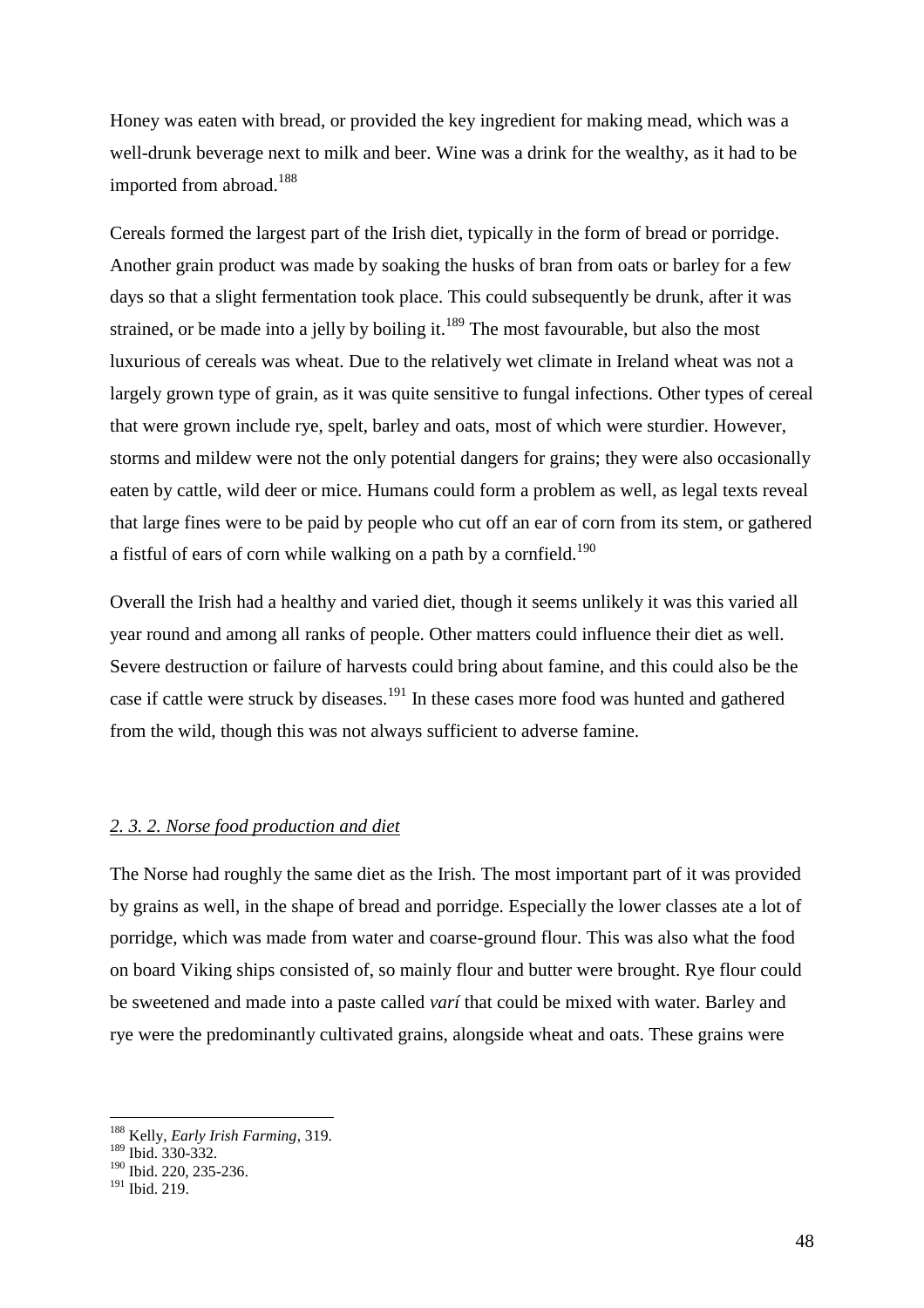Honey was eaten with bread, or provided the key ingredient for making mead, which was a well-drunk beverage next to milk and beer. Wine was a drink for the wealthy, as it had to be imported from abroad.<sup>188</sup>

Cereals formed the largest part of the Irish diet, typically in the form of bread or porridge. Another grain product was made by soaking the husks of bran from oats or barley for a few days so that a slight fermentation took place. This could subsequently be drunk, after it was strained, or be made into a jelly by boiling it.<sup>189</sup> The most favourable, but also the most luxurious of cereals was wheat. Due to the relatively wet climate in Ireland wheat was not a largely grown type of grain, as it was quite sensitive to fungal infections. Other types of cereal that were grown include rye, spelt, barley and oats, most of which were sturdier. However, storms and mildew were not the only potential dangers for grains; they were also occasionally eaten by cattle, wild deer or mice. Humans could form a problem as well, as legal texts reveal that large fines were to be paid by people who cut off an ear of corn from its stem, or gathered a fistful of ears of corn while walking on a path by a cornfield.<sup>190</sup>

Overall the Irish had a healthy and varied diet, though it seems unlikely it was this varied all year round and among all ranks of people. Other matters could influence their diet as well. Severe destruction or failure of harvests could bring about famine, and this could also be the case if cattle were struck by diseases.<sup>191</sup> In these cases more food was hunted and gathered from the wild, though this was not always sufficient to adverse famine.

# *2. 3. 2. Norse food production and diet*

The Norse had roughly the same diet as the Irish. The most important part of it was provided by grains as well, in the shape of bread and porridge. Especially the lower classes ate a lot of porridge, which was made from water and coarse-ground flour. This was also what the food on board Viking ships consisted of, so mainly flour and butter were brought. Rye flour could be sweetened and made into a paste called *varí* that could be mixed with water. Barley and rye were the predominantly cultivated grains, alongside wheat and oats. These grains were

<sup>188</sup> Kelly, *Early Irish Farming*, 319.

<sup>189</sup> Ibid. 330-332.

<sup>190</sup> Ibid. 220, 235-236.

<sup>191</sup> Ibid. 219.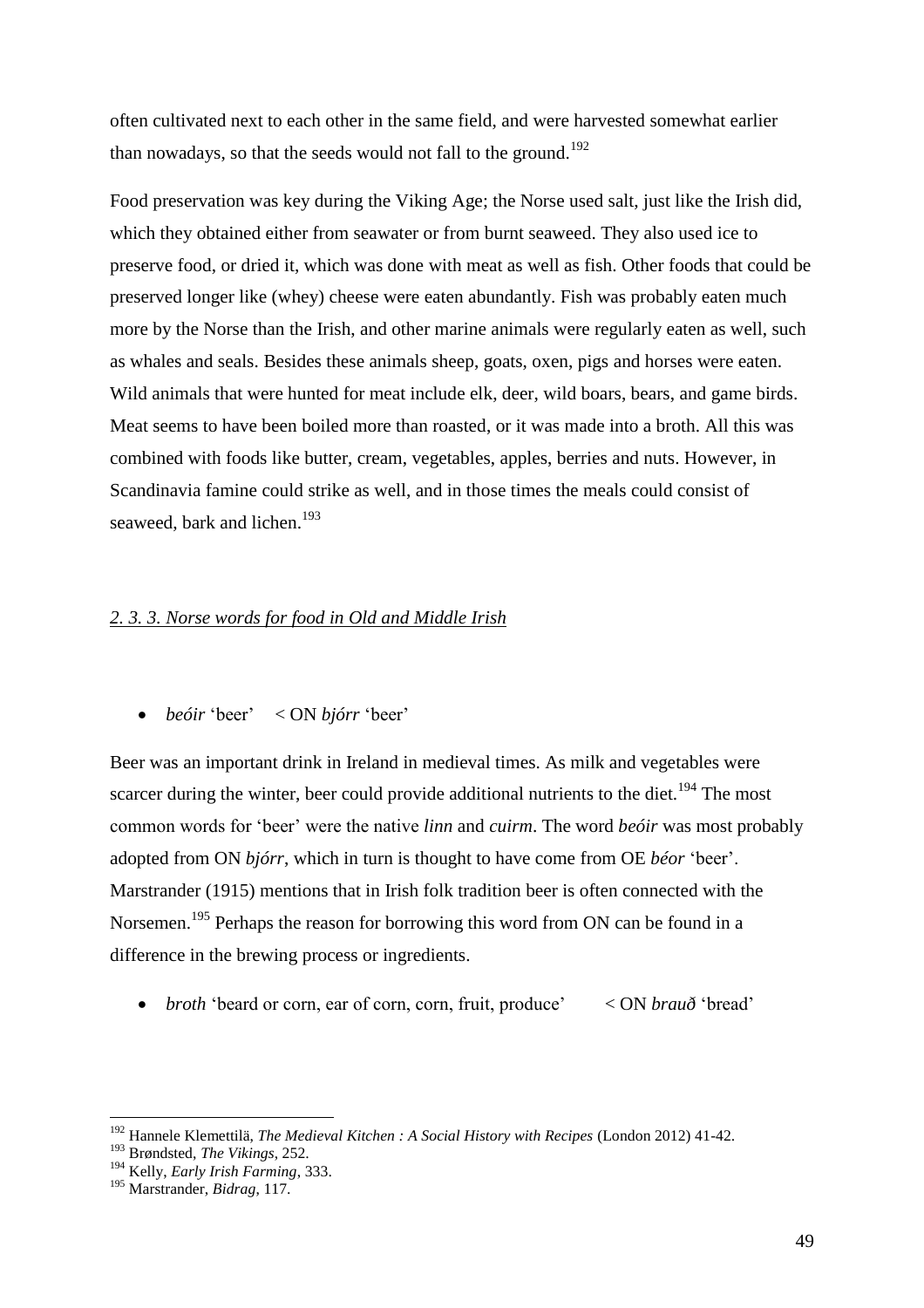often cultivated next to each other in the same field, and were harvested somewhat earlier than nowadays, so that the seeds would not fall to the ground.<sup>192</sup>

Food preservation was key during the Viking Age; the Norse used salt, just like the Irish did, which they obtained either from seawater or from burnt seaweed. They also used ice to preserve food, or dried it, which was done with meat as well as fish. Other foods that could be preserved longer like (whey) cheese were eaten abundantly. Fish was probably eaten much more by the Norse than the Irish, and other marine animals were regularly eaten as well, such as whales and seals. Besides these animals sheep, goats, oxen, pigs and horses were eaten. Wild animals that were hunted for meat include elk, deer, wild boars, bears, and game birds. Meat seems to have been boiled more than roasted, or it was made into a broth. All this was combined with foods like butter, cream, vegetables, apples, berries and nuts. However, in Scandinavia famine could strike as well, and in those times the meals could consist of seaweed, bark and lichen.<sup>193</sup>

#### *2. 3. 3. Norse words for food in Old and Middle Irish*

*beóir* 'beer' < ON *bjórr* 'beer'

Beer was an important drink in Ireland in medieval times. As milk and vegetables were scarcer during the winter, beer could provide additional nutrients to the diet.<sup>194</sup> The most common words for 'beer' were the native *linn* and *cuirm*. The word *beóir* was most probably adopted from ON *bjórr*, which in turn is thought to have come from OE *béor* 'beer'. Marstrander (1915) mentions that in Irish folk tradition beer is often connected with the Norsemen.<sup>195</sup> Perhaps the reason for borrowing this word from ON can be found in a difference in the brewing process or ingredients.

*broth* 'beard or corn, ear of corn, corn, fruit, produce' < ON *brauð* 'bread'

<sup>192</sup> Hannele Klemettilä, *The Medieval Kitchen : A Social History with Recipes* (London 2012) 41-42.

<sup>193</sup> Brøndsted, *The Vikings*, 252.

<sup>194</sup> Kelly, *Early Irish Farming*, 333.

<sup>195</sup> Marstrander, *Bidrag*, 117.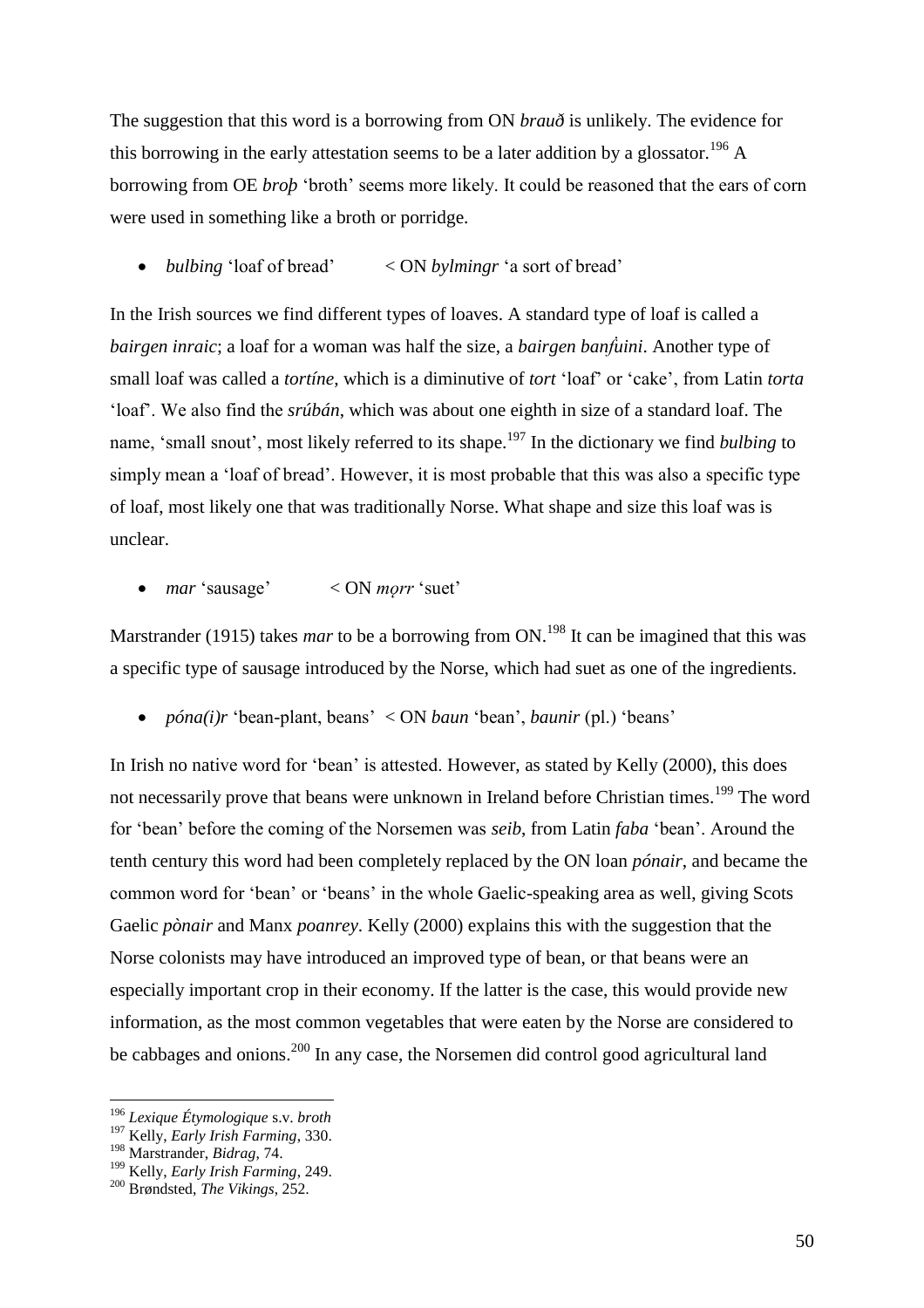The suggestion that this word is a borrowing from ON *brauð* is unlikely. The evidence for this borrowing in the early attestation seems to be a later addition by a glossator.<sup>196</sup> A borrowing from OE *broþ* 'broth' seems more likely. It could be reasoned that the ears of corn were used in something like a broth or porridge.

*bulbing* 'loaf of bread' < ON *bylmingr* 'a sort of bread'

In the Irish sources we find different types of loaves. A standard type of loaf is called a *bairgen inraic*; a loaf for a woman was half the size, a *bairgen banḟuini*. Another type of small loaf was called a *tortíne*, which is a diminutive of *tort* 'loaf' or 'cake', from Latin *torta* 'loaf'. We also find the *srúbán*, which was about one eighth in size of a standard loaf. The name, 'small snout', most likely referred to its shape. <sup>197</sup> In the dictionary we find *bulbing* to simply mean a 'loaf of bread'. However, it is most probable that this was also a specific type of loaf, most likely one that was traditionally Norse. What shape and size this loaf was is unclear.

• *mar* 'sausage' < ON *morr* 'suet'

Marstrander (1915) takes *mar* to be a borrowing from ON.<sup>198</sup> It can be imagined that this was a specific type of sausage introduced by the Norse, which had suet as one of the ingredients.

*póna(i)r* 'bean-plant, beans' < ON *baun* 'bean', *baunir* (pl.) 'beans'

In Irish no native word for 'bean' is attested. However, as stated by Kelly (2000), this does not necessarily prove that beans were unknown in Ireland before Christian times.<sup>199</sup> The word for 'bean' before the coming of the Norsemen was *seib*, from Latin *faba* 'bean'. Around the tenth century this word had been completely replaced by the ON loan *pónair*, and became the common word for 'bean' or 'beans' in the whole Gaelic-speaking area as well, giving Scots Gaelic *pònair* and Manx *poanrey*. Kelly (2000) explains this with the suggestion that the Norse colonists may have introduced an improved type of bean, or that beans were an especially important crop in their economy. If the latter is the case, this would provide new information, as the most common vegetables that were eaten by the Norse are considered to be cabbages and onions.<sup>200</sup> In any case, the Norsemen did control good agricultural land

<sup>196</sup> *Lexique Étymologique* s.v. *broth*

<sup>197</sup> Kelly, *Early Irish Farming*, 330.

<sup>198</sup> Marstrander, *Bidrag*, 74.

<sup>199</sup> Kelly, *Early Irish Farming*, 249.

<sup>200</sup> Brøndsted, *The Vikings*, 252.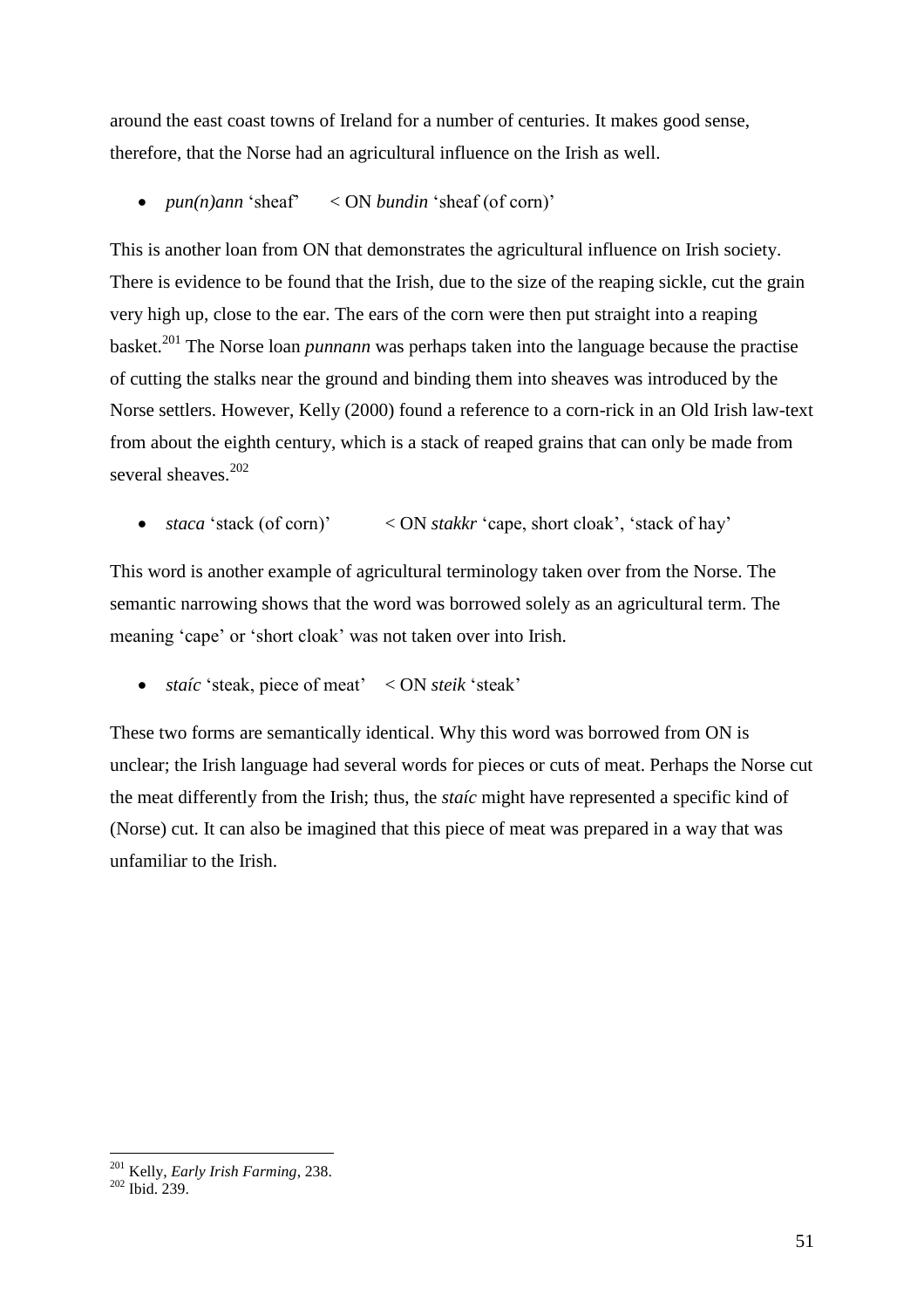around the east coast towns of Ireland for a number of centuries. It makes good sense, therefore, that the Norse had an agricultural influence on the Irish as well.

• *pun(n)ann* 'sheaf' < ON *bundin* 'sheaf (of corn)'

This is another loan from ON that demonstrates the agricultural influence on Irish society. There is evidence to be found that the Irish, due to the size of the reaping sickle, cut the grain very high up, close to the ear. The ears of the corn were then put straight into a reaping basket.<sup>201</sup> The Norse loan *punnann* was perhaps taken into the language because the practise of cutting the stalks near the ground and binding them into sheaves was introduced by the Norse settlers. However, Kelly (2000) found a reference to a corn-rick in an Old Irish law-text from about the eighth century, which is a stack of reaped grains that can only be made from several sheaves.<sup>202</sup>

*staca* 'stack (of corn)' < ON *stakkr* 'cape, short cloak', 'stack of hay'

This word is another example of agricultural terminology taken over from the Norse. The semantic narrowing shows that the word was borrowed solely as an agricultural term. The meaning 'cape' or 'short cloak' was not taken over into Irish.

*staíc* 'steak, piece of meat' < ON *steik* 'steak'

These two forms are semantically identical. Why this word was borrowed from ON is unclear; the Irish language had several words for pieces or cuts of meat. Perhaps the Norse cut the meat differently from the Irish; thus, the *staíc* might have represented a specific kind of (Norse) cut. It can also be imagined that this piece of meat was prepared in a way that was unfamiliar to the Irish.

<sup>201</sup> Kelly, *Early Irish Farming*, 238.

<sup>202</sup> Ibid. 239.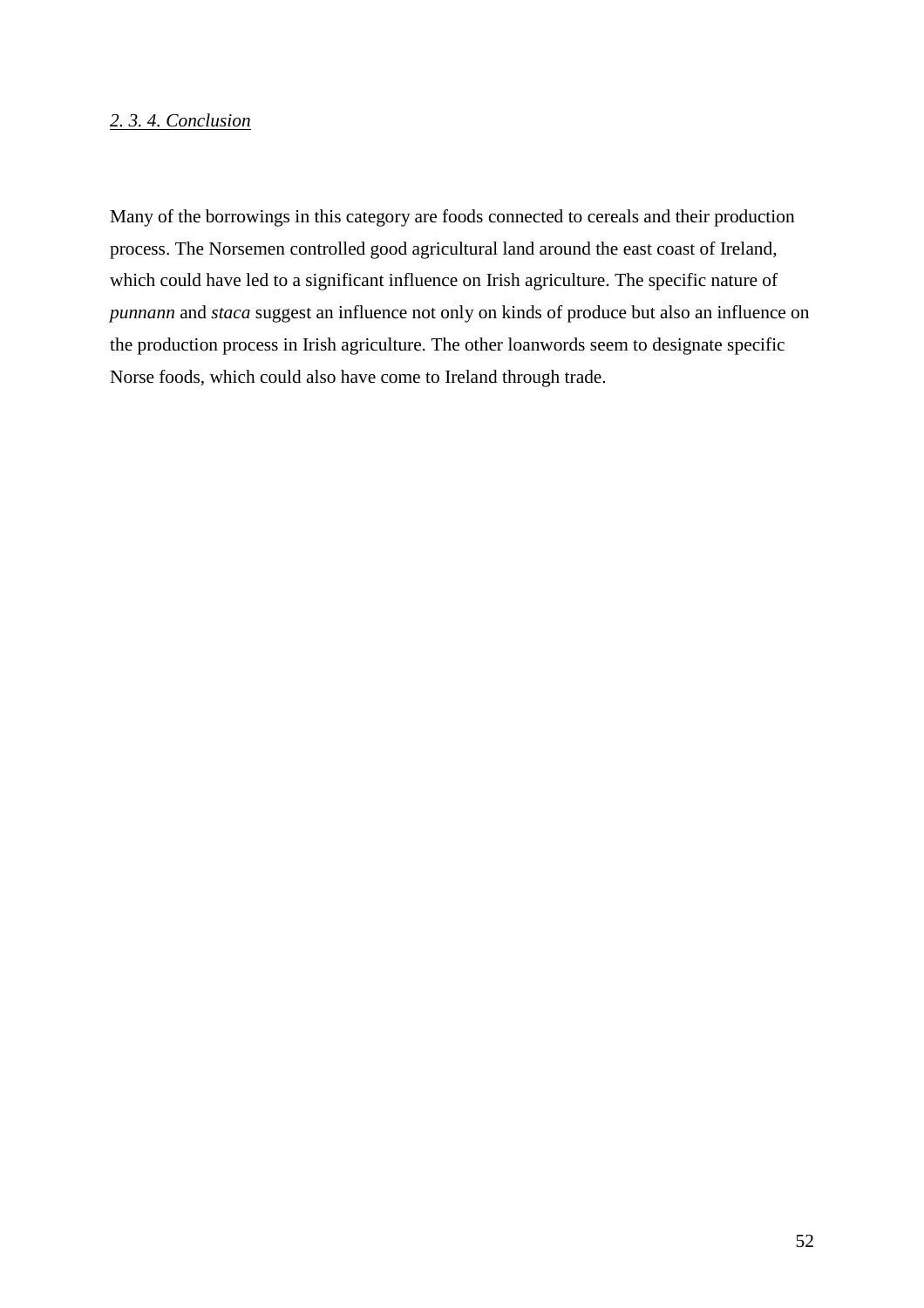# *2. 3. 4. Conclusion*

Many of the borrowings in this category are foods connected to cereals and their production process. The Norsemen controlled good agricultural land around the east coast of Ireland, which could have led to a significant influence on Irish agriculture. The specific nature of *punnann* and *staca* suggest an influence not only on kinds of produce but also an influence on the production process in Irish agriculture. The other loanwords seem to designate specific Norse foods, which could also have come to Ireland through trade.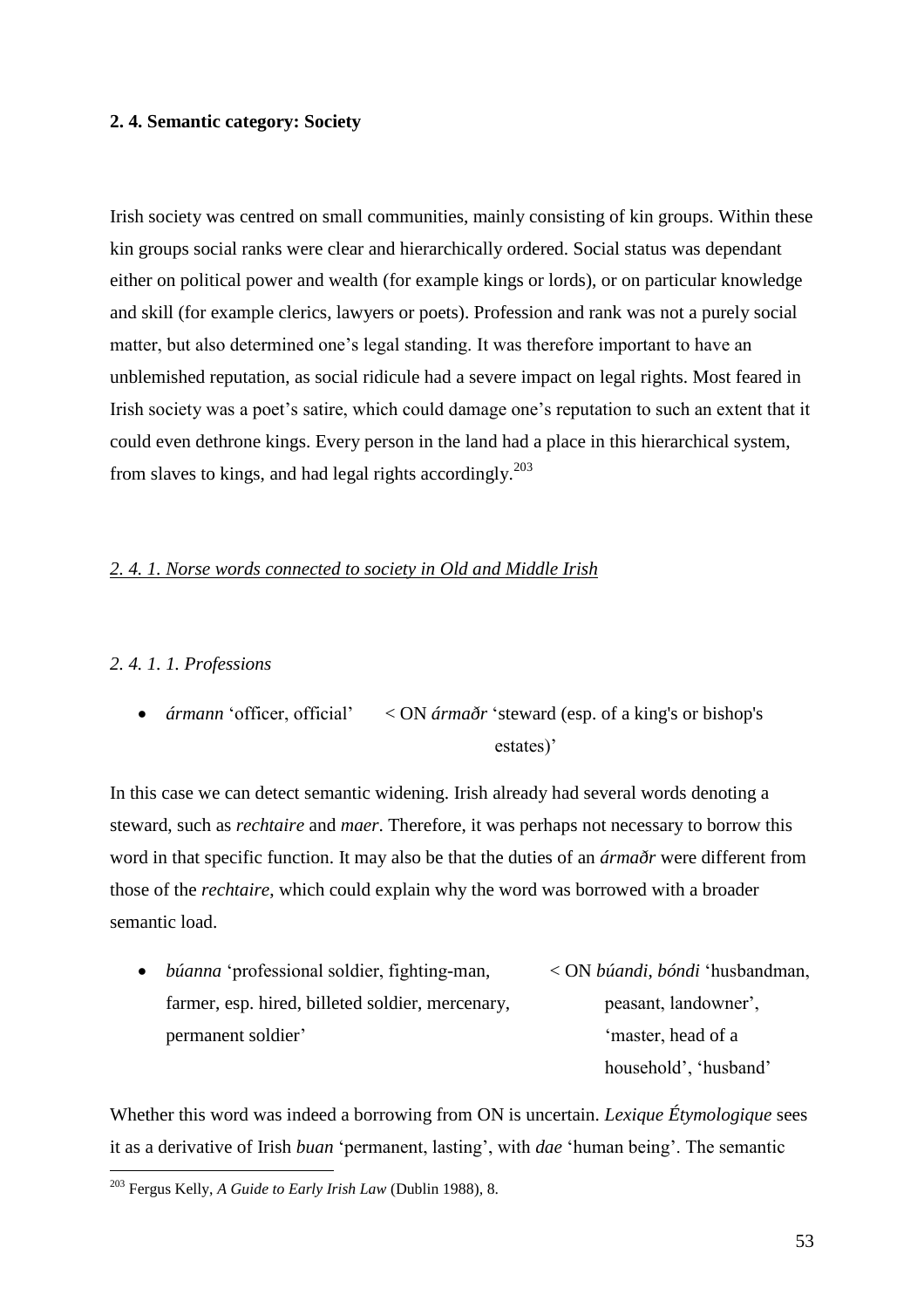# **2. 4. Semantic category: Society**

Irish society was centred on small communities, mainly consisting of kin groups. Within these kin groups social ranks were clear and hierarchically ordered. Social status was dependant either on political power and wealth (for example kings or lords), or on particular knowledge and skill (for example clerics, lawyers or poets). Profession and rank was not a purely social matter, but also determined one's legal standing. It was therefore important to have an unblemished reputation, as social ridicule had a severe impact on legal rights. Most feared in Irish society was a poet's satire, which could damage one's reputation to such an extent that it could even dethrone kings. Every person in the land had a place in this hierarchical system, from slaves to kings, and had legal rights accordingly.<sup>203</sup>

# *2. 4. 1. Norse words connected to society in Old and Middle Irish*

# *2. 4. 1. 1. Professions*

 $\overline{a}$ 

 *ármann* 'officer, official' < ON *ármaðr* 'steward (esp. of a king's or bishop's estates)'

In this case we can detect semantic widening. Irish already had several words denoting a steward, such as *rechtaire* and *maer*. Therefore, it was perhaps not necessary to borrow this word in that specific function. It may also be that the duties of an *ármaðr* were different from those of the *rechtaire*, which could explain why the word was borrowed with a broader semantic load.

 *búanna* 'professional soldier, fighting-man, < ON *búandi*, *bóndi* 'husbandman, farmer, esp. hired, billeted soldier, mercenary, peasant, landowner', permanent soldier' 'master, head of a household', 'husband'

Whether this word was indeed a borrowing from ON is uncertain. *Lexique Étymologique* sees it as a derivative of Irish *buan* 'permanent, lasting', with *dae* 'human being'. The semantic

<sup>203</sup> Fergus Kelly, *A Guide to Early Irish Law* (Dublin 1988)*,* 8.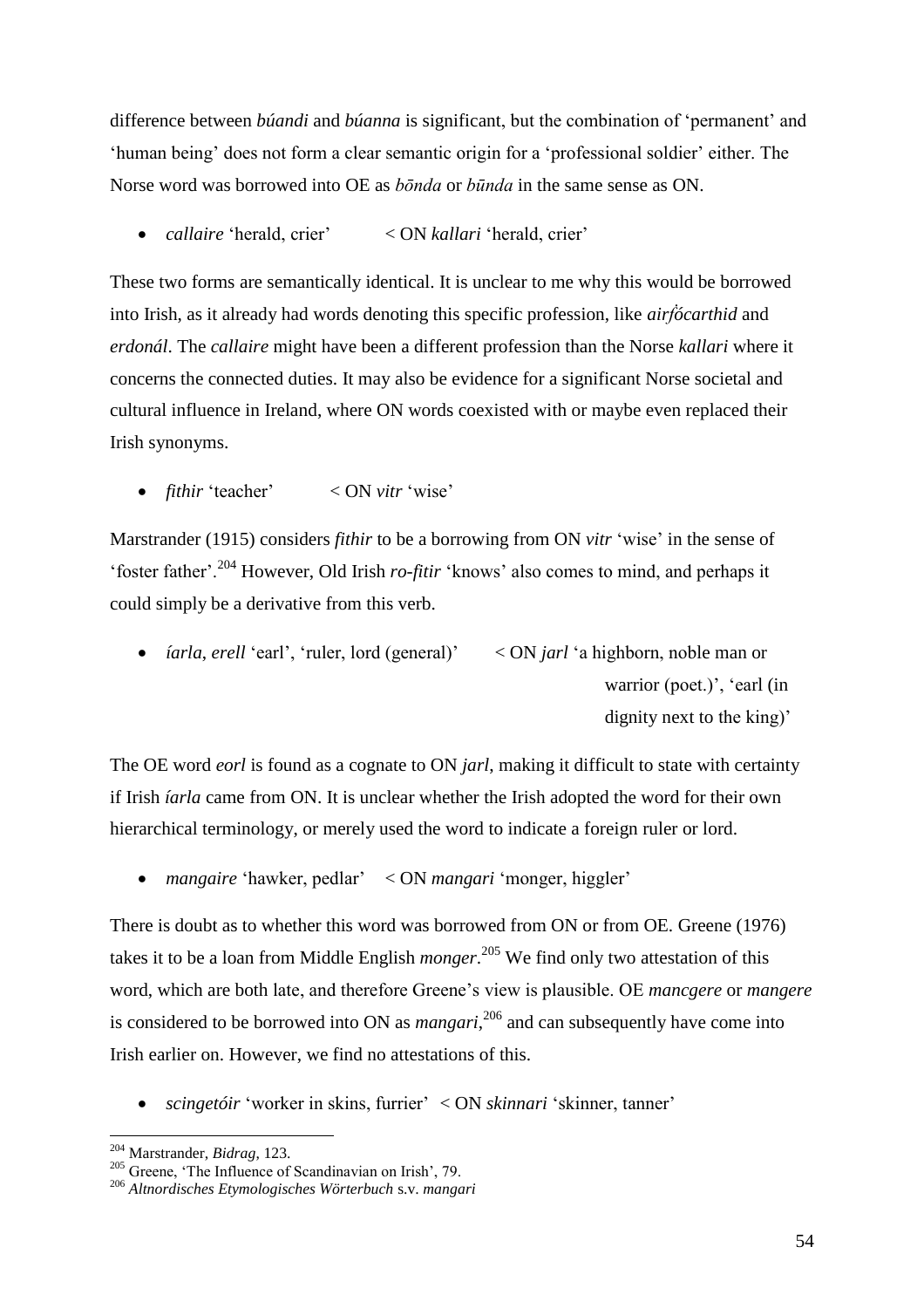difference between *búandi* and *búanna* is significant, but the combination of 'permanent' and 'human being' does not form a clear semantic origin for a 'professional soldier' either. The Norse word was borrowed into OE as *bōnda* or *būnda* in the same sense as ON.

*callaire* 'herald, crier' < ON *kallari* 'herald, crier'

These two forms are semantically identical. It is unclear to me why this would be borrowed into Irish, as it already had words denoting this specific profession, like *airḟócarthid* and *erdonál*. The *callaire* might have been a different profession than the Norse *kallari* where it concerns the connected duties. It may also be evidence for a significant Norse societal and cultural influence in Ireland, where ON words coexisted with or maybe even replaced their Irish synonyms.

*fithir* 'teacher' < ON *vitr* 'wise'

Marstrander (1915) considers *fithir* to be a borrowing from ON *vitr* 'wise' in the sense of 'foster father'.<sup>204</sup> However, Old Irish *ro-fitir* 'knows' also comes to mind, and perhaps it could simply be a derivative from this verb.

• *íarla*, *erell* 'earl', 'ruler, lord (general)' < ON *jarl* 'a highborn, noble man or warrior (poet.)', 'earl (in dignity next to the king)'

The OE word *eorl* is found as a cognate to ON *jarl*, making it difficult to state with certainty if Irish *íarla* came from ON. It is unclear whether the Irish adopted the word for their own hierarchical terminology, or merely used the word to indicate a foreign ruler or lord.

*mangaire* 'hawker, pedlar' < ON *mangari* 'monger, higgler'

There is doubt as to whether this word was borrowed from ON or from OE. Greene (1976) takes it to be a loan from Middle English *monger*. <sup>205</sup> We find only two attestation of this word, which are both late, and therefore Greene's view is plausible. OE *mancgere* or *mangere* is considered to be borrowed into ON as *mangari*, <sup>206</sup> and can subsequently have come into Irish earlier on. However, we find no attestations of this.

*scingetóir* 'worker in skins, furrier' < ON *skinnari* 'skinner, tanner'

<sup>204</sup> Marstrander, *Bidrag*, 123.

 $205$  Greene, 'The Influence of Scandinavian on Irish', 79.

<sup>206</sup> *Altnordisches Etymologisches Wörterbuch* s.v. *mangari*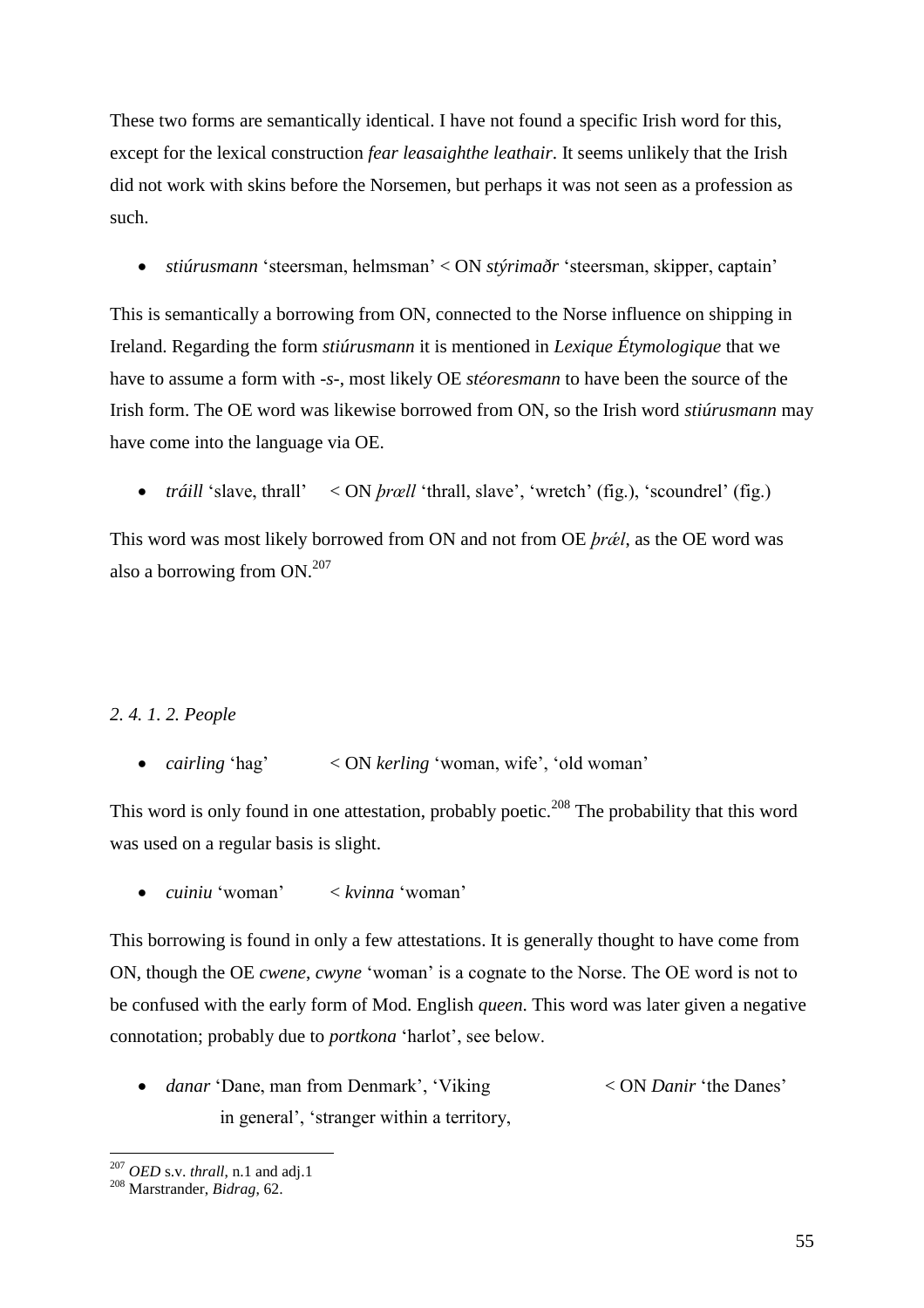These two forms are semantically identical. I have not found a specific Irish word for this, except for the lexical construction *fear leasaighthe leathair*. It seems unlikely that the Irish did not work with skins before the Norsemen, but perhaps it was not seen as a profession as such.

*stiúrusmann* 'steersman, helmsman' < ON *stýrimaðr* 'steersman, skipper, captain'

This is semantically a borrowing from ON, connected to the Norse influence on shipping in Ireland. Regarding the form *stiúrusmann* it is mentioned in *Lexique Étymologique* that we have to assume a form with *-s-*, most likely OE *stéoresmann* to have been the source of the Irish form. The OE word was likewise borrowed from ON, so the Irish word *stiúrusmann* may have come into the language via OE.

• *tráill* 'slave, thrall' < ON *brœll* 'thrall, slave', 'wretch' (fig.), 'scoundrel' (fig.)

This word was most likely borrowed from ON and not from OE *þræl*, as the OE word was also a borrowing from  $ON^{207}$ .

# *2. 4. 1. 2. People*

*cairling* 'hag' < ON *kerling* 'woman, wife', 'old woman'

This word is only found in one attestation, probably poetic.<sup>208</sup> The probability that this word was used on a regular basis is slight.

*cuiniu* 'woman' < *kvinna* 'woman'

This borrowing is found in only a few attestations. It is generally thought to have come from ON, though the OE *cwene*, *cwyne* 'woman' is a cognate to the Norse. The OE word is not to be confused with the early form of Mod. English *queen*. This word was later given a negative connotation; probably due to *portkona* 'harlot', see below.

 *danar* 'Dane, man from Denmark', 'Viking < ON *Danir* 'the Danes' in general', 'stranger within a territory,

 $\overline{a}$ <sup>207</sup> *OED* s.v. *thrall*, n.1 and adj.1

<sup>208</sup> Marstrander, *Bidrag*, 62.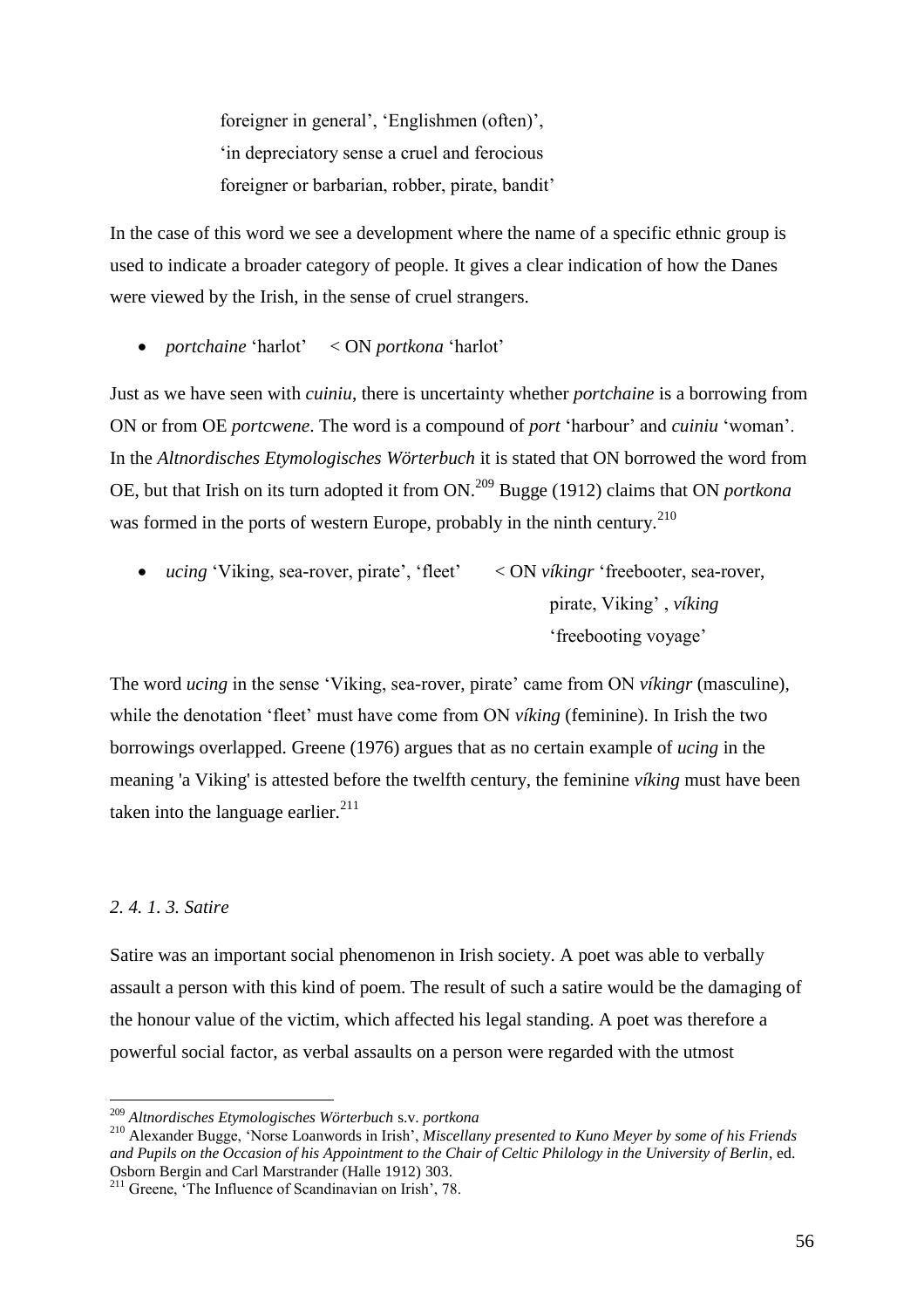foreigner in general', 'Englishmen (often)', 'in depreciatory sense a cruel and ferocious foreigner or barbarian, robber, pirate, bandit'

In the case of this word we see a development where the name of a specific ethnic group is used to indicate a broader category of people. It gives a clear indication of how the Danes were viewed by the Irish, in the sense of cruel strangers.

*portchaine* 'harlot' < ON *portkona* 'harlot'

Just as we have seen with *cuiniu*, there is uncertainty whether *portchaine* is a borrowing from ON or from OE *portcwene*. The word is a compound of *port* 'harbour' and *cuiniu* 'woman'. In the *Altnordisches Etymologisches Wörterbuch* it is stated that ON borrowed the word from OE, but that Irish on its turn adopted it from ON.<sup>209</sup> Bugge (1912) claims that ON *portkona*  was formed in the ports of western Europe, probably in the ninth century.<sup>210</sup>

 *ucing* 'Viking, sea-rover, pirate', 'fleet' < ON *víkingr* 'freebooter, sea-rover, pirate, Viking' , *víking* 'freebooting voyage'

The word *ucing* in the sense 'Viking, sea-rover, pirate' came from ON *víkingr* (masculine), while the denotation 'fleet' must have come from ON *víking* (feminine). In Irish the two borrowings overlapped. Greene (1976) argues that as no certain example of *ucing* in the meaning 'a Viking' is attested before the twelfth century, the feminine *víking* must have been taken into the language earlier. $^{211}$ 

### *2. 4. 1. 3. Satire*

 $\overline{a}$ 

Satire was an important social phenomenon in Irish society. A poet was able to verbally assault a person with this kind of poem. The result of such a satire would be the damaging of the honour value of the victim, which affected his legal standing. A poet was therefore a powerful social factor, as verbal assaults on a person were regarded with the utmost

<sup>209</sup> *Altnordisches Etymologisches Wörterbuch* s.v. *portkona*

<sup>210</sup> Alexander Bugge, 'Norse Loanwords in Irish', *Miscellany presented to Kuno Meyer by some of his Friends and Pupils on the Occasion of his Appointment to the Chair of Celtic Philology in the University of Berlin*, ed. Osborn Bergin and Carl Marstrander (Halle 1912) 303.

<sup>211</sup> Greene, 'The Influence of Scandinavian on Irish', 78.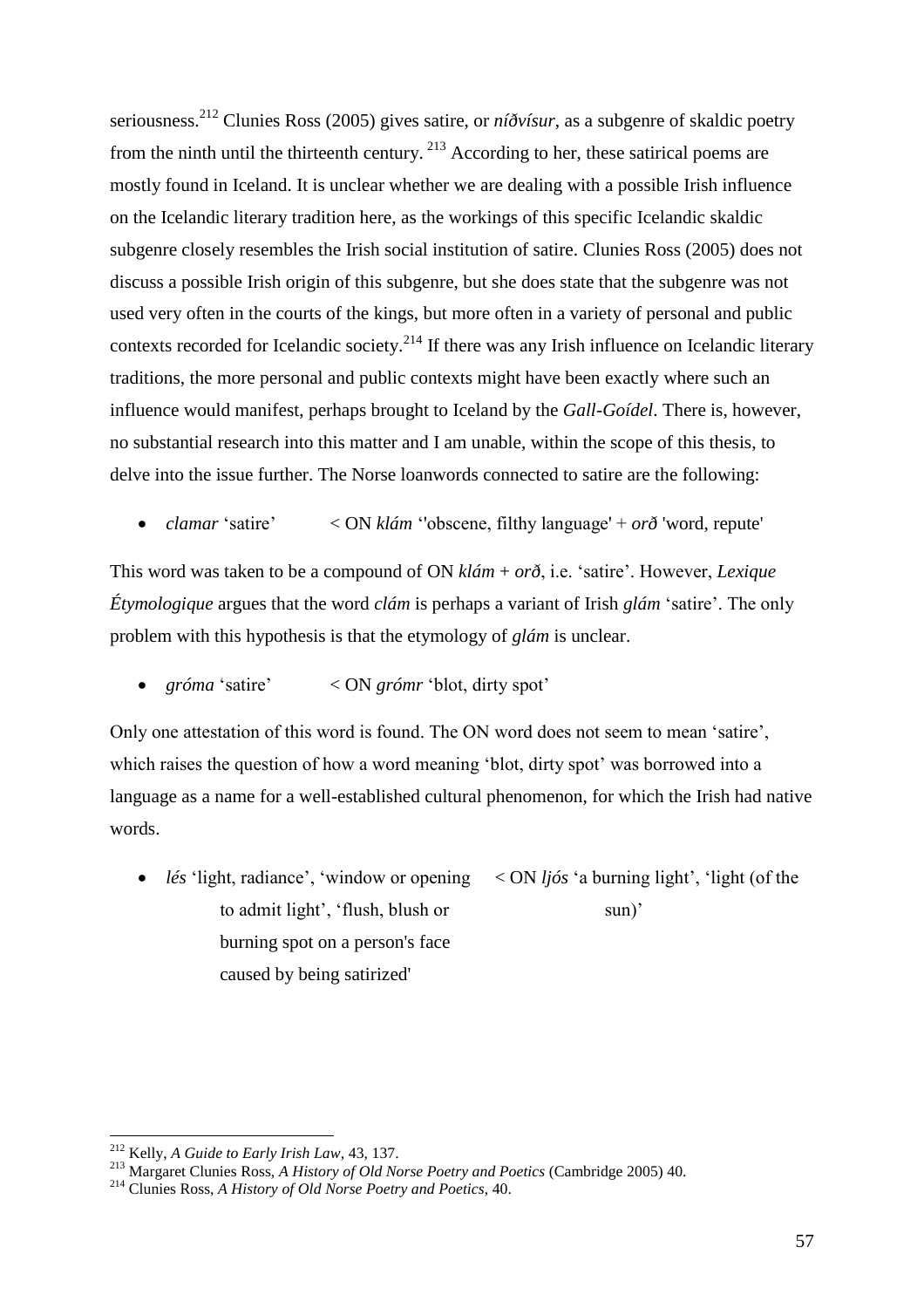seriousness.<sup>212</sup> Clunies Ross (2005) gives satire, or *níðvísur*, as a subgenre of skaldic poetry from the ninth until the thirteenth century. <sup>213</sup> According to her, these satirical poems are mostly found in Iceland. It is unclear whether we are dealing with a possible Irish influence on the Icelandic literary tradition here, as the workings of this specific Icelandic skaldic subgenre closely resembles the Irish social institution of satire. Clunies Ross (2005) does not discuss a possible Irish origin of this subgenre, but she does state that the subgenre was not used very often in the courts of the kings, but more often in a variety of personal and public contexts recorded for Icelandic society.<sup>214</sup> If there was any Irish influence on Icelandic literary traditions, the more personal and public contexts might have been exactly where such an influence would manifest, perhaps brought to Iceland by the *Gall-Goídel*. There is, however, no substantial research into this matter and I am unable, within the scope of this thesis, to delve into the issue further. The Norse loanwords connected to satire are the following:

*clamar* 'satire' < ON *klám* ''obscene, filthy language' + *orð* 'word, repute'

This word was taken to be a compound of ON *klám* + *orð*, i.e. 'satire'. However, *Lexique Étymologique* argues that the word *clám* is perhaps a variant of Irish *glám* 'satire'. The only problem with this hypothesis is that the etymology of *glám* is unclear.

*gróma* 'satire' < ON *grómr* 'blot, dirty spot'

Only one attestation of this word is found. The ON word does not seem to mean 'satire', which raises the question of how a word meaning 'blot, dirty spot' was borrowed into a language as a name for a well-established cultural phenomenon, for which the Irish had native words.

 *lés* 'light, radiance', 'window or opening < ON *ljós* 'a burning light', 'light (of the to admit light', 'flush, blush or sun)' burning spot on a person's face caused by being satirized'

<sup>212</sup> Kelly, *A Guide to Early Irish Law*, 43, 137.

<sup>213</sup> Margaret Clunies Ross, *A History of Old Norse Poetry and Poetics* (Cambridge 2005) 40.

<sup>214</sup> Clunies Ross, *A History of Old Norse Poetry and Poetics*, 40.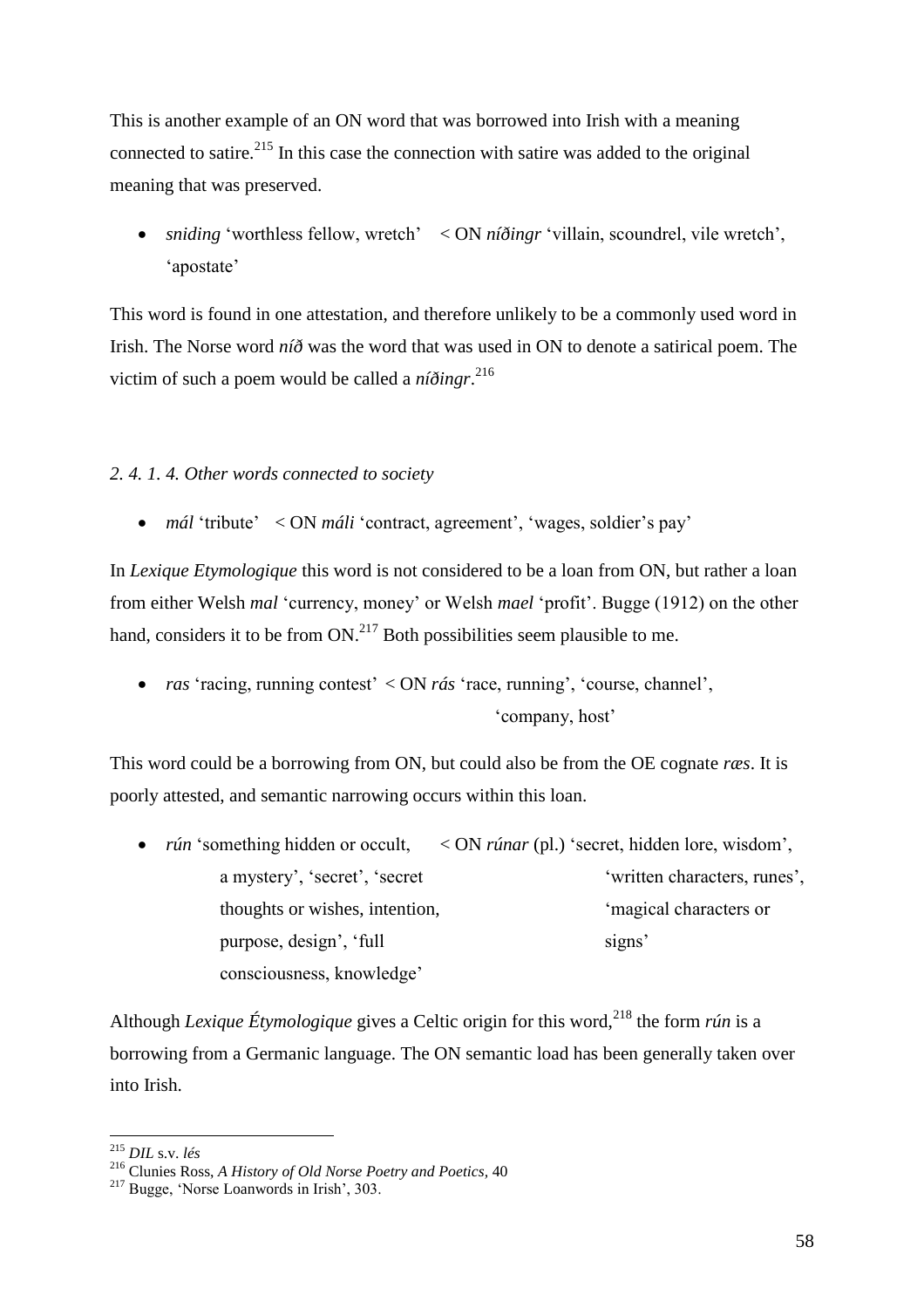This is another example of an ON word that was borrowed into Irish with a meaning connected to satire.<sup>215</sup> In this case the connection with satire was added to the original meaning that was preserved.

 *sniding* 'worthless fellow, wretch' < ON *níðingr* 'villain, scoundrel, vile wretch', 'apostate'

This word is found in one attestation, and therefore unlikely to be a commonly used word in Irish. The Norse word *níð* was the word that was used in ON to denote a satirical poem. The victim of such a poem would be called a *níðingr*. 216

# *2. 4. 1. 4. Other words connected to society*

• *mál* 'tribute' < ON *máli* 'contract, agreement', 'wages, soldier's pay'

In *Lexique Etymologique* this word is not considered to be a loan from ON, but rather a loan from either Welsh *mal* 'currency, money' or Welsh *mael* 'profit'. Bugge (1912) on the other hand, considers it to be from  $ON^{217}$  Both possibilities seem plausible to me.

 *ras* 'racing, running contest' < ON *rás* 'race, running', 'course, channel', 'company, host'

This word could be a borrowing from ON, but could also be from the OE cognate *ræs*. It is poorly attested, and semantic narrowing occurs within this loan.

• *rún* 'something hidden or occult, < ON *rúnar* (pl.) 'secret, hidden lore, wisdom', a mystery', 'secret', 'secret 'written characters, runes', thoughts or wishes, intention, 'magical characters or purpose, design', 'full signs' consciousness, knowledge'

Although *Lexique Étymologique* gives a Celtic origin for this word,<sup>218</sup> the form *rún* is a borrowing from a Germanic language. The ON semantic load has been generally taken over into Irish.

<sup>215</sup> *DIL* s.v. *lés*

<sup>216</sup> Clunies Ross, *A History of Old Norse Poetry and Poetics,* 40

<sup>217</sup> Bugge, 'Norse Loanwords in Irish', 303.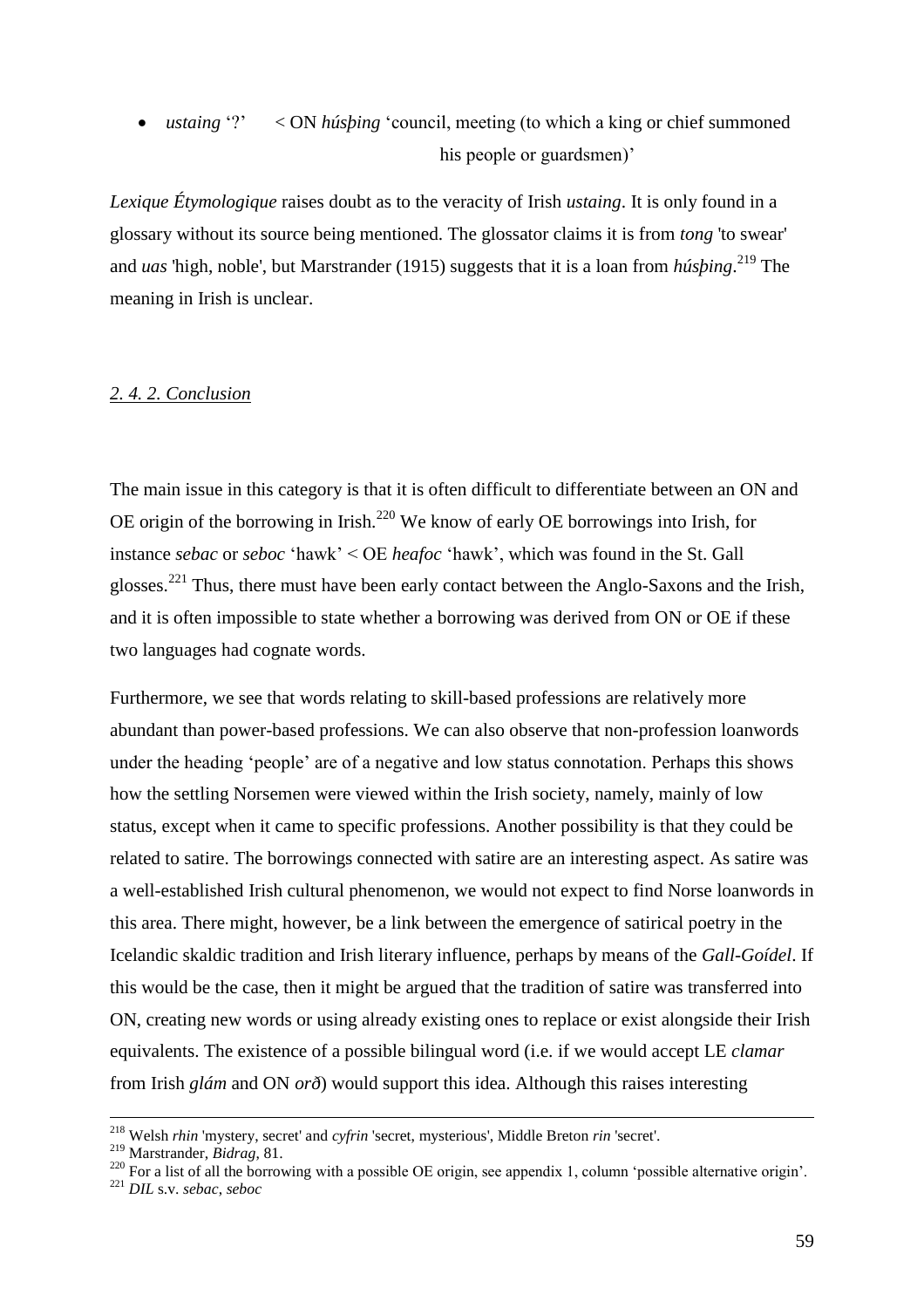• *ustaing* '?' < ON *húsping* 'council, meeting (to which a king or chief summoned his people or guardsmen)'

*Lexique Étymologique* raises doubt as to the veracity of Irish *ustaing*. It is only found in a glossary without its source being mentioned. The glossator claims it is from *tong* 'to swear' and *uas* 'high, noble', but Marstrander (1915) suggests that it is a loan from *húsþing*. <sup>219</sup> The meaning in Irish is unclear.

# *2. 4. 2. Conclusion*

The main issue in this category is that it is often difficult to differentiate between an ON and OE origin of the borrowing in Irish.<sup>220</sup> We know of early OE borrowings into Irish, for instance *sebac* or *seboc* 'hawk' < OE *heafoc* 'hawk', which was found in the St. Gall glosses.<sup>221</sup> Thus, there must have been early contact between the Anglo-Saxons and the Irish, and it is often impossible to state whether a borrowing was derived from ON or OE if these two languages had cognate words.

Furthermore, we see that words relating to skill-based professions are relatively more abundant than power-based professions. We can also observe that non-profession loanwords under the heading 'people' are of a negative and low status connotation. Perhaps this shows how the settling Norsemen were viewed within the Irish society, namely, mainly of low status, except when it came to specific professions. Another possibility is that they could be related to satire. The borrowings connected with satire are an interesting aspect. As satire was a well-established Irish cultural phenomenon, we would not expect to find Norse loanwords in this area. There might, however, be a link between the emergence of satirical poetry in the Icelandic skaldic tradition and Irish literary influence, perhaps by means of the *Gall-Goídel*. If this would be the case, then it might be argued that the tradition of satire was transferred into ON, creating new words or using already existing ones to replace or exist alongside their Irish equivalents. The existence of a possible bilingual word (i.e. if we would accept LE *clamar* from Irish *glám* and ON *orð*) would support this idea. Although this raises interesting

<u>.</u>

<sup>218</sup> Welsh *rhin* 'mystery, secret' and *cyfrin* 'secret, mysterious', Middle Breton *rin* 'secret'.

<sup>219</sup> Marstrander, *Bidrag*, 81.

 $^{220}$  For a list of all the borrowing with a possible OE origin, see appendix 1, column 'possible alternative origin'.

<sup>221</sup> *DIL* s.v. *sebac*, *seboc*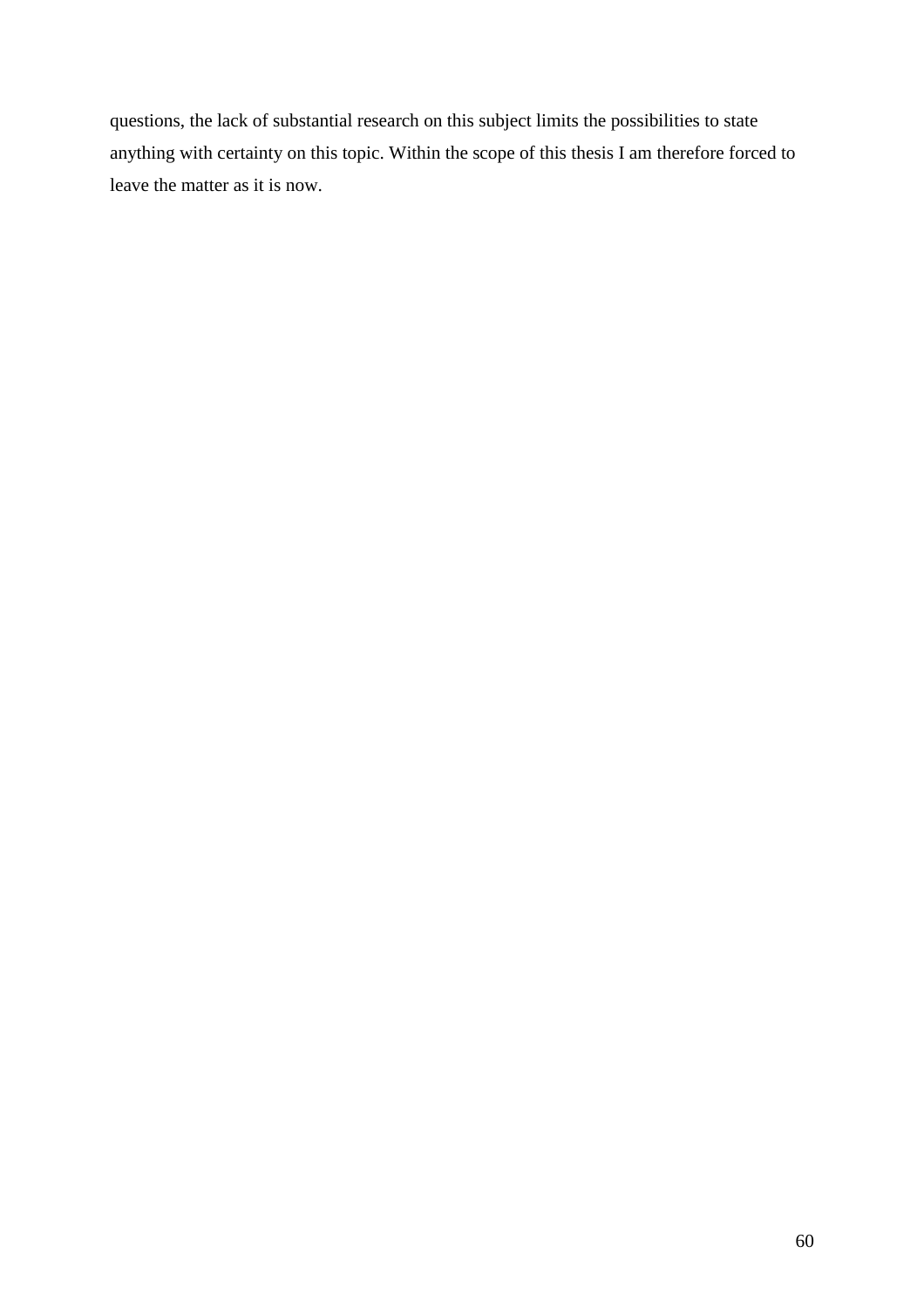questions, the lack of substantial research on this subject limits the possibilities to state anything with certainty on this topic. Within the scope of this thesis I am therefore forced to leave the matter as it is now.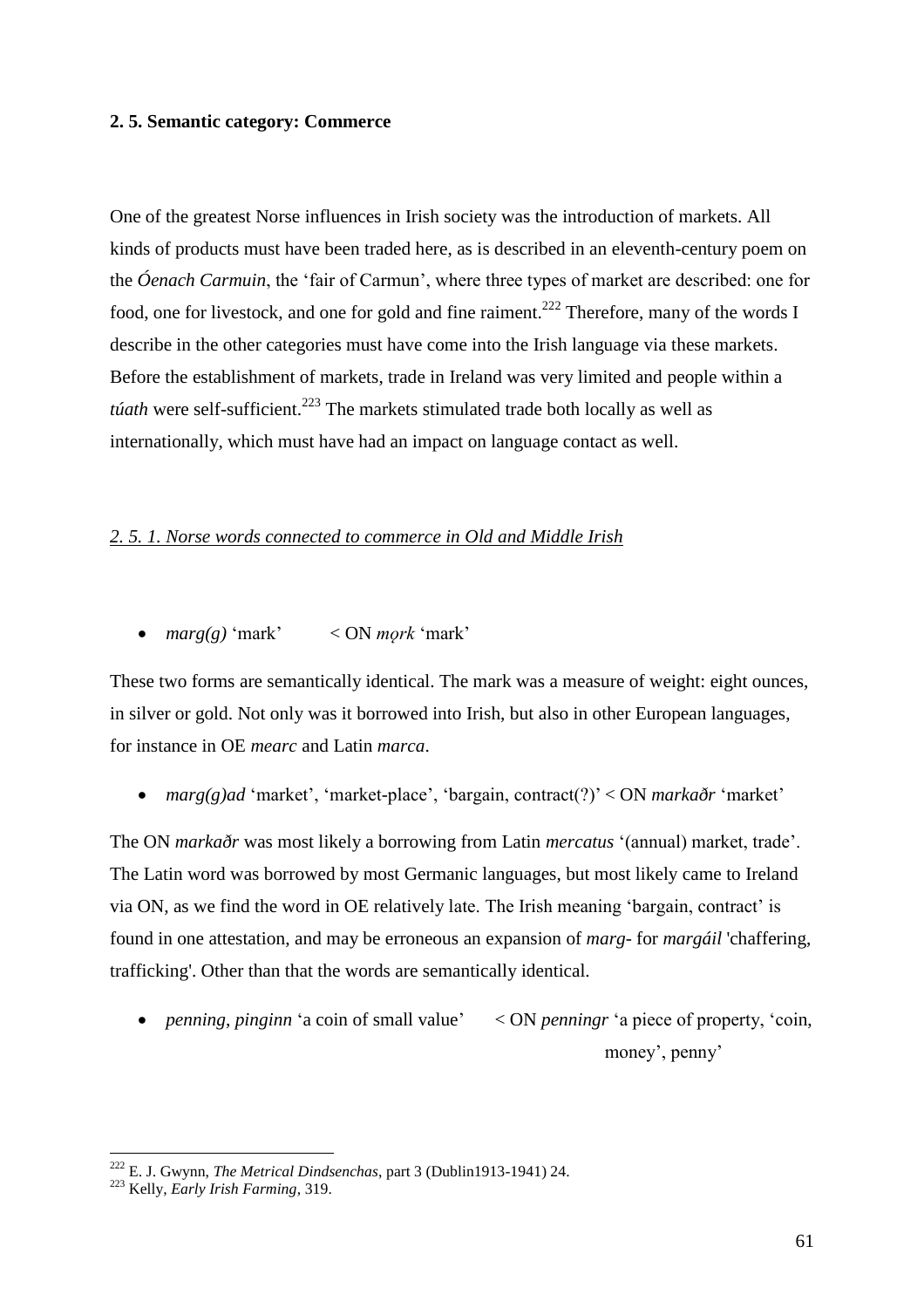### **2. 5. Semantic category: Commerce**

One of the greatest Norse influences in Irish society was the introduction of markets. All kinds of products must have been traded here, as is described in an eleventh-century poem on the *Óenach Carmuin*, the 'fair of Carmun', where three types of market are described: one for food, one for livestock, and one for gold and fine raiment.<sup>222</sup> Therefore, many of the words I describe in the other categories must have come into the Irish language via these markets. Before the establishment of markets, trade in Ireland was very limited and people within a *túath* were self-sufficient.<sup>223</sup> The markets stimulated trade both locally as well as internationally, which must have had an impact on language contact as well.

# *2. 5. 1. Norse words connected to commerce in Old and Middle Irish*

*marg(g)* 'mark' < ON *mǫrk* 'mark'

These two forms are semantically identical. The mark was a measure of weight: eight ounces, in silver or gold. Not only was it borrowed into Irish, but also in other European languages, for instance in OE *mearc* and Latin *marca*.

*marg(g)ad* 'market', 'market-place', 'bargain, contract(?)' < ON *markaðr* 'market'

The ON *markaðr* was most likely a borrowing from Latin *mercatus* '(annual) market, trade'. The Latin word was borrowed by most Germanic languages, but most likely came to Ireland via ON, as we find the word in OE relatively late. The Irish meaning 'bargain, contract' is found in one attestation, and may be erroneous an expansion of *marg*- for *margáil* 'chaffering, trafficking'. Other than that the words are semantically identical.

• *penning*, *pinginn* 'a coin of small value'  $\langle$  ON *penningr* 'a piece of property, 'coin, money', penny'

<sup>222</sup> E. J. Gwynn, *The Metrical Dindsenchas*, part 3 (Dublin1913-1941) 24.

<sup>223</sup> Kelly, *Early Irish Farming*, 319.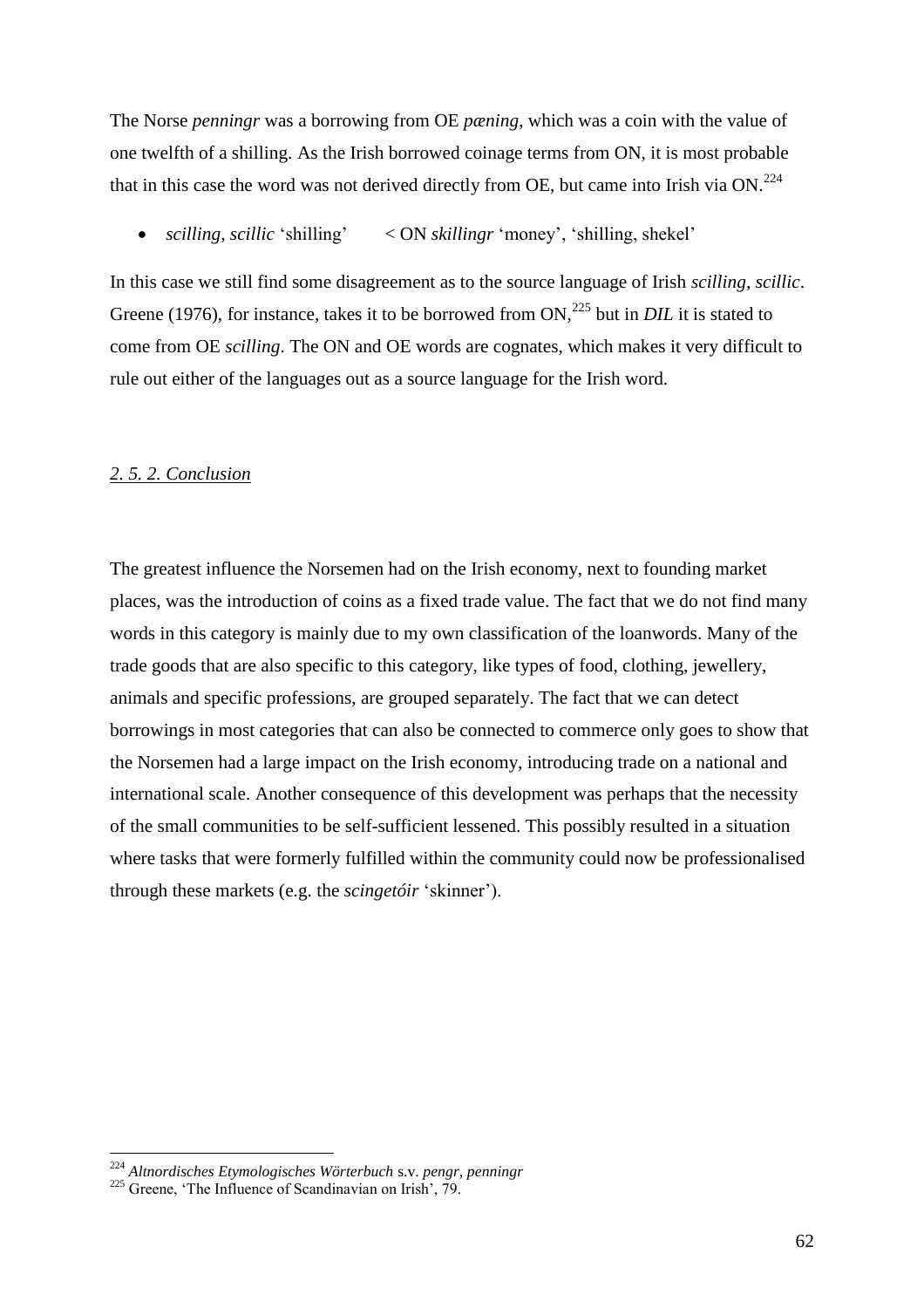The Norse *penningr* was a borrowing from OE *pæning*, which was a coin with the value of one twelfth of a shilling. As the Irish borrowed coinage terms from ON, it is most probable that in this case the word was not derived directly from OE, but came into Irish via ON.<sup>224</sup>

*scilling, scillic* 'shilling' < ON *skillingr* 'money', 'shilling, shekel'

In this case we still find some disagreement as to the source language of Irish *scilling, scillic*. Greene (1976), for instance, takes it to be borrowed from ON,<sup>225</sup> but in *DIL* it is stated to come from OE *scilling*. The ON and OE words are cognates, which makes it very difficult to rule out either of the languages out as a source language for the Irish word.

# *2. 5. 2. Conclusion*

The greatest influence the Norsemen had on the Irish economy, next to founding market places, was the introduction of coins as a fixed trade value. The fact that we do not find many words in this category is mainly due to my own classification of the loanwords. Many of the trade goods that are also specific to this category, like types of food, clothing, jewellery, animals and specific professions, are grouped separately. The fact that we can detect borrowings in most categories that can also be connected to commerce only goes to show that the Norsemen had a large impact on the Irish economy, introducing trade on a national and international scale. Another consequence of this development was perhaps that the necessity of the small communities to be self-sufficient lessened. This possibly resulted in a situation where tasks that were formerly fulfilled within the community could now be professionalised through these markets (e.g. the *scingetóir* 'skinner').

<sup>224</sup> *Altnordisches Etymologisches Wörterbuch* s.v. *pengr, penningr*

<sup>&</sup>lt;sup>225</sup> Greene, 'The Influence of Scandinavian on Irish', 79.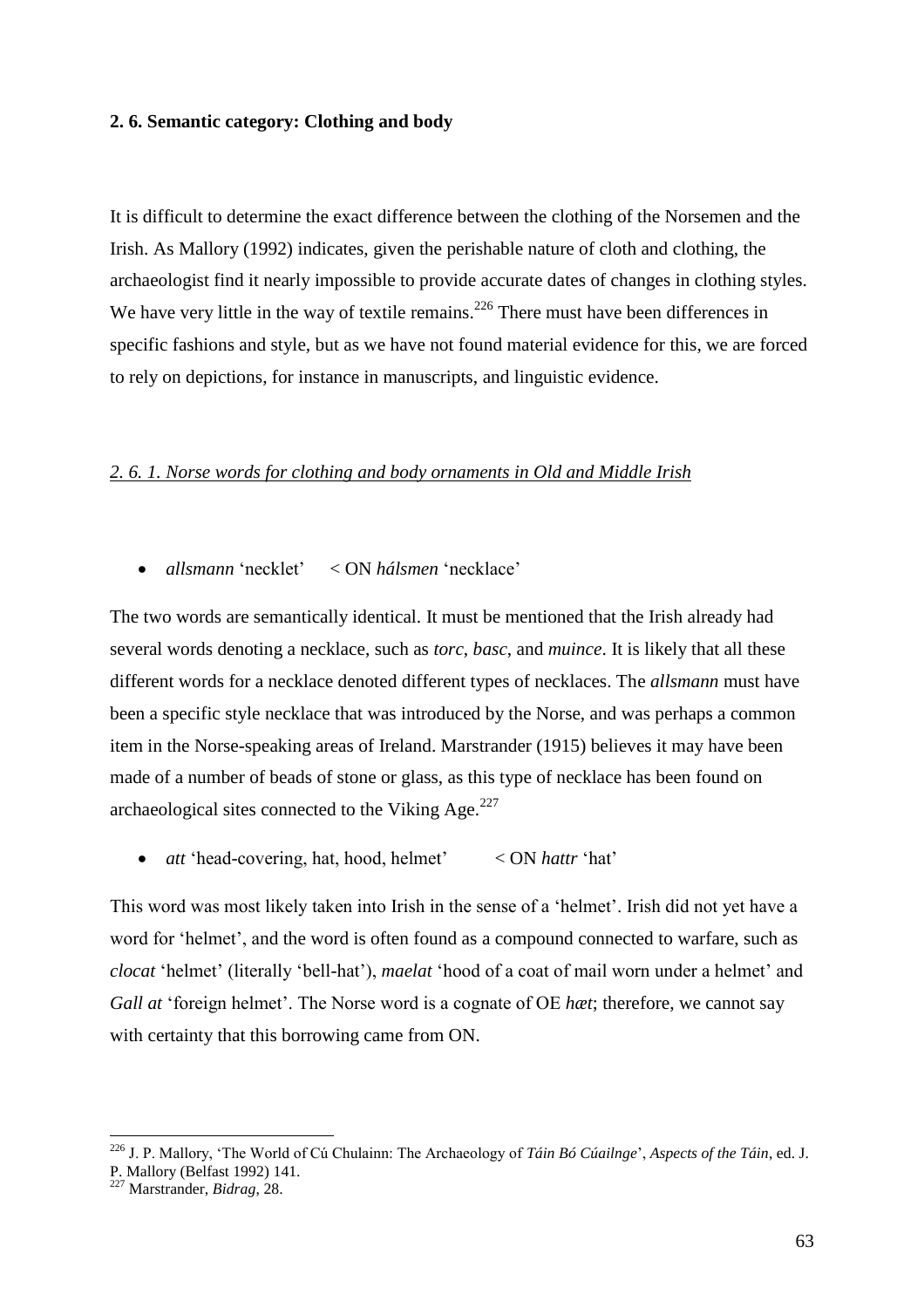#### **2. 6. Semantic category: Clothing and body**

It is difficult to determine the exact difference between the clothing of the Norsemen and the Irish. As Mallory (1992) indicates, given the perishable nature of cloth and clothing, the archaeologist find it nearly impossible to provide accurate dates of changes in clothing styles. We have very little in the way of textile remains.<sup>226</sup> There must have been differences in specific fashions and style, but as we have not found material evidence for this, we are forced to rely on depictions, for instance in manuscripts, and linguistic evidence.

# *2. 6. 1. Norse words for clothing and body ornaments in Old and Middle Irish*

*allsmann* 'necklet' < ON *hálsmen* 'necklace'

The two words are semantically identical. It must be mentioned that the Irish already had several words denoting a necklace, such as *torc*, *basc*, and *muince*. It is likely that all these different words for a necklace denoted different types of necklaces. The *allsmann* must have been a specific style necklace that was introduced by the Norse, and was perhaps a common item in the Norse-speaking areas of Ireland. Marstrander (1915) believes it may have been made of a number of beads of stone or glass, as this type of necklace has been found on archaeological sites connected to the Viking Age. $^{227}$ 

*att* 'head-covering, hat, hood, helmet' < ON *hattr* 'hat'

This word was most likely taken into Irish in the sense of a 'helmet'. Irish did not yet have a word for 'helmet', and the word is often found as a compound connected to warfare, such as *clocat* 'helmet' (literally 'bell-hat'), *maelat* 'hood of a coat of mail worn under a helmet' and *Gall at* 'foreign helmet'. The Norse word is a cognate of OE *hæt*; therefore, we cannot say with certainty that this borrowing came from ON.

<sup>226</sup> J. P. Mallory, 'The World of Cú Chulainn: The Archaeology of *Táin Bó Cúailnge*', *Aspects of the Táin*, ed. J. P. Mallory (Belfast 1992) 141.

<sup>227</sup> Marstrander, *Bidrag*, 28.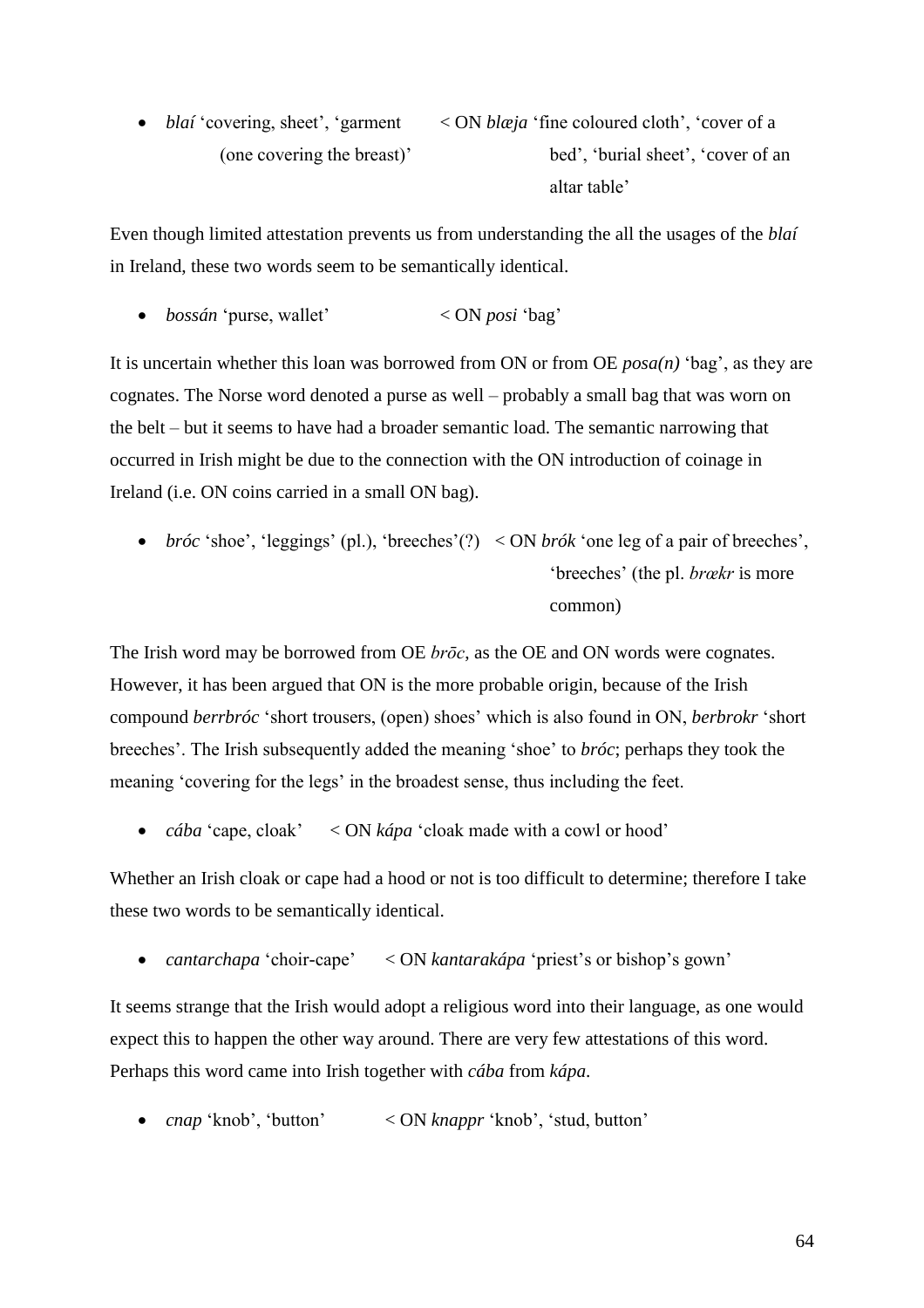• *blaí* 'covering, sheet', 'garment < ON *blæja* 'fine coloured cloth', 'cover of a (one covering the breast)' bed', 'burial sheet', 'cover of an altar table'

Even though limited attestation prevents us from understanding the all the usages of the *blaí*  in Ireland, these two words seem to be semantically identical.

*bossán* 'purse, wallet' < ON *posi* 'bag'

It is uncertain whether this loan was borrowed from ON or from OE *posa(n)* 'bag', as they are cognates. The Norse word denoted a purse as well – probably a small bag that was worn on the belt – but it seems to have had a broader semantic load. The semantic narrowing that occurred in Irish might be due to the connection with the ON introduction of coinage in Ireland (i.e. ON coins carried in a small ON bag).

 *bróc* 'shoe', 'leggings' (pl.), 'breeches'(?) < ON *brók* 'one leg of a pair of breeches', 'breeches' (the pl. *brœkr* is more common)

The Irish word may be borrowed from OE *brōc*, as the OE and ON words were cognates. However, it has been argued that ON is the more probable origin, because of the Irish compound *berrbróc* 'short trousers, (open) shoes' which is also found in ON, *berbrokr* 'short breeches'. The Irish subsequently added the meaning 'shoe' to *bróc*; perhaps they took the meaning 'covering for the legs' in the broadest sense, thus including the feet.

*cába* 'cape, cloak' < ON *kápa* 'cloak made with a cowl or hood'

Whether an Irish cloak or cape had a hood or not is too difficult to determine; therefore I take these two words to be semantically identical.

*cantarchapa* 'choir-cape' < ON *kantarakápa* 'priest's or bishop's gown'

It seems strange that the Irish would adopt a religious word into their language, as one would expect this to happen the other way around. There are very few attestations of this word. Perhaps this word came into Irish together with *cába* from *kápa*.

*cnap* 'knob', 'button' < ON *knappr* 'knob', 'stud, button'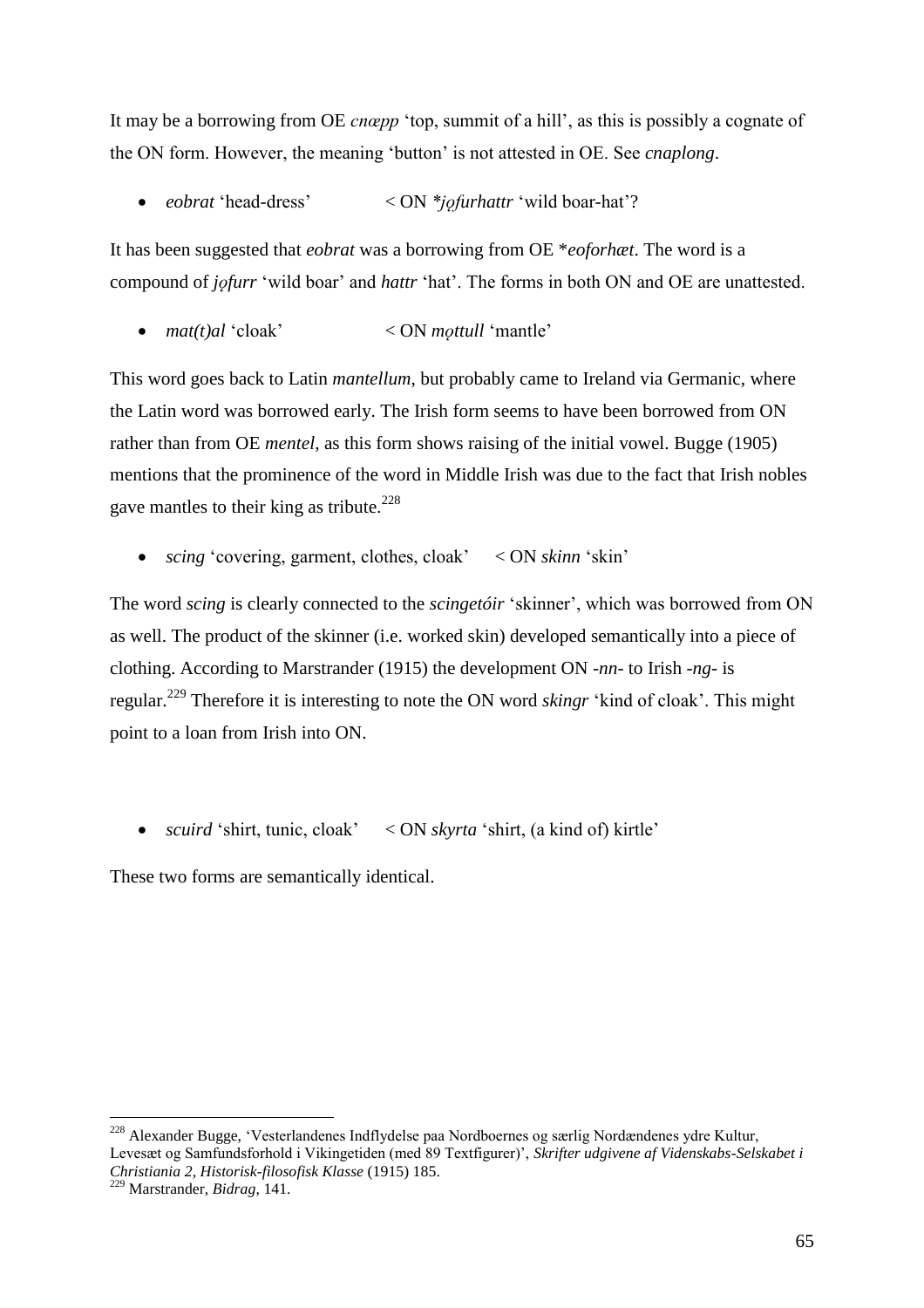It may be a borrowing from OE *cnœpp* 'top, summit of a hill', as this is possibly a cognate of the ON form. However, the meaning 'button' is not attested in OE. See *cnaplong*.

• *eobrat* 'head-dress' < ON *\*j* $\varphi$ *furhattr* 'wild boar-hat'?

It has been suggested that *eobrat* was a borrowing from OE \**eoforhæt*. The word is a compound of *jofurr* 'wild boar' and *hattr* 'hat'. The forms in both ON and OE are unattested.

•  $mat(t)$ al 'cloak'  $\leq$  ON *mottull* 'mantle'

This word goes back to Latin *mantellum*, but probably came to Ireland via Germanic, where the Latin word was borrowed early. The Irish form seems to have been borrowed from ON rather than from OE *mentel*, as this form shows raising of the initial vowel. Bugge (1905) mentions that the prominence of the word in Middle Irish was due to the fact that Irish nobles gave mantles to their king as tribute.<sup>228</sup>

*scing* 'covering, garment, clothes, cloak' < ON *skinn* 'skin'

The word *scing* is clearly connected to the *scingetóir* 'skinner', which was borrowed from ON as well. The product of the skinner (i.e. worked skin) developed semantically into a piece of clothing. According to Marstrander (1915) the development ON *-nn-* to Irish *-ng-* is regular.<sup>229</sup> Therefore it is interesting to note the ON word *skingr* 'kind of cloak'. This might point to a loan from Irish into ON.

*scuird* 'shirt, tunic, cloak' < ON *skyrta* 'shirt, (a kind of) kirtle'

These two forms are semantically identical.

<sup>&</sup>lt;sup>228</sup> Alexander Bugge, 'Vesterlandenes Indflydelse paa Nordboernes og særlig Nordændenes ydre Kultur, Levesæt og Samfundsforhold i Vikingetiden (med 89 Textfigurer)', *Skrifter udgivene af Videnskabs-Selskabet i Christiania 2, Historisk-filosofisk Klasse* (1915) 185.

<sup>229</sup> Marstrander, *Bidrag*, 141.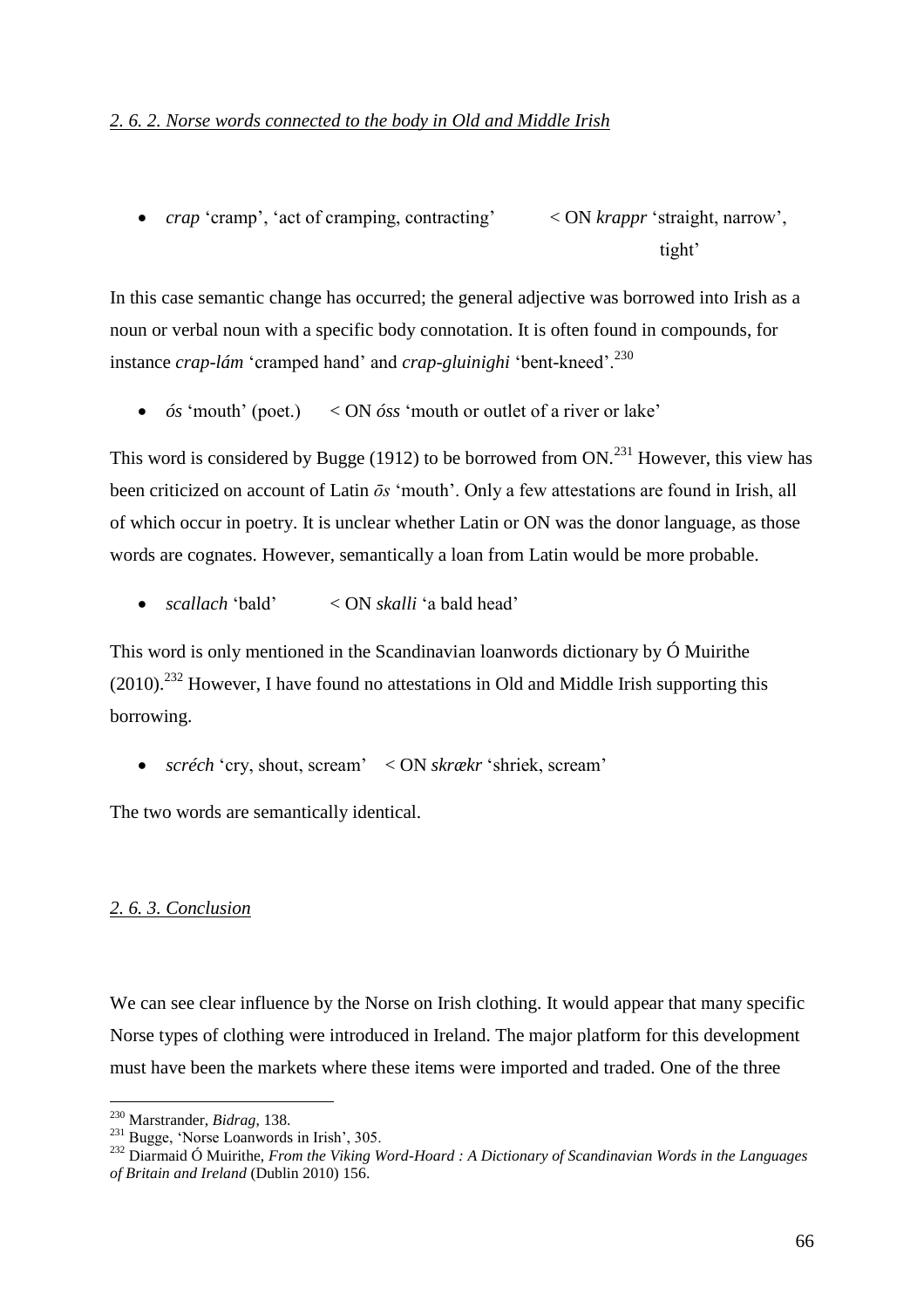*crap* 'cramp', 'act of cramping, contracting' < ON *krappr* 'straight, narrow', tight'

In this case semantic change has occurred; the general adjective was borrowed into Irish as a noun or verbal noun with a specific body connotation. It is often found in compounds, for instance *crap-lám* 'cramped hand' and *crap-gluinighi* 'bent-kneed'.<sup>230</sup>

*ós* 'mouth' (poet.) < ON *óss* 'mouth or outlet of a river or lake'

This word is considered by Bugge (1912) to be borrowed from  $ON^{231}$  However, this view has been criticized on account of Latin *ōs* 'mouth'. Only a few attestations are found in Irish, all of which occur in poetry. It is unclear whether Latin or ON was the donor language, as those words are cognates. However, semantically a loan from Latin would be more probable.

*scallach* 'bald' < ON *skalli* 'a bald head'

This word is only mentioned in the Scandinavian loanwords dictionary by Ó Muirithe  $(2010).$ <sup>232</sup> However, I have found no attestations in Old and Middle Irish supporting this borrowing.

*scréch* 'cry, shout, scream' < ON *skrækr* 'shriek, scream'

The two words are semantically identical.

# *2. 6. 3. Conclusion*

We can see clear influence by the Norse on Irish clothing. It would appear that many specific Norse types of clothing were introduced in Ireland. The major platform for this development must have been the markets where these items were imported and traded. One of the three

<sup>230</sup> Marstrander, *Bidrag*, 138.

<sup>231</sup> Bugge, 'Norse Loanwords in Irish', 305.

<sup>232</sup> Diarmaid Ó Muirithe, *From the Viking Word-Hoard : A Dictionary of Scandinavian Words in the Languages of Britain and Ireland* (Dublin 2010) 156.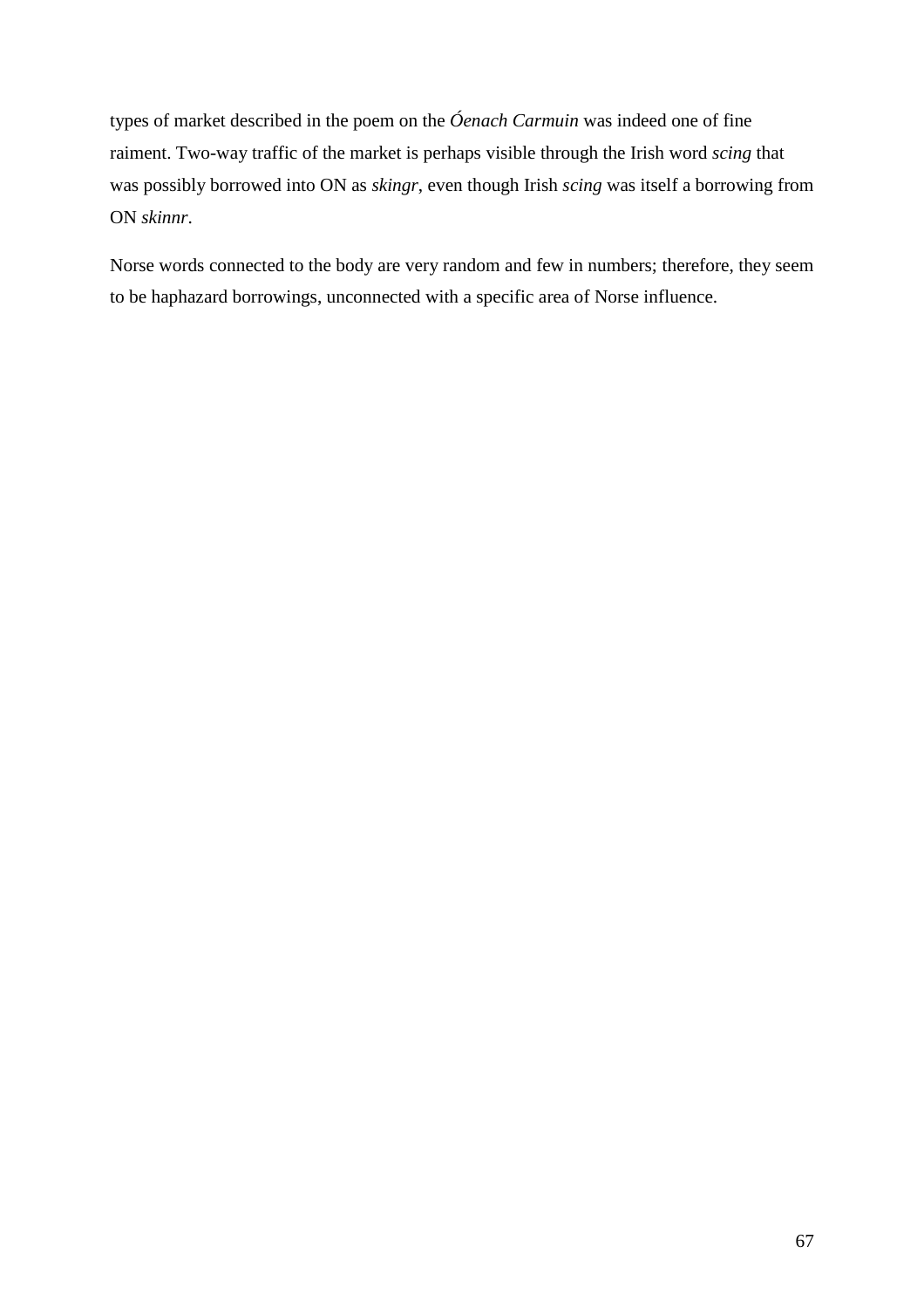types of market described in the poem on the *Óenach Carmuin* was indeed one of fine raiment. Two-way traffic of the market is perhaps visible through the Irish word *scing* that was possibly borrowed into ON as *skingr*, even though Irish *scing* was itself a borrowing from ON *skinnr*.

Norse words connected to the body are very random and few in numbers; therefore, they seem to be haphazard borrowings, unconnected with a specific area of Norse influence.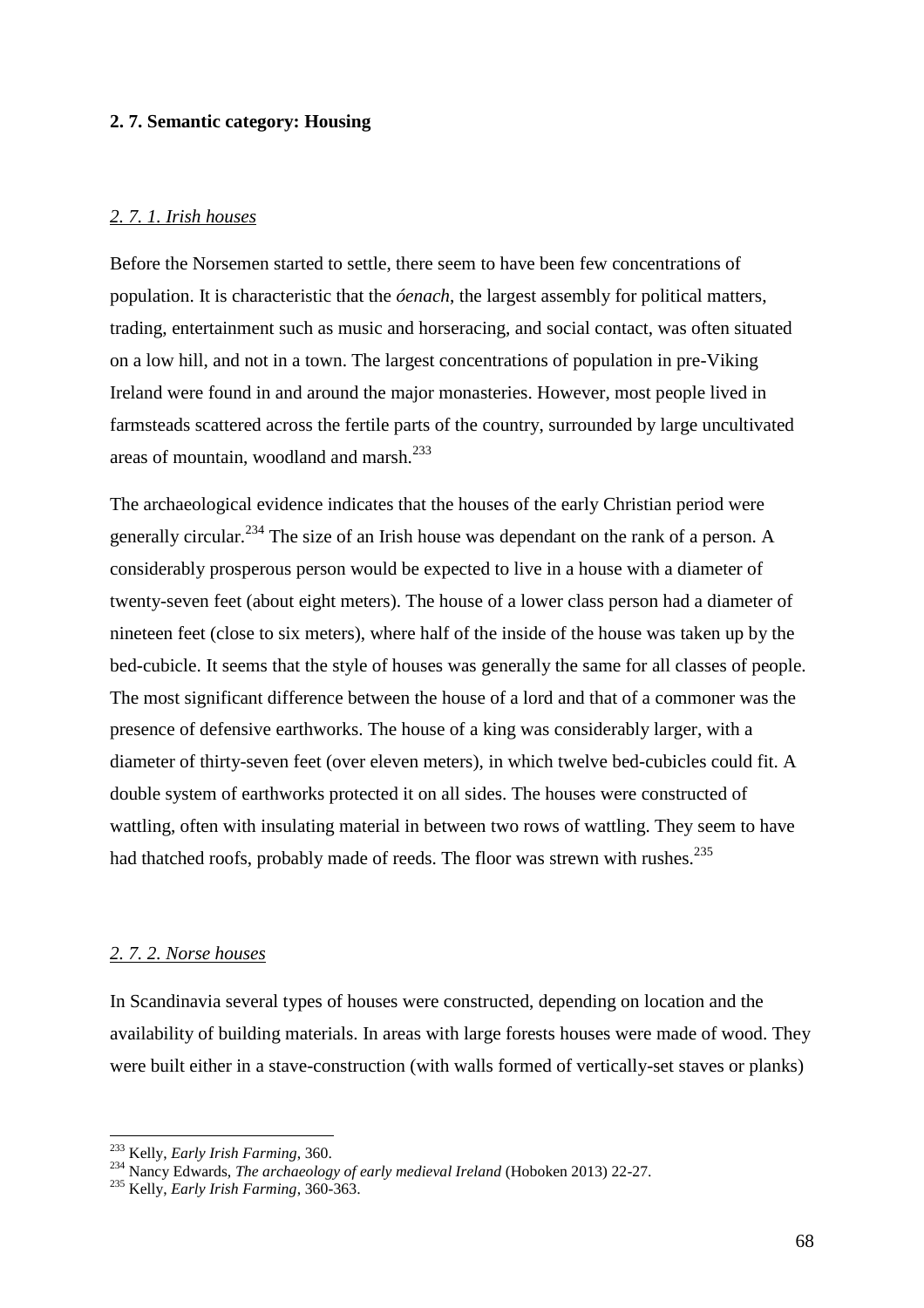# **2. 7. Semantic category: Housing**

# *2. 7. 1. Irish houses*

Before the Norsemen started to settle, there seem to have been few concentrations of population. It is characteristic that the *óenach*, the largest assembly for political matters, trading, entertainment such as music and horseracing, and social contact, was often situated on a low hill, and not in a town. The largest concentrations of population in pre-Viking Ireland were found in and around the major monasteries. However, most people lived in farmsteads scattered across the fertile parts of the country, surrounded by large uncultivated areas of mountain, woodland and marsh.<sup>233</sup>

The archaeological evidence indicates that the houses of the early Christian period were generally circular.<sup>234</sup> The size of an Irish house was dependant on the rank of a person. A considerably prosperous person would be expected to live in a house with a diameter of twenty-seven feet (about eight meters). The house of a lower class person had a diameter of nineteen feet (close to six meters), where half of the inside of the house was taken up by the bed-cubicle. It seems that the style of houses was generally the same for all classes of people. The most significant difference between the house of a lord and that of a commoner was the presence of defensive earthworks. The house of a king was considerably larger, with a diameter of thirty-seven feet (over eleven meters), in which twelve bed-cubicles could fit. A double system of earthworks protected it on all sides. The houses were constructed of wattling, often with insulating material in between two rows of wattling. They seem to have had thatched roofs, probably made of reeds. The floor was strewn with rushes.<sup>235</sup>

### *2. 7. 2. Norse houses*

In Scandinavia several types of houses were constructed, depending on location and the availability of building materials. In areas with large forests houses were made of wood. They were built either in a stave-construction (with walls formed of vertically-set staves or planks)

<sup>233</sup> Kelly, *Early Irish Farming*, 360.

<sup>234</sup> Nancy Edwards, *The archaeology of early medieval Ireland* (Hoboken 2013) 22-27.

<sup>235</sup> Kelly, *Early Irish Farming*, 360-363.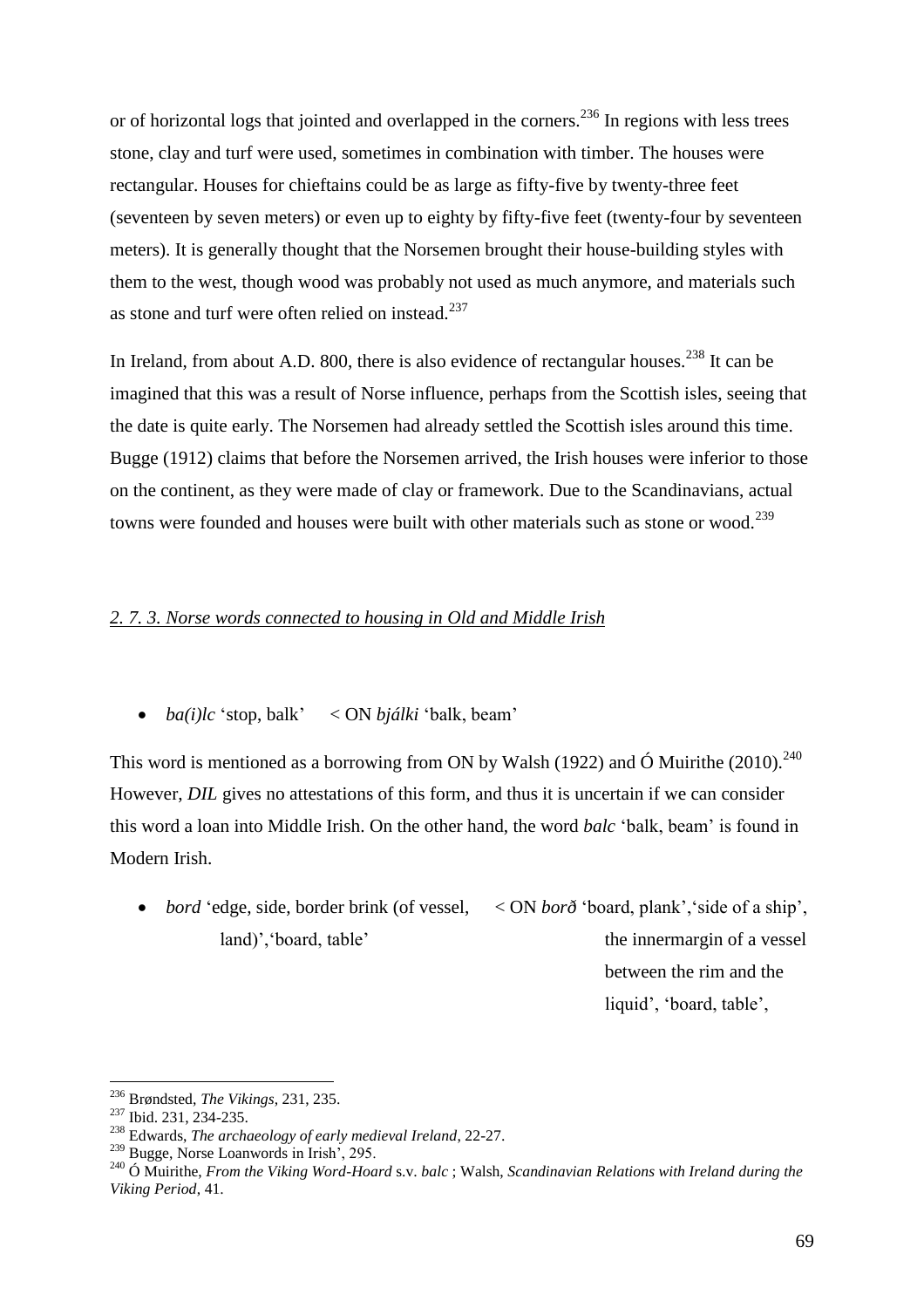or of horizontal logs that jointed and overlapped in the corners.<sup>236</sup> In regions with less trees stone, clay and turf were used, sometimes in combination with timber. The houses were rectangular. Houses for chieftains could be as large as fifty-five by twenty-three feet (seventeen by seven meters) or even up to eighty by fifty-five feet (twenty-four by seventeen meters). It is generally thought that the Norsemen brought their house-building styles with them to the west, though wood was probably not used as much anymore, and materials such as stone and turf were often relied on instead.<sup>237</sup>

In Ireland, from about A.D. 800, there is also evidence of rectangular houses.<sup>238</sup> It can be imagined that this was a result of Norse influence, perhaps from the Scottish isles, seeing that the date is quite early. The Norsemen had already settled the Scottish isles around this time. Bugge (1912) claims that before the Norsemen arrived, the Irish houses were inferior to those on the continent, as they were made of clay or framework. Due to the Scandinavians, actual towns were founded and houses were built with other materials such as stone or wood.<sup>239</sup>

# *2. 7. 3. Norse words connected to housing in Old and Middle Irish*

*ba(i)lc* 'stop, balk' < ON *bjálki* 'balk, beam'

This word is mentioned as a borrowing from ON by Walsh (1922) and  $\acute{O}$  Muirithe (2010).<sup>240</sup> However, *DIL* gives no attestations of this form, and thus it is uncertain if we can consider this word a loan into Middle Irish. On the other hand, the word *balc* 'balk, beam' is found in Modern Irish.

• *bord* 'edge, side, border brink (of vessel, < ON *bord* 'board, plank', 'side of a ship', land)', 'board, table' the innermargin of a vessel

between the rim and the liquid', 'board, table',

<sup>236</sup> Brøndsted, *The Vikings*, 231, 235.

<sup>&</sup>lt;sup>237</sup> Ibid. 231, 234-235.

<sup>238</sup> Edwards, *The archaeology of early medieval Ireland*, 22-27.

<sup>239</sup> Bugge, Norse Loanwords in Irish', 295.

<sup>240</sup> Ó Muirithe, *From the Viking Word-Hoard* s.v. *balc* ; Walsh, *Scandinavian Relations with Ireland during the Viking Period*, 41.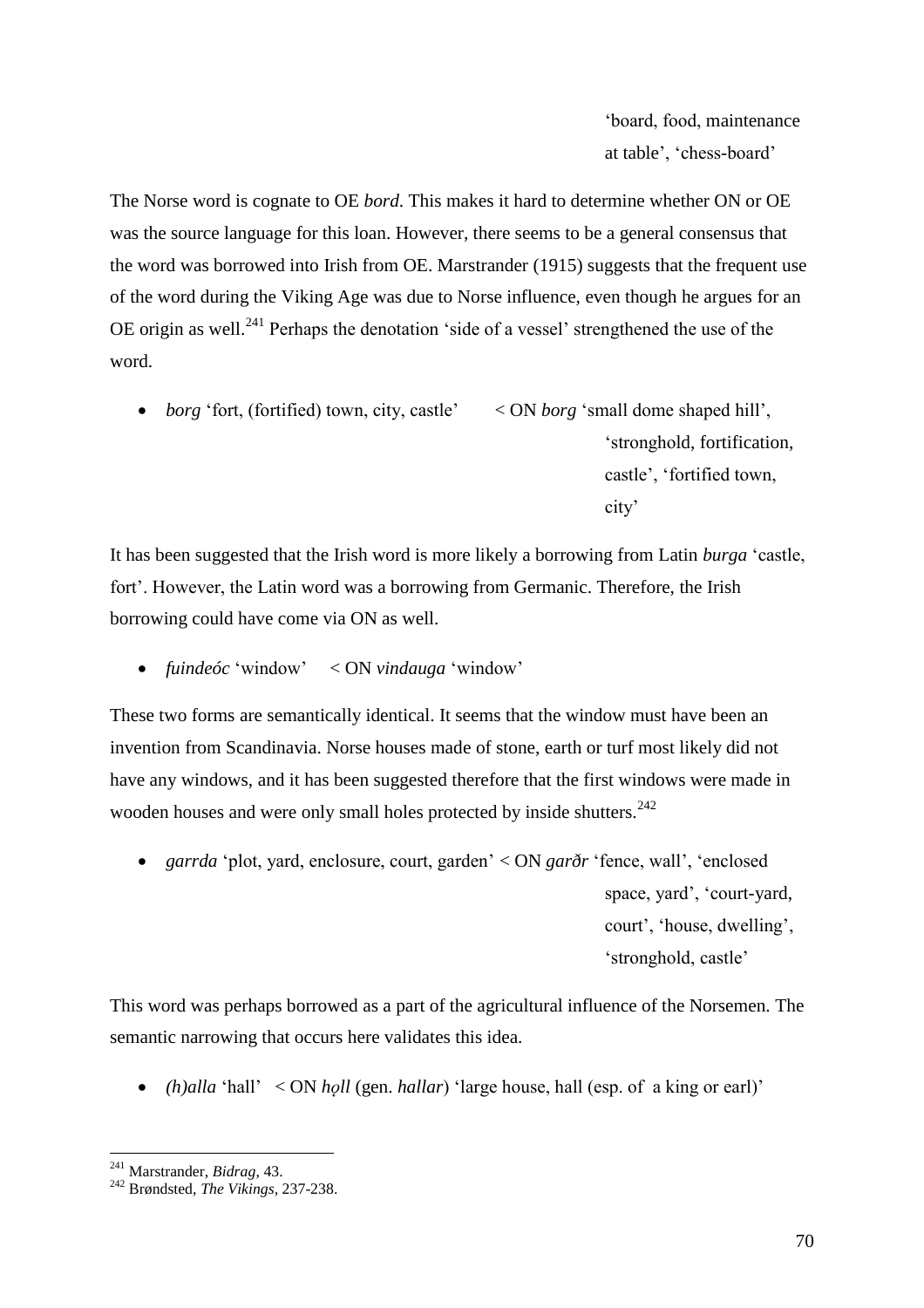'board, food, maintenance at table', 'chess-board'

The Norse word is cognate to OE *bord*. This makes it hard to determine whether ON or OE was the source language for this loan. However, there seems to be a general consensus that the word was borrowed into Irish from OE. Marstrander (1915) suggests that the frequent use of the word during the Viking Age was due to Norse influence, even though he argues for an OE origin as well.<sup>241</sup> Perhaps the denotation 'side of a vessel' strengthened the use of the word.

 *borg* 'fort, (fortified) town, city, castle' < ON *borg* 'small dome shaped hill', 'stronghold, fortification, castle', 'fortified town, city'

It has been suggested that the Irish word is more likely a borrowing from Latin *burga* 'castle, fort'. However, the Latin word was a borrowing from Germanic. Therefore, the Irish borrowing could have come via ON as well.

*fuindeóc* 'window' < ON *vindauga* 'window'

These two forms are semantically identical. It seems that the window must have been an invention from Scandinavia. Norse houses made of stone, earth or turf most likely did not have any windows, and it has been suggested therefore that the first windows were made in wooden houses and were only small holes protected by inside shutters.<sup>242</sup>

 *garrda* 'plot, yard, enclosure, court, garden' < ON *garðr* 'fence, wall', 'enclosed space, yard', 'court-yard, court', 'house, dwelling', 'stronghold, castle'

This word was perhaps borrowed as a part of the agricultural influence of the Norsemen. The semantic narrowing that occurs here validates this idea.

• *(h)alla* 'hall' < ON *holl* (gen. *hallar*) 'large house, hall (esp. of a king or earl)'

 $\overline{a}$ <sup>241</sup> Marstrander, *Bidrag*, 43.

<sup>242</sup> Brøndsted, *The Vikings*, 237-238.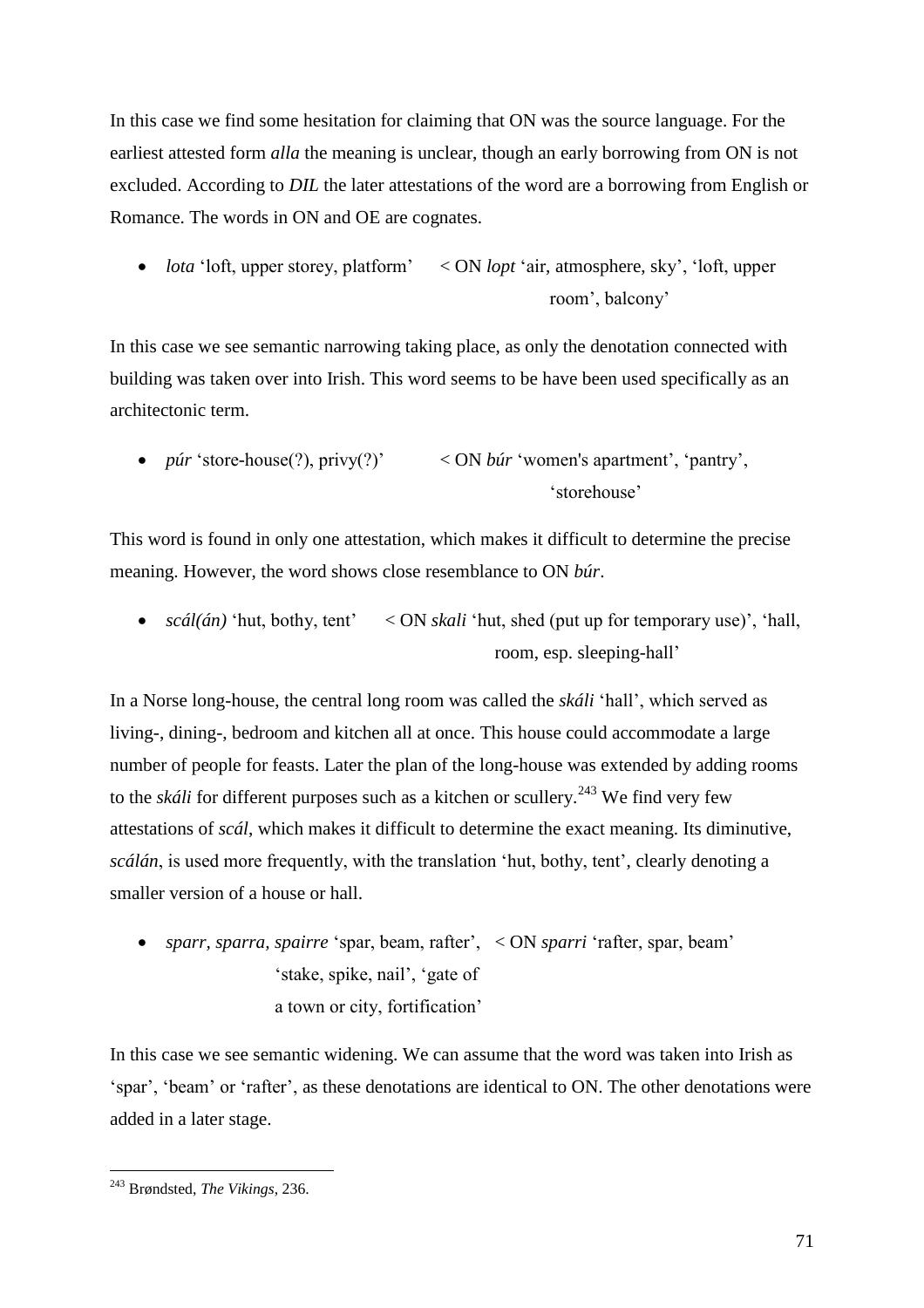In this case we find some hesitation for claiming that ON was the source language. For the earliest attested form *alla* the meaning is unclear, though an early borrowing from ON is not excluded. According to *DIL* the later attestations of the word are a borrowing from English or Romance. The words in ON and OE are cognates.

 *lota* 'loft, upper storey, platform' < ON *lopt* 'air, atmosphere, sky', 'loft, upper room', balcony'

In this case we see semantic narrowing taking place, as only the denotation connected with building was taken over into Irish. This word seems to be have been used specifically as an architectonic term.

 *púr* 'store-house(?), privy(?)' < ON *búr* 'women's apartment', 'pantry', 'storehouse'

This word is found in only one attestation, which makes it difficult to determine the precise meaning. However, the word shows close resemblance to ON *búr*.

• *scál(án)* 'hut, bothy, tent' < ON *skali* 'hut, shed (put up for temporary use)', 'hall, room, esp. sleeping-hall'

In a Norse long-house, the central long room was called the *skáli* 'hall', which served as living-, dining-, bedroom and kitchen all at once. This house could accommodate a large number of people for feasts. Later the plan of the long-house was extended by adding rooms to the *skáli* for different purposes such as a kitchen or scullery.<sup>243</sup> We find very few attestations of *scál*, which makes it difficult to determine the exact meaning. Its diminutive, *scálán*, is used more frequently, with the translation 'hut, bothy, tent', clearly denoting a smaller version of a house or hall.

 *sparr, sparra, spairre* 'spar, beam, rafter', < ON *sparri* 'rafter, spar, beam' 'stake, spike, nail', 'gate of a town or city, fortification'

In this case we see semantic widening. We can assume that the word was taken into Irish as 'spar', 'beam' or 'rafter', as these denotations are identical to ON. The other denotations were added in a later stage.

<sup>243</sup> Brøndsted, *The Vikings*, 236.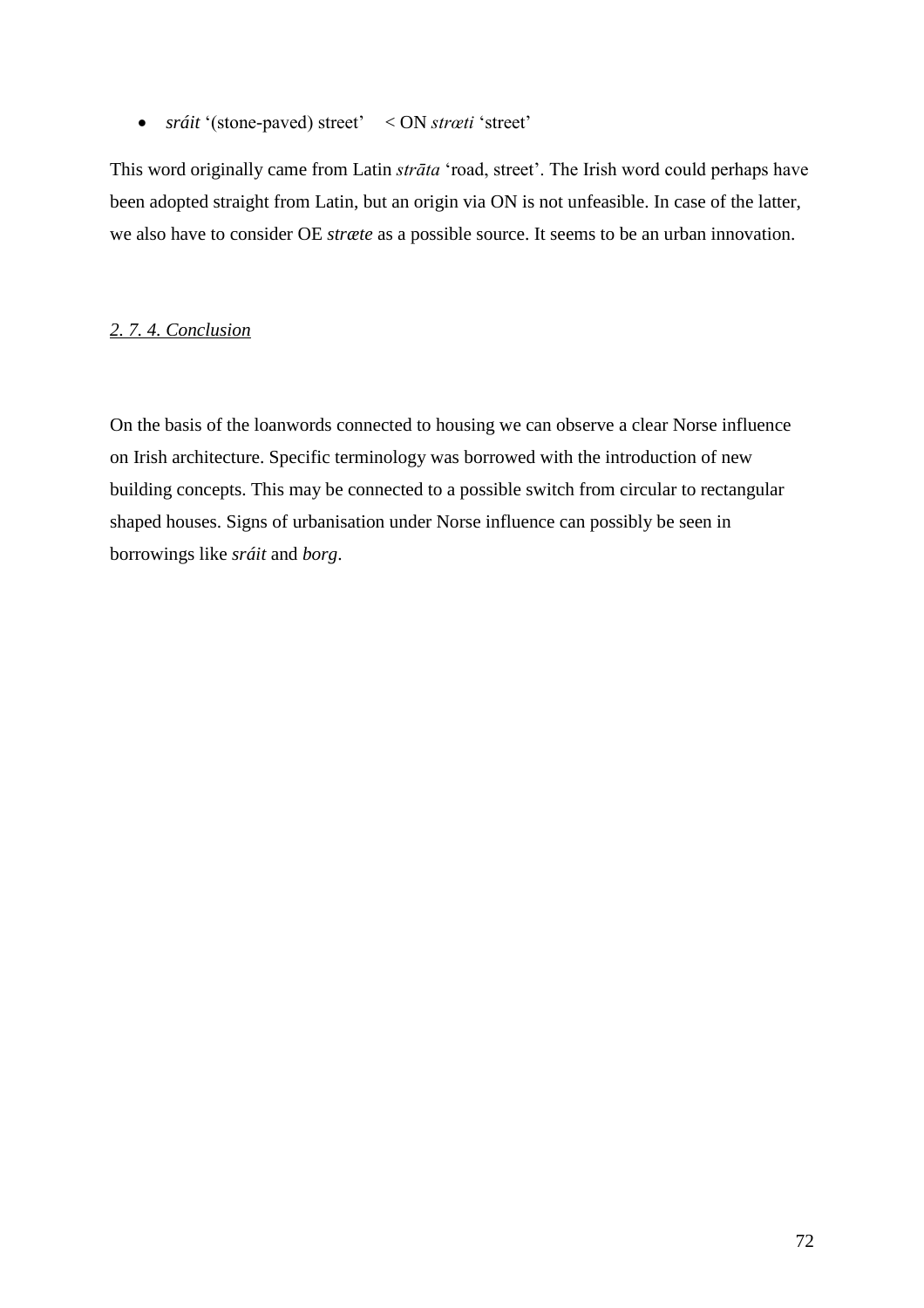*sráit* '(stone-paved) street' < ON *strœti* 'street'

This word originally came from Latin *strāta* 'road, street'. The Irish word could perhaps have been adopted straight from Latin, but an origin via ON is not unfeasible. In case of the latter, we also have to consider OE *stræte* as a possible source. It seems to be an urban innovation.

## *2. 7. 4. Conclusion*

On the basis of the loanwords connected to housing we can observe a clear Norse influence on Irish architecture. Specific terminology was borrowed with the introduction of new building concepts. This may be connected to a possible switch from circular to rectangular shaped houses. Signs of urbanisation under Norse influence can possibly be seen in borrowings like *sráit* and *borg*.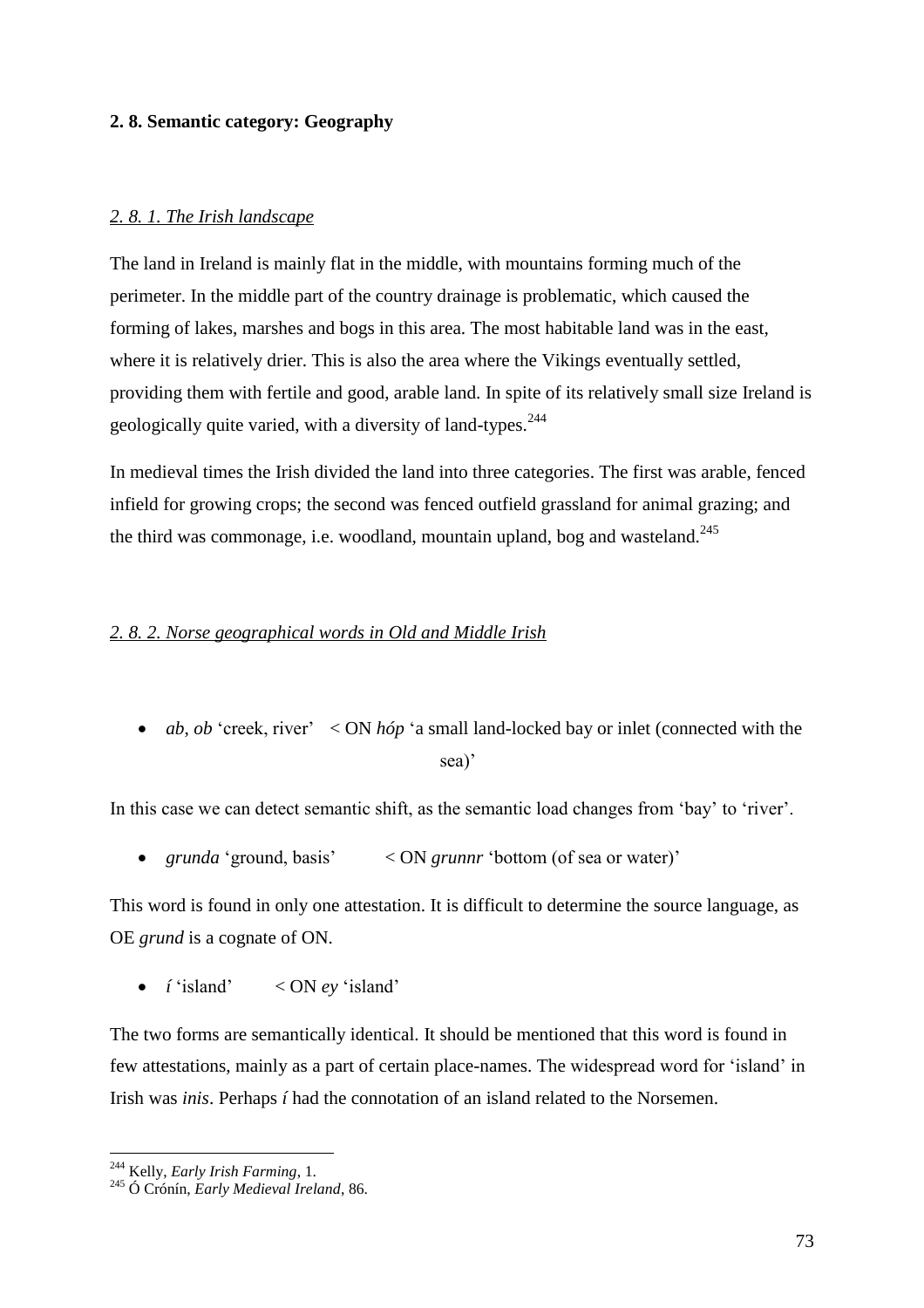## **2. 8. Semantic category: Geography**

## *2. 8. 1. The Irish landscape*

The land in Ireland is mainly flat in the middle, with mountains forming much of the perimeter. In the middle part of the country drainage is problematic, which caused the forming of lakes, marshes and bogs in this area. The most habitable land was in the east, where it is relatively drier. This is also the area where the Vikings eventually settled, providing them with fertile and good, arable land. In spite of its relatively small size Ireland is geologically quite varied, with a diversity of land-types.<sup>244</sup>

In medieval times the Irish divided the land into three categories. The first was arable, fenced infield for growing crops; the second was fenced outfield grassland for animal grazing; and the third was commonage, i.e. woodland, mountain upland, bog and wasteland.<sup>245</sup>

### *2. 8. 2. Norse geographical words in Old and Middle Irish*

• *ab*, *ob* 'creek, river' < ON *hóp* 'a small land-locked bay or inlet (connected with the sea)'

In this case we can detect semantic shift, as the semantic load changes from 'bay' to 'river'.

• *grunda* 'ground, basis' < ON *grunnr* 'bottom (of sea or water)'

This word is found in only one attestation. It is difficult to determine the source language, as OE *grund* is a cognate of ON.

*í* 'island' < ON *ey* 'island'

The two forms are semantically identical. It should be mentioned that this word is found in few attestations, mainly as a part of certain place-names. The widespread word for 'island' in Irish was *inis*. Perhaps *í* had the connotation of an island related to the Norsemen.

<sup>244</sup> Kelly, *Early Irish Farming*, 1.

<sup>245</sup> Ó Crónín, *Early Medieval Ireland*, 86.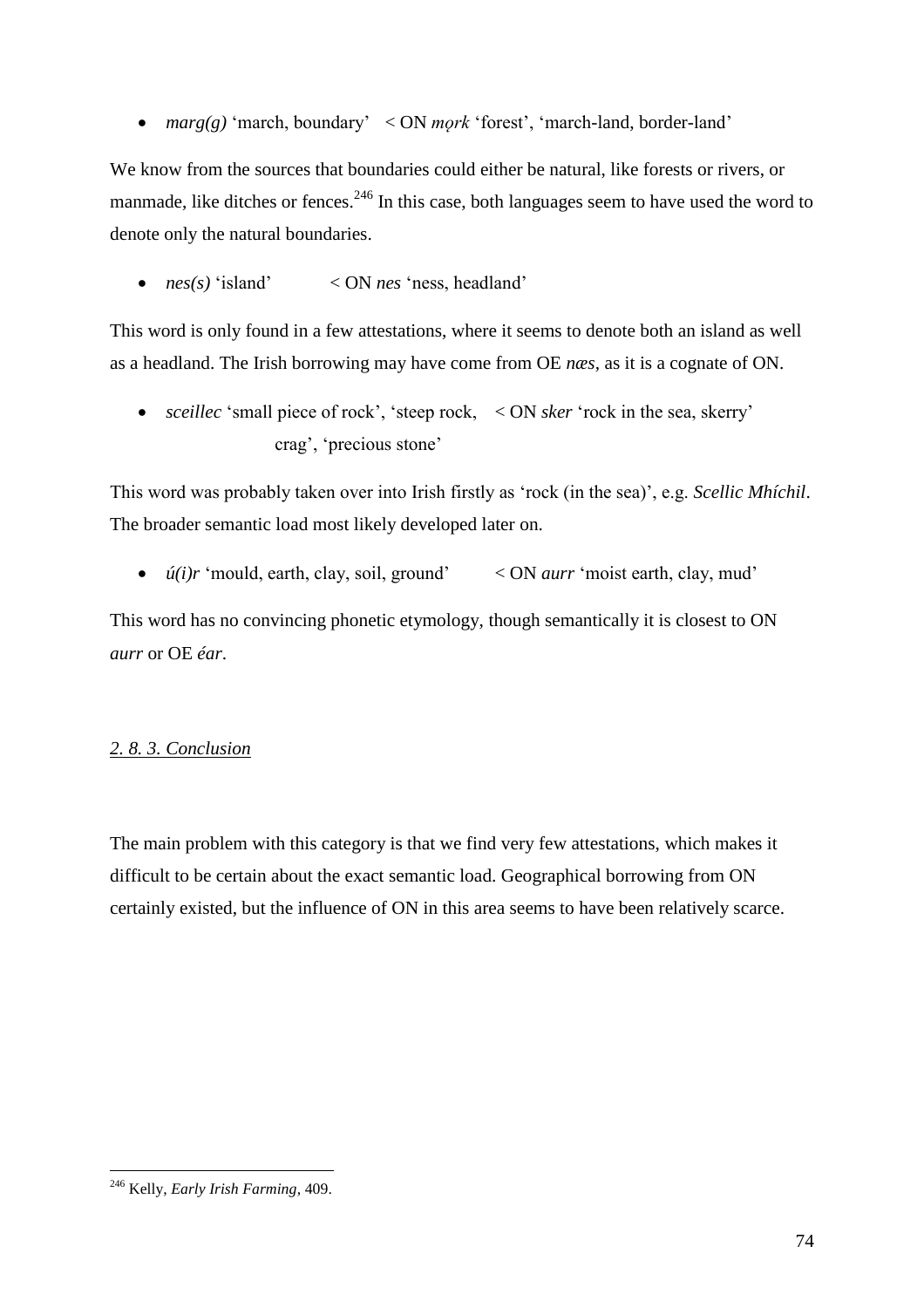*marg(g)* 'march, boundary' < ON *mǫrk* 'forest', 'march-land, border-land'

We know from the sources that boundaries could either be natural, like forests or rivers, or manmade, like ditches or fences.<sup>246</sup> In this case, both languages seem to have used the word to denote only the natural boundaries.

*nes(s)* 'island' < ON *nes* 'ness, headland'

This word is only found in a few attestations, where it seems to denote both an island as well as a headland. The Irish borrowing may have come from OE *næs*, as it is a cognate of ON.

 *sceillec* 'small piece of rock', 'steep rock, < ON *sker* 'rock in the sea, skerry' crag', 'precious stone'

This word was probably taken over into Irish firstly as 'rock (in the sea)', e.g. *Scellic Mhíchil*. The broader semantic load most likely developed later on.

*ú(i)r* 'mould, earth, clay, soil, ground' < ON *aurr* 'moist earth, clay, mud'

This word has no convincing phonetic etymology, though semantically it is closest to ON *aurr* or OE *éar*.

## *2. 8. 3. Conclusion*

The main problem with this category is that we find very few attestations, which makes it difficult to be certain about the exact semantic load. Geographical borrowing from ON certainly existed, but the influence of ON in this area seems to have been relatively scarce.

 $\overline{a}$ <sup>246</sup> Kelly, *Early Irish Farming*, 409.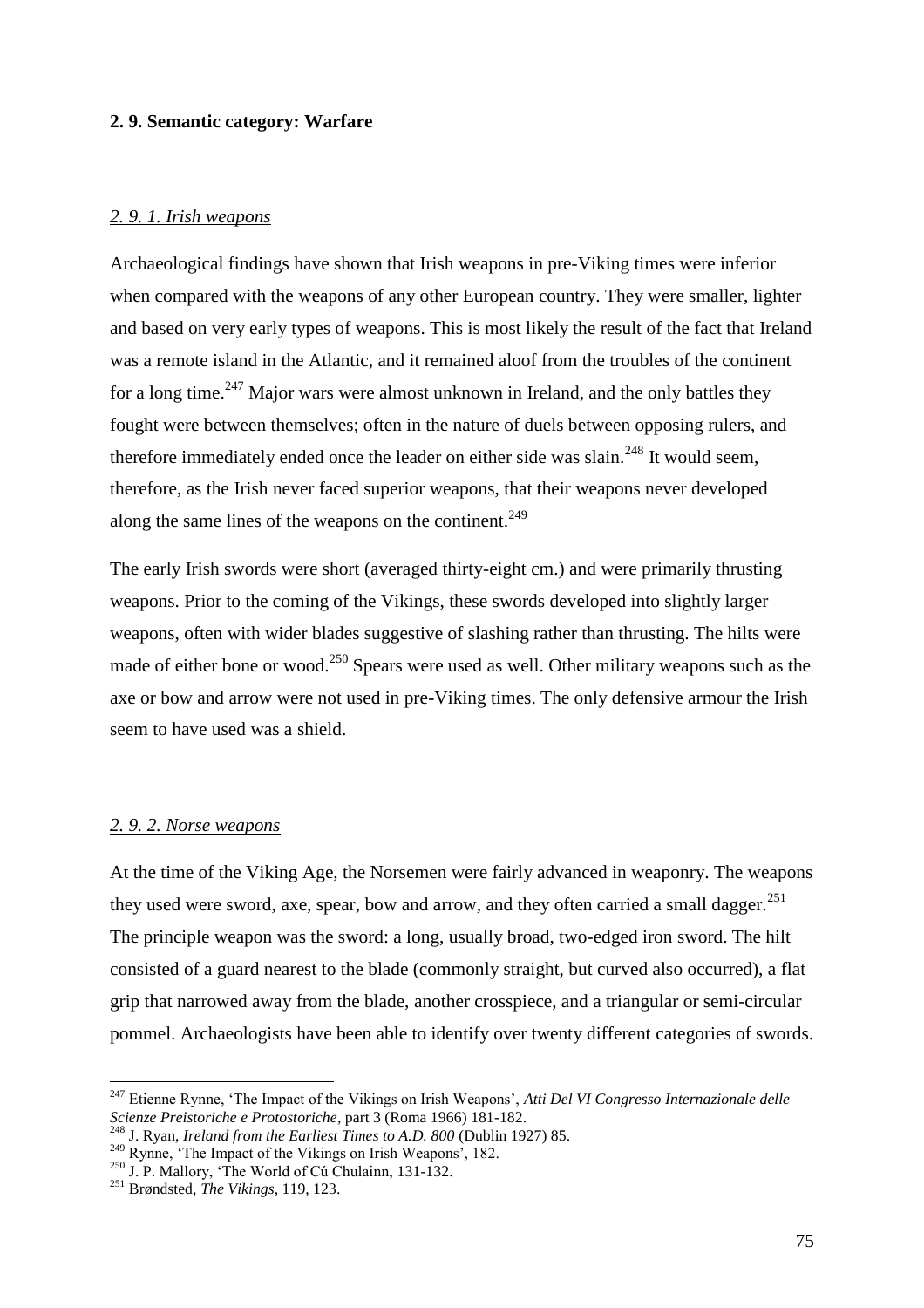### **2. 9. Semantic category: Warfare**

#### *2. 9. 1. Irish weapons*

Archaeological findings have shown that Irish weapons in pre-Viking times were inferior when compared with the weapons of any other European country. They were smaller, lighter and based on very early types of weapons. This is most likely the result of the fact that Ireland was a remote island in the Atlantic, and it remained aloof from the troubles of the continent for a long time.<sup>247</sup> Major wars were almost unknown in Ireland, and the only battles they fought were between themselves; often in the nature of duels between opposing rulers, and therefore immediately ended once the leader on either side was slain.<sup>248</sup> It would seem, therefore, as the Irish never faced superior weapons, that their weapons never developed along the same lines of the weapons on the continent.<sup>249</sup>

The early Irish swords were short (averaged thirty-eight cm.) and were primarily thrusting weapons. Prior to the coming of the Vikings, these swords developed into slightly larger weapons, often with wider blades suggestive of slashing rather than thrusting. The hilts were made of either bone or wood.<sup>250</sup> Spears were used as well. Other military weapons such as the axe or bow and arrow were not used in pre-Viking times. The only defensive armour the Irish seem to have used was a shield.

#### *2. 9. 2. Norse weapons*

 $\overline{a}$ 

At the time of the Viking Age, the Norsemen were fairly advanced in weaponry. The weapons they used were sword, axe, spear, bow and arrow, and they often carried a small dagger.<sup>251</sup> The principle weapon was the sword: a long, usually broad, two-edged iron sword. The hilt consisted of a guard nearest to the blade (commonly straight, but curved also occurred), a flat grip that narrowed away from the blade, another crosspiece, and a triangular or semi-circular pommel. Archaeologists have been able to identify over twenty different categories of swords.

<sup>247</sup> Etienne Rynne, 'The Impact of the Vikings on Irish Weapons', *Atti Del VI Congresso Internazionale delle Scienze Preistoriche e Protostoriche*, part 3 (Roma 1966) 181-182.

<sup>248</sup> J. Ryan, *Ireland from the Earliest Times to A.D. 800* (Dublin 1927) 85.

<sup>&</sup>lt;sup>249</sup> Rynne, 'The Impact of the Vikings on Irish Weapons', 182.

<sup>250</sup> J. P. Mallory, 'The World of Cú Chulainn, 131-132.

<sup>251</sup> Brøndsted, *The Vikings*, 119, 123.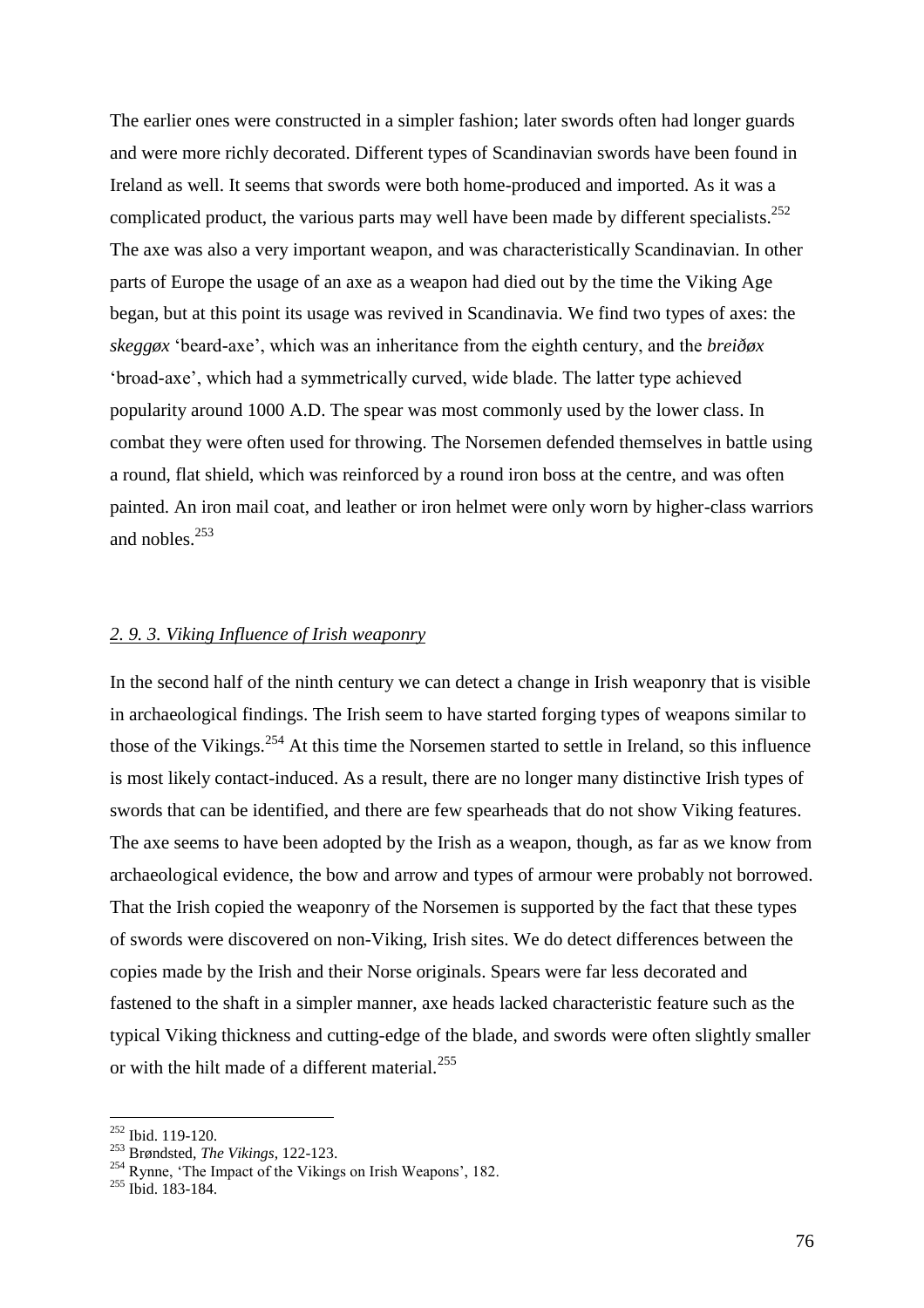The earlier ones were constructed in a simpler fashion; later swords often had longer guards and were more richly decorated. Different types of Scandinavian swords have been found in Ireland as well. It seems that swords were both home-produced and imported. As it was a complicated product, the various parts may well have been made by different specialists.<sup>252</sup> The axe was also a very important weapon, and was characteristically Scandinavian. In other parts of Europe the usage of an axe as a weapon had died out by the time the Viking Age began, but at this point its usage was revived in Scandinavia. We find two types of axes: the *skeggøx* 'beard-axe', which was an inheritance from the eighth century, and the *breiðøx*  'broad-axe', which had a symmetrically curved, wide blade. The latter type achieved popularity around 1000 A.D. The spear was most commonly used by the lower class. In combat they were often used for throwing. The Norsemen defended themselves in battle using a round, flat shield, which was reinforced by a round iron boss at the centre, and was often painted. An iron mail coat, and leather or iron helmet were only worn by higher-class warriors and nobles.<sup>253</sup>

#### *2. 9. 3. Viking Influence of Irish weaponry*

In the second half of the ninth century we can detect a change in Irish weaponry that is visible in archaeological findings. The Irish seem to have started forging types of weapons similar to those of the Vikings.<sup>254</sup> At this time the Norsemen started to settle in Ireland, so this influence is most likely contact-induced. As a result, there are no longer many distinctive Irish types of swords that can be identified, and there are few spearheads that do not show Viking features. The axe seems to have been adopted by the Irish as a weapon, though, as far as we know from archaeological evidence, the bow and arrow and types of armour were probably not borrowed. That the Irish copied the weaponry of the Norsemen is supported by the fact that these types of swords were discovered on non-Viking, Irish sites. We do detect differences between the copies made by the Irish and their Norse originals. Spears were far less decorated and fastened to the shaft in a simpler manner, axe heads lacked characteristic feature such as the typical Viking thickness and cutting-edge of the blade, and swords were often slightly smaller or with the hilt made of a different material.<sup>255</sup>

<sup>&</sup>lt;sup>252</sup> Ibid. 119-120.

<sup>253</sup> Brøndsted, *The Vikings*, 122-123.

 $^{254}$  Rynne, 'The Impact of the Vikings on Irish Weapons', 182.

 $255$  Ibid. 183-184.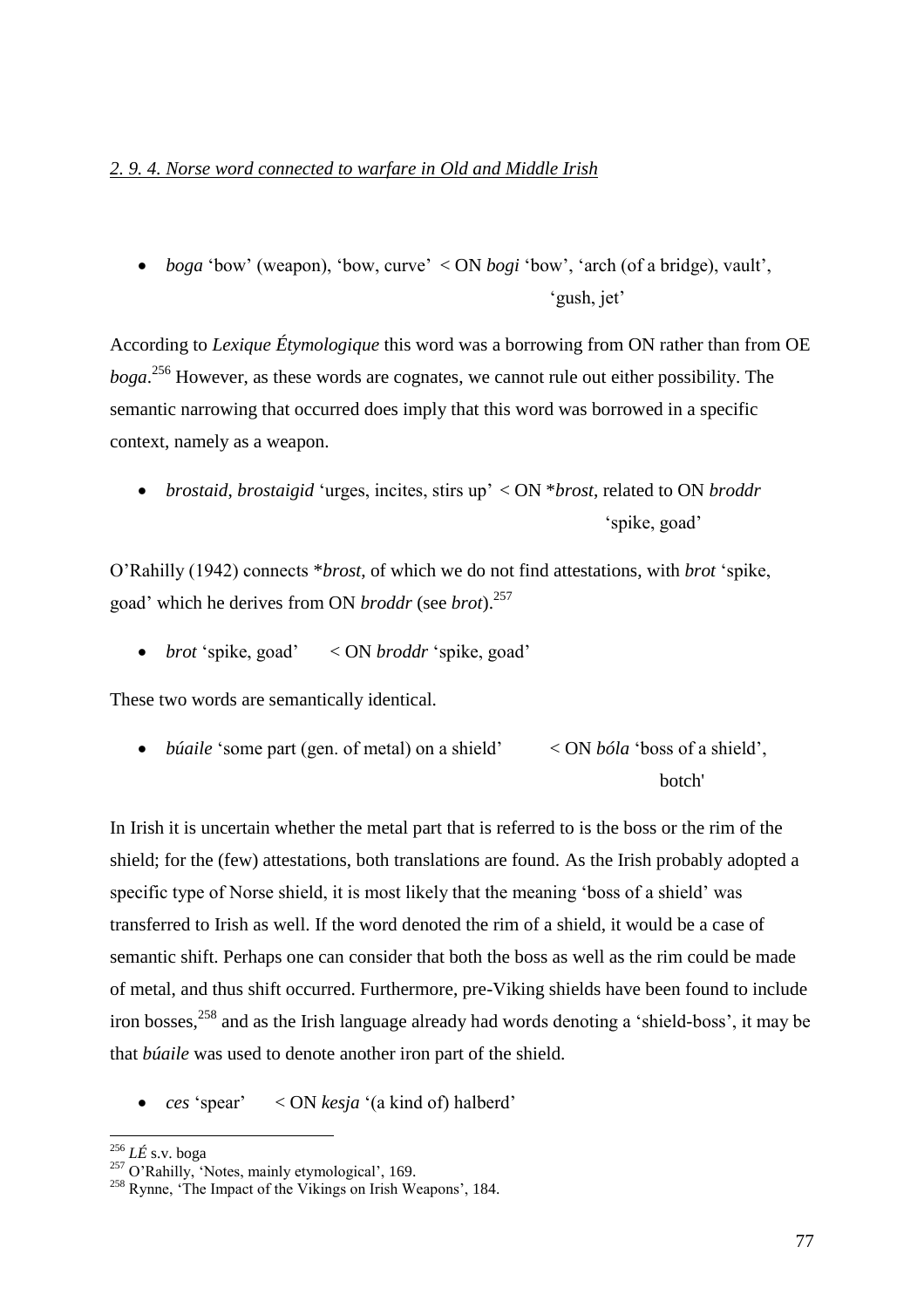### *2. 9. 4. Norse word connected to warfare in Old and Middle Irish*

 *boga* 'bow' (weapon), 'bow, curve' < ON *bogi* 'bow', 'arch (of a bridge), vault', 'gush, jet'

According to *Lexique Étymologique* this word was a borrowing from ON rather than from OE *boga*. <sup>256</sup> However, as these words are cognates, we cannot rule out either possibility. The semantic narrowing that occurred does imply that this word was borrowed in a specific context, namely as a weapon.

 *brostaid*, *brostaigid* 'urges, incites, stirs up' < ON \**brost*, related to ON *broddr* 'spike, goad'

O'Rahilly (1942) connects \**brost*, of which we do not find attestations, with *brot* 'spike, goad' which he derives from ON *broddr* (see *brot*).<sup>257</sup>

*brot* 'spike, goad' < ON *broddr* 'spike, goad'

These two words are semantically identical.

 *búaile* 'some part (gen. of metal) on a shield' < ON *bóla* 'boss of a shield', botch'

In Irish it is uncertain whether the metal part that is referred to is the boss or the rim of the shield; for the (few) attestations, both translations are found. As the Irish probably adopted a specific type of Norse shield, it is most likely that the meaning 'boss of a shield' was transferred to Irish as well. If the word denoted the rim of a shield, it would be a case of semantic shift. Perhaps one can consider that both the boss as well as the rim could be made of metal, and thus shift occurred. Furthermore, pre-Viking shields have been found to include iron bosses,<sup>258</sup> and as the Irish language already had words denoting a 'shield-boss', it may be that *búaile* was used to denote another iron part of the shield.

*ces* 'spear' < ON *kesja* '(a kind of) halberd'

<sup>256</sup> *LÉ* s.v. boga

 $257$  O'Rahilly, 'Notes, mainly etymological', 169.

<sup>&</sup>lt;sup>258</sup> Rynne, 'The Impact of the Vikings on Irish Weapons', 184.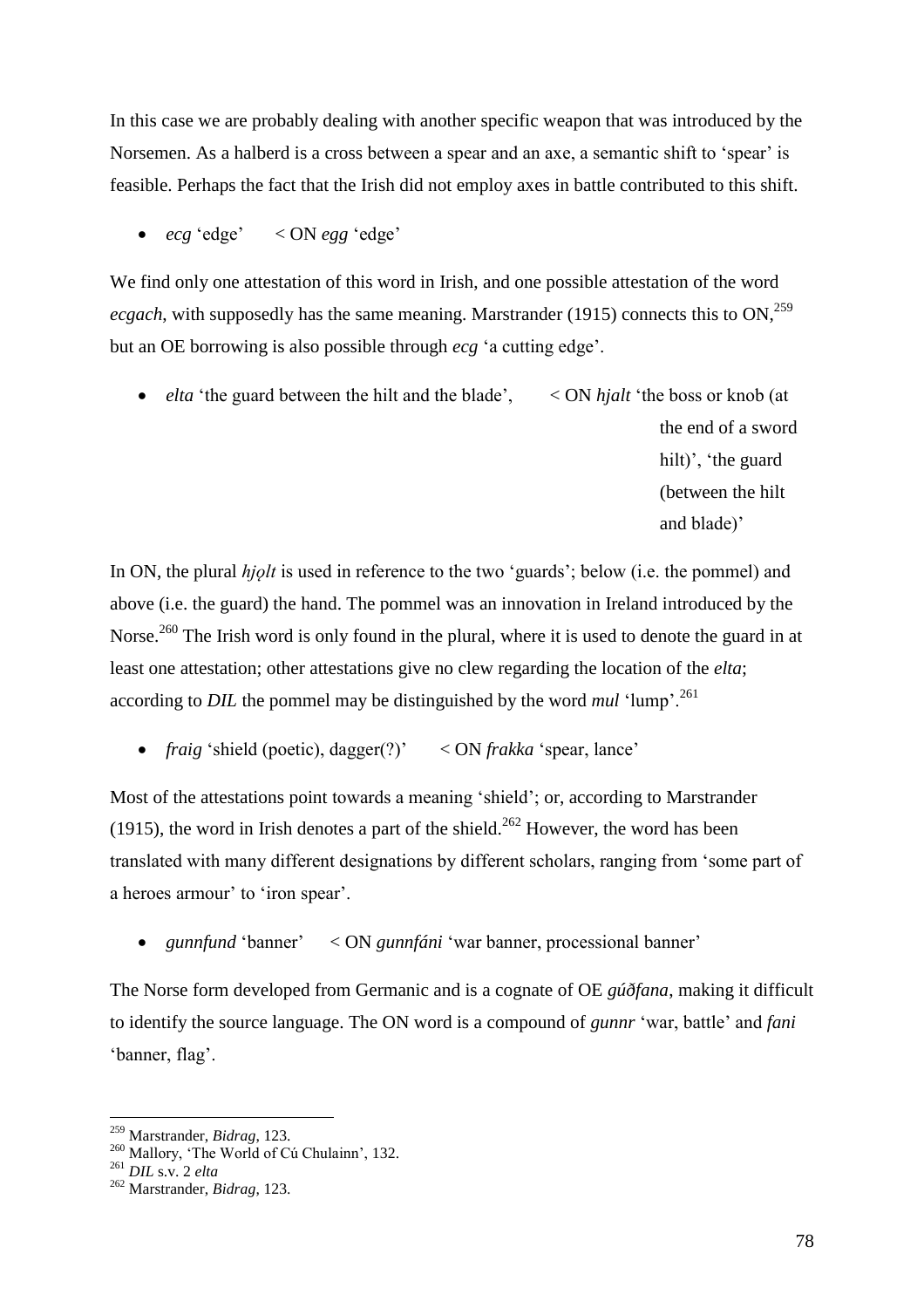In this case we are probably dealing with another specific weapon that was introduced by the Norsemen. As a halberd is a cross between a spear and an axe, a semantic shift to 'spear' is feasible. Perhaps the fact that the Irish did not employ axes in battle contributed to this shift.

*ecg* 'edge' < ON *egg* 'edge'

We find only one attestation of this word in Irish, and one possible attestation of the word *ecgach*, with supposedly has the same meaning. Marstrander (1915) connects this to  $ON^{259}$ . but an OE borrowing is also possible through *ecg* 'a cutting edge'.

 *elta* 'the guard between the hilt and the blade', < ON *hjalt* 'the boss or knob (at the end of a sword hilt)', 'the guard (between the hilt and blade)'

In ON, the plural *hjolt* is used in reference to the two 'guards'; below (i.e. the pommel) and above (i.e. the guard) the hand. The pommel was an innovation in Ireland introduced by the Norse.<sup>260</sup> The Irish word is only found in the plural, where it is used to denote the guard in at least one attestation; other attestations give no clew regarding the location of the *elta*; according to *DIL* the pommel may be distinguished by the word *mul*  $\lceil \text{lump} \rceil$ .<sup>261</sup>

*fraig* 'shield (poetic), dagger(?)' < ON *frakka* 'spear, lance'

Most of the attestations point towards a meaning 'shield'; or, according to Marstrander (1915), the word in Irish denotes a part of the shield.<sup>262</sup> However, the word has been translated with many different designations by different scholars, ranging from 'some part of a heroes armour' to 'iron spear'.

*gunnfund* 'banner' < ON *gunnfáni* 'war banner, processional banner'

The Norse form developed from Germanic and is a cognate of OE *gúðfana*, making it difficult to identify the source language. The ON word is a compound of *gunnr* 'war, battle' and *fani*  'banner, flag'.

<sup>259</sup> Marstrander, *Bidrag*, 123.

<sup>260</sup> Mallory, 'The World of Cú Chulainn', 132.

<sup>261</sup> *DIL* s.v. 2 *elta*

<sup>262</sup> Marstrander, *Bidrag*, 123.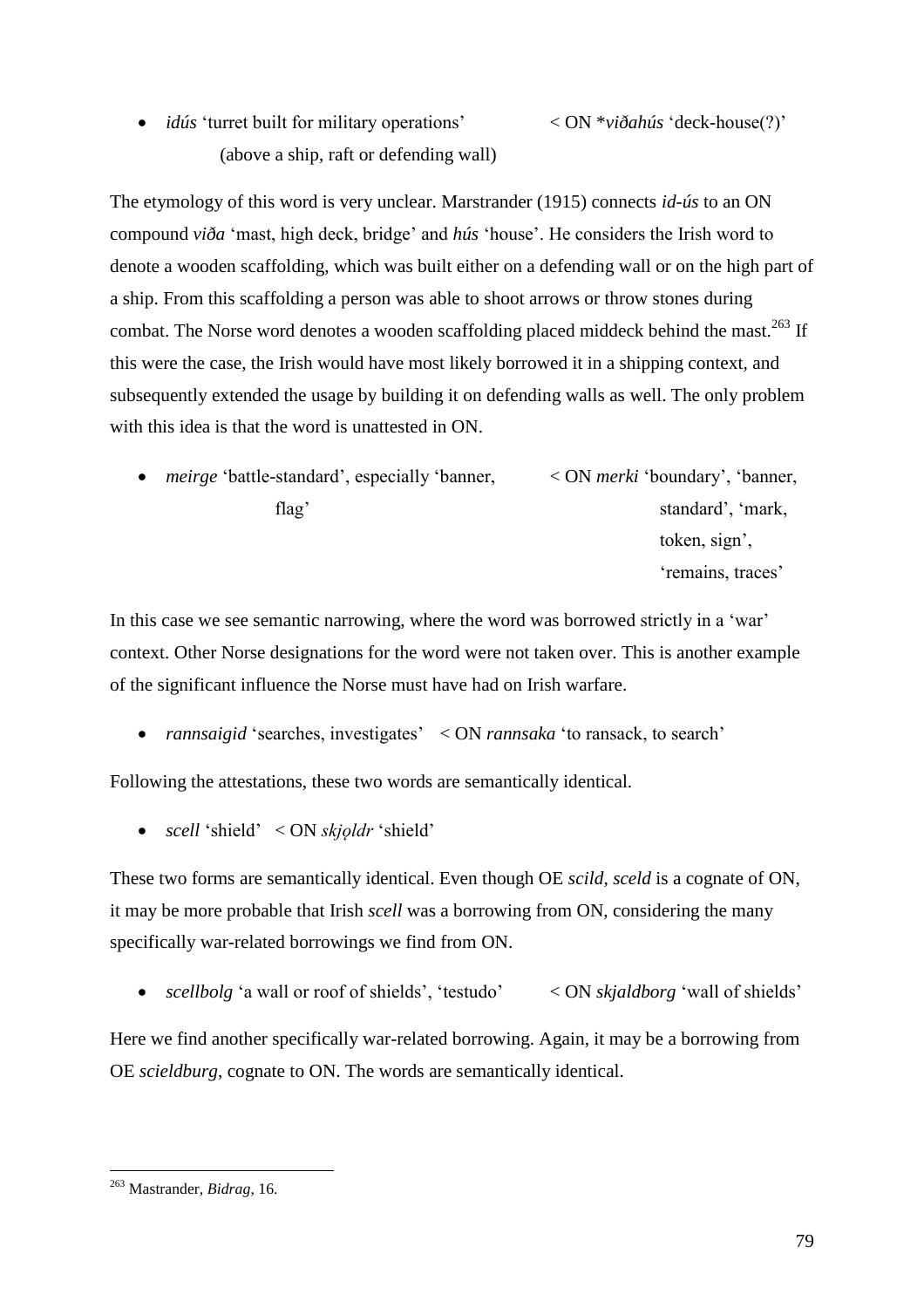*idús* 'turret built for military operations' < ON \**viðahús* 'deck-house(?)' (above a ship, raft or defending wall)

The etymology of this word is very unclear. Marstrander (1915) connects *id-ús* to an ON compound *viða* 'mast, high deck, bridge' and *hús* 'house'. He considers the Irish word to denote a wooden scaffolding, which was built either on a defending wall or on the high part of a ship. From this scaffolding a person was able to shoot arrows or throw stones during combat. The Norse word denotes a wooden scaffolding placed middeck behind the mast.<sup>263</sup> If this were the case, the Irish would have most likely borrowed it in a shipping context, and subsequently extended the usage by building it on defending walls as well. The only problem with this idea is that the word is unattested in ON.

 *meirge* 'battle-standard', especially 'banner, < ON *merki* 'boundary', 'banner, flag' standard', 'mark, token, sign', 'remains, traces'

In this case we see semantic narrowing, where the word was borrowed strictly in a 'war' context. Other Norse designations for the word were not taken over. This is another example of the significant influence the Norse must have had on Irish warfare.

*rannsaigid* 'searches, investigates' < ON *rannsaka* 'to ransack, to search'

Following the attestations, these two words are semantically identical.

*scell* 'shield' < ON *skjǫldr* 'shield'

These two forms are semantically identical. Even though OE *scild*, *sceld* is a cognate of ON, it may be more probable that Irish *scell* was a borrowing from ON, considering the many specifically war-related borrowings we find from ON.

• *scellbolg* 'a wall or roof of shields', 'testudo' < ON *skjaldborg* 'wall of shields'

Here we find another specifically war-related borrowing. Again, it may be a borrowing from OE *scieldburg*, cognate to ON. The words are semantically identical.

 $\overline{a}$ <sup>263</sup> Mastrander, *Bidrag*, 16.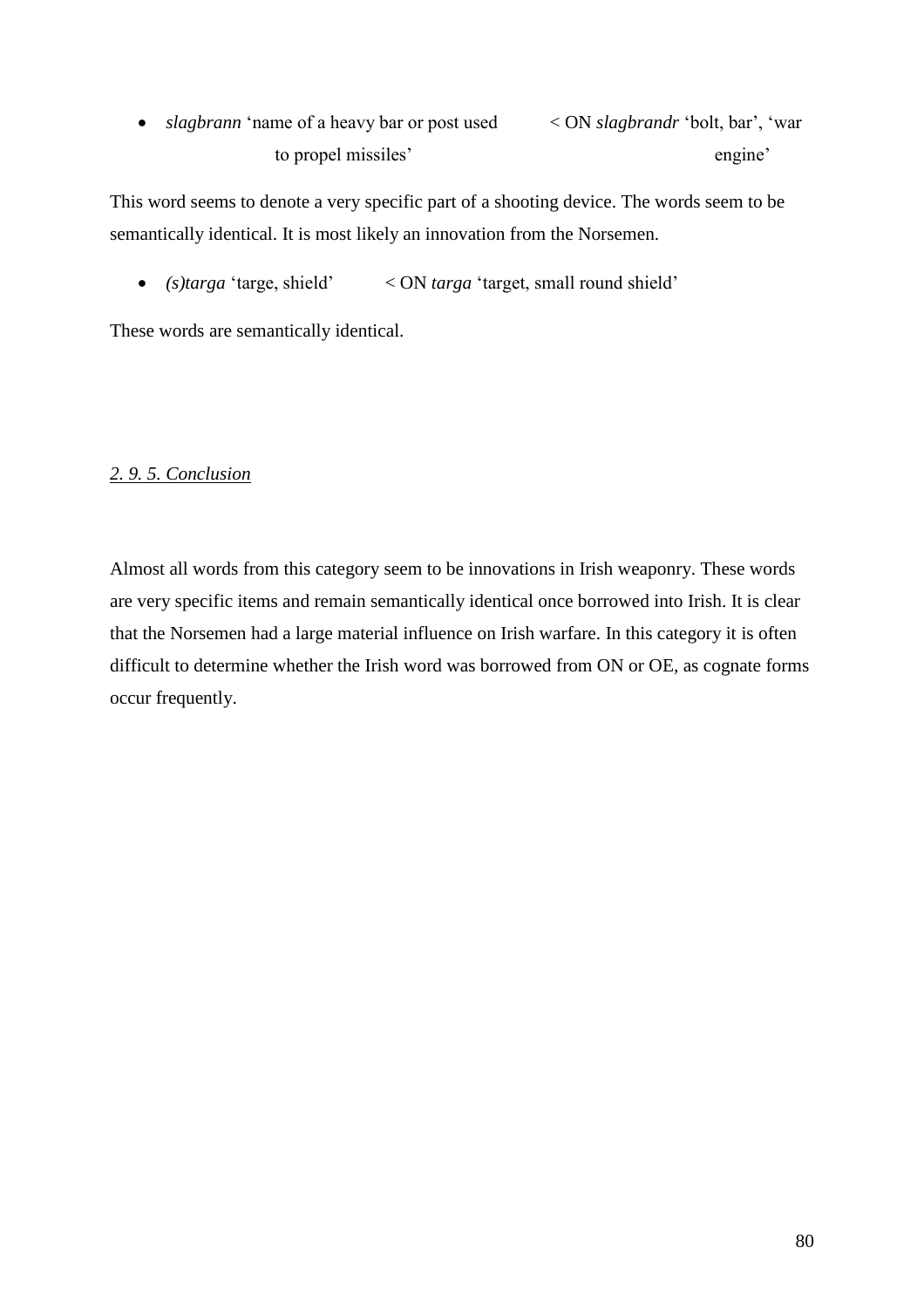*slagbrann* 'name of a heavy bar or post used < ON *slagbrandr* 'bolt, bar', 'war to propel missiles' engine'

This word seems to denote a very specific part of a shooting device. The words seem to be semantically identical. It is most likely an innovation from the Norsemen.

*(s)targa* 'targe, shield' < ON *targa* 'target, small round shield'

These words are semantically identical.

## *2. 9. 5. Conclusion*

Almost all words from this category seem to be innovations in Irish weaponry. These words are very specific items and remain semantically identical once borrowed into Irish. It is clear that the Norsemen had a large material influence on Irish warfare. In this category it is often difficult to determine whether the Irish word was borrowed from ON or OE, as cognate forms occur frequently.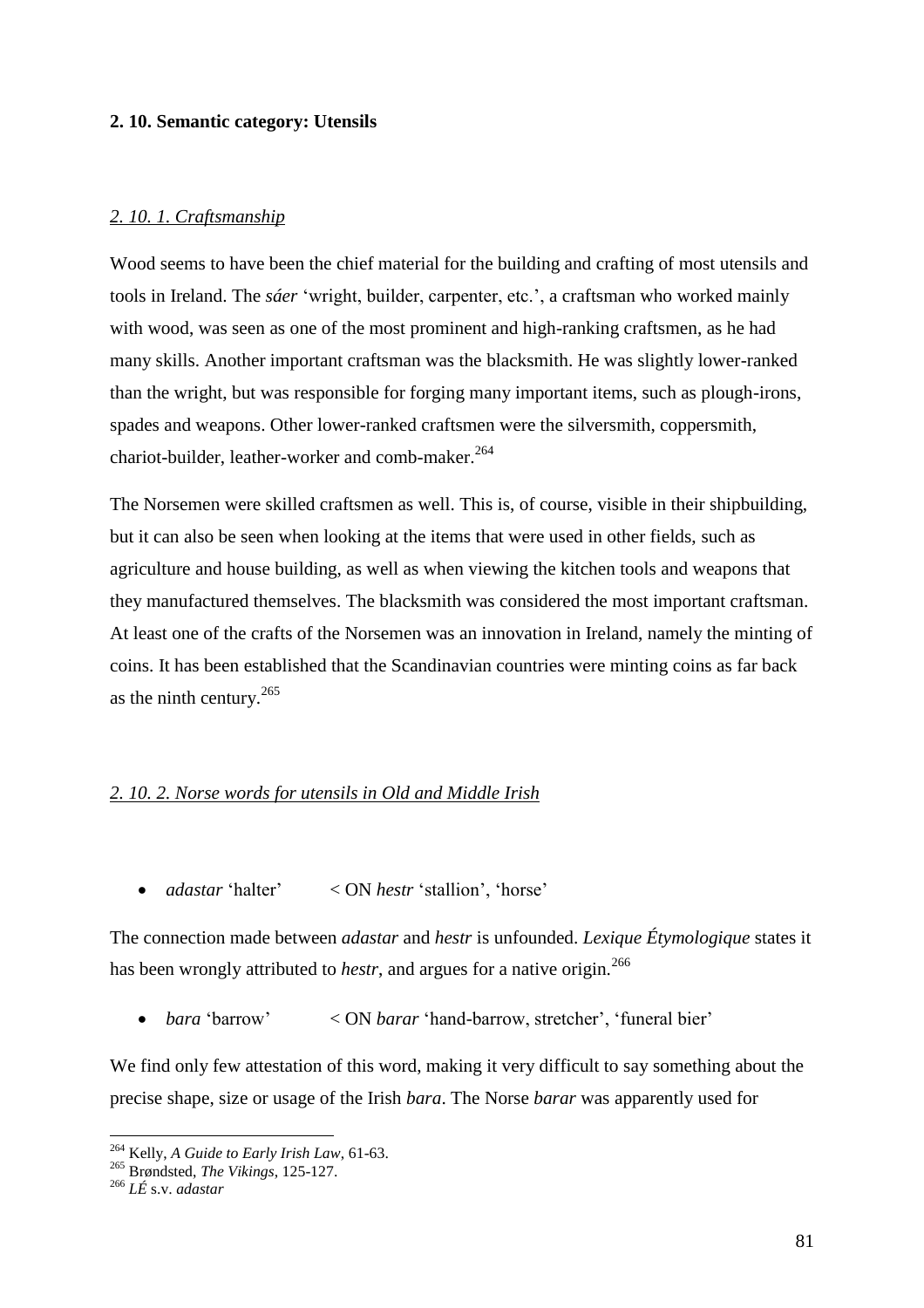### **2. 10. Semantic category: Utensils**

### *2. 10. 1. Craftsmanship*

Wood seems to have been the chief material for the building and crafting of most utensils and tools in Ireland. The *sáer* 'wright, builder, carpenter, etc.', a craftsman who worked mainly with wood, was seen as one of the most prominent and high-ranking craftsmen, as he had many skills. Another important craftsman was the blacksmith. He was slightly lower-ranked than the wright, but was responsible for forging many important items, such as plough-irons, spades and weapons. Other lower-ranked craftsmen were the silversmith, coppersmith, chariot-builder, leather-worker and comb-maker.<sup>264</sup>

The Norsemen were skilled craftsmen as well. This is, of course, visible in their shipbuilding, but it can also be seen when looking at the items that were used in other fields, such as agriculture and house building, as well as when viewing the kitchen tools and weapons that they manufactured themselves. The blacksmith was considered the most important craftsman. At least one of the crafts of the Norsemen was an innovation in Ireland, namely the minting of coins. It has been established that the Scandinavian countries were minting coins as far back as the ninth century.<sup>265</sup>

#### *2. 10. 2. Norse words for utensils in Old and Middle Irish*

*adastar* 'halter' < ON *hestr* 'stallion', 'horse'

The connection made between *adastar* and *hestr* is unfounded. *Lexique Étymologique* states it has been wrongly attributed to *hestr*, and argues for a native origin.<sup>266</sup>

*bara* 'barrow' < ON *barar* 'hand-barrow, stretcher', 'funeral bier'

We find only few attestation of this word, making it very difficult to say something about the precise shape, size or usage of the Irish *bara*. The Norse *barar* was apparently used for

<sup>264</sup> Kelly, *A Guide to Early Irish Law*, 61-63.

<sup>265</sup> Brøndsted, *The Vikings*, 125-127.

<sup>266</sup> *LÉ* s.v. *adastar*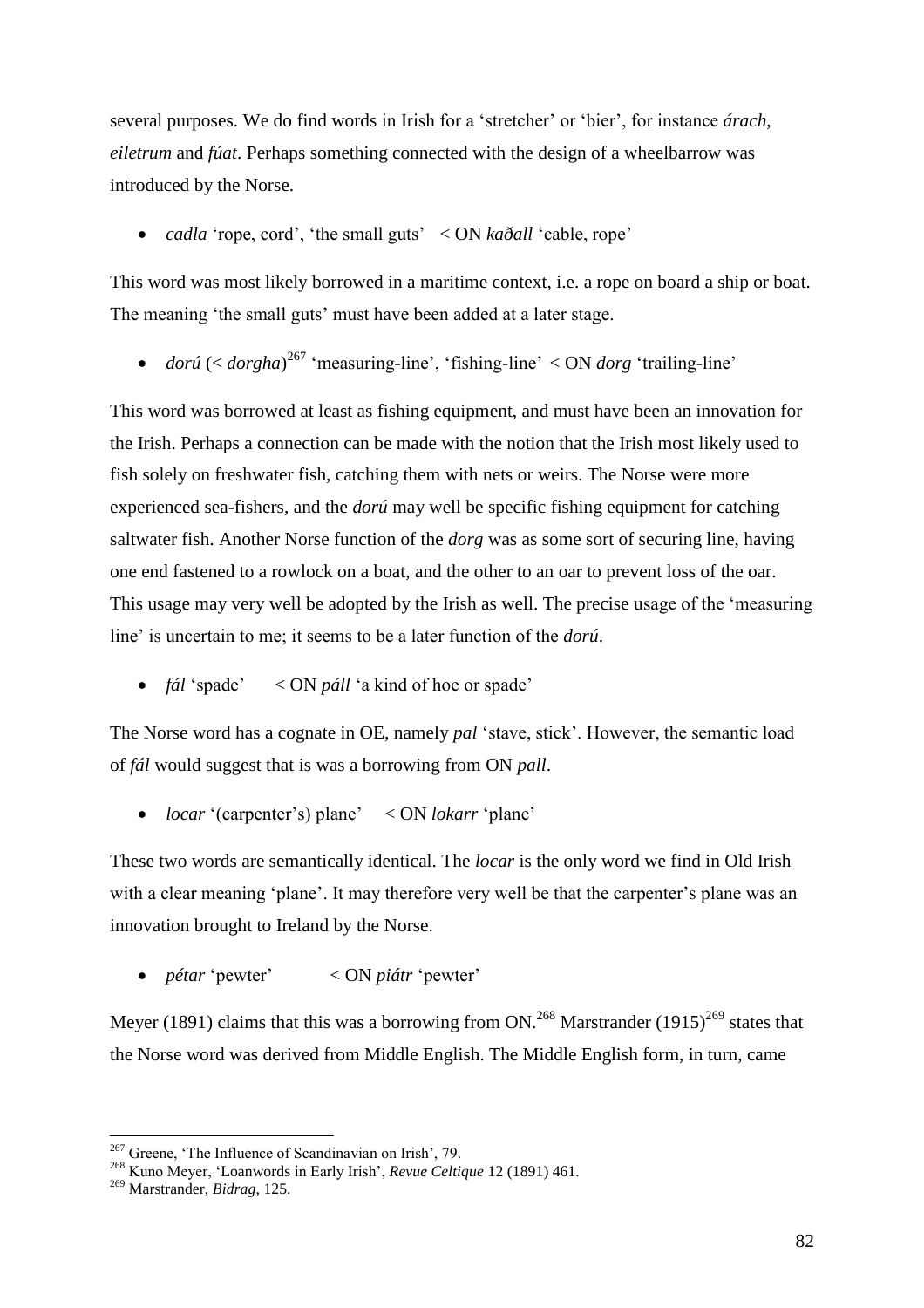several purposes. We do find words in Irish for a 'stretcher' or 'bier', for instance *árach*, *eiletrum* and *fúat*. Perhaps something connected with the design of a wheelbarrow was introduced by the Norse.

*cadla* 'rope, cord', 'the small guts' < ON *kaðall* 'cable, rope'

This word was most likely borrowed in a maritime context, i.e. a rope on board a ship or boat. The meaning 'the small guts' must have been added at a later stage.

• *dorú* (< *dorgha*)<sup>267</sup> 'measuring-line', 'fishing-line' < ON *dorg* 'trailing-line'

This word was borrowed at least as fishing equipment, and must have been an innovation for the Irish. Perhaps a connection can be made with the notion that the Irish most likely used to fish solely on freshwater fish, catching them with nets or weirs. The Norse were more experienced sea-fishers, and the *dorú* may well be specific fishing equipment for catching saltwater fish. Another Norse function of the *dorg* was as some sort of securing line, having one end fastened to a rowlock on a boat, and the other to an oar to prevent loss of the oar. This usage may very well be adopted by the Irish as well. The precise usage of the 'measuring line' is uncertain to me; it seems to be a later function of the *dorú*.

*fál* 'spade' < ON *páll* 'a kind of hoe or spade'

The Norse word has a cognate in OE, namely *pal* 'stave, stick'. However, the semantic load of *fál* would suggest that is was a borrowing from ON *pall*.

*locar* '(carpenter's) plane' < ON *lokarr* 'plane'

These two words are semantically identical. The *locar* is the only word we find in Old Irish with a clear meaning 'plane'. It may therefore very well be that the carpenter's plane was an innovation brought to Ireland by the Norse.

*pétar* 'pewter' < ON *piátr* 'pewter'

Meyer (1891) claims that this was a borrowing from ON.<sup>268</sup> Marstrander (1915)<sup>269</sup> states that the Norse word was derived from Middle English. The Middle English form, in turn, came

<sup>&</sup>lt;sup>267</sup> Greene, 'The Influence of Scandinavian on Irish', 79.

<sup>268</sup> Kuno Meyer, 'Loanwords in Early Irish', *Revue Celtique* 12 (1891) 461.

<sup>269</sup> Marstrander, *Bidrag*, 125.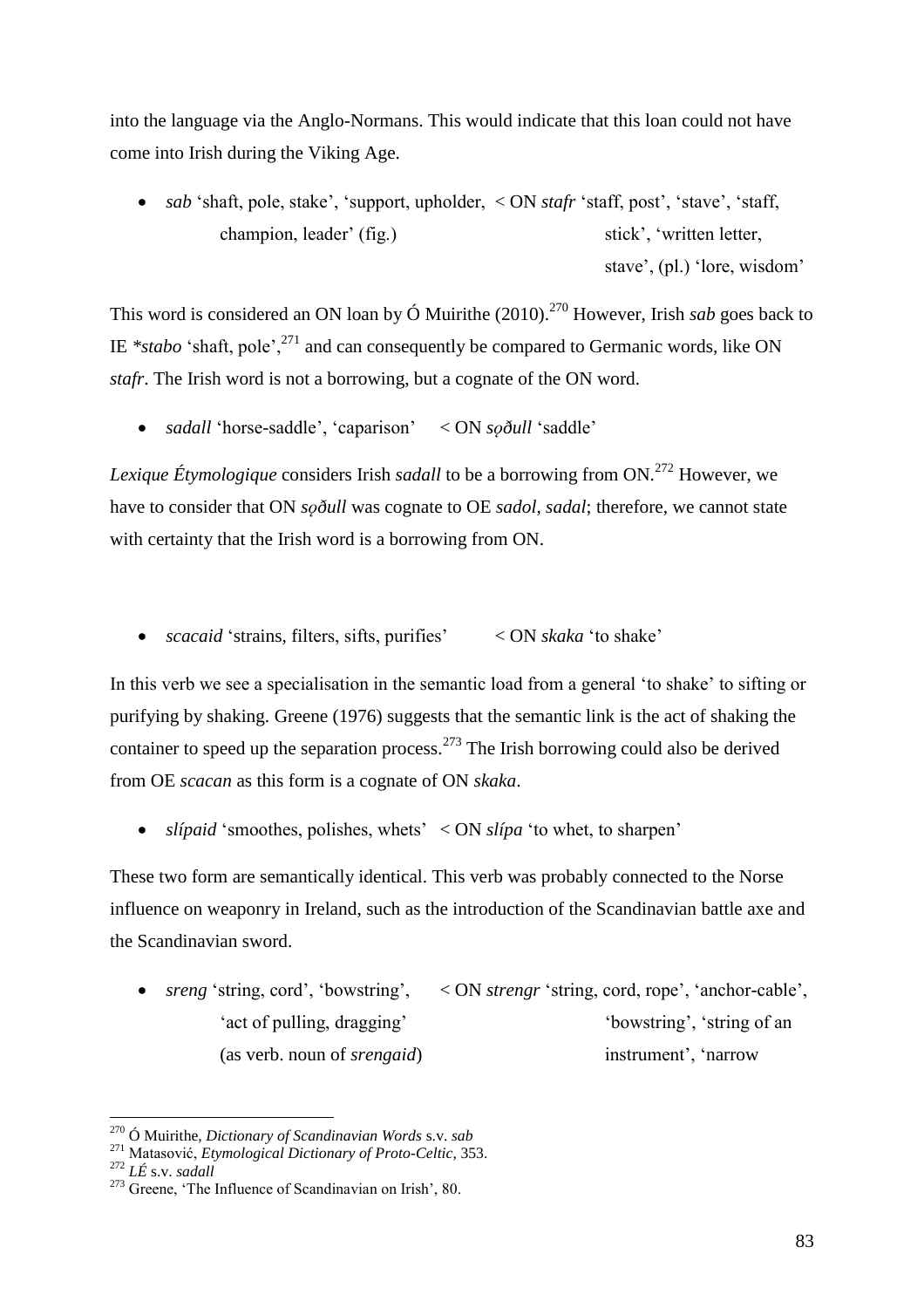into the language via the Anglo-Normans. This would indicate that this loan could not have come into Irish during the Viking Age.

 *sab* 'shaft, pole, stake', 'support, upholder, < ON *stafr* 'staff, post', 'stave', 'staff, champion, leader' (fig.) stick', 'written letter, stave', (pl.) 'lore, wisdom'

This word is considered an ON loan by  $\acute{O}$  Muirithe (2010).<sup>270</sup> However, Irish *sab* goes back to IE  $*stabo$  'shaft, pole',<sup>271</sup> and can consequently be compared to Germanic words, like ON *stafr*. The Irish word is not a borrowing, but a cognate of the ON word.

• *sadall* 'horse-saddle', 'caparison' < ON *soðull* 'saddle'

*Lexique Étymologique* considers Irish *sadall* to be a borrowing from ON.<sup>272</sup> However, we have to consider that ON *soðull* was cognate to OE *sadol*, *sadal*; therefore, we cannot state with certainty that the Irish word is a borrowing from ON.

*scacaid* 'strains, filters, sifts, purifies' < ON *skaka* 'to shake'

In this verb we see a specialisation in the semantic load from a general 'to shake' to sifting or purifying by shaking. Greene (1976) suggests that the semantic link is the act of shaking the container to speed up the separation process.<sup>273</sup> The Irish borrowing could also be derived from OE *scacan* as this form is a cognate of ON *skaka*.

*slípaid* 'smoothes, polishes, whets' < ON *slípa* 'to whet, to sharpen'

These two form are semantically identical. This verb was probably connected to the Norse influence on weaponry in Ireland, such as the introduction of the Scandinavian battle axe and the Scandinavian sword.

 *sreng* 'string, cord', 'bowstring', < ON *strengr* 'string, cord, rope', 'anchor-cable', 'act of pulling, dragging' 'bowstring', 'string of an (as verb. noun of *srengaid*) instrument', 'narrow

<sup>270</sup> Ó Muirithe, *Dictionary of Scandinavian Words* s.v. *sab*

<sup>271</sup> Matasović, *Etymological Dictionary of Proto-Celtic*, 353.

<sup>272</sup> *LÉ* s.v. *sadall*

<sup>273</sup> Greene, 'The Influence of Scandinavian on Irish', 80.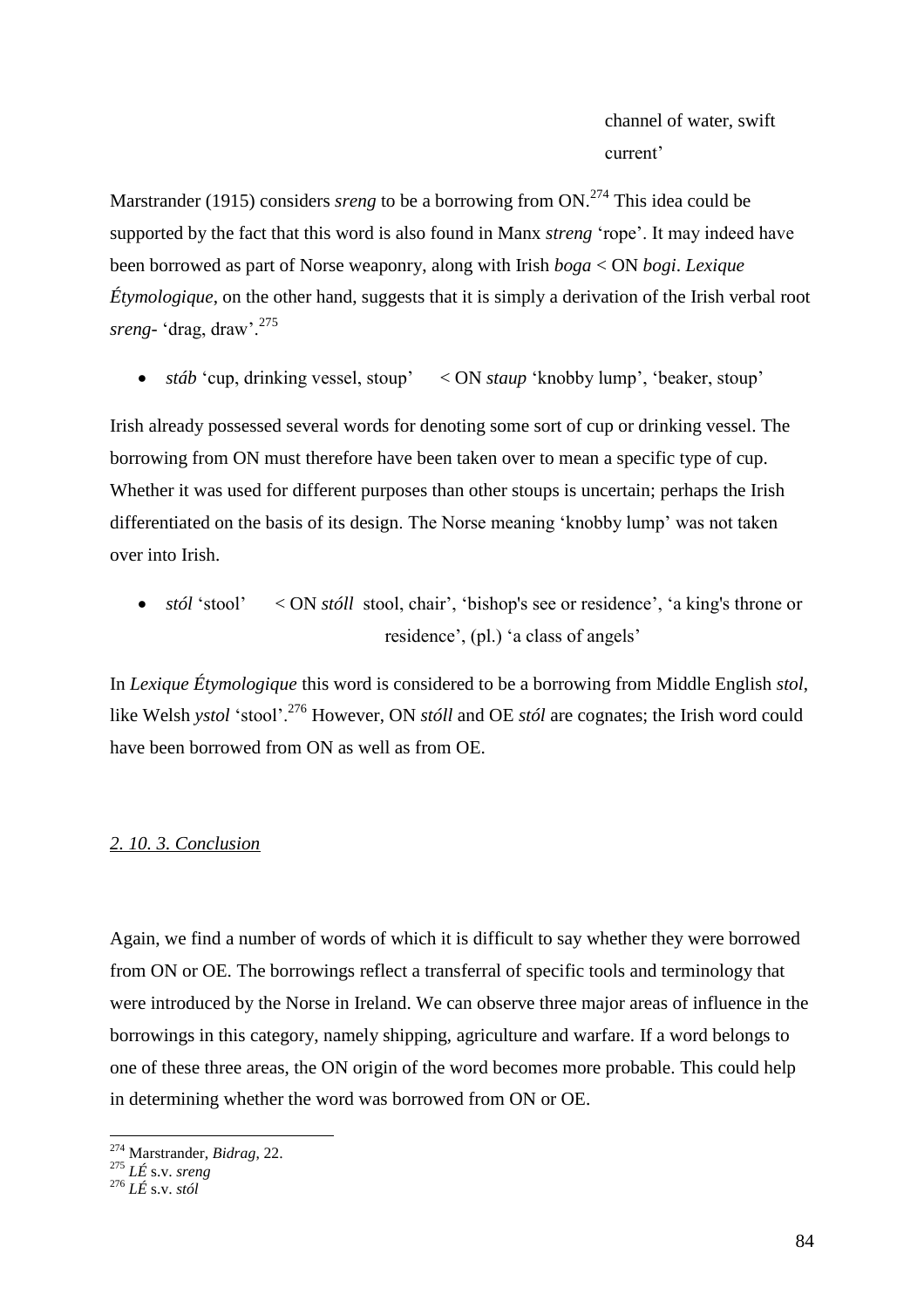Marstrander (1915) considers *sreng* to be a borrowing from ON. <sup>274</sup> This idea could be supported by the fact that this word is also found in Manx *streng* 'rope'. It may indeed have been borrowed as part of Norse weaponry, along with Irish *boga* < ON *bogi*. *Lexique Étymologique*, on the other hand, suggests that it is simply a derivation of the Irish verbal root *sreng-* 'drag, draw'.<sup>275</sup>

*stáb* 'cup, drinking vessel, stoup' < ON *staup* 'knobby lump', 'beaker, stoup'

Irish already possessed several words for denoting some sort of cup or drinking vessel. The borrowing from ON must therefore have been taken over to mean a specific type of cup. Whether it was used for different purposes than other stoups is uncertain; perhaps the Irish differentiated on the basis of its design. The Norse meaning 'knobby lump' was not taken over into Irish.

• *stól* 'stool' < ON *stóll* stool, chair', 'bishop's see or residence', 'a king's throne or residence', (pl.) 'a class of angels'

In *Lexique Étymologique* this word is considered to be a borrowing from Middle English *stol*, like Welsh *ystol* 'stool'.<sup>276</sup> However, ON *stóll* and OE *stól* are cognates; the Irish word could have been borrowed from ON as well as from OE.

### *2. 10. 3. Conclusion*

Again, we find a number of words of which it is difficult to say whether they were borrowed from ON or OE. The borrowings reflect a transferral of specific tools and terminology that were introduced by the Norse in Ireland. We can observe three major areas of influence in the borrowings in this category, namely shipping, agriculture and warfare. If a word belongs to one of these three areas, the ON origin of the word becomes more probable. This could help in determining whether the word was borrowed from ON or OE.

<sup>274</sup> Marstrander, *Bidrag*, 22.

<sup>275</sup> *LÉ* s.v. *sreng*

<sup>276</sup> *LÉ* s.v. *stól*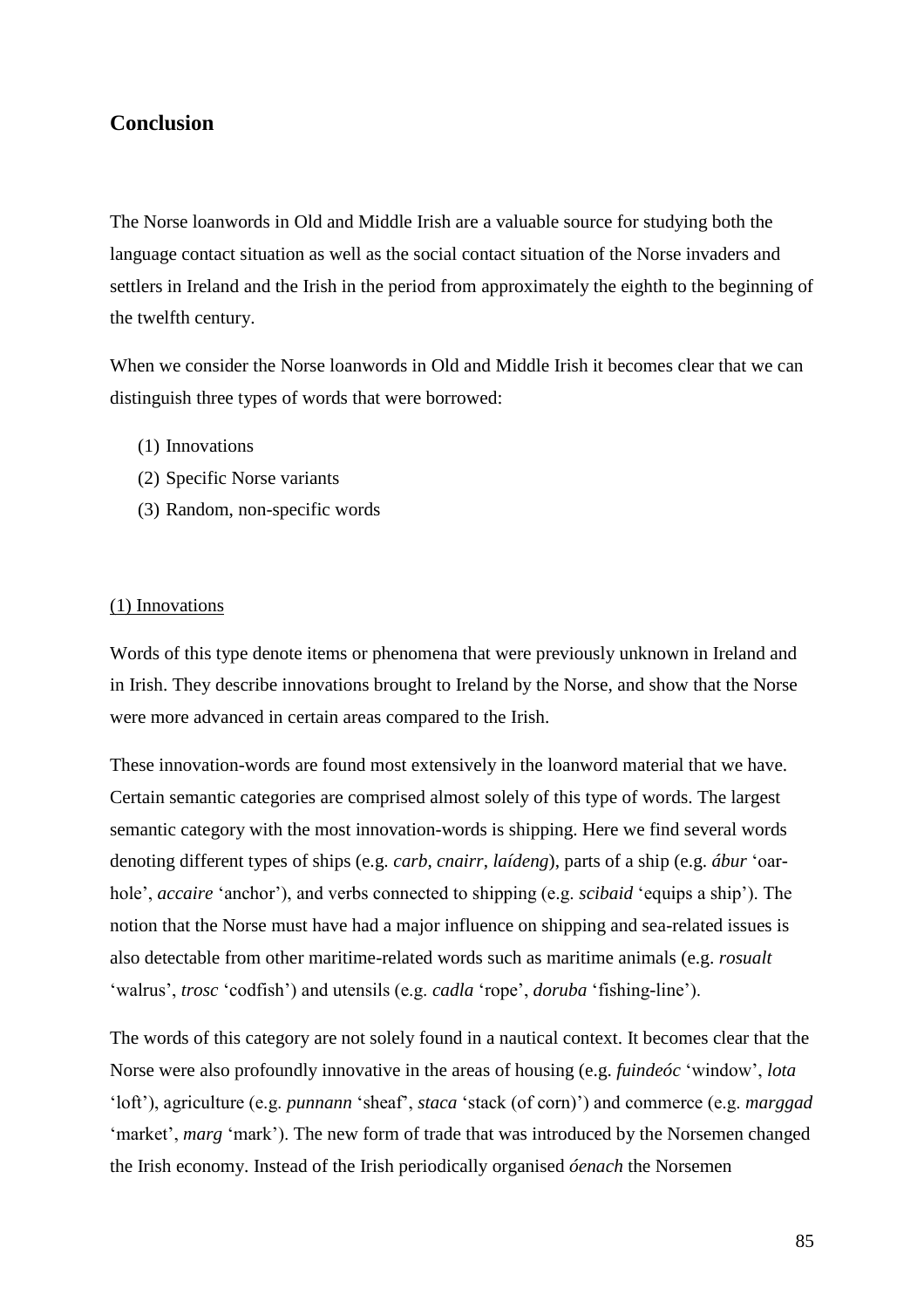# **Conclusion**

The Norse loanwords in Old and Middle Irish are a valuable source for studying both the language contact situation as well as the social contact situation of the Norse invaders and settlers in Ireland and the Irish in the period from approximately the eighth to the beginning of the twelfth century.

When we consider the Norse loanwords in Old and Middle Irish it becomes clear that we can distinguish three types of words that were borrowed:

- (1) Innovations
- (2) Specific Norse variants
- (3) Random, non-specific words

## (1) Innovations

Words of this type denote items or phenomena that were previously unknown in Ireland and in Irish. They describe innovations brought to Ireland by the Norse, and show that the Norse were more advanced in certain areas compared to the Irish.

These innovation-words are found most extensively in the loanword material that we have. Certain semantic categories are comprised almost solely of this type of words. The largest semantic category with the most innovation-words is shipping. Here we find several words denoting different types of ships (e.g. *carb*, *cnairr*, *laídeng*), parts of a ship (e.g. *ábur* 'oarhole', *accaire* 'anchor'), and verbs connected to shipping (e.g. *scibaid* 'equips a ship'). The notion that the Norse must have had a major influence on shipping and sea-related issues is also detectable from other maritime-related words such as maritime animals (e.g. *rosualt* 'walrus', *trosc* 'codfish') and utensils (e.g. *cadla* 'rope', *doruba* 'fishing-line').

The words of this category are not solely found in a nautical context. It becomes clear that the Norse were also profoundly innovative in the areas of housing (e.g. *fuindeóc* 'window', *lota*  'loft'), agriculture (e.g. *punnann* 'sheaf', *staca* 'stack (of corn)') and commerce (e.g. *marggad*  'market', *marg* 'mark'). The new form of trade that was introduced by the Norsemen changed the Irish economy. Instead of the Irish periodically organised *óenach* the Norsemen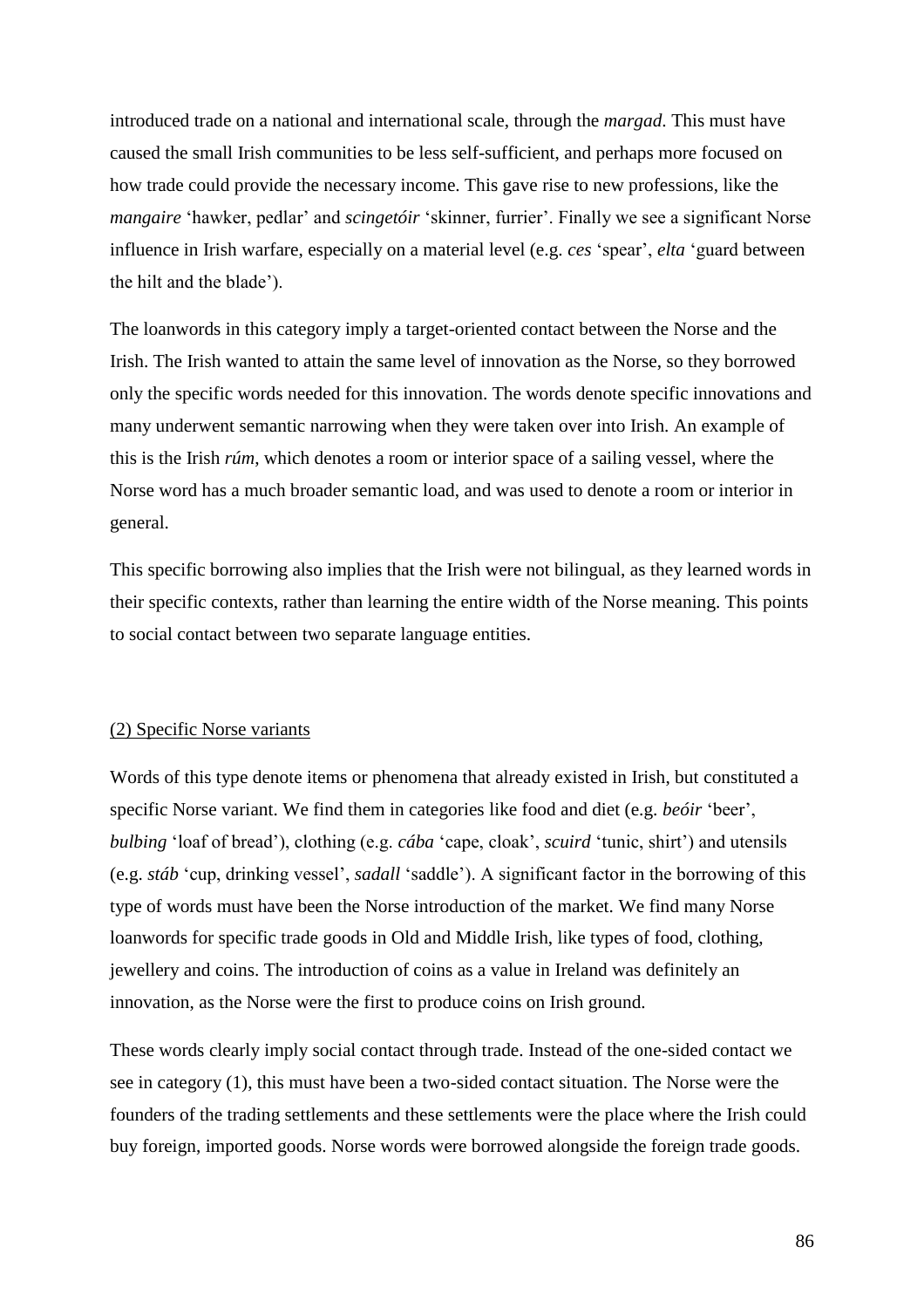introduced trade on a national and international scale, through the *margad*. This must have caused the small Irish communities to be less self-sufficient, and perhaps more focused on how trade could provide the necessary income. This gave rise to new professions, like the *mangaire* 'hawker, pedlar' and *scingetóir* 'skinner, furrier'. Finally we see a significant Norse influence in Irish warfare, especially on a material level (e.g. *ces* 'spear', *elta* 'guard between the hilt and the blade').

The loanwords in this category imply a target-oriented contact between the Norse and the Irish. The Irish wanted to attain the same level of innovation as the Norse, so they borrowed only the specific words needed for this innovation. The words denote specific innovations and many underwent semantic narrowing when they were taken over into Irish. An example of this is the Irish *rúm*, which denotes a room or interior space of a sailing vessel, where the Norse word has a much broader semantic load, and was used to denote a room or interior in general.

This specific borrowing also implies that the Irish were not bilingual, as they learned words in their specific contexts, rather than learning the entire width of the Norse meaning. This points to social contact between two separate language entities.

#### (2) Specific Norse variants

Words of this type denote items or phenomena that already existed in Irish, but constituted a specific Norse variant. We find them in categories like food and diet (e.g. *beóir* 'beer', *bulbing* 'loaf of bread'), clothing (e.g. *cába* 'cape, cloak', *scuird* 'tunic, shirt') and utensils (e.g. *stáb* 'cup, drinking vessel', *sadall* 'saddle'). A significant factor in the borrowing of this type of words must have been the Norse introduction of the market. We find many Norse loanwords for specific trade goods in Old and Middle Irish, like types of food, clothing, jewellery and coins. The introduction of coins as a value in Ireland was definitely an innovation, as the Norse were the first to produce coins on Irish ground.

These words clearly imply social contact through trade. Instead of the one-sided contact we see in category (1), this must have been a two-sided contact situation. The Norse were the founders of the trading settlements and these settlements were the place where the Irish could buy foreign, imported goods. Norse words were borrowed alongside the foreign trade goods.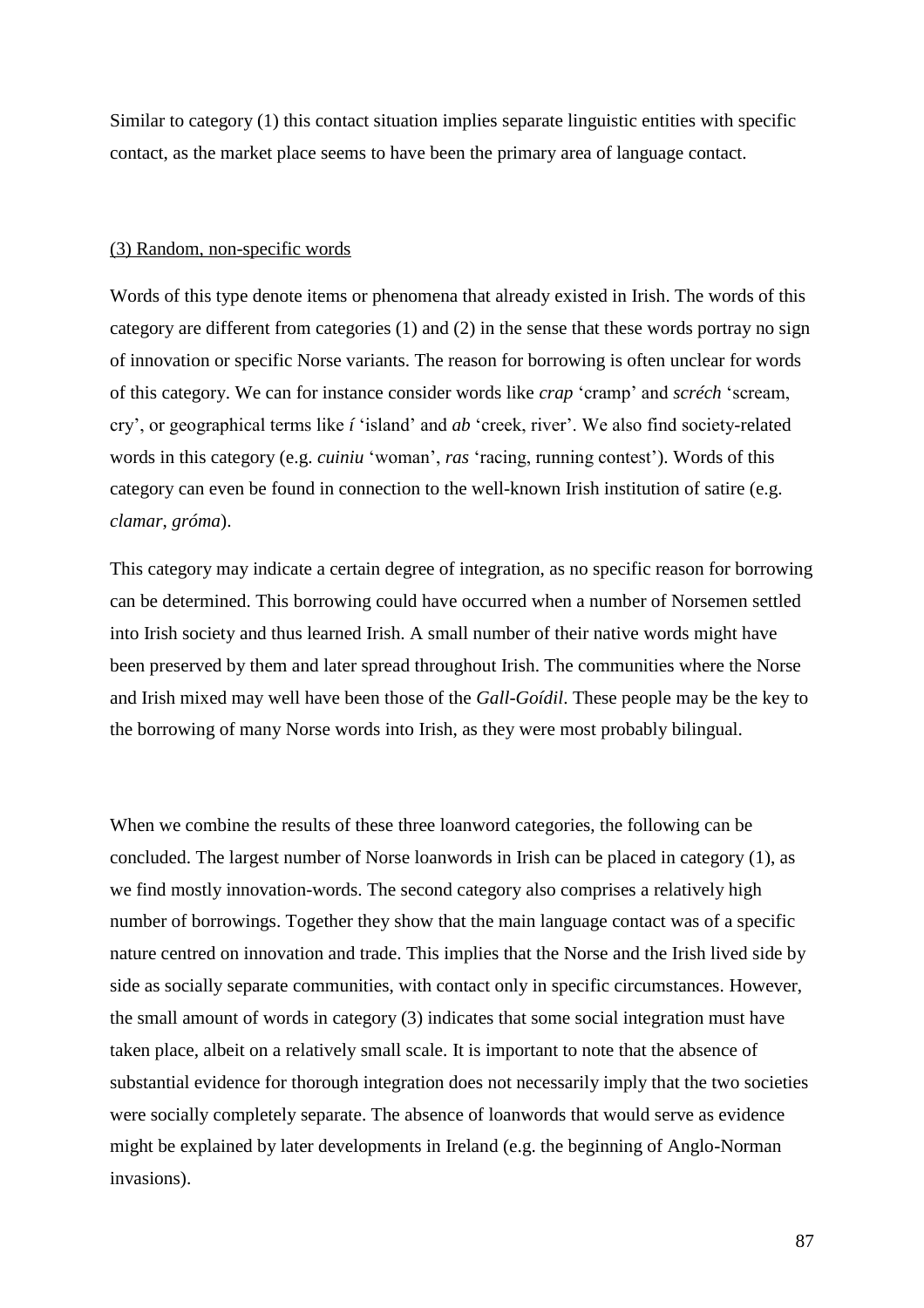Similar to category (1) this contact situation implies separate linguistic entities with specific contact, as the market place seems to have been the primary area of language contact.

### (3) Random, non-specific words

Words of this type denote items or phenomena that already existed in Irish. The words of this category are different from categories (1) and (2) in the sense that these words portray no sign of innovation or specific Norse variants. The reason for borrowing is often unclear for words of this category. We can for instance consider words like *crap* 'cramp' and *scréch* 'scream, cry', or geographical terms like *í* 'island' and *ab* 'creek, river'. We also find society-related words in this category (e.g. *cuiniu* 'woman', *ras* 'racing, running contest'). Words of this category can even be found in connection to the well-known Irish institution of satire (e.g. *clamar*, *gróma*).

This category may indicate a certain degree of integration, as no specific reason for borrowing can be determined. This borrowing could have occurred when a number of Norsemen settled into Irish society and thus learned Irish. A small number of their native words might have been preserved by them and later spread throughout Irish. The communities where the Norse and Irish mixed may well have been those of the *Gall-Goídil*. These people may be the key to the borrowing of many Norse words into Irish, as they were most probably bilingual.

When we combine the results of these three loanword categories, the following can be concluded. The largest number of Norse loanwords in Irish can be placed in category (1), as we find mostly innovation-words. The second category also comprises a relatively high number of borrowings. Together they show that the main language contact was of a specific nature centred on innovation and trade. This implies that the Norse and the Irish lived side by side as socially separate communities, with contact only in specific circumstances. However, the small amount of words in category (3) indicates that some social integration must have taken place, albeit on a relatively small scale. It is important to note that the absence of substantial evidence for thorough integration does not necessarily imply that the two societies were socially completely separate. The absence of loanwords that would serve as evidence might be explained by later developments in Ireland (e.g. the beginning of Anglo-Norman invasions).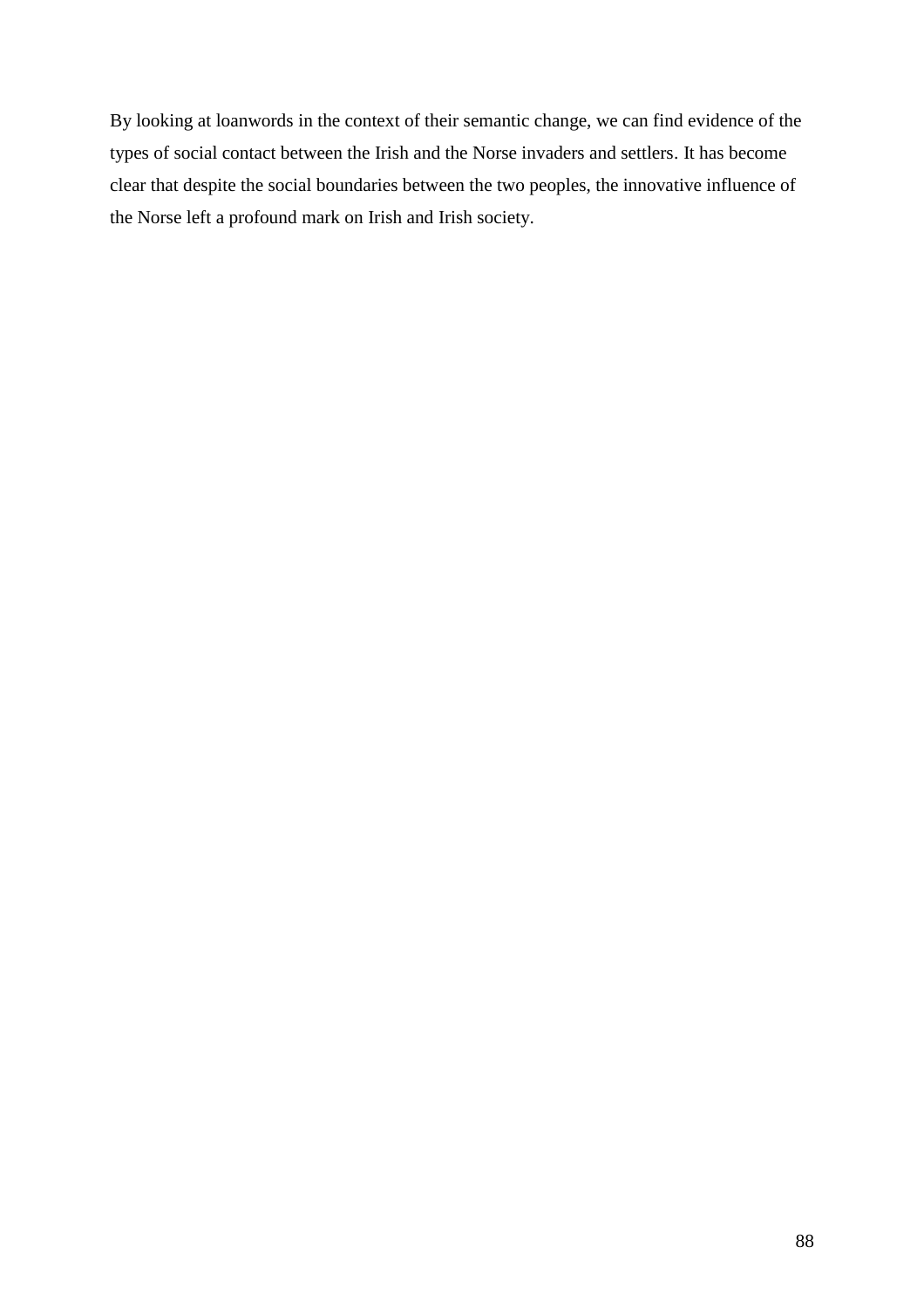By looking at loanwords in the context of their semantic change, we can find evidence of the types of social contact between the Irish and the Norse invaders and settlers. It has become clear that despite the social boundaries between the two peoples, the innovative influence of the Norse left a profound mark on Irish and Irish society.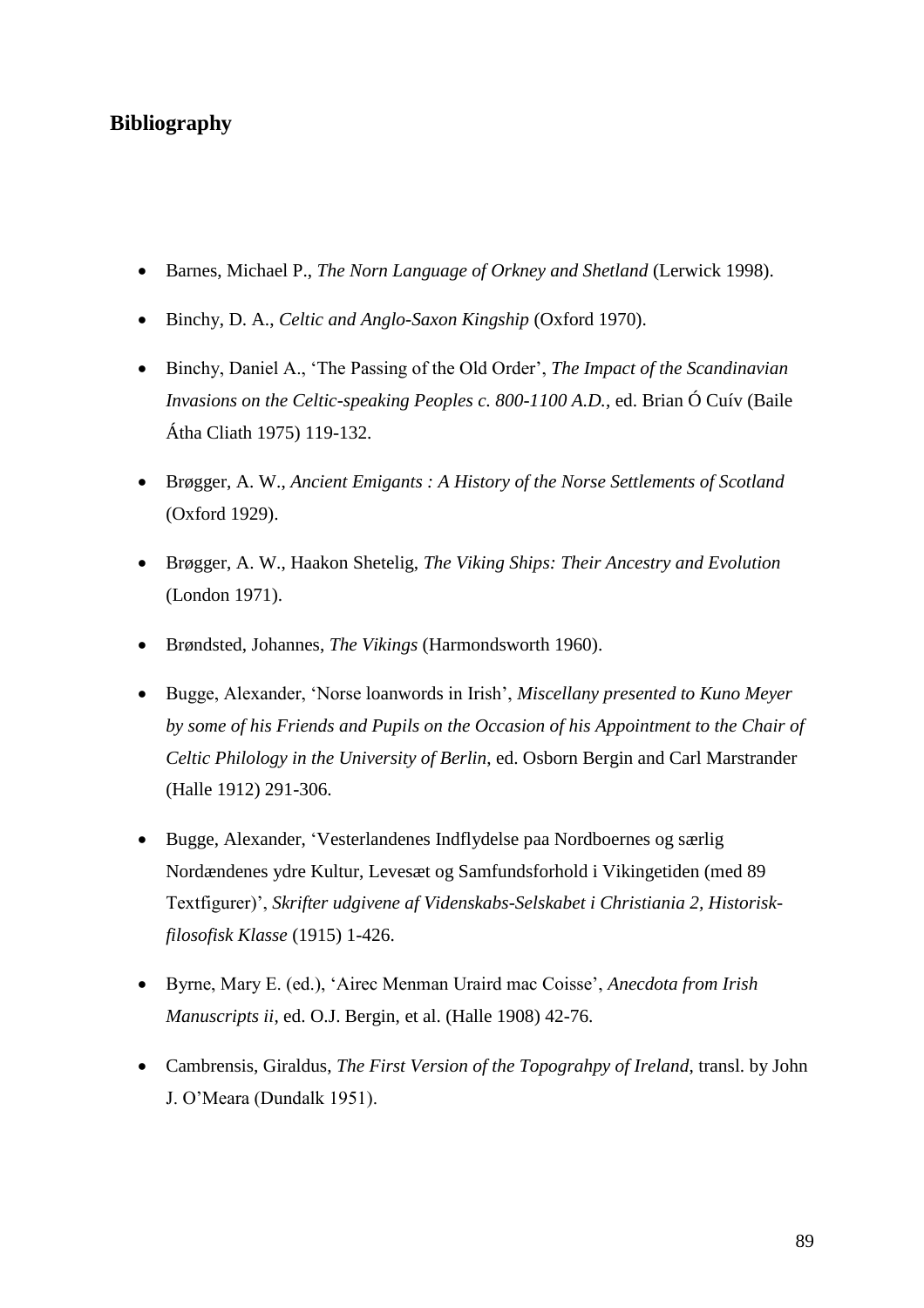# **Bibliography**

- Barnes, Michael P., *The Norn Language of Orkney and Shetland* (Lerwick 1998).
- Binchy, D. A., *Celtic and Anglo-Saxon Kingship* (Oxford 1970).
- Binchy, Daniel A., 'The Passing of the Old Order', *The Impact of the Scandinavian Invasions on the Celtic-speaking Peoples c. 800-1100 A.D.*, ed. Brian Ó Cuív (Baile Átha Cliath 1975) 119-132.
- Brøgger, A. W., *Ancient Emigants : A History of the Norse Settlements of Scotland*  (Oxford 1929).
- Brøgger, A. W., Haakon Shetelig, *The Viking Ships: Their Ancestry and Evolution* (London 1971).
- Brøndsted, Johannes, *The Vikings* (Harmondsworth 1960).
- Bugge, Alexander, 'Norse loanwords in Irish', *Miscellany presented to Kuno Meyer by some of his Friends and Pupils on the Occasion of his Appointment to the Chair of Celtic Philology in the University of Berlin*, ed. Osborn Bergin and Carl Marstrander (Halle 1912) 291-306.
- Bugge, Alexander, 'Vesterlandenes Indflydelse paa Nordboernes og særlig Nordændenes ydre Kultur, Levesæt og Samfundsforhold i Vikingetiden (med 89 Textfigurer)', *Skrifter udgivene af Videnskabs-Selskabet i Christiania 2, Historiskfilosofisk Klasse* (1915) 1-426.
- Byrne, Mary E. (ed.), 'Airec Menman Uraird mac Coisse', *Anecdota from Irish Manuscripts ii*, ed. O.J. Bergin, et al. (Halle 1908) 42-76.
- Cambrensis, Giraldus, *The First Version of the Topograhpy of Ireland*, transl. by John J. O'Meara (Dundalk 1951).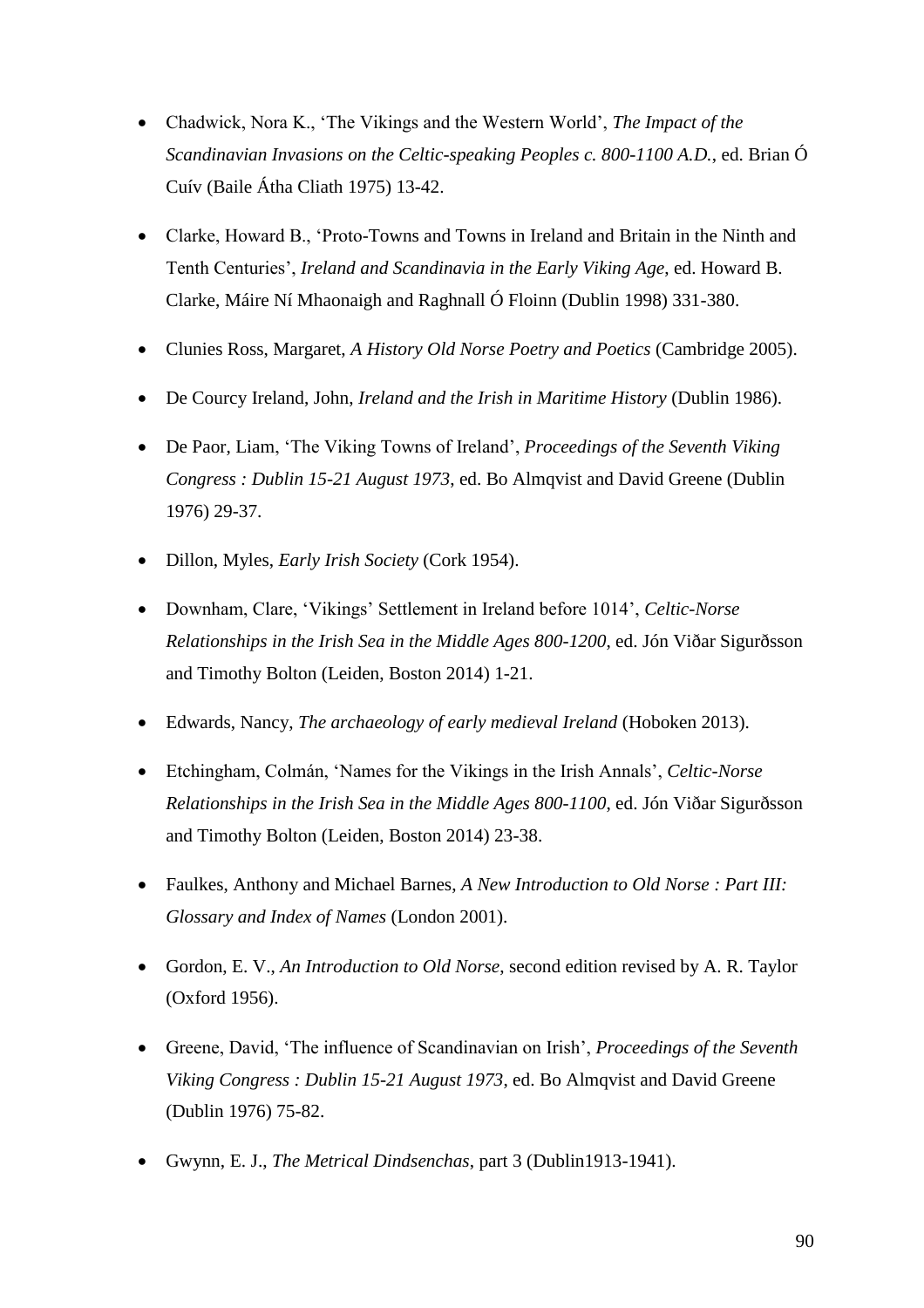- Chadwick, Nora K., 'The Vikings and the Western World', *The Impact of the Scandinavian Invasions on the Celtic-speaking Peoples c. 800-1100 A.D.*, ed. Brian Ó Cuív (Baile Átha Cliath 1975) 13-42.
- Clarke, Howard B., 'Proto-Towns and Towns in Ireland and Britain in the Ninth and Tenth Centuries', *Ireland and Scandinavia in the Early Viking Age*, ed. Howard B. Clarke, Máire Ní Mhaonaigh and Raghnall Ó Floinn (Dublin 1998) 331-380.
- Clunies Ross, Margaret, *A History Old Norse Poetry and Poetics* (Cambridge 2005).
- De Courcy Ireland, John, *Ireland and the Irish in Maritime History* (Dublin 1986).
- De Paor, Liam, 'The Viking Towns of Ireland', *Proceedings of the Seventh Viking Congress : Dublin 15-21 August 1973*, ed. Bo Almqvist and David Greene (Dublin 1976) 29-37.
- Dillon, Myles, *Early Irish Society* (Cork 1954).
- Downham, Clare, 'Vikings' Settlement in Ireland before 1014', *Celtic-Norse Relationships in the Irish Sea in the Middle Ages 800-1200*, ed. Jón Viðar Sigurðsson and Timothy Bolton (Leiden, Boston 2014) 1-21.
- Edwards, Nancy, *The archaeology of early medieval Ireland* (Hoboken 2013).
- Etchingham, Colmán, 'Names for the Vikings in the Irish Annals', *Celtic-Norse Relationships in the Irish Sea in the Middle Ages 800-1100*, ed. Jón Viðar Sigurðsson and Timothy Bolton (Leiden, Boston 2014) 23-38.
- Faulkes, Anthony and Michael Barnes, *A New Introduction to Old Norse : Part III: Glossary and Index of Names* (London 2001).
- Gordon, E. V., *An Introduction to Old Norse*, second edition revised by A. R. Taylor (Oxford 1956).
- Greene, David, 'The influence of Scandinavian on Irish', *Proceedings of the Seventh Viking Congress : Dublin 15-21 August 1973*, ed. Bo Almqvist and David Greene (Dublin 1976) 75-82.
- Gwynn, E. J., *The Metrical Dindsenchas*, part 3 (Dublin1913-1941).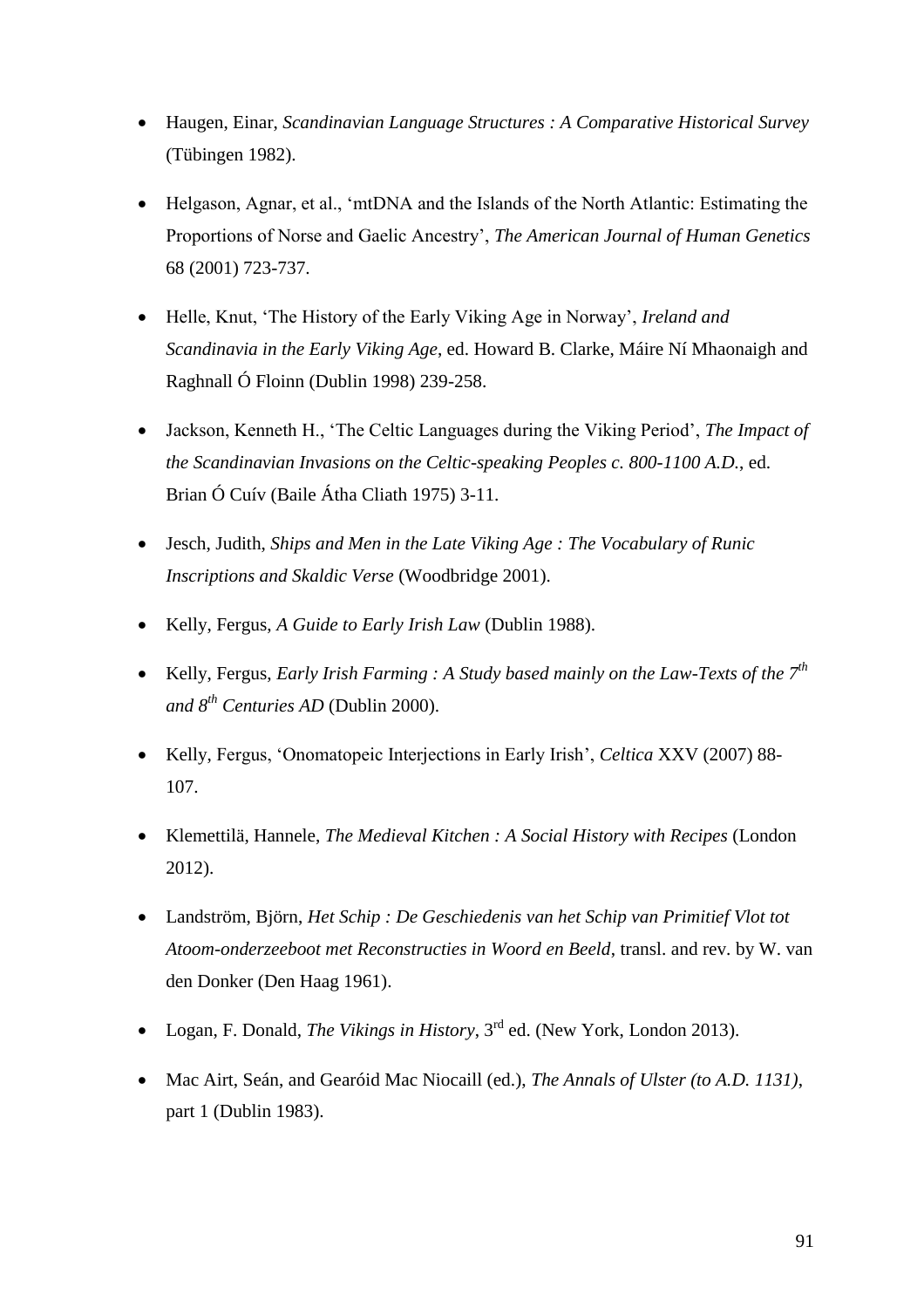- Haugen, Einar, *Scandinavian Language Structures : A Comparative Historical Survey*  (Tübingen 1982).
- Helgason, Agnar, et al., 'mtDNA and the Islands of the North Atlantic: Estimating the Proportions of Norse and Gaelic Ancestry', *The American Journal of Human Genetics* 68 (2001) 723-737.
- Helle, Knut, 'The History of the Early Viking Age in Norway', *Ireland and Scandinavia in the Early Viking Age*, ed. Howard B. Clarke, Máire Ní Mhaonaigh and Raghnall Ó Floinn (Dublin 1998) 239-258.
- Jackson, Kenneth H., 'The Celtic Languages during the Viking Period', *The Impact of the Scandinavian Invasions on the Celtic-speaking Peoples c. 800-1100 A.D.*, ed. Brian Ó Cuív (Baile Átha Cliath 1975) 3-11.
- Jesch, Judith, *Ships and Men in the Late Viking Age : The Vocabulary of Runic Inscriptions and Skaldic Verse* (Woodbridge 2001).
- Kelly, Fergus, *A Guide to Early Irish Law* (Dublin 1988).
- Kelly, Fergus, *Early Irish Farming : A Study based mainly on the Law-Texts of the 7th and 8th Centuries AD* (Dublin 2000).
- Kelly, Fergus, 'Onomatopeic Interjections in Early Irish', *Celtica* XXV (2007) 88- 107.
- Klemettilä, Hannele, *The Medieval Kitchen : A Social History with Recipes* (London 2012).
- Landström, Björn, *Het Schip : De Geschiedenis van het Schip van Primitief Vlot tot Atoom-onderzeeboot met Reconstructies in Woord en Beeld*, transl. and rev. by W. van den Donker (Den Haag 1961).
- Logan, F. Donald, *The Vikings in History*, 3rd ed. (New York, London 2013).
- Mac Airt, Seán, and Gearóid Mac Niocaill (ed.), *The Annals of Ulster (to A.D. 1131)*, part 1 (Dublin 1983).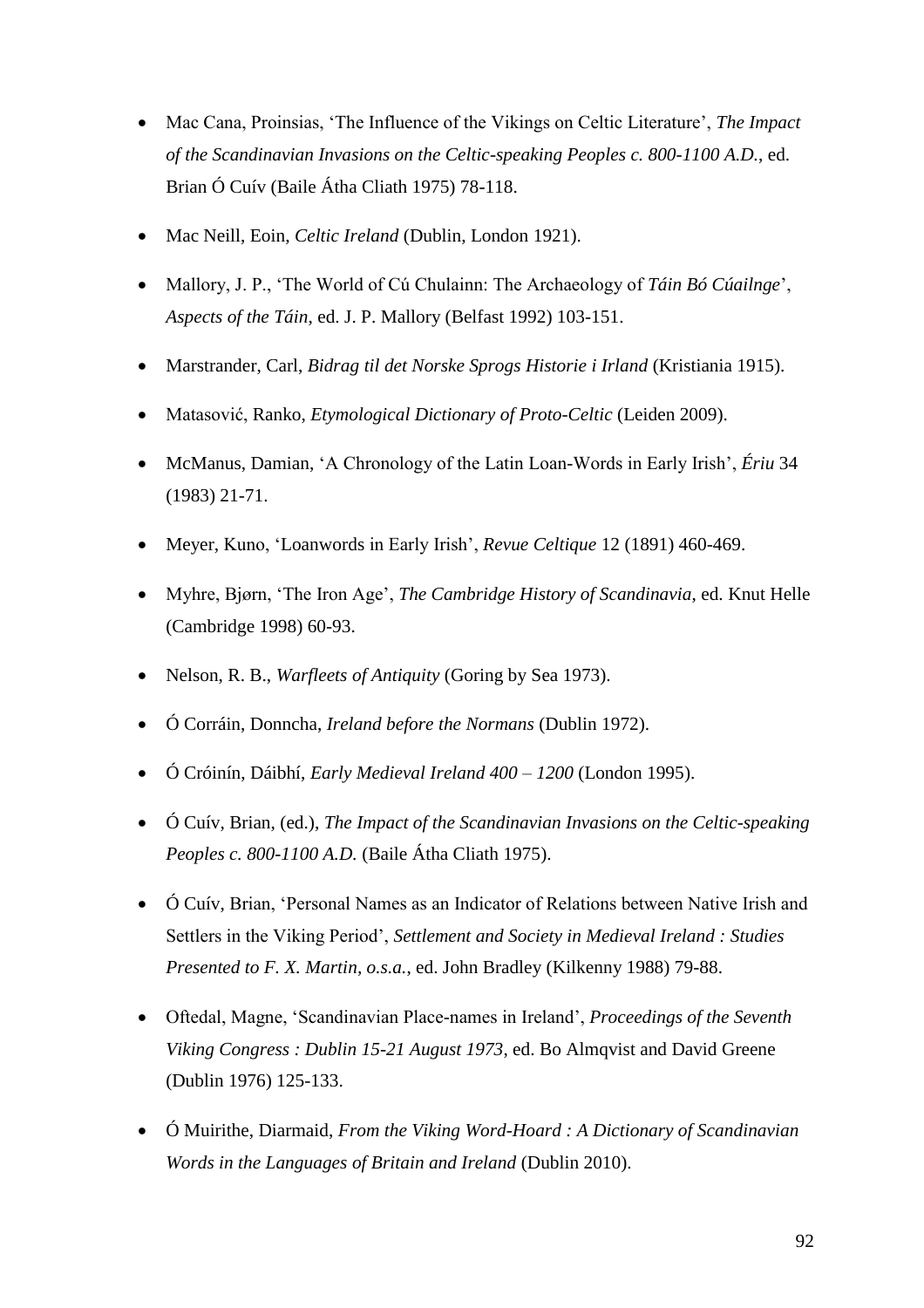- Mac Cana, Proinsias, 'The Influence of the Vikings on Celtic Literature', *The Impact of the Scandinavian Invasions on the Celtic-speaking Peoples c. 800-1100 A.D.*, ed. Brian Ó Cuív (Baile Átha Cliath 1975) 78-118.
- Mac Neill, Eoin, *Celtic Ireland* (Dublin, London 1921).
- Mallory, J. P., 'The World of Cú Chulainn: The Archaeology of *Táin Bó Cúailnge*', *Aspects of the Táin*, ed. J. P. Mallory (Belfast 1992) 103-151.
- Marstrander, Carl, *Bidrag til det Norske Sprogs Historie i Irland* (Kristiania 1915).
- Matasović, Ranko, *Etymological Dictionary of Proto-Celtic* (Leiden 2009).
- McManus, Damian, 'A Chronology of the Latin Loan-Words in Early Irish', *Ériu* 34 (1983) 21-71.
- Meyer, Kuno, 'Loanwords in Early Irish', *Revue Celtique* 12 (1891) 460-469.
- Myhre, Bjørn, 'The Iron Age', *The Cambridge History of Scandinavia*, ed. Knut Helle (Cambridge 1998) 60-93.
- Nelson, R. B., *Warfleets of Antiquity* (Goring by Sea 1973).
- Ó Corráin, Donncha, *Ireland before the Normans* (Dublin 1972).
- Ó Cróinín, Dáibhí, *Early Medieval Ireland 400 – 1200* (London 1995).
- Ó Cuív, Brian, (ed.), *The Impact of the Scandinavian Invasions on the Celtic-speaking Peoples c. 800-1100 A.D.* (Baile Átha Cliath 1975).
- Ó Cuív, Brian, 'Personal Names as an Indicator of Relations between Native Irish and Settlers in the Viking Period', *Settlement and Society in Medieval Ireland : Studies Presented to F. X. Martin, o.s.a.*, ed. John Bradley (Kilkenny 1988) 79-88.
- Oftedal, Magne, 'Scandinavian Place-names in Ireland', *Proceedings of the Seventh Viking Congress : Dublin 15-21 August 1973*, ed. Bo Almqvist and David Greene (Dublin 1976) 125-133.
- Ó Muirithe, Diarmaid, *From the Viking Word-Hoard : A Dictionary of Scandinavian Words in the Languages of Britain and Ireland* (Dublin 2010).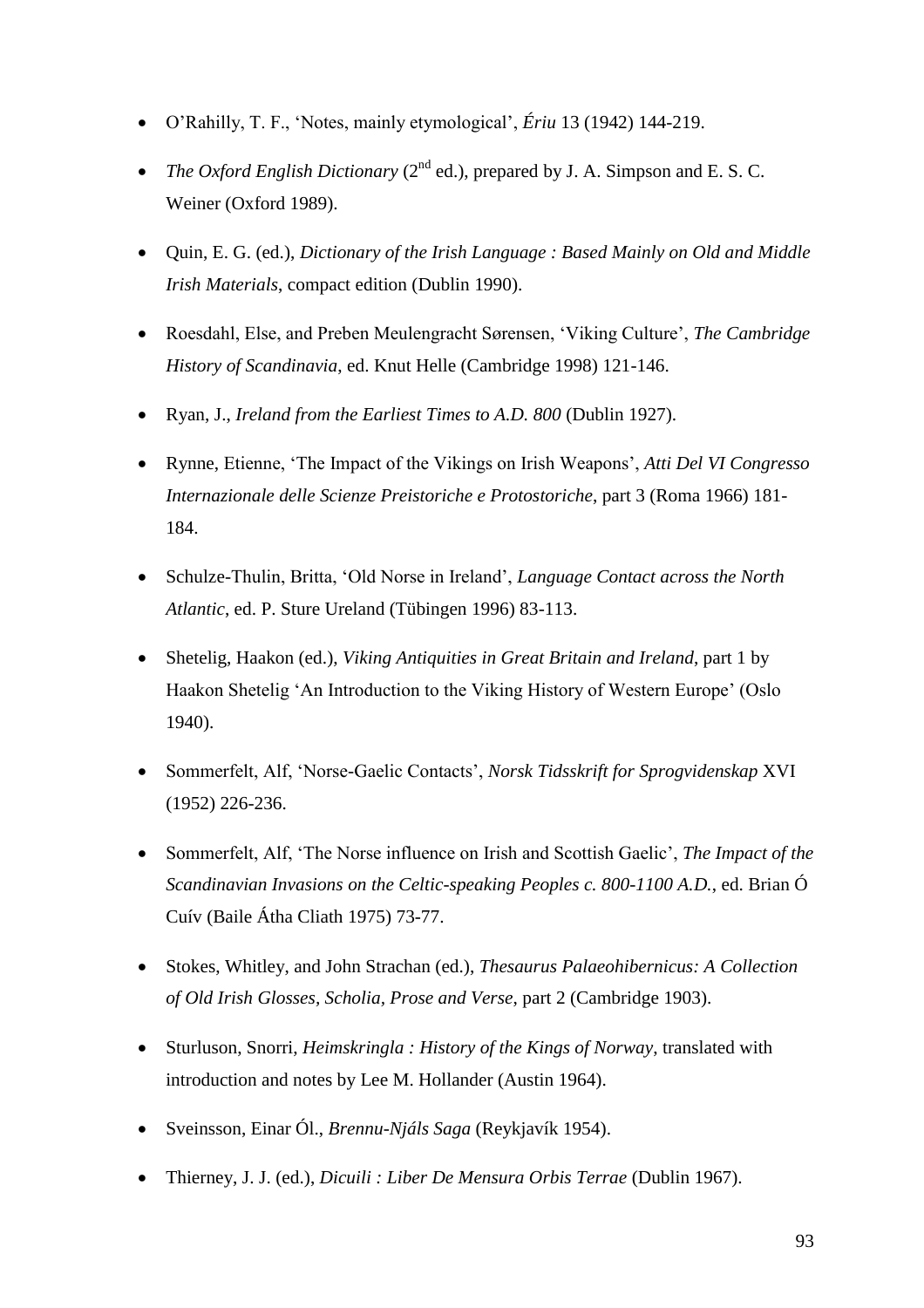- O'Rahilly, T. F., 'Notes, mainly etymological', *Ériu* 13 (1942) 144-219.
- *The Oxford English Dictionary* ( $2<sup>nd</sup>$  ed.), prepared by J. A. Simpson and E. S. C. Weiner (Oxford 1989).
- Quin, E. G. (ed.), *Dictionary of the Irish Language : Based Mainly on Old and Middle Irish Materials*, compact edition (Dublin 1990).
- Roesdahl, Else, and Preben Meulengracht Sørensen, 'Viking Culture', *The Cambridge History of Scandinavia*, ed. Knut Helle (Cambridge 1998) 121-146.
- Ryan, J., *Ireland from the Earliest Times to A.D. 800* (Dublin 1927).
- Rynne, Etienne, 'The Impact of the Vikings on Irish Weapons', *Atti Del VI Congresso Internazionale delle Scienze Preistoriche e Protostoriche*, part 3 (Roma 1966) 181- 184.
- Schulze-Thulin, Britta, 'Old Norse in Ireland', *Language Contact across the North Atlantic*, ed. P. Sture Ureland (Tübingen 1996) 83-113.
- Shetelig, Haakon (ed.), *Viking Antiquities in Great Britain and Ireland*, part 1 by Haakon Shetelig 'An Introduction to the Viking History of Western Europe' (Oslo 1940).
- Sommerfelt, Alf, 'Norse-Gaelic Contacts', *Norsk Tidsskrift for Sprogvidenskap* XVI (1952) 226-236.
- Sommerfelt, Alf, 'The Norse influence on Irish and Scottish Gaelic', *The Impact of the Scandinavian Invasions on the Celtic-speaking Peoples c. 800-1100 A.D.*, ed. Brian Ó Cuív (Baile Átha Cliath 1975) 73-77.
- Stokes, Whitley, and John Strachan (ed.), *Thesaurus Palaeohibernicus: A Collection of Old Irish Glosses, Scholia, Prose and Verse*, part 2 (Cambridge 1903).
- Sturluson, Snorri, *Heimskringla : History of the Kings of Norway*, translated with introduction and notes by Lee M. Hollander (Austin 1964).
- Sveinsson, Einar Ól., *Brennu-Njáls Saga* (Reykjavík 1954).
- Thierney, J. J. (ed.), *Dicuili : Liber De Mensura Orbis Terrae* (Dublin 1967).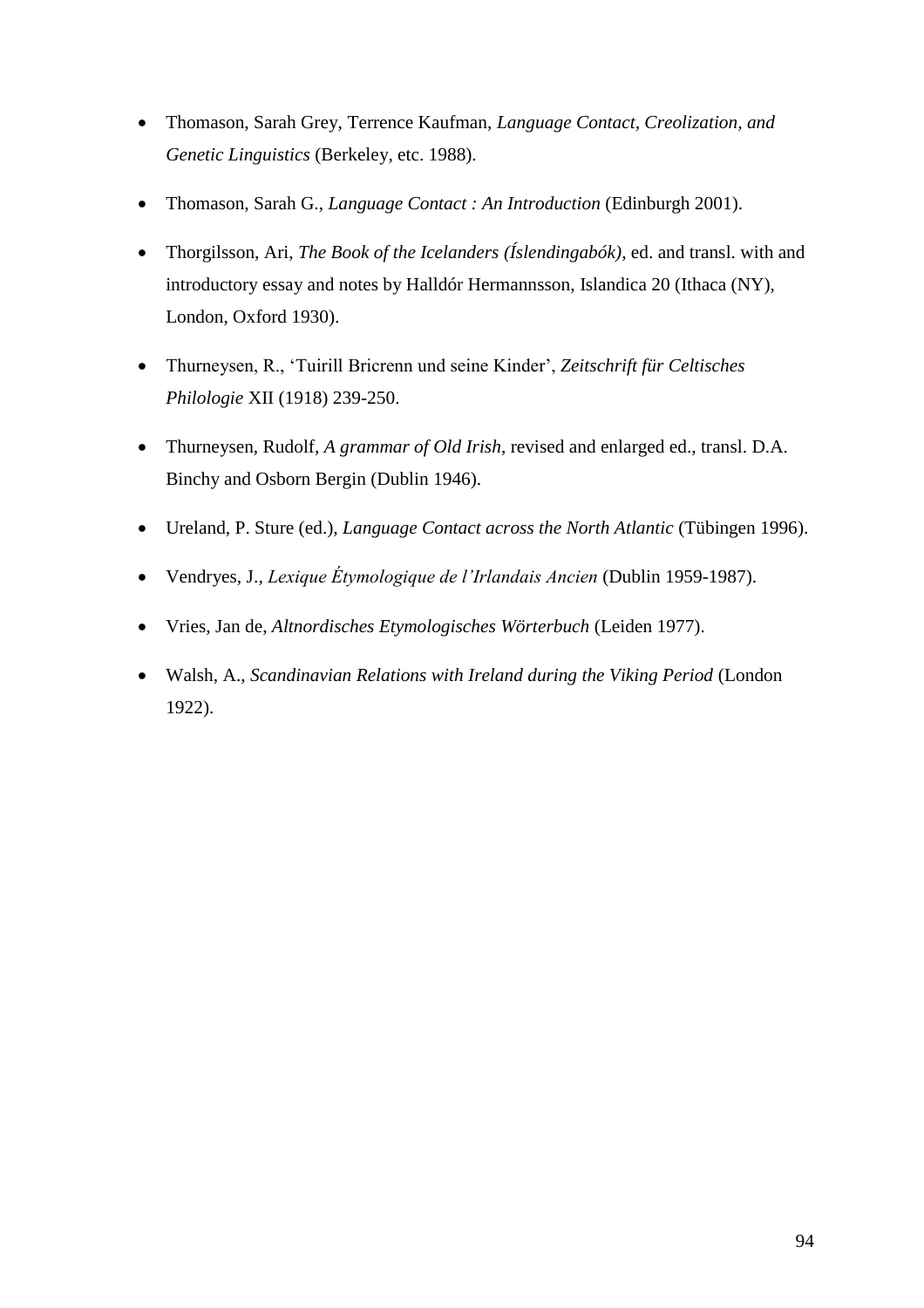- Thomason, Sarah Grey, Terrence Kaufman, *Language Contact, Creolization, and Genetic Linguistics* (Berkeley, etc. 1988).
- Thomason, Sarah G., *Language Contact : An Introduction* (Edinburgh 2001).
- Thorgilsson, Ari, *The Book of the Icelanders (Íslendingabók)*, ed. and transl. with and introductory essay and notes by Halldór Hermannsson, Islandica 20 (Ithaca (NY), London, Oxford 1930).
- Thurneysen, R., 'Tuirill Bricrenn und seine Kinder', *Zeitschrift für Celtisches Philologie* XII (1918) 239-250.
- Thurneysen, Rudolf, *A grammar of Old Irish*, revised and enlarged ed., transl. D.A. Binchy and Osborn Bergin (Dublin 1946).
- Ureland, P. Sture (ed.), *Language Contact across the North Atlantic* (Tübingen 1996).
- Vendryes, J., *Lexique Étymologique de l'Irlandais Ancien* (Dublin 1959-1987).
- Vries, Jan de, *Altnordisches Etymologisches Wörterbuch* (Leiden 1977).
- Walsh, A., *Scandinavian Relations with Ireland during the Viking Period* (London 1922).